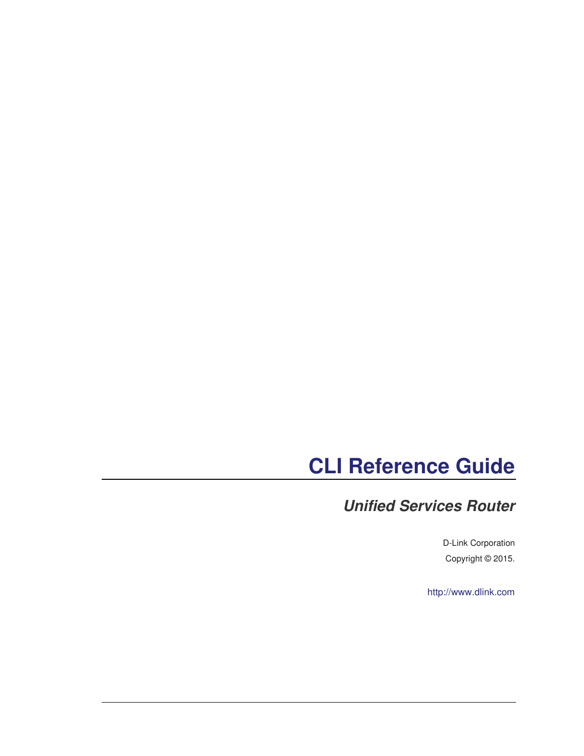## **CLI Reference Guide**

#### **Unified Services Router**

D-Link Corporation Copyright © 2015.

http://www.dlink.com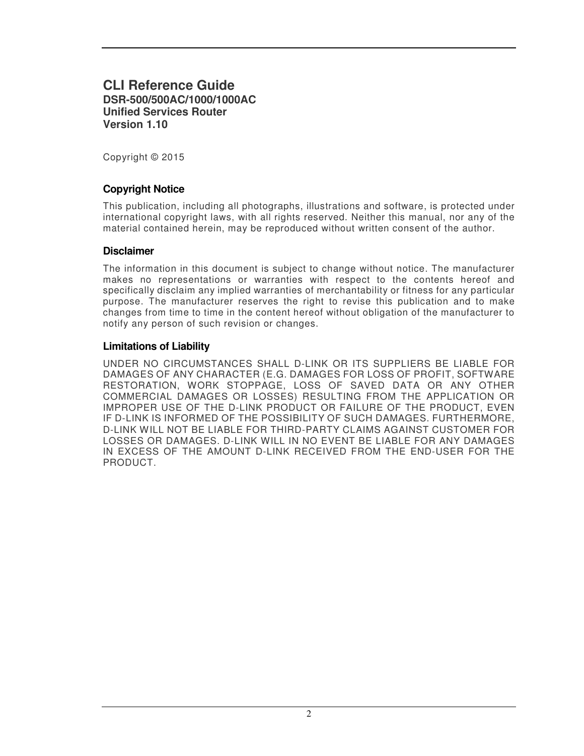#### **CLI Reference Guide DSR-500/500AC/1000/1000AC Unified Services Router Version 1.10**

Copyright © 2015

#### **Copyright Notice**

This publication, including all photographs, illustrations and software, is protected under international copyright laws, with all rights reserved. Neither this manual, nor any of the material contained herein, may be reproduced without written consent of the author.

#### **Disclaimer**

The information in this document is subject to change without notice. The manufacturer makes no representations or warranties with respect to the contents hereof and specifically disclaim any implied warranties of merchantability or fitness for any particular purpose. The manufacturer reserves the right to revise this publication and to make changes from time to time in the content hereof without obligation of the manufacturer to notify any person of such revision or changes.

#### **Limitations of Liability**

UNDER NO CIRCUMSTANCES SHALL D-LINK OR ITS SUPPLIERS BE LIABLE FOR DAMAGES OF ANY CHARACTER (E.G. DAMAGES FOR LOSS OF PROFIT, SOFTWARE RESTORATION, WORK STOPPAGE, LOSS OF SAVED DATA OR ANY OTHER COMMERCIAL DAMAGES OR LOSSES) RESULTING FROM THE APPLICATION OR IMPROPER USE OF THE D-LINK PRODUCT OR FAILURE OF THE PRODUCT, EVEN IF D-LINK IS INFORMED OF THE POSSIBILITY OF SUCH DAMAGES. FURTHERMORE, D-LINK WILL NOT BE LIABLE FOR THIRD-PARTY CLAIMS AGAINST CUSTOMER FOR LOSSES OR DAMAGES. D-LINK WILL IN NO EVENT BE LIABLE FOR ANY DAMAGES IN EXCESS OF THE AMOUNT D-LINK RECEIVED FROM THE END-USER FOR THE PRODUCT.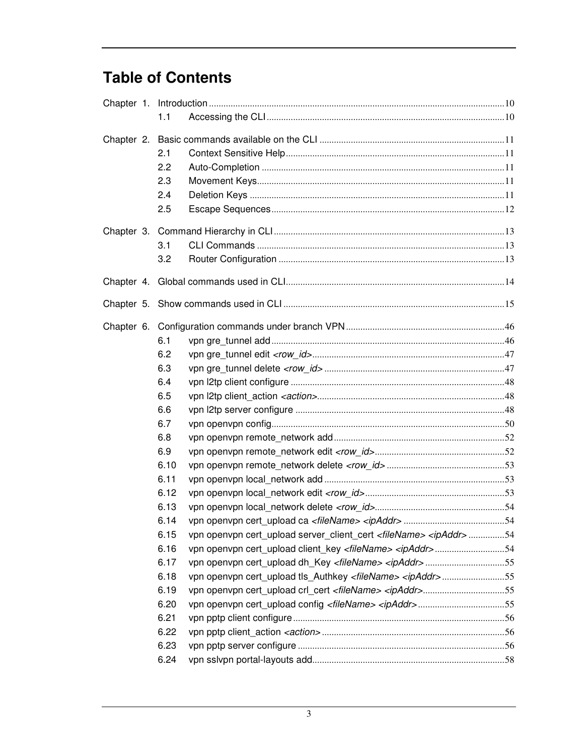#### **Table of Contents**

|  |  | 1.1  |                                                                                      |  |
|--|--|------|--------------------------------------------------------------------------------------|--|
|  |  |      |                                                                                      |  |
|  |  | 2.1  |                                                                                      |  |
|  |  | 2.2  |                                                                                      |  |
|  |  | 2.3  |                                                                                      |  |
|  |  | 2.4  |                                                                                      |  |
|  |  | 2.5  |                                                                                      |  |
|  |  |      |                                                                                      |  |
|  |  | 3.1  |                                                                                      |  |
|  |  | 3.2  |                                                                                      |  |
|  |  |      |                                                                                      |  |
|  |  |      |                                                                                      |  |
|  |  |      |                                                                                      |  |
|  |  | 6.1  |                                                                                      |  |
|  |  | 6.2  |                                                                                      |  |
|  |  | 6.3  |                                                                                      |  |
|  |  | 6.4  |                                                                                      |  |
|  |  | 6.5  |                                                                                      |  |
|  |  | 6.6  |                                                                                      |  |
|  |  | 6.7  |                                                                                      |  |
|  |  | 6.8  |                                                                                      |  |
|  |  | 6.9  |                                                                                      |  |
|  |  | 6.10 |                                                                                      |  |
|  |  | 6.11 |                                                                                      |  |
|  |  | 6.12 |                                                                                      |  |
|  |  | 6.13 |                                                                                      |  |
|  |  | 6.14 |                                                                                      |  |
|  |  | 6.15 | vpn openvpn cert_upload server_client_cert <filename> <ipaddr>54</ipaddr></filename> |  |
|  |  | 6.16 | vpn openvpn cert_upload client_key <filename> <ipaddr>54</ipaddr></filename>         |  |
|  |  | 6.17 | vpn openvpn cert upload dh Key <filename> <ipaddr>55</ipaddr></filename>             |  |
|  |  | 6.18 | vpn openvpn cert_upload tls_Authkey <filename> <ipaddr>55</ipaddr></filename>        |  |
|  |  | 6.19 | vpn openvpn cert_upload crl_cert <filename> <ipaddr>55</ipaddr></filename>           |  |
|  |  | 6.20 | vpn openvpn cert_upload config <filename> <ipaddr>55</ipaddr></filename>             |  |
|  |  | 6.21 |                                                                                      |  |
|  |  | 6.22 |                                                                                      |  |
|  |  | 6.23 |                                                                                      |  |
|  |  | 6.24 |                                                                                      |  |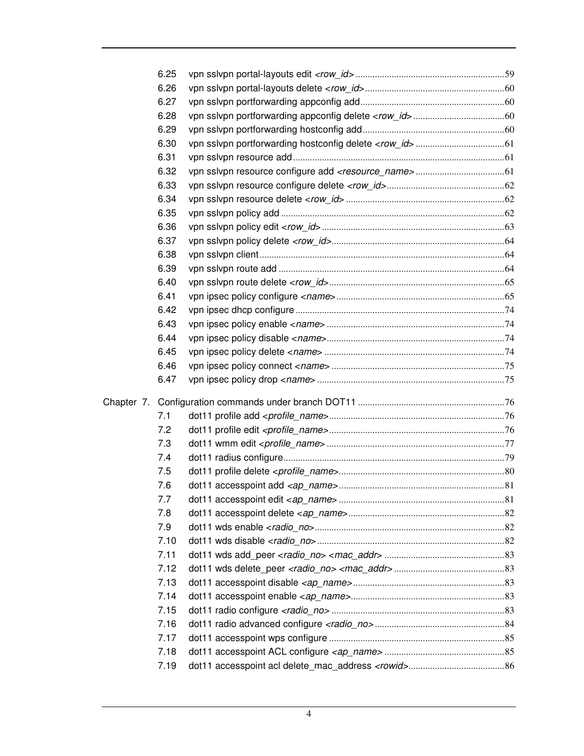|  | 6.25 |  |
|--|------|--|
|  | 6.26 |  |
|  | 6.27 |  |
|  | 6.28 |  |
|  | 6.29 |  |
|  | 6.30 |  |
|  | 6.31 |  |
|  | 6.32 |  |
|  | 6.33 |  |
|  | 6.34 |  |
|  | 6.35 |  |
|  | 6.36 |  |
|  | 6.37 |  |
|  | 6.38 |  |
|  | 6.39 |  |
|  | 6.40 |  |
|  | 6.41 |  |
|  | 6.42 |  |
|  | 6.43 |  |
|  | 6.44 |  |
|  | 6.45 |  |
|  | 6.46 |  |
|  | 6.47 |  |
|  |      |  |
|  | 7.1  |  |
|  | 7.2  |  |
|  | 7.3  |  |
|  | 7.4  |  |
|  | 7.5  |  |
|  | 7.6  |  |
|  | 7.7  |  |
|  | 7.8  |  |
|  | 7.9  |  |
|  | 7.10 |  |
|  | 7.11 |  |
|  | 7.12 |  |
|  | 7.13 |  |
|  | 7.14 |  |
|  | 7.15 |  |
|  | 7.16 |  |
|  | 7.17 |  |
|  | 7.18 |  |
|  | 7.19 |  |
|  |      |  |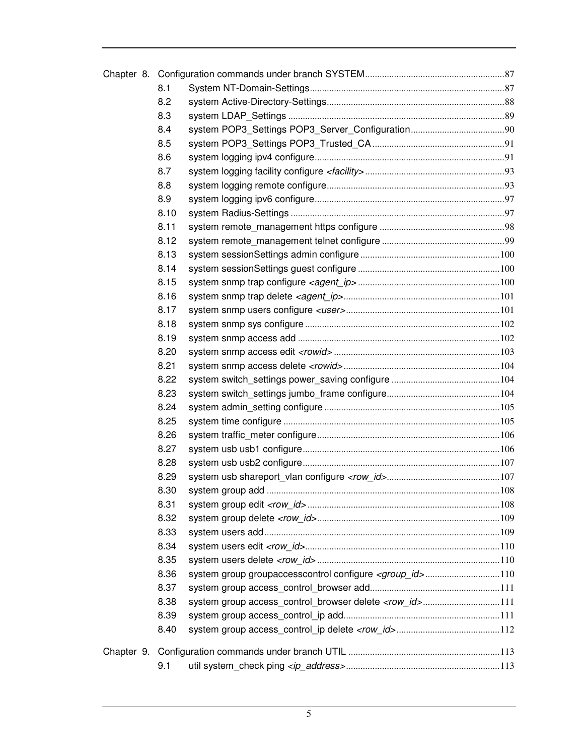|  | 8.1  |                                                                    |  |
|--|------|--------------------------------------------------------------------|--|
|  | 8.2  |                                                                    |  |
|  | 8.3  |                                                                    |  |
|  | 8.4  |                                                                    |  |
|  | 8.5  |                                                                    |  |
|  | 8.6  |                                                                    |  |
|  | 8.7  |                                                                    |  |
|  | 8.8  |                                                                    |  |
|  | 8.9  |                                                                    |  |
|  | 8.10 |                                                                    |  |
|  | 8.11 |                                                                    |  |
|  | 8.12 |                                                                    |  |
|  | 8.13 |                                                                    |  |
|  | 8.14 |                                                                    |  |
|  | 8.15 |                                                                    |  |
|  | 8.16 |                                                                    |  |
|  | 8.17 |                                                                    |  |
|  | 8.18 |                                                                    |  |
|  | 8.19 |                                                                    |  |
|  | 8.20 |                                                                    |  |
|  | 8.21 |                                                                    |  |
|  | 8.22 |                                                                    |  |
|  | 8.23 |                                                                    |  |
|  | 8.24 |                                                                    |  |
|  | 8.25 |                                                                    |  |
|  | 8.26 |                                                                    |  |
|  | 8.27 |                                                                    |  |
|  | 8.28 |                                                                    |  |
|  | 8.29 |                                                                    |  |
|  | 8.30 |                                                                    |  |
|  | 8.31 |                                                                    |  |
|  | 8.32 |                                                                    |  |
|  | 8.33 |                                                                    |  |
|  | 8.34 |                                                                    |  |
|  | 8.35 |                                                                    |  |
|  | 8.36 | system group groupaccesscontrol configure <group_id>110</group_id> |  |
|  | 8.37 |                                                                    |  |
|  | 8.38 | system group access_control_browser delete <row_id>111</row_id>    |  |
|  | 8.39 |                                                                    |  |
|  | 8.40 |                                                                    |  |
|  |      |                                                                    |  |
|  | 9.1  |                                                                    |  |
|  |      |                                                                    |  |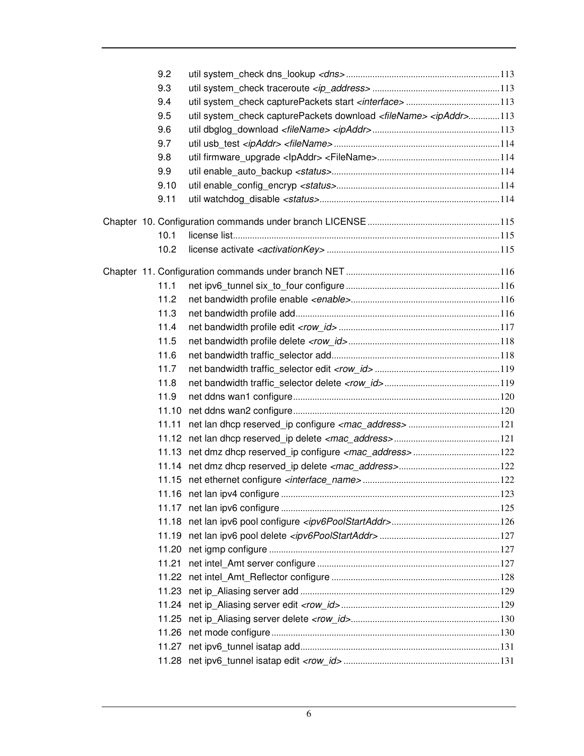| 9.2   |                                                                                      |  |
|-------|--------------------------------------------------------------------------------------|--|
| 9.3   |                                                                                      |  |
| 9.4   |                                                                                      |  |
| 9.5   | util system check capturePackets download <filename> <ipaddr>113</ipaddr></filename> |  |
| 9.6   |                                                                                      |  |
| 9.7   |                                                                                      |  |
| 9.8   |                                                                                      |  |
| 9.9   |                                                                                      |  |
| 9.10  |                                                                                      |  |
| 9.11  |                                                                                      |  |
|       |                                                                                      |  |
| 10.1  |                                                                                      |  |
| 10.2  |                                                                                      |  |
|       |                                                                                      |  |
| 11.1  |                                                                                      |  |
| 11.2  |                                                                                      |  |
| 11.3  |                                                                                      |  |
| 11.4  |                                                                                      |  |
| 11.5  |                                                                                      |  |
| 11.6  |                                                                                      |  |
| 11.7  |                                                                                      |  |
| 11.8  |                                                                                      |  |
| 11.9  |                                                                                      |  |
| 11.10 |                                                                                      |  |
| 11.11 |                                                                                      |  |
|       |                                                                                      |  |
|       |                                                                                      |  |
|       |                                                                                      |  |
|       |                                                                                      |  |
|       |                                                                                      |  |
|       |                                                                                      |  |
|       |                                                                                      |  |
|       |                                                                                      |  |
|       |                                                                                      |  |
|       |                                                                                      |  |
|       |                                                                                      |  |
|       |                                                                                      |  |
|       |                                                                                      |  |
|       |                                                                                      |  |
|       |                                                                                      |  |
|       |                                                                                      |  |
|       |                                                                                      |  |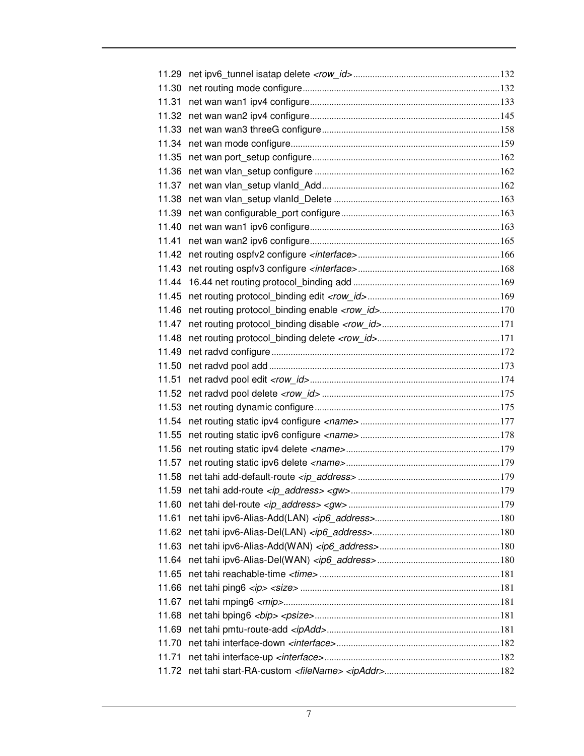| 11.29 |  |
|-------|--|
| 11.30 |  |
| 11.31 |  |
| 11.32 |  |
| 11.33 |  |
| 11.34 |  |
| 11.35 |  |
| 11.36 |  |
| 11.37 |  |
| 11.38 |  |
| 11.39 |  |
| 11.40 |  |
| 11.41 |  |
| 11.42 |  |
| 11.43 |  |
| 11.44 |  |
| 11.45 |  |
| 11.46 |  |
| 11.47 |  |
| 11.48 |  |
| 11.49 |  |
| 11.50 |  |
| 11.51 |  |
| 11.52 |  |
| 11.53 |  |
| 11.54 |  |
| 11.55 |  |
| 11.56 |  |
| 11.57 |  |
| 11.58 |  |
| 11.59 |  |
| 11.60 |  |
| 11.61 |  |
| 11.62 |  |
| 11.63 |  |
| 11.64 |  |
| 11.65 |  |
| 11.66 |  |
| 11.67 |  |
| 11.68 |  |
| 11.69 |  |
| 11.70 |  |
| 11.71 |  |
|       |  |
|       |  |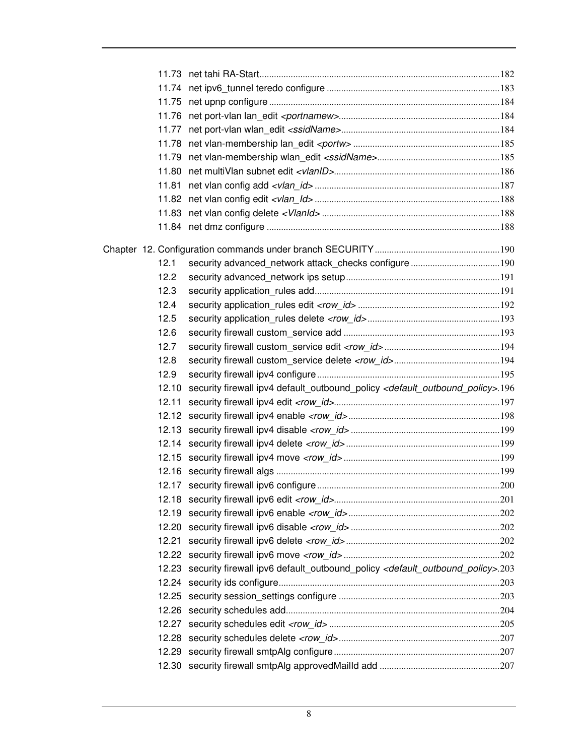| 11.75 |                                                                                                              |  |
|-------|--------------------------------------------------------------------------------------------------------------|--|
|       |                                                                                                              |  |
|       |                                                                                                              |  |
|       |                                                                                                              |  |
|       |                                                                                                              |  |
| 11.80 |                                                                                                              |  |
| 11.81 |                                                                                                              |  |
|       |                                                                                                              |  |
|       |                                                                                                              |  |
|       |                                                                                                              |  |
|       |                                                                                                              |  |
| 12.1  |                                                                                                              |  |
| 12.2  |                                                                                                              |  |
| 12.3  |                                                                                                              |  |
| 12.4  |                                                                                                              |  |
| 12.5  |                                                                                                              |  |
| 12.6  |                                                                                                              |  |
| 12.7  |                                                                                                              |  |
| 12.8  |                                                                                                              |  |
| 12.9  |                                                                                                              |  |
| 12.10 | security firewall ipv4 default_outbound_policy <default_outbound_policy>.196</default_outbound_policy>       |  |
| 12.11 |                                                                                                              |  |
|       |                                                                                                              |  |
|       |                                                                                                              |  |
|       |                                                                                                              |  |
|       |                                                                                                              |  |
|       |                                                                                                              |  |
|       |                                                                                                              |  |
|       |                                                                                                              |  |
|       |                                                                                                              |  |
| 12.20 |                                                                                                              |  |
| 12.21 |                                                                                                              |  |
|       |                                                                                                              |  |
|       | 12.23 security firewall ipv6 default_outbound_policy <default_outbound_policy>.203</default_outbound_policy> |  |
|       |                                                                                                              |  |
|       |                                                                                                              |  |
|       |                                                                                                              |  |
|       |                                                                                                              |  |
| 12.27 |                                                                                                              |  |
|       |                                                                                                              |  |
|       |                                                                                                              |  |
|       |                                                                                                              |  |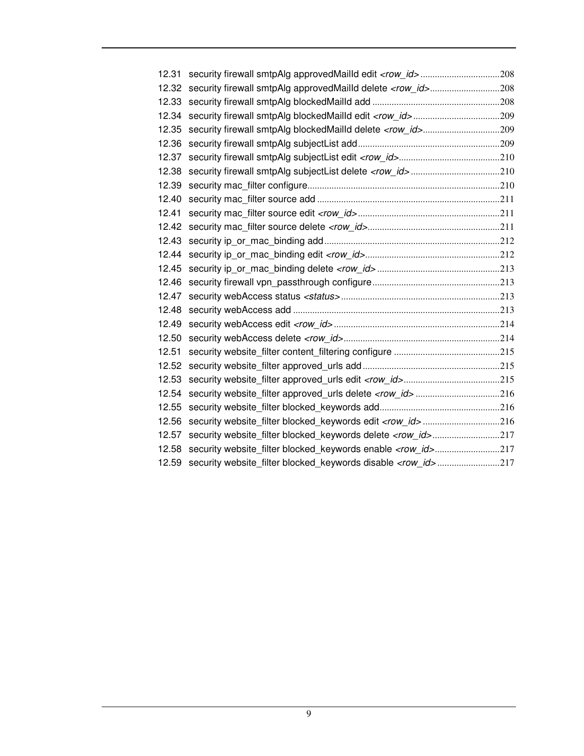| 12.31 |                                                                       |
|-------|-----------------------------------------------------------------------|
| 12.32 | security firewall smtpAlg approvedMailld delete <row_id>208</row_id>  |
| 12.33 |                                                                       |
| 12.34 |                                                                       |
| 12.35 |                                                                       |
| 12.36 |                                                                       |
| 12.37 |                                                                       |
| 12.38 |                                                                       |
| 12.39 |                                                                       |
| 12.40 |                                                                       |
| 12.41 |                                                                       |
| 12.42 |                                                                       |
| 12.43 |                                                                       |
| 12.44 |                                                                       |
| 12.45 |                                                                       |
| 12.46 |                                                                       |
| 12.47 |                                                                       |
| 12.48 |                                                                       |
| 12.49 |                                                                       |
| 12.50 |                                                                       |
| 12.51 |                                                                       |
| 12.52 |                                                                       |
| 12.53 |                                                                       |
| 12.54 |                                                                       |
| 12.55 |                                                                       |
| 12.56 | security website_filter blocked_keywords edit <row_id>216</row_id>    |
| 12.57 |                                                                       |
| 12.58 | security website_filter blocked_keywords enable <row_id>217</row_id>  |
| 12.59 | security website filter blocked keywords disable <row id="">217</row> |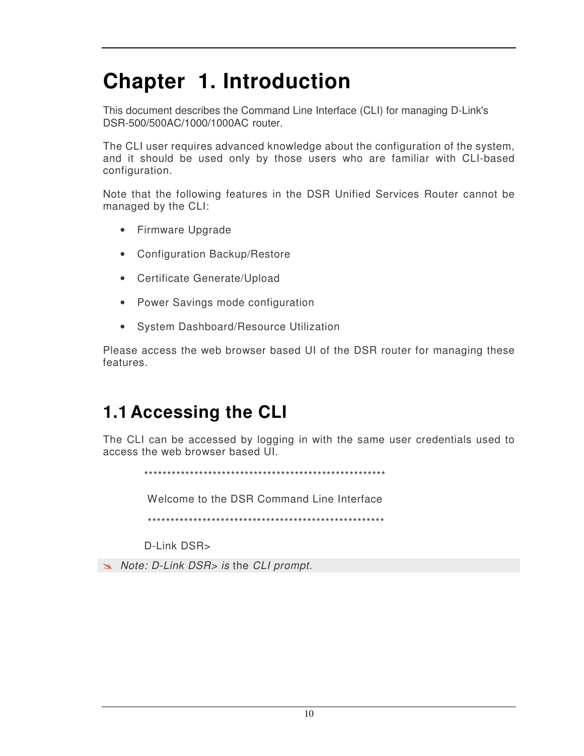## **Chapter 1. Introduction**

This document describes the Command Line Interface (CLI) for managing D-Link's DSR-500/500AC/1000/1000AC router.

The CLI user requires advanced knowledge about the configuration of the system, and it should be used only by those users who are familiar with CLI-based configuration.

Note that the following features in the DSR Unified Services Router cannot be managed by the CLI:

- Firmware Upgrade
- Configuration Backup/Restore
- Certificate Generate/Upload
- Power Savings mode configuration
- System Dashboard/Resource Utilization

Please access the web browser based UI of the DSR router for managing these features.

#### **1.1 Accessing the CLI**

The CLI can be accessed by logging in with the same user credentials used to access the web browser based UI.

\*\*\*\*\*\*\*\*\*\*\*\*\*\*\*\*\*\*\*\*\*\*\*\*\*\*\*\*\*\*\*\*\*\*\*\*\*\*\*\*\*\*\*\*\*\*\*\*\*\*\*\*\*

Welcome to the DSR Command Line Interface

\*\*\*\*\*\*\*\*\*\*\*\*\*\*\*\*\*\*\*\*\*\*\*\*\*\*\*\*\*\*\*\*\*\*\*\*\*\*\*\*\*\*\*\*\*\*\*\*\*\*\*\*

D-Link DSR>

*Note: D-Link DSR> is* the *CLI prompt.*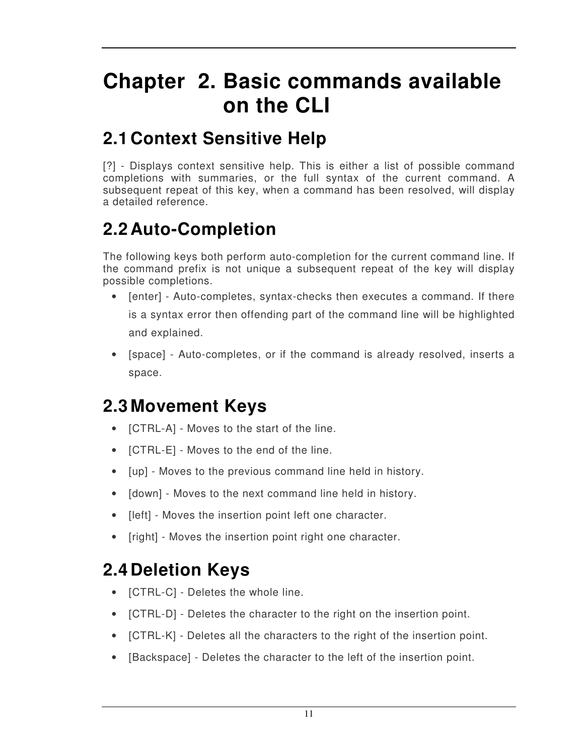## **Chapter 2. Basic commands available on the CLI**

### **2.1 Context Sensitive Help**

[?] - Displays context sensitive help. This is either a list of possible command completions with summaries, or the full syntax of the current command. A subsequent repeat of this key, when a command has been resolved, will display a detailed reference.

### **2.2 Auto-Completion**

The following keys both perform auto-completion for the current command line. If the command prefix is not unique a subsequent repeat of the key will display possible completions.

- [enter] Auto-completes, syntax-checks then executes a command. If there is a syntax error then offending part of the command line will be highlighted and explained.
- [space] Auto-completes, or if the command is already resolved, inserts a space.

### **2.3 Movement Keys**

- [CTRL-A] Moves to the start of the line.
- [CTRL-E] Moves to the end of the line.
- [up] Moves to the previous command line held in history.
- [down] Moves to the next command line held in history.
- [left] Moves the insertion point left one character.
- [right] Moves the insertion point right one character.

### **2.4 Deletion Keys**

- [CTRL-C] Deletes the whole line.
- [CTRL-D] Deletes the character to the right on the insertion point.
- [CTRL-K] Deletes all the characters to the right of the insertion point.
- [Backspace] Deletes the character to the left of the insertion point.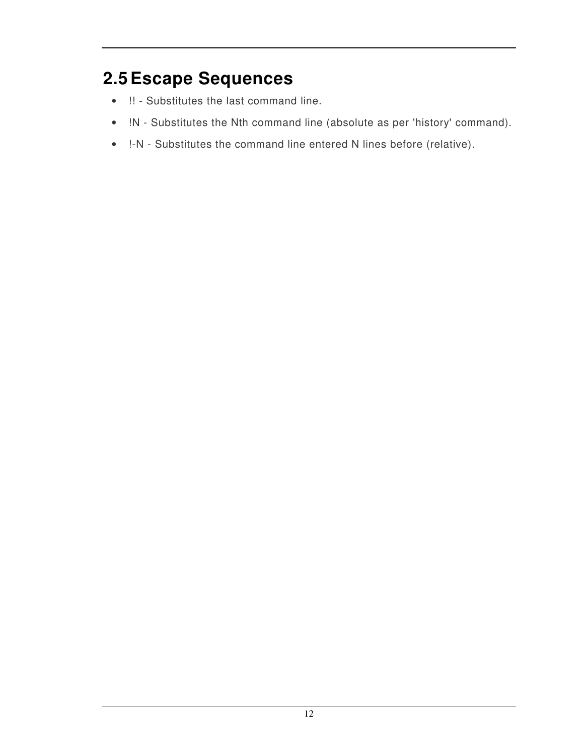### **2.5 Escape Sequences**

- !! Substitutes the last command line.
- !N Substitutes the Nth command line (absolute as per 'history' command).
- !-N Substitutes the command line entered N lines before (relative).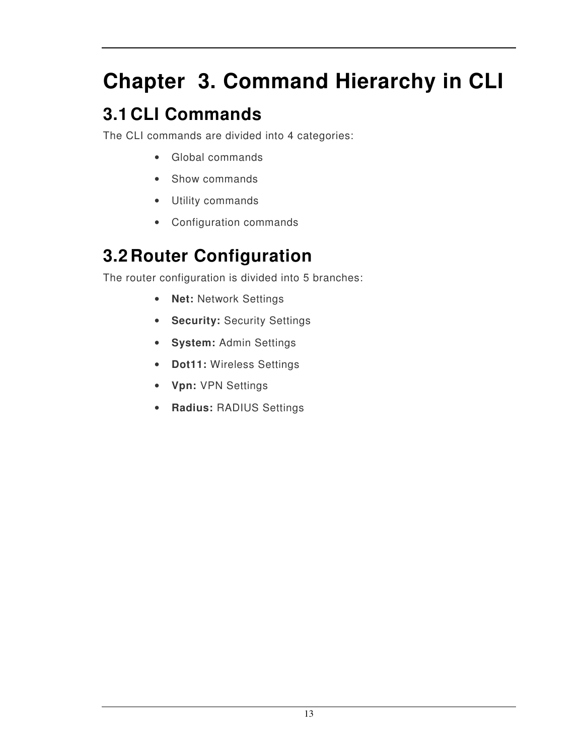# **Chapter 3. Command Hierarchy in CLI**

## **3.1 CLI Commands**

The CLI commands are divided into 4 categories:

- Global commands
- Show commands
- Utility commands
- Configuration commands

#### **3.2 Router Configuration**

The router configuration is divided into 5 branches:

- **Net:** Network Settings
- **Security:** Security Settings
- **System:** Admin Settings
- **Dot11:** Wireless Settings
- **Vpn:** VPN Settings
- **Radius:** RADIUS Settings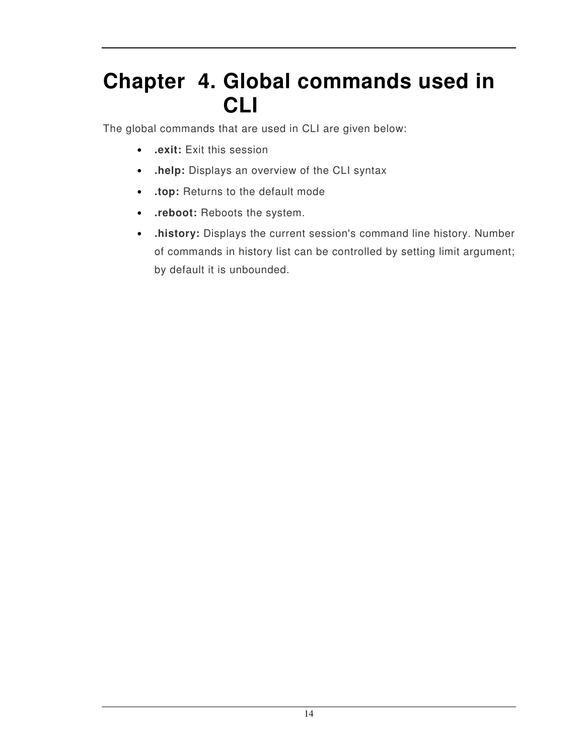## **Chapter 4. Global commands used in CLI**

The global commands that are used in CLI are given below:

- **.exit:** Exit this session
- **.help:** Displays an overview of the CLI syntax
- **.top:** Returns to the default mode
- **.reboot:** Reboots the system.
- **.history:** Displays the current session's command line history. Number of commands in history list can be controlled by setting limit argument; by default it is unbounded.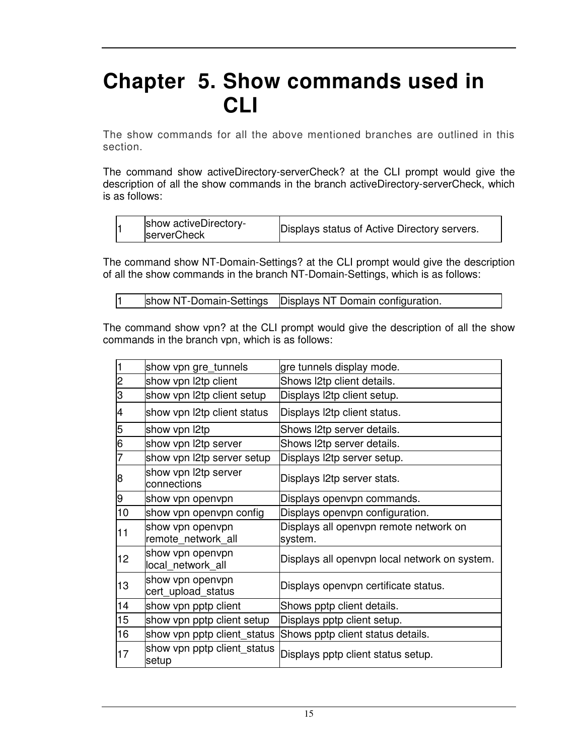## **Chapter 5. Show commands used in CLI**

The show commands for all the above mentioned branches are outlined in this section.

The command show activeDirectory-serverCheck? at the CLI prompt would give the description of all the show commands in the branch activeDirectory-serverCheck, which is as follows:

|  | show activeDirectory-<br><b>serverCheck</b> | Displays status of Active Directory servers. |
|--|---------------------------------------------|----------------------------------------------|
|--|---------------------------------------------|----------------------------------------------|

The command show NT-Domain-Settings? at the CLI prompt would give the description of all the show commands in the branch NT-Domain-Settings, which is as follows:

```
1 show NT-Domain-Settings Displays NT Domain configuration.
```
The command show vpn? at the CLI prompt would give the description of all the show commands in the branch vpn, which is as follows:

| show vpn gre_tunnels                   | gre tunnels display mode.                         |
|----------------------------------------|---------------------------------------------------|
| show vpn I2tp client                   | Shows I2tp client details.                        |
| show vpn l2tp client setup             | Displays l2tp client setup.                       |
| show vpn I2tp client status            | Displays l2tp client status.                      |
| show vpn I2tp                          | Shows I2tp server details.                        |
| show vpn l2tp server                   | Shows I2tp server details.                        |
| show vpn I2tp server setup             | Displays l2tp server setup.                       |
| show vpn l2tp server<br>connections    | Displays l2tp server stats.                       |
| show vpn openvpn                       | Displays openvpn commands.                        |
| show vpn openvpn config                | Displays openvpn configuration.                   |
| show vpn openvpn<br>remote network all | Displays all openvpn remote network on<br>system. |
| show vpn openvpn<br>local network all  | Displays all openypn local network on system.     |
| show vpn openvpn<br>cert_upload_status | Displays openvpn certificate status.              |
| show vpn pptp client                   | Shows pptp client details.                        |
| show vpn pptp client setup             | Displays pptp client setup.                       |
| show vpn pptp client_status            | Shows pptp client status details.                 |
| show vpn pptp client_status<br>setup   | Displays pptp client status setup.                |
|                                        |                                                   |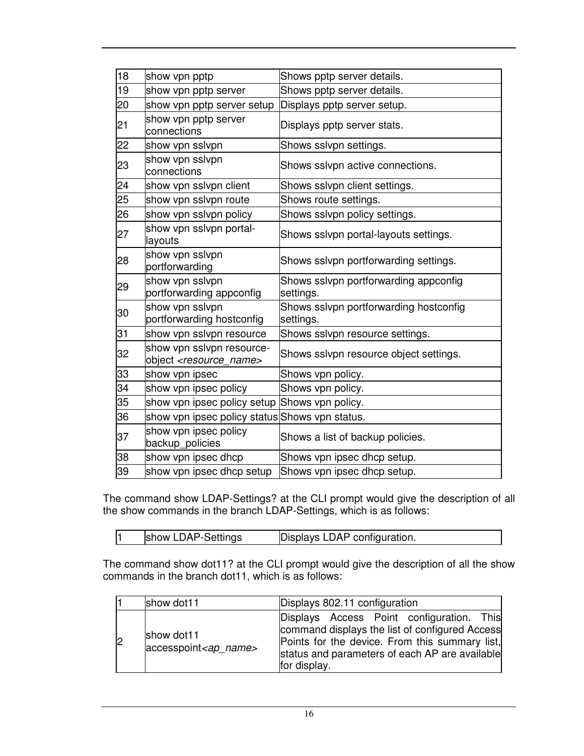| 18 | show vpn pptp                                                       | Shows pptp server details.                          |
|----|---------------------------------------------------------------------|-----------------------------------------------------|
| 19 | show vpn pptp server                                                | Shows pptp server details.                          |
| 20 | show vpn pptp server setup                                          | Displays pptp server setup.                         |
| 21 | show vpn pptp server<br>connections                                 | Displays pptp server stats.                         |
| 22 | show vpn sslvpn                                                     | Shows sslvpn settings.                              |
| 23 | show vpn sslvpn<br>connections                                      | Shows sslvpn active connections.                    |
| 24 | show vpn sslvpn client                                              | Shows sslvpn client settings.                       |
| 25 | show vpn sslvpn route                                               | Shows route settings.                               |
| 26 | show vpn sslvpn policy                                              | Shows sslvpn policy settings.                       |
| 27 | show vpn sslvpn portal-<br>layouts                                  | Shows sslvpn portal-layouts settings.               |
| 28 | show vpn sslvpn<br>portforwarding                                   | Shows sslvpn portforwarding settings.               |
| 29 | show vpn sslvpn<br>portforwarding appconfig                         | Shows sslvpn portforwarding appconfig<br>settings.  |
| 30 | show vpn sslvpn<br>portforwarding hostconfig                        | Shows sslvpn portforwarding hostconfig<br>settings. |
| 31 | show vpn sslvpn resource                                            | Shows sslvpn resource settings.                     |
| 32 | show vpn sslvpn resource-<br>object <resource_name></resource_name> | Shows sslvpn resource object settings.              |
| 33 | show vpn ipsec                                                      | Shows vpn policy.                                   |
| 34 | show vpn ipsec policy                                               | Shows vpn policy.                                   |
| 35 | show vpn ipsec policy setup Shows vpn policy.                       |                                                     |
| 36 | show vpn ipsec policy status Shows vpn status.                      |                                                     |
| 37 | show vpn ipsec policy<br>backup_policies                            | Shows a list of backup policies.                    |
| 38 | show vpn ipsec dhcp                                                 | Shows vpn ipsec dhcp setup.                         |
| 39 | show vpn ipsec dhcp setup                                           | Shows vpn ipsec dhcp setup.                         |

The command show LDAP-Settings? at the CLI prompt would give the description of all the show commands in the branch LDAP-Settings, which is as follows:

| show LDAP-Settings |  | Displays LDAP configuration. |
|--------------------|--|------------------------------|
|--------------------|--|------------------------------|

The command show dot11? at the CLI prompt would give the description of all the show commands in the branch dot11, which is as follows:

| show dot11                             | Displays 802.11 configuration                                                                                                                                                                                   |
|----------------------------------------|-----------------------------------------------------------------------------------------------------------------------------------------------------------------------------------------------------------------|
| show dot11<br>$accesspoint < ap$ name> | Displays Access Point configuration. This<br>command displays the list of configured Access<br>Points for the device. From this summary list,<br>status and parameters of each AP are available<br>for display. |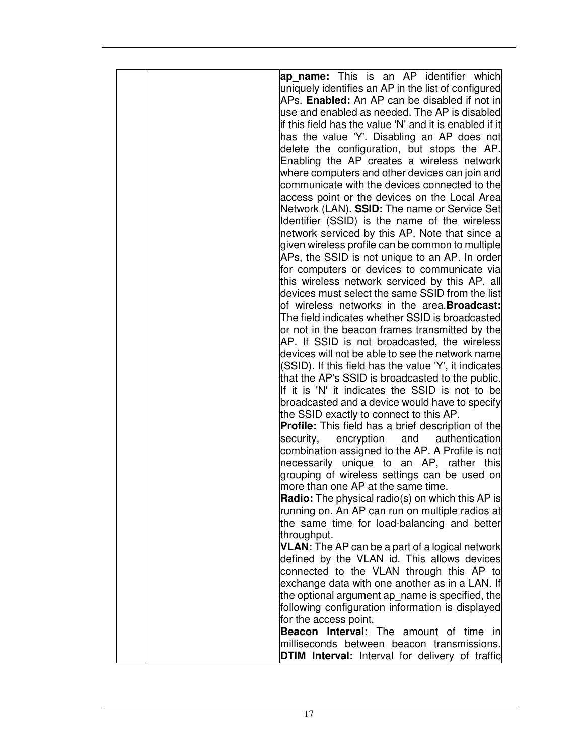|  | ap name: This is an AP identifier which<br>uniquely identifies an AP in the list of configured<br>APs. Enabled: An AP can be disabled if not in<br>use and enabled as needed. The AP is disabled<br>if this field has the value 'N' and it is enabled if it<br>has the value 'Y'. Disabling an AP does not<br>delete the configuration, but stops the AP.<br>Enabling the AP creates a wireless network<br>where computers and other devices can join and<br>communicate with the devices connected to the<br>access point or the devices on the Local Area<br>Network (LAN). SSID: The name or Service Set<br>Identifier (SSID) is the name of the wireless<br>network serviced by this AP. Note that since a<br>given wireless profile can be common to multiple<br>APs, the SSID is not unique to an AP. In order<br>for computers or devices to communicate via<br>this wireless network serviced by this AP, all<br>devices must select the same SSID from the list<br>of wireless networks in the area. <b>Broadcast:</b><br>The field indicates whether SSID is broadcasted<br>or not in the beacon frames transmitted by the<br>AP. If SSID is not broadcasted, the wireless<br>devices will not be able to see the network name<br>(SSID). If this field has the value 'Y', it indicates<br>that the AP's SSID is broadcasted to the public.<br>If it is 'N' it indicates the SSID is not to be<br>broadcasted and a device would have to specify<br>the SSID exactly to connect to this AP.<br><b>Profile:</b> This field has a brief description of the<br>security,<br>encryption<br>and<br>authentication<br>combination assigned to the AP. A Profile is not<br>necessarily unique to an AP, rather this<br>grouping of wireless settings can be used on<br>more than one AP at the same time.<br>Radio: The physical radio(s) on which this AP is<br>running on. An AP can run on multiple radios at<br>the same time for load-balancing and better |
|--|--------------------------------------------------------------------------------------------------------------------------------------------------------------------------------------------------------------------------------------------------------------------------------------------------------------------------------------------------------------------------------------------------------------------------------------------------------------------------------------------------------------------------------------------------------------------------------------------------------------------------------------------------------------------------------------------------------------------------------------------------------------------------------------------------------------------------------------------------------------------------------------------------------------------------------------------------------------------------------------------------------------------------------------------------------------------------------------------------------------------------------------------------------------------------------------------------------------------------------------------------------------------------------------------------------------------------------------------------------------------------------------------------------------------------------------------------------------------------------------------------------------------------------------------------------------------------------------------------------------------------------------------------------------------------------------------------------------------------------------------------------------------------------------------------------------------------------------------------------------------------------------------------------------------------------------------------------------------|
|  |                                                                                                                                                                                                                                                                                                                                                                                                                                                                                                                                                                                                                                                                                                                                                                                                                                                                                                                                                                                                                                                                                                                                                                                                                                                                                                                                                                                                                                                                                                                                                                                                                                                                                                                                                                                                                                                                                                                                                                    |
|  |                                                                                                                                                                                                                                                                                                                                                                                                                                                                                                                                                                                                                                                                                                                                                                                                                                                                                                                                                                                                                                                                                                                                                                                                                                                                                                                                                                                                                                                                                                                                                                                                                                                                                                                                                                                                                                                                                                                                                                    |
|  |                                                                                                                                                                                                                                                                                                                                                                                                                                                                                                                                                                                                                                                                                                                                                                                                                                                                                                                                                                                                                                                                                                                                                                                                                                                                                                                                                                                                                                                                                                                                                                                                                                                                                                                                                                                                                                                                                                                                                                    |
|  |                                                                                                                                                                                                                                                                                                                                                                                                                                                                                                                                                                                                                                                                                                                                                                                                                                                                                                                                                                                                                                                                                                                                                                                                                                                                                                                                                                                                                                                                                                                                                                                                                                                                                                                                                                                                                                                                                                                                                                    |
|  |                                                                                                                                                                                                                                                                                                                                                                                                                                                                                                                                                                                                                                                                                                                                                                                                                                                                                                                                                                                                                                                                                                                                                                                                                                                                                                                                                                                                                                                                                                                                                                                                                                                                                                                                                                                                                                                                                                                                                                    |
|  |                                                                                                                                                                                                                                                                                                                                                                                                                                                                                                                                                                                                                                                                                                                                                                                                                                                                                                                                                                                                                                                                                                                                                                                                                                                                                                                                                                                                                                                                                                                                                                                                                                                                                                                                                                                                                                                                                                                                                                    |
|  |                                                                                                                                                                                                                                                                                                                                                                                                                                                                                                                                                                                                                                                                                                                                                                                                                                                                                                                                                                                                                                                                                                                                                                                                                                                                                                                                                                                                                                                                                                                                                                                                                                                                                                                                                                                                                                                                                                                                                                    |
|  |                                                                                                                                                                                                                                                                                                                                                                                                                                                                                                                                                                                                                                                                                                                                                                                                                                                                                                                                                                                                                                                                                                                                                                                                                                                                                                                                                                                                                                                                                                                                                                                                                                                                                                                                                                                                                                                                                                                                                                    |
|  |                                                                                                                                                                                                                                                                                                                                                                                                                                                                                                                                                                                                                                                                                                                                                                                                                                                                                                                                                                                                                                                                                                                                                                                                                                                                                                                                                                                                                                                                                                                                                                                                                                                                                                                                                                                                                                                                                                                                                                    |
|  |                                                                                                                                                                                                                                                                                                                                                                                                                                                                                                                                                                                                                                                                                                                                                                                                                                                                                                                                                                                                                                                                                                                                                                                                                                                                                                                                                                                                                                                                                                                                                                                                                                                                                                                                                                                                                                                                                                                                                                    |
|  |                                                                                                                                                                                                                                                                                                                                                                                                                                                                                                                                                                                                                                                                                                                                                                                                                                                                                                                                                                                                                                                                                                                                                                                                                                                                                                                                                                                                                                                                                                                                                                                                                                                                                                                                                                                                                                                                                                                                                                    |
|  | throughput.                                                                                                                                                                                                                                                                                                                                                                                                                                                                                                                                                                                                                                                                                                                                                                                                                                                                                                                                                                                                                                                                                                                                                                                                                                                                                                                                                                                                                                                                                                                                                                                                                                                                                                                                                                                                                                                                                                                                                        |
|  | <b>VLAN:</b> The AP can be a part of a logical network<br>defined by the VLAN id. This allows devices                                                                                                                                                                                                                                                                                                                                                                                                                                                                                                                                                                                                                                                                                                                                                                                                                                                                                                                                                                                                                                                                                                                                                                                                                                                                                                                                                                                                                                                                                                                                                                                                                                                                                                                                                                                                                                                              |
|  | connected to the VLAN through this AP to                                                                                                                                                                                                                                                                                                                                                                                                                                                                                                                                                                                                                                                                                                                                                                                                                                                                                                                                                                                                                                                                                                                                                                                                                                                                                                                                                                                                                                                                                                                                                                                                                                                                                                                                                                                                                                                                                                                           |
|  | exchange data with one another as in a LAN. If                                                                                                                                                                                                                                                                                                                                                                                                                                                                                                                                                                                                                                                                                                                                                                                                                                                                                                                                                                                                                                                                                                                                                                                                                                                                                                                                                                                                                                                                                                                                                                                                                                                                                                                                                                                                                                                                                                                     |
|  | the optional argument ap_name is specified, the                                                                                                                                                                                                                                                                                                                                                                                                                                                                                                                                                                                                                                                                                                                                                                                                                                                                                                                                                                                                                                                                                                                                                                                                                                                                                                                                                                                                                                                                                                                                                                                                                                                                                                                                                                                                                                                                                                                    |
|  | following configuration information is displayed<br>for the access point.                                                                                                                                                                                                                                                                                                                                                                                                                                                                                                                                                                                                                                                                                                                                                                                                                                                                                                                                                                                                                                                                                                                                                                                                                                                                                                                                                                                                                                                                                                                                                                                                                                                                                                                                                                                                                                                                                          |
|  | Beacon Interval: The amount of time in                                                                                                                                                                                                                                                                                                                                                                                                                                                                                                                                                                                                                                                                                                                                                                                                                                                                                                                                                                                                                                                                                                                                                                                                                                                                                                                                                                                                                                                                                                                                                                                                                                                                                                                                                                                                                                                                                                                             |
|  | milliseconds between beacon transmissions.                                                                                                                                                                                                                                                                                                                                                                                                                                                                                                                                                                                                                                                                                                                                                                                                                                                                                                                                                                                                                                                                                                                                                                                                                                                                                                                                                                                                                                                                                                                                                                                                                                                                                                                                                                                                                                                                                                                         |
|  | <b>DTIM Interval:</b> Interval for delivery of traffic                                                                                                                                                                                                                                                                                                                                                                                                                                                                                                                                                                                                                                                                                                                                                                                                                                                                                                                                                                                                                                                                                                                                                                                                                                                                                                                                                                                                                                                                                                                                                                                                                                                                                                                                                                                                                                                                                                             |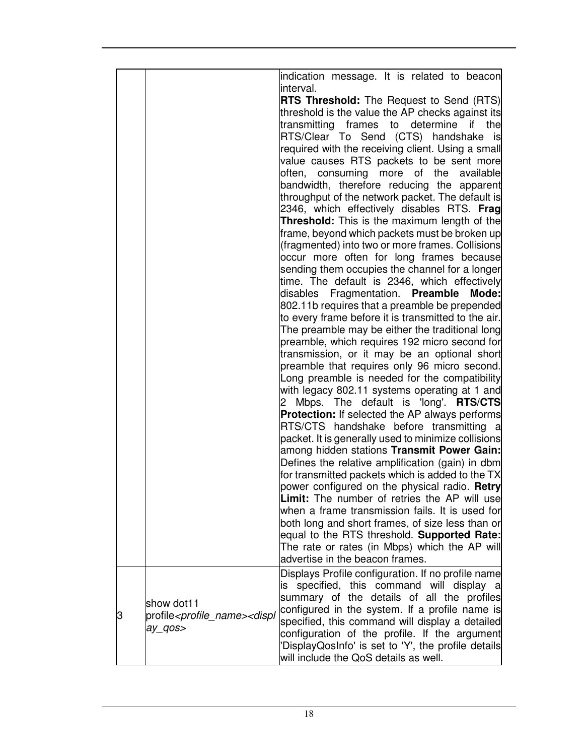|   |                                                                                    | indication message. It is related to beacon<br>interval. |
|---|------------------------------------------------------------------------------------|----------------------------------------------------------|
|   |                                                                                    |                                                          |
|   |                                                                                    | <b>RTS Threshold:</b> The Request to Send (RTS)          |
|   |                                                                                    | threshold is the value the AP checks against its         |
|   |                                                                                    | frames to determine if the<br>transmitting               |
|   |                                                                                    | RTS/Clear To Send (CTS) handshake is                     |
|   |                                                                                    | required with the receiving client. Using a small        |
|   |                                                                                    | value causes RTS packets to be sent more                 |
|   |                                                                                    | often, consuming more of the available                   |
|   |                                                                                    | bandwidth, therefore reducing the apparent               |
|   |                                                                                    | throughput of the network packet. The default is         |
|   |                                                                                    | 2346, which effectively disables RTS. Frag               |
|   |                                                                                    | <b>Threshold:</b> This is the maximum length of the      |
|   |                                                                                    | frame, beyond which packets must be broken up            |
|   |                                                                                    | (fragmented) into two or more frames. Collisions         |
|   |                                                                                    | occur more often for long frames because                 |
|   |                                                                                    | sending them occupies the channel for a longer           |
|   |                                                                                    | time. The default is 2346, which effectively             |
|   |                                                                                    | disables Fragmentation. Preamble<br>Mode:                |
|   |                                                                                    | 802.11b requires that a preamble be prepended            |
|   |                                                                                    | to every frame before it is transmitted to the air.      |
|   |                                                                                    | The preamble may be either the traditional long          |
|   |                                                                                    | preamble, which requires 192 micro second for            |
|   |                                                                                    | transmission, or it may be an optional short             |
|   |                                                                                    | preamble that requires only 96 micro second.             |
|   |                                                                                    | Long preamble is needed for the compatibility            |
|   |                                                                                    | with legacy 802.11 systems operating at 1 and            |
|   |                                                                                    | Mbps. The default is 'long'. <b>RTS/CTS</b><br>2         |
|   |                                                                                    | <b>Protection:</b> If selected the AP always performs    |
|   |                                                                                    | RTS/CTS handshake before transmitting a                  |
|   |                                                                                    | packet. It is generally used to minimize collisions      |
|   |                                                                                    | among hidden stations Transmit Power Gain:               |
|   |                                                                                    |                                                          |
|   |                                                                                    | Defines the relative amplification (gain) in dbm         |
|   |                                                                                    | for transmitted packets which is added to the TX         |
|   |                                                                                    | power configured on the physical radio. Retry            |
|   |                                                                                    | <b>Limit:</b> The number of retries the AP will use      |
|   |                                                                                    | when a frame transmission fails. It is used for          |
|   |                                                                                    | both long and short frames, of size less than or         |
|   |                                                                                    | equal to the RTS threshold. Supported Rate:              |
|   |                                                                                    | The rate or rates (in Mbps) which the AP will            |
|   |                                                                                    | advertise in the beacon frames.                          |
|   |                                                                                    | Displays Profile configuration. If no profile name       |
|   |                                                                                    | specified, this command will display a<br>is             |
| З | show dot11<br>profile <profile_name><displ<br>ay_qos&gt;</displ<br></profile_name> | summary of the details of all the profiles               |
|   |                                                                                    | configured in the system. If a profile name is           |
|   |                                                                                    | specified, this command will display a detailed          |
|   |                                                                                    | configuration of the profile. If the argument            |
|   |                                                                                    | 'DisplayQosInfo' is set to 'Y', the profile details      |
|   |                                                                                    | will include the QoS details as well.                    |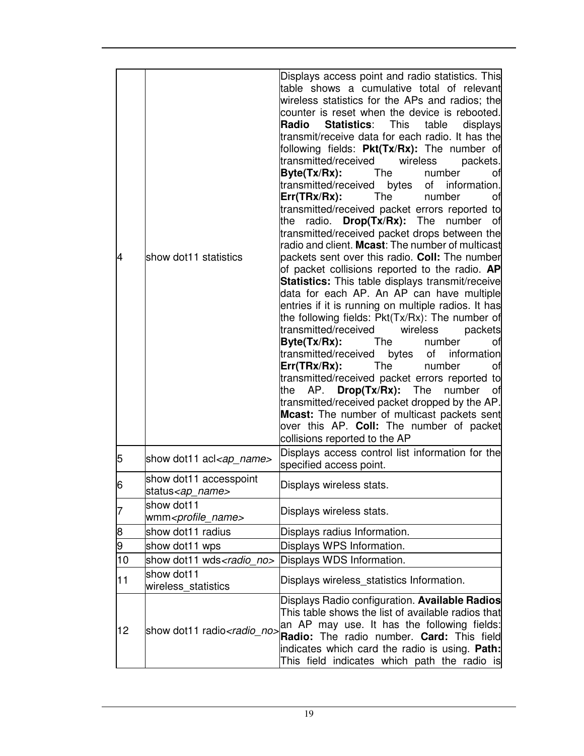| 4  | show dot11 statistics                                | Displays access point and radio statistics. This<br>table shows a cumulative total of relevant<br>wireless statistics for the APs and radios; the<br>counter is reset when the device is rebooted.<br><b>Radio</b><br><b>Statistics:</b><br>This<br>table<br>displays<br>transmit/receive data for each radio. It has the<br>following fields: Pkt(Tx/Rx): The number of<br>transmitted/received wireless<br>packets.<br><b>The</b><br>Byte(Tx/Rx):<br>number<br>οf<br>transmitted/received bytes<br>of information.<br>Err(TRx/Rx):<br>The<br>number<br>οf<br>transmitted/received packet errors reported to<br>radio.<br><b>Drop(Tx/Rx):</b> The<br>the<br>number of<br>transmitted/received packet drops between the<br>radio and client. Mcast: The number of multicast<br>packets sent over this radio. Coll: The number<br>of packet collisions reported to the radio. AP<br>Statistics: This table displays transmit/receive<br>data for each AP. An AP can have multiple<br>entries if it is running on multiple radios. It has<br>the following fields: Pkt(Tx/Rx): The number of<br>transmitted/received<br>wireless<br>packets<br>Byte(Tx/Rx):<br>The<br>number<br>οf<br>transmitted/received bytes of<br>information<br>$Err(TRx/Rx)$ :<br>The<br>number<br>οf<br>transmitted/received packet errors reported to<br><b>Drop(Tx/Rx):</b> The<br>the<br>AP.<br>number<br>of<br>transmitted/received packet dropped by the AP.<br>Mcast: The number of multicast packets sent<br>over this AP. Coll: The number of packet<br>collisions reported to the AP |
|----|------------------------------------------------------|---------------------------------------------------------------------------------------------------------------------------------------------------------------------------------------------------------------------------------------------------------------------------------------------------------------------------------------------------------------------------------------------------------------------------------------------------------------------------------------------------------------------------------------------------------------------------------------------------------------------------------------------------------------------------------------------------------------------------------------------------------------------------------------------------------------------------------------------------------------------------------------------------------------------------------------------------------------------------------------------------------------------------------------------------------------------------------------------------------------------------------------------------------------------------------------------------------------------------------------------------------------------------------------------------------------------------------------------------------------------------------------------------------------------------------------------------------------------------------------------------------------------------------------------------------------------|
| 5  | show dot11 acl <ap_name></ap_name>                   | Displays access control list information for the<br>specified access point.                                                                                                                                                                                                                                                                                                                                                                                                                                                                                                                                                                                                                                                                                                                                                                                                                                                                                                                                                                                                                                                                                                                                                                                                                                                                                                                                                                                                                                                                                         |
| 6  | show dot11 accesspoint<br>status <ap_name></ap_name> | Displays wireless stats.                                                                                                                                                                                                                                                                                                                                                                                                                                                                                                                                                                                                                                                                                                                                                                                                                                                                                                                                                                                                                                                                                                                                                                                                                                                                                                                                                                                                                                                                                                                                            |
| 7  | show dot11<br>wmm <profile_name></profile_name>      | Displays wireless stats.                                                                                                                                                                                                                                                                                                                                                                                                                                                                                                                                                                                                                                                                                                                                                                                                                                                                                                                                                                                                                                                                                                                                                                                                                                                                                                                                                                                                                                                                                                                                            |
| 8  | show dot11 radius                                    | Displays radius Information.                                                                                                                                                                                                                                                                                                                                                                                                                                                                                                                                                                                                                                                                                                                                                                                                                                                                                                                                                                                                                                                                                                                                                                                                                                                                                                                                                                                                                                                                                                                                        |
| 9  | show dot11 wps                                       | Displays WPS Information.                                                                                                                                                                                                                                                                                                                                                                                                                                                                                                                                                                                                                                                                                                                                                                                                                                                                                                                                                                                                                                                                                                                                                                                                                                                                                                                                                                                                                                                                                                                                           |
| 10 | show dot11 wds <radio no=""></radio>                 | Displays WDS Information.                                                                                                                                                                                                                                                                                                                                                                                                                                                                                                                                                                                                                                                                                                                                                                                                                                                                                                                                                                                                                                                                                                                                                                                                                                                                                                                                                                                                                                                                                                                                           |
| 11 | show dot11<br>wireless statistics                    | Displays wireless_statistics Information.                                                                                                                                                                                                                                                                                                                                                                                                                                                                                                                                                                                                                                                                                                                                                                                                                                                                                                                                                                                                                                                                                                                                                                                                                                                                                                                                                                                                                                                                                                                           |
| 12 | show dot11 radio <radio_no></radio_no>               | Displays Radio configuration. Available Radios<br>This table shows the list of available radios that<br>an AP may use. It has the following fields:<br>Radio: The radio number. Card: This field<br>indicates which card the radio is using. Path:<br>This field indicates which path the radio is                                                                                                                                                                                                                                                                                                                                                                                                                                                                                                                                                                                                                                                                                                                                                                                                                                                                                                                                                                                                                                                                                                                                                                                                                                                                  |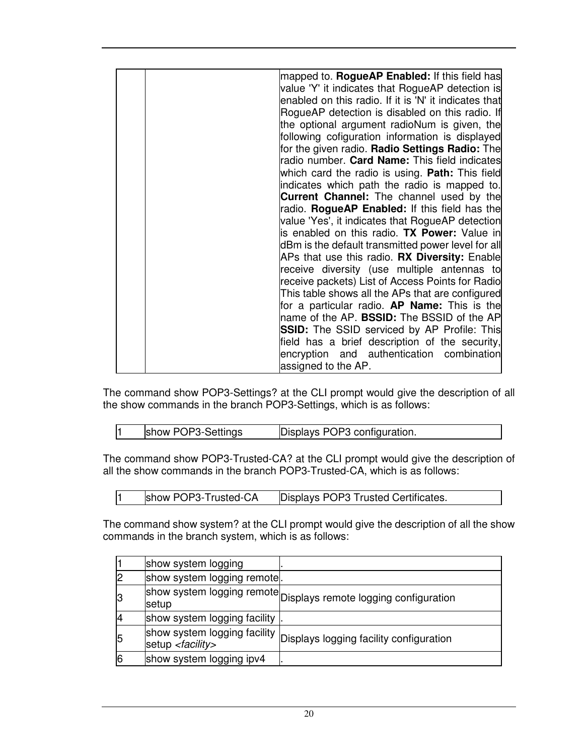| mapped to. <b>RogueAP Enabled:</b> If this field has<br>value 'Y' it indicates that RogueAP detection is<br>enabled on this radio. If it is 'N' it indicates that<br>RogueAP detection is disabled on this radio. If<br>the optional argument radioNum is given, the<br>following cofiguration information is displayed<br>for the given radio. Radio Settings Radio: The<br>radio number. Card Name: This field indicates<br>which card the radio is using. <b>Path:</b> This field<br>indicates which path the radio is mapped to.<br><b>Current Channel:</b> The channel used by the<br>radio. RogueAP Enabled: If this field has the<br>value 'Yes', it indicates that RogueAP detection<br>is enabled on this radio. TX Power: Value in<br>dBm is the default transmitted power level for all<br>APs that use this radio. RX Diversity: Enable<br>receive diversity (use multiple antennas to<br>receive packets) List of Access Points for Radio<br>This table shows all the APs that are configured<br>for a particular radio. AP Name: This is the<br>name of the AP. BSSID: The BSSID of the AP<br><b>SSID:</b> The SSID serviced by AP Profile: This<br>field has a brief description of the security, |
|------------------------------------------------------------------------------------------------------------------------------------------------------------------------------------------------------------------------------------------------------------------------------------------------------------------------------------------------------------------------------------------------------------------------------------------------------------------------------------------------------------------------------------------------------------------------------------------------------------------------------------------------------------------------------------------------------------------------------------------------------------------------------------------------------------------------------------------------------------------------------------------------------------------------------------------------------------------------------------------------------------------------------------------------------------------------------------------------------------------------------------------------------------------------------------------------------------------|
| encryption and authentication combination<br>assigned to the AP.                                                                                                                                                                                                                                                                                                                                                                                                                                                                                                                                                                                                                                                                                                                                                                                                                                                                                                                                                                                                                                                                                                                                                 |

The command show POP3-Settings? at the CLI prompt would give the description of all the show commands in the branch POP3-Settings, which is as follows:

| show POP3-Settings | Displays POP3 configuration. |
|--------------------|------------------------------|
|                    |                              |

The command show POP3-Trusted-CA? at the CLI prompt would give the description of all the show commands in the branch POP3-Trusted-CA, which is as follows:

|  | show POP3-Trusted-CA | Displays POP3 Trusted Certificates. |
|--|----------------------|-------------------------------------|
|--|----------------------|-------------------------------------|

The command show system? at the CLI prompt would give the description of all the show commands in the branch system, which is as follows:

|   | show system logging                                         |                                                                  |
|---|-------------------------------------------------------------|------------------------------------------------------------------|
|   | show system logging remote .                                |                                                                  |
|   | setup                                                       | show system logging remote Displays remote logging configuration |
|   | show system logging facility                                |                                                                  |
| 5 | show system logging facility<br>setup <facility></facility> | Displays logging facility configuration                          |
|   | show system logging ipv4                                    |                                                                  |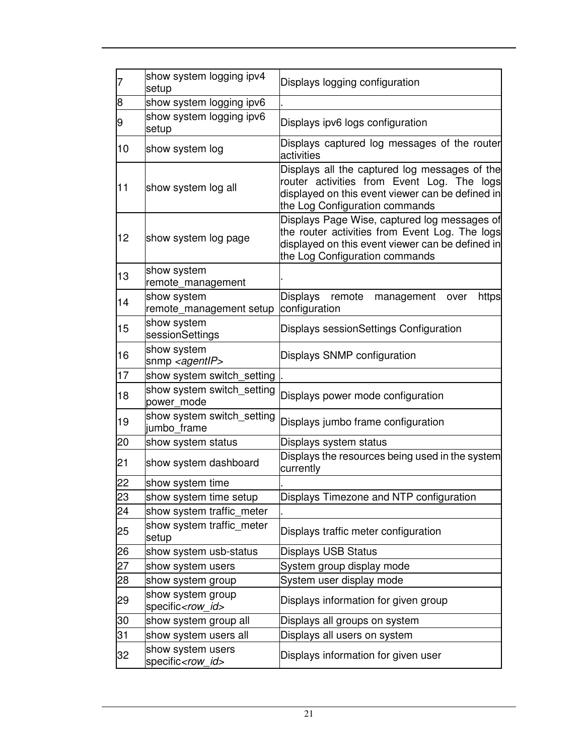| $\overline{7}$ | show system logging ipv4<br>setup               | Displays logging configuration                                                                                                                                                       |
|----------------|-------------------------------------------------|--------------------------------------------------------------------------------------------------------------------------------------------------------------------------------------|
| $\bf{8}$       | show system logging ipv6                        |                                                                                                                                                                                      |
| 9              | show system logging ipv6<br>setup               | Displays ipv6 logs configuration                                                                                                                                                     |
| 10             | show system log                                 | Displays captured log messages of the router<br>activities                                                                                                                           |
| 11             | show system log all                             | Displays all the captured log messages of the<br>router activities from Event Log. The logs<br>displayed on this event viewer can be defined in<br>the Log Configuration commands    |
| 12             | show system log page                            | Displays Page Wise, captured log messages of<br>the router activities from Event Log. The logs<br>displayed on this event viewer can be defined in<br>the Log Configuration commands |
| 13             | show system<br>remote_management                |                                                                                                                                                                                      |
| 14             | show system<br>remote_management setup          | <b>Displays</b><br>remote<br>https<br>management<br>over<br>configuration                                                                                                            |
| 15             | show system<br>sessionSettings                  | Displays sessionSettings Configuration                                                                                                                                               |
| 16             | show system<br>snmp <agentlp></agentlp>         | Displays SNMP configuration                                                                                                                                                          |
| 17             | show system switch_setting                      |                                                                                                                                                                                      |
| 18             | show system switch_setting<br>power mode        | Displays power mode configuration                                                                                                                                                    |
| 19             | show system switch_setting<br>jumbo frame       | Displays jumbo frame configuration                                                                                                                                                   |
| 20             | show system status                              | Displays system status                                                                                                                                                               |
| 21             | show system dashboard                           | Displays the resources being used in the system<br>currently                                                                                                                         |
| 22             | show system time                                |                                                                                                                                                                                      |
| 23             | show system time setup                          | Displays Timezone and NTP configuration                                                                                                                                              |
| 24             | show system traffic_meter                       |                                                                                                                                                                                      |
| 25             | show system traffic_meter<br>setup              | Displays traffic meter configuration                                                                                                                                                 |
| 26             | show system usb-status                          | <b>Displays USB Status</b>                                                                                                                                                           |
| 27             | show system users                               | System group display mode                                                                                                                                                            |
| 28             | show system group                               | System user display mode                                                                                                                                                             |
| 29             | show system group<br>specific <row id=""></row> | Displays information for given group                                                                                                                                                 |
| 30             | show system group all                           | Displays all groups on system                                                                                                                                                        |
| 31             | show system users all                           | Displays all users on system                                                                                                                                                         |
| 32             | show system users<br>specific <row_id></row_id> | Displays information for given user                                                                                                                                                  |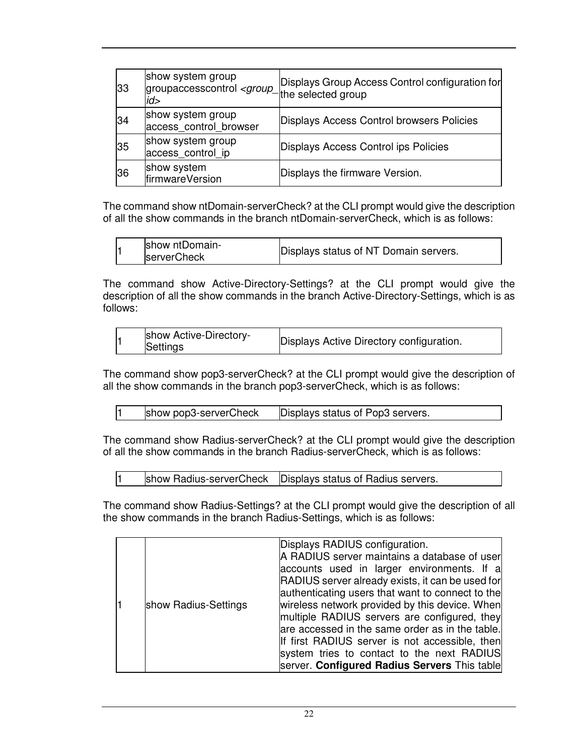| 33 | show system group<br>groupaccesscontrol <group_the group<br="" selected="">id&gt;</group_the> | Displays Group Access Control configuration for |
|----|-----------------------------------------------------------------------------------------------|-------------------------------------------------|
| 34 | show system group<br>access_control_browser                                                   | Displays Access Control browsers Policies       |
| 35 | show system group<br>access_control_ip                                                        | Displays Access Control ips Policies            |
| 36 | show system<br>firmwareVersion                                                                | Displays the firmware Version.                  |

The command show ntDomain-serverCheck? at the CLI prompt would give the description of all the show commands in the branch ntDomain-serverCheck, which is as follows:

| show ntDomain-     |                                       |
|--------------------|---------------------------------------|
| <b>serverCheck</b> | Displays status of NT Domain servers. |
|                    |                                       |

The command show Active-Directory-Settings? at the CLI prompt would give the description of all the show commands in the branch Active-Directory-Settings, which is as follows:

|  | show Active-Directory-<br>Settings | Displays Active Directory configuration. |  |
|--|------------------------------------|------------------------------------------|--|
|--|------------------------------------|------------------------------------------|--|

The command show pop3-serverCheck? at the CLI prompt would give the description of all the show commands in the branch pop3-serverCheck, which is as follows:

| show pop3-serverCheck<br>Displays status of Pop3 servers. |  |
|-----------------------------------------------------------|--|
|-----------------------------------------------------------|--|

The command show Radius-serverCheck? at the CLI prompt would give the description of all the show commands in the branch Radius-serverCheck, which is as follows:

1 show Radius-serverCheck Displays status of Radius servers.

The command show Radius-Settings? at the CLI prompt would give the description of all the show commands in the branch Radius-Settings, which is as follows:

| show Radius-Settings | Displays RADIUS configuration.<br>A RADIUS server maintains a database of user<br>accounts used in larger environments. If a<br>RADIUS server already exists, it can be used for<br>authenticating users that want to connect to the<br>wireless network provided by this device. When<br>multiple RADIUS servers are configured, they<br>are accessed in the same order as in the table.<br>If first RADIUS server is not accessible, then<br>system tries to contact to the next RADIUS<br>server. Configured Radius Servers This table |
|----------------------|-------------------------------------------------------------------------------------------------------------------------------------------------------------------------------------------------------------------------------------------------------------------------------------------------------------------------------------------------------------------------------------------------------------------------------------------------------------------------------------------------------------------------------------------|
|----------------------|-------------------------------------------------------------------------------------------------------------------------------------------------------------------------------------------------------------------------------------------------------------------------------------------------------------------------------------------------------------------------------------------------------------------------------------------------------------------------------------------------------------------------------------------|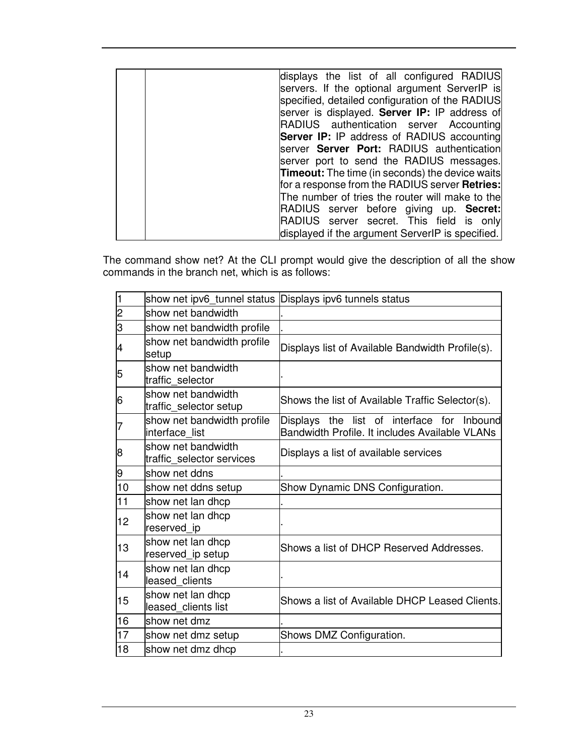| displays the list of all configured RADIUS             |
|--------------------------------------------------------|
| servers. If the optional argument ServerIP is          |
|                                                        |
| specified, detailed configuration of the RADIUS        |
| server is displayed. Server IP: IP address of          |
| RADIUS authentication server Accounting                |
| <b>Server IP:</b> IP address of RADIUS accounting      |
| server Server Port: RADIUS authentication              |
| server port to send the RADIUS messages.               |
| <b>Timeout:</b> The time (in seconds) the device waits |
| for a response from the RADIUS server Retries:         |
| The number of tries the router will make to the        |
| RADIUS server before giving up. Secret:                |
| RADIUS server secret. This field is only               |
| displayed if the argument ServerIP is specified.       |

The command show net? At the CLI prompt would give the description of all the show commands in the branch net, which is as follows:

| 1              | show net ipv6_tunnel status Displays ipv6 tunnels status |                                                                                              |
|----------------|----------------------------------------------------------|----------------------------------------------------------------------------------------------|
| $\overline{c}$ | show net bandwidth                                       |                                                                                              |
| 3              | show net bandwidth profile                               |                                                                                              |
| 4              | show net bandwidth profile<br>setup                      | Displays list of Available Bandwidth Profile(s).                                             |
| 5              | show net bandwidth<br>traffic selector                   |                                                                                              |
| 6              | show net bandwidth<br>traffic_selector setup             | Shows the list of Available Traffic Selector(s).                                             |
| 7              | show net bandwidth profile<br>interface list             | Displays the list of interface for Inbound<br>Bandwidth Profile. It includes Available VLANs |
| 8              | show net bandwidth<br>traffic selector services          | Displays a list of available services                                                        |
| 9              | show net ddns                                            |                                                                                              |
| 10             | show net ddns setup                                      | Show Dynamic DNS Configuration.                                                              |
| 11             | show net lan dhcp                                        |                                                                                              |
| 12             | show net lan dhcp<br>reserved_ip                         |                                                                                              |
| 13             | show net lan dhcp<br>reserved_ip setup                   | Shows a list of DHCP Reserved Addresses.                                                     |
| 14             | show net lan dhcp<br>leased clients                      |                                                                                              |
| 15             | show net lan dhcp<br>leased_clients list                 | Shows a list of Available DHCP Leased Clients.                                               |
| 16             | show net dmz                                             |                                                                                              |
| 17             | show net dmz setup                                       | Shows DMZ Configuration.                                                                     |
| 18             | show net dmz dhcp                                        |                                                                                              |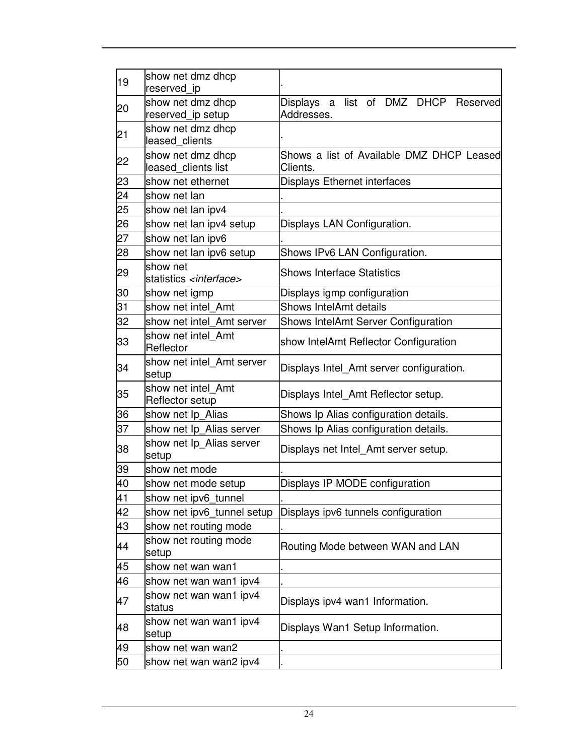| 19 | show net dmz dhcp<br>reserved ip               |                                                                 |
|----|------------------------------------------------|-----------------------------------------------------------------|
| 20 | show net dmz dhcp<br>reserved_ip setup         | list of DMZ DHCP Reserved<br><b>Displays</b><br>a<br>Addresses. |
| 21 | show net dmz dhcp<br>leased clients            |                                                                 |
| 22 | show net dmz dhcp<br>leased clients list       | Shows a list of Available DMZ DHCP Leased<br>Clients.           |
| 23 | show net ethernet                              | <b>Displays Ethernet interfaces</b>                             |
| 24 | show net lan                                   |                                                                 |
| 25 | show net lan ipv4                              |                                                                 |
| 26 | show net lan ipv4 setup                        | Displays LAN Configuration.                                     |
| 27 | show net lan ipv6                              |                                                                 |
| 28 | show net lan ipv6 setup                        | Shows IPv6 LAN Configuration.                                   |
| 29 | show net<br>statistics <interface></interface> | <b>Shows Interface Statistics</b>                               |
| 30 | show net igmp                                  | Displays igmp configuration                                     |
| 31 | show net intel Amt                             | <b>Shows IntelAmt details</b>                                   |
| 32 | show net intel Amt server                      | Shows IntelAmt Server Configuration                             |
| 33 | show net intel_Amt<br>Reflector                | show IntelAmt Reflector Configuration                           |
| 34 | show net intel Amt server<br>setup             | Displays Intel_Amt server configuration.                        |
| 35 | show net intel Amt<br>Reflector setup          | Displays Intel_Amt Reflector setup.                             |
| 36 | show net Ip Alias                              | Shows Ip Alias configuration details.                           |
| 37 | show net Ip_Alias server                       | Shows Ip Alias configuration details.                           |
| 38 | show net Ip_Alias server<br>setup              | Displays net Intel_Amt server setup.                            |
| 39 | show net mode                                  |                                                                 |
| 40 | show net mode setup                            | Displays IP MODE configuration                                  |
| 41 | show net ipv6_tunnel                           |                                                                 |
| 42 | show net ipv6 tunnel setup                     | Displays ipv6 tunnels configuration                             |
| 43 | show net routing mode                          |                                                                 |
| 44 | show net routing mode<br>setup                 | Routing Mode between WAN and LAN                                |
| 45 | show net wan wan1                              |                                                                 |
| 46 | show net wan wan1 ipv4                         |                                                                 |
| 47 | show net wan wan1 ipv4<br>status               | Displays ipv4 wan1 Information.                                 |
| 48 | show net wan wan1 ipv4<br>setup                | Displays Wan1 Setup Information.                                |
| 49 | show net wan wan2                              |                                                                 |
| 50 | show net wan wan2 ipv4                         |                                                                 |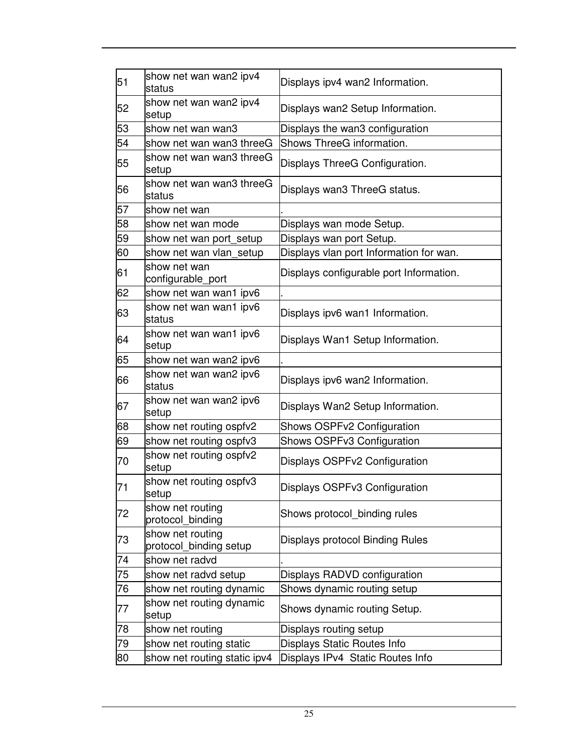| 51 | show net wan wan2 ipv4<br>status           | Displays ipv4 wan2 Information.         |
|----|--------------------------------------------|-----------------------------------------|
| 52 | show net wan wan2 ipv4<br>setup            | Displays wan2 Setup Information.        |
| 53 | show net wan wan3                          | Displays the wan3 configuration         |
| 54 | show net wan wan3 threeG                   | Shows ThreeG information.               |
| 55 | show net wan wan3 threeG<br>setup          | Displays ThreeG Configuration.          |
| 56 | show net wan wan3 threeG<br>status         | Displays wan3 ThreeG status.            |
| 57 | show net wan                               |                                         |
| 58 | show net wan mode                          | Displays wan mode Setup.                |
| 59 | show net wan port_setup                    | Displays wan port Setup.                |
| 60 | show net wan vlan_setup                    | Displays vlan port Information for wan. |
| 61 | show net wan<br>configurable_port          | Displays configurable port Information. |
| 62 | show net wan wan1 ipv6                     |                                         |
| 63 | show net wan wan1 ipv6<br>status           | Displays ipv6 wan1 Information.         |
| 64 | show net wan wan1 ipv6<br>setup            | Displays Wan1 Setup Information.        |
| 65 | show net wan wan2 ipv6                     |                                         |
| 66 | show net wan wan2 ipv6<br>status           | Displays ipv6 wan2 Information.         |
| 67 | show net wan wan2 ipv6<br>setup            | Displays Wan2 Setup Information.        |
| 68 | show net routing ospfv2                    | Shows OSPFv2 Configuration              |
| 69 | show net routing ospfv3                    | Shows OSPFv3 Configuration              |
| 70 | show net routing ospfv2<br>setup           | Displays OSPFv2 Configuration           |
| 71 | show net routing ospfv3<br>setup           | Displays OSPFv3 Configuration           |
| 72 | show net routing<br>protocol_binding       | Shows protocol binding rules            |
| 73 | show net routing<br>protocol_binding setup | Displays protocol Binding Rules         |
| 74 | show net radvd                             |                                         |
| 75 | show net radvd setup                       | Displays RADVD configuration            |
| 76 | show net routing dynamic                   | Shows dynamic routing setup             |
| 77 | show net routing dynamic<br>setup          | Shows dynamic routing Setup.            |
| 78 | show net routing                           | Displays routing setup                  |
| 79 | show net routing static                    | Displays Static Routes Info             |
| 80 | show net routing static ipv4               | Displays IPv4 Static Routes Info        |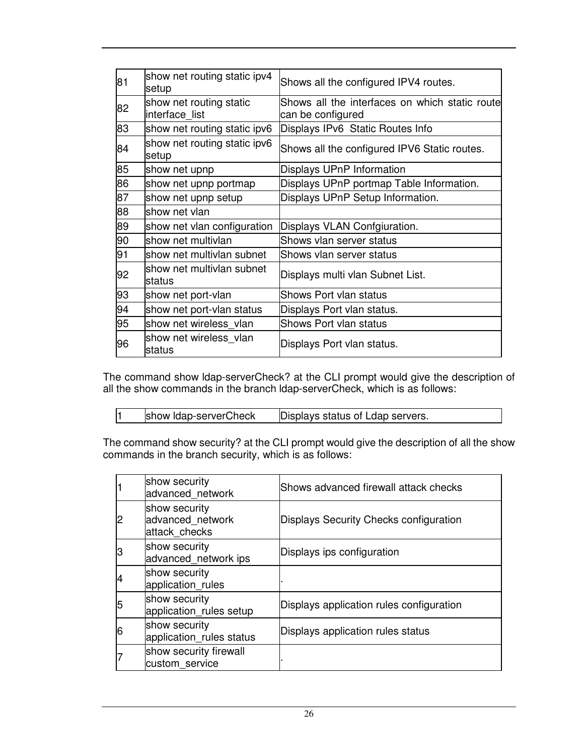| 81 | show net routing static ipv4<br>setup     | Shows all the configured IPV4 routes.                                |
|----|-------------------------------------------|----------------------------------------------------------------------|
| 82 | show net routing static<br>interface list | Shows all the interfaces on which static routel<br>can be configured |
| 83 | show net routing static ipv6              | Displays IPv6 Static Routes Info                                     |
| 84 | show net routing static ipv6<br>setup     | Shows all the configured IPV6 Static routes.                         |
| 85 | show net upnp                             | Displays UPnP Information                                            |
| 86 | show net upnp portmap                     | Displays UPnP portmap Table Information.                             |
| 87 | show net upnp setup                       | Displays UPnP Setup Information.                                     |
| 88 | show net vlan                             |                                                                      |
| 89 | show net vlan configuration               | Displays VLAN Confgiuration.                                         |
| 90 | show net multivlan                        | Shows vlan server status                                             |
| 91 | show net multivlan subnet                 | Shows vlan server status                                             |
| 92 | show net multivlan subnet<br>status       | Displays multi vlan Subnet List.                                     |
| 93 | show net port-vlan                        | Shows Port vlan status                                               |
| 94 | show net port-vlan status                 | Displays Port vlan status.                                           |
| 95 | show net wireless vlan                    | Shows Port vlan status                                               |
| 96 | show net wireless vlan<br>status          | Displays Port vlan status.                                           |

The command show ldap-serverCheck? at the CLI prompt would give the description of all the show commands in the branch ldap-serverCheck, which is as follows:

|  |  | show Idap-serverCheck | Displays status of Ldap servers. |
|--|--|-----------------------|----------------------------------|
|--|--|-----------------------|----------------------------------|

The command show security? at the CLI prompt would give the description of all the show commands in the branch security, which is as follows:

|   | show security<br>advanced network                  | Shows advanced firewall attack checks    |
|---|----------------------------------------------------|------------------------------------------|
| 2 | show security<br>advanced network<br>attack checks | Displays Security Checks configuration   |
| 3 | show security<br>advanced_network ips              | Displays ips configuration               |
| 4 | show security<br>application_rules                 |                                          |
| 5 | show security<br>application_rules setup           | Displays application rules configuration |
| 6 | show security<br>application_rules status          | Displays application rules status        |
|   | show security firewall<br>custom service           |                                          |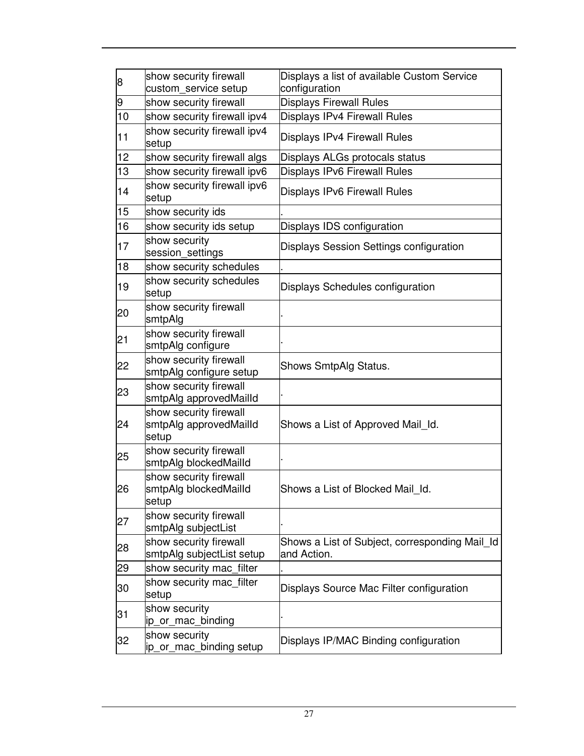| 8  | show security firewall<br>custom_service setup            | Displays a list of available Custom Service<br>configuration  |
|----|-----------------------------------------------------------|---------------------------------------------------------------|
| 9  | show security firewall                                    | <b>Displays Firewall Rules</b>                                |
| 10 | show security firewall ipv4                               | Displays IPv4 Firewall Rules                                  |
| 11 | show security firewall ipv4<br>setup                      | Displays IPv4 Firewall Rules                                  |
| 12 | show security firewall algs                               | Displays ALGs protocals status                                |
| 13 | show security firewall ipv6                               | <b>Displays IPv6 Firewall Rules</b>                           |
| 14 | show security firewall ipv6<br>setup                      | <b>Displays IPv6 Firewall Rules</b>                           |
| 15 | show security ids                                         |                                                               |
| 16 | show security ids setup                                   | Displays IDS configuration                                    |
| 17 | show security<br>session_settings                         | Displays Session Settings configuration                       |
| 18 | show security schedules                                   |                                                               |
| 19 | show security schedules<br>setup                          | Displays Schedules configuration                              |
| 20 | show security firewall<br>smtpAlg                         |                                                               |
| 21 | show security firewall<br>smtpAlg configure               |                                                               |
| 22 | show security firewall<br>smtpAlg configure setup         | Shows SmtpAlg Status.                                         |
| 23 | show security firewall<br>smtpAlg approvedMailId          |                                                               |
| 24 | show security firewall<br>smtpAlg approvedMailId<br>setup | Shows a List of Approved Mail_Id.                             |
| 25 | show security firewall<br>smtpAlg blockedMailId           |                                                               |
| 26 | show security firewall<br>smtpAlg blockedMailId<br>setup  | Shows a List of Blocked Mail_Id.                              |
| 27 | show security firewall<br>smtpAlg subjectList             |                                                               |
| 28 | show security firewall<br>smtpAlg subjectList setup       | Shows a List of Subject, corresponding Mail Id<br>and Action. |
| 29 | show security mac_filter                                  |                                                               |
| 30 | show security mac_filter<br>setup                         | Displays Source Mac Filter configuration                      |
| 31 | show security<br>ip_or_mac_binding                        |                                                               |
| 32 | show security<br>ip_or_mac_binding setup                  | Displays IP/MAC Binding configuration                         |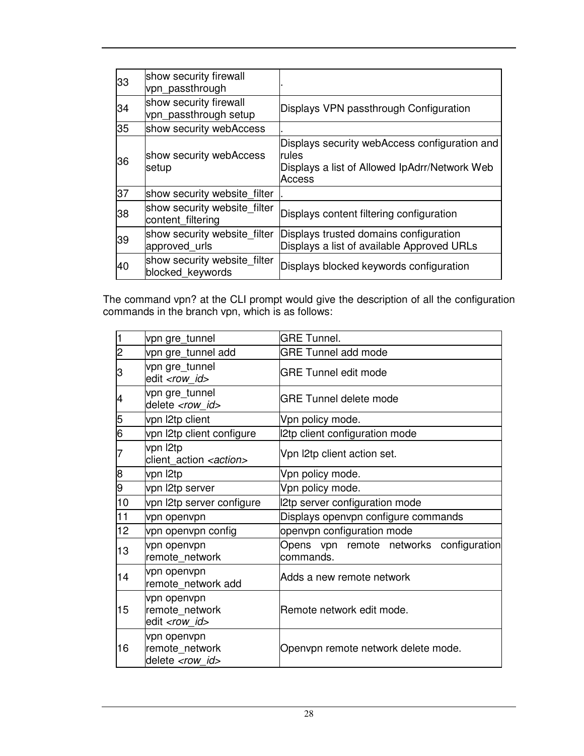| 33 | show security firewall<br>vpn_passthrough         |                                                                                                                   |
|----|---------------------------------------------------|-------------------------------------------------------------------------------------------------------------------|
| 34 | show security firewall<br>vpn_passthrough setup   | Displays VPN passthrough Configuration                                                                            |
| 35 | show security webAccess                           |                                                                                                                   |
| 36 | show security webAccess<br>setup                  | Displays security webAccess configuration and<br>rules<br>Displays a list of Allowed IpAdrr/Network Web<br>Access |
| 37 | show security website filter                      |                                                                                                                   |
| 38 | show security website filter<br>content_filtering | Displays content filtering configuration                                                                          |
| 39 | show security website filter<br>approved_urls     | Displays trusted domains configuration<br>Displays a list of available Approved URLs                              |
| 40 | show security website filter<br>blocked keywords  | Displays blocked keywords configuration                                                                           |

The command vpn? at the CLI prompt would give the description of all the configuration commands in the branch vpn, which is as follows:

| 1              | vpn gre_tunnel                                            | <b>GRE Tunnel.</b>                                   |
|----------------|-----------------------------------------------------------|------------------------------------------------------|
| $\overline{c}$ | vpn gre_tunnel add                                        | <b>GRE Tunnel add mode</b>                           |
| 3              | vpn gre_tunnel<br>edit <row id=""></row>                  | <b>GRE Tunnel edit mode</b>                          |
| 4              | vpn gre_tunnel<br>delete <row id=""></row>                | IGRE Tunnel delete mode                              |
| 5              | vpn I2tp client                                           | Vpn policy mode.                                     |
| 6              | vpn l2tp client configure                                 | 12tp client configuration mode                       |
| 7              | vpn l2tp<br>client_action <action></action>               | Vpn I2tp client action set.                          |
| 8              | vpn l2tp                                                  | Vpn policy mode.                                     |
| 9              | vpn l2tp server                                           | Vpn policy mode.                                     |
| 10             | vpn l2tp server configure                                 | 2tp server configuration mode                        |
| 11             | vpn openvpn                                               | Displays openvpn configure commands                  |
| 12             | vpn openvpn config                                        | openvpn configuration mode                           |
| 13             | vpn openvpn<br>remote network                             | Opens vpn remote networks configuration<br>commands. |
| 14             | vpn openvpn<br>remote network add                         | Adds a new remote network                            |
| 15             | vpn openvpn<br>remote network<br>edit <row_id></row_id>   | lRemote network edit mode.                           |
| 16             | vpn openvpn<br>remote network<br>delete <row id=""></row> | Openvpn remote network delete mode.                  |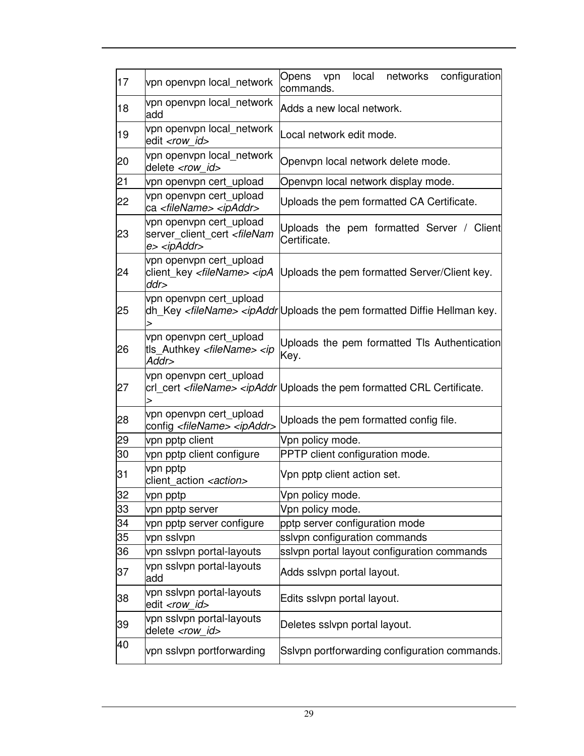| 17 | vpn openvpn local network                                                                      | Opens<br>local<br>networks<br>configuration<br>vpn<br>commands.                                                               |
|----|------------------------------------------------------------------------------------------------|-------------------------------------------------------------------------------------------------------------------------------|
| 18 | vpn openvpn local_network<br>add                                                               | Adds a new local network.                                                                                                     |
| 19 | vpn openvpn local_network<br>edit <row id=""></row>                                            | Local network edit mode.                                                                                                      |
| 20 | vpn openvpn local_network<br>delete <row id=""></row>                                          | Openvpn local network delete mode.                                                                                            |
| 21 | vpn openvpn cert_upload                                                                        | Openvpn local network display mode.                                                                                           |
| 22 | vpn openvpn cert_upload<br>ca <filename> <ipaddr></ipaddr></filename>                          | Uploads the pem formatted CA Certificate.                                                                                     |
| 23 | vpn openvpn cert_upload<br>server_client_cert <filenam<br>e&gt; <ipaddr></ipaddr></filenam<br> | Uploads the pem formatted Server / Client<br>Certificate.                                                                     |
| 24 | vpn openvpn cert_upload<br>client_key <filename> <ipa<br>ddr</ipa<br></filename>               | Uploads the pem formatted Server/Client key.                                                                                  |
| 25 | vpn openvpn cert_upload                                                                        | dh_Key <filename> <ipaddr uploads diffie="" formatted="" hellman="" key.<="" pem="" td="" the=""></ipaddr uploads></filename> |
| 26 | vpn openvpn cert_upload<br>tls_Authkey <filename> <ip<br>Addr&gt;</ip<br></filename>           | Uploads the pem formatted TIs Authentication<br>Key.                                                                          |
| 27 | vpn openvpn cert_upload<br>>                                                                   | crl_cert <filename> <ipaddr certificate.<="" crl="" formatted="" pem="" td="" the="" uploads=""></ipaddr></filename>          |
| 28 | vpn openvpn cert_upload<br>config <filename> <ipaddr></ipaddr></filename>                      | Uploads the pem formatted config file.                                                                                        |
| 29 | vpn pptp client                                                                                | Vpn policy mode.                                                                                                              |
| 30 | vpn pptp client configure                                                                      | PPTP client configuration mode.                                                                                               |
| 31 | vpn pptp<br>client_action <action></action>                                                    | Vpn pptp client action set.                                                                                                   |
| 32 | vpn pptp                                                                                       | Vpn policy mode.                                                                                                              |
| 33 | vpn pptp server                                                                                | Vpn policy mode.                                                                                                              |
| 34 | vpn pptp server configure                                                                      | pptp server configuration mode                                                                                                |
| 35 | vpn sslvpn                                                                                     | sslvpn configuration commands                                                                                                 |
| 36 | vpn sslvpn portal-layouts                                                                      | ssivpn portal layout configuration commands                                                                                   |
| 37 | vpn sslvpn portal-layouts<br>add                                                               | Adds sslvpn portal layout.                                                                                                    |
| 38 | vpn sslvpn portal-layouts<br>edit <row id=""></row>                                            | Edits sslvpn portal layout.                                                                                                   |
| 39 | vpn sslvpn portal-layouts<br>delete <row_id></row_id>                                          | Deletes sslvpn portal layout.                                                                                                 |
| 40 | vpn sslvpn portforwarding                                                                      | Sslvpn portforwarding configuration commands.                                                                                 |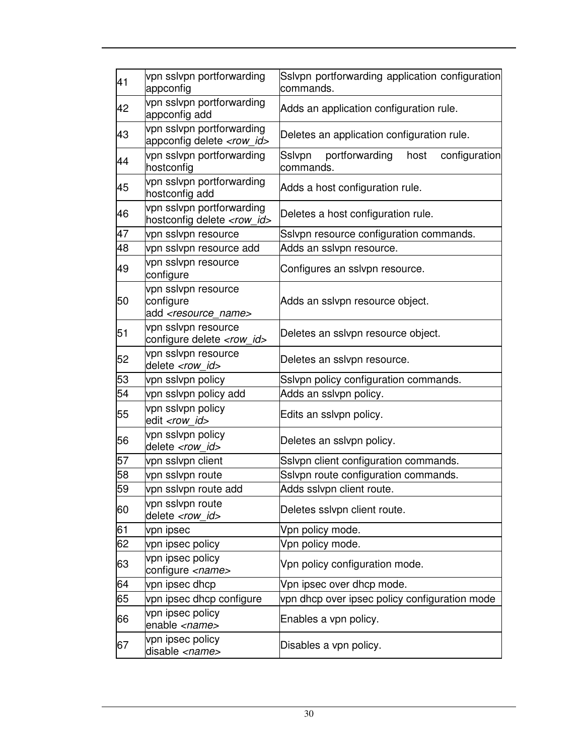| 41 | vpn sslvpn portforwarding<br>appconfig                                | Sslvpn portforwarding application configuration<br>commands.   |
|----|-----------------------------------------------------------------------|----------------------------------------------------------------|
| 42 | vpn sslvpn portforwarding<br>appconfig add                            | Adds an application configuration rule.                        |
| 43 | vpn sslvpn portforwarding<br>appconfig delete <row_id></row_id>       | Deletes an application configuration rule.                     |
| 44 | vpn sslvpn portforwarding<br>hostconfig                               | portforwarding<br>Sslvpn<br>host<br>configuration<br>commands. |
| 45 | vpn sslvpn portforwarding<br>hostconfig add                           | Adds a host configuration rule.                                |
| 46 | vpn sslvpn portforwarding<br>hostconfig delete <row_id></row_id>      | Deletes a host configuration rule.                             |
| 47 | vpn sslvpn resource                                                   | Sslvpn resource configuration commands.                        |
| 48 | vpn sslvpn resource add                                               | Adds an sslvpn resource.                                       |
| 49 | vpn sslvpn resource<br>configure                                      | Configures an sslvpn resource.                                 |
| 50 | vpn sslvpn resource<br>configure<br>add <resource name=""></resource> | Adds an sslvpn resource object.                                |
| 51 | vpn sslvpn resource<br>configure delete <row_id></row_id>             | Deletes an sslvpn resource object.                             |
| 52 | vpn sslvpn resource<br>delete <row_id></row_id>                       | Deletes an sslvpn resource.                                    |
| 53 | vpn sslvpn policy                                                     | Sslvpn policy configuration commands.                          |
| 54 | vpn sslvpn policy add                                                 | Adds an sslvpn policy.                                         |
| 55 | vpn sslvpn policy<br>edit <row id=""></row>                           | Edits an sslvpn policy.                                        |
| 56 | vpn sslvpn policy<br>delete <row_id></row_id>                         | Deletes an sslvpn policy.                                      |
| 57 | vpn sslvpn client                                                     | Sslvpn client configuration commands.                          |
| 58 | vpn sslvpn route                                                      | Sslvpn route configuration commands.                           |
| 59 | vpn sslvpn route add                                                  | Adds sslvpn client route.                                      |
| 60 | vpn sslvpn route<br>delete <row id=""></row>                          | Deletes sslvpn client route.                                   |
| 61 | vpn ipsec                                                             | Vpn policy mode.                                               |
| 62 | vpn ipsec policy                                                      | Vpn policy mode.                                               |
| 63 | vpn ipsec policy<br>configure <name></name>                           | Vpn policy configuration mode.                                 |
| 64 | vpn ipsec dhcp                                                        | Vpn ipsec over dhcp mode.                                      |
| 65 | vpn ipsec dhcp configure                                              | vpn dhcp over ipsec policy configuration mode                  |
| 66 | vpn ipsec policy<br>enable <name></name>                              | Enables a vpn policy.                                          |
| 67 | vpn ipsec policy<br>disable <name></name>                             | Disables a vpn policy.                                         |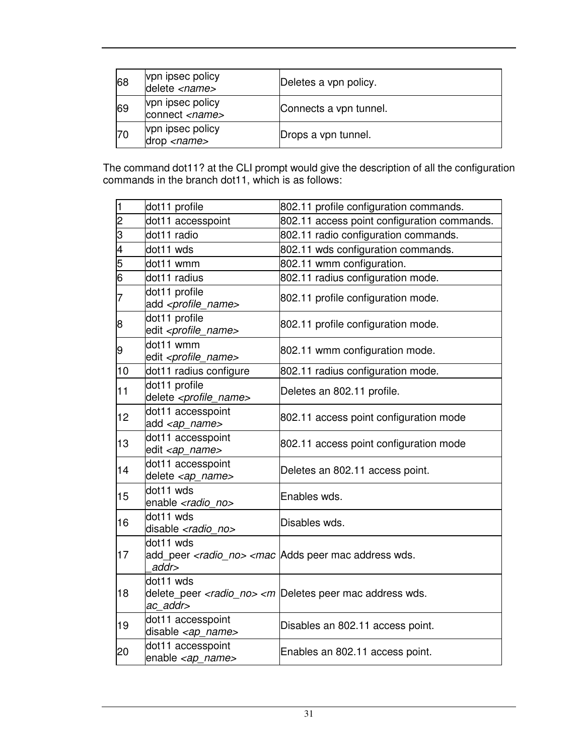| 68 | vpn ipsec policy<br>delete <name></name>  | Deletes a vpn policy.  |
|----|-------------------------------------------|------------------------|
| 69 | vpn ipsec policy<br>connect <name></name> | Connects a vpn tunnel. |
| 70 | vpn ipsec policy<br>drop <i>name</i>      | Drops a vpn tunnel.    |

The command dot11? at the CLI prompt would give the description of all the configuration commands in the branch dot11, which is as follows:

| $\overline{\mathbf{1}}$ | dot11 profile                                         | 802.11 profile configuration commands.                                                        |
|-------------------------|-------------------------------------------------------|-----------------------------------------------------------------------------------------------|
| cν                      | dot11 accesspoint                                     | 802.11 access point configuration commands.                                                   |
| 3                       | dot11 radio                                           | 802.11 radio configuration commands.                                                          |
| $\overline{4}$          | dot11 wds                                             | 802.11 wds configuration commands.                                                            |
| $\overline{5}$          | dot11 wmm                                             | 802.11 wmm configuration.                                                                     |
| $\overline{6}$          | dot11 radius                                          | 802.11 radius configuration mode.                                                             |
| $\overline{7}$          | dot11 profile<br>add <profile_name></profile_name>    | 802.11 profile configuration mode.                                                            |
| 8                       | dot11 profile<br>edit <profile_name></profile_name>   | 802.11 profile configuration mode.                                                            |
| 9                       | dot11 wmm<br>edit <profile_name></profile_name>       | 802.11 wmm configuration mode.                                                                |
| 10                      | dot11 radius configure                                | 802.11 radius configuration mode.                                                             |
| 11                      | dot11 profile<br>delete <profile_name></profile_name> | Deletes an 802.11 profile.                                                                    |
| 12                      | dot11 accesspoint<br>add <ap_name></ap_name>          | 802.11 access point configuration mode                                                        |
| 13                      | dot11 accesspoint<br>edit <ap_name></ap_name>         | 802.11 access point configuration mode                                                        |
| 14                      | dot11 accesspoint<br>delete <ap_name></ap_name>       | Deletes an 802.11 access point.                                                               |
| 15                      | dot11 wds<br>enable <radio no=""></radio>             | Enables wds.                                                                                  |
| 16                      | dot11 wds<br>disable <radio no=""></radio>            | Disables wds.                                                                                 |
| 17                      | dot11 wds<br>addr>                                    | add peer <radio no=""> <mac address="" adds="" mac="" peer="" td="" wds.<=""></mac></radio>   |
| 18                      | dot11 wds<br>ac addr>                                 | delete_peer <radio_no> <m address="" deletes="" mac="" peer="" td="" wds.<=""></m></radio_no> |
| 19                      | dot11 accesspoint<br>disable <ap_name></ap_name>      | Disables an 802.11 access point.                                                              |
| 20                      | dot11 accesspoint<br>enable <ap_name></ap_name>       | Enables an 802.11 access point.                                                               |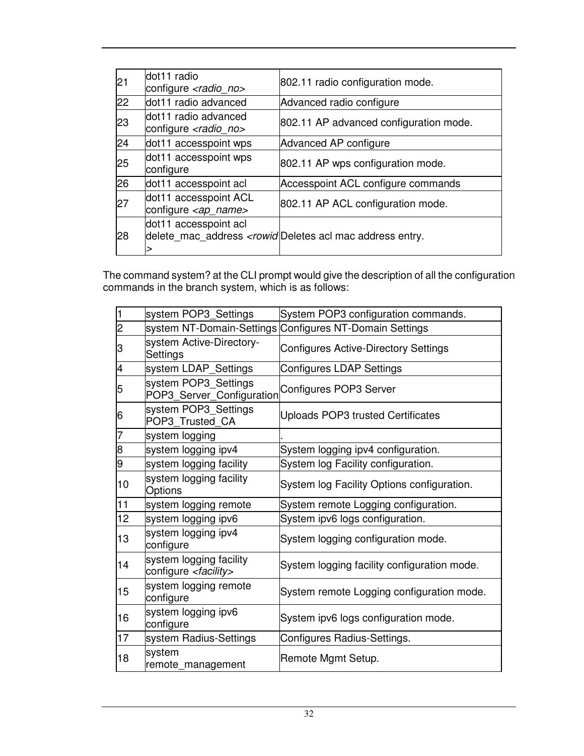| 21 | dot11 radio<br>configure <radio_no></radio_no>          | 802.11 radio configuration mode.                                                             |
|----|---------------------------------------------------------|----------------------------------------------------------------------------------------------|
| 22 | dot11 radio advanced                                    | Advanced radio configure                                                                     |
| 23 | dot11 radio advanced<br>configure <radio_no></radio_no> | 802.11 AP advanced configuration mode.                                                       |
| 24 | dot11 accesspoint wps                                   | Advanced AP configure                                                                        |
| 25 | dot11 accesspoint wps<br>configure                      | 802.11 AP wps configuration mode.                                                            |
| 26 | dot11 accesspoint acl                                   | Accesspoint ACL configure commands                                                           |
| 27 | dot11 accesspoint ACL<br>configure <ap_name></ap_name>  | 802.11 AP ACL configuration mode.                                                            |
| 28 | dot11 accesspoint acl                                   | delete_mac_address <rowid deletes acl="" address="" entry.<="" mac="" td=""></rowid deletes> |

The command system? at the CLI prompt would give the description of all the configuration commands in the branch system, which is as follows:

| 1              | system POP3_Settings                                       | System POP3 configuration commands.                     |
|----------------|------------------------------------------------------------|---------------------------------------------------------|
| $\overline{c}$ |                                                            | system NT-Domain-Settings Configures NT-Domain Settings |
| 3              | system Active-Directory-<br>Settings                       | <b>Configures Active-Directory Settings</b>             |
| 4              | system LDAP_Settings                                       | Configures LDAP Settings                                |
| 5              | system POP3 Settings<br>POP3_Server_Configuration          | Configures POP3 Server                                  |
| 6              | system POP3 Settings<br>POP3_Trusted_CA                    | <b>Uploads POP3 trusted Certificates</b>                |
| 7              | system logging                                             |                                                         |
| 8              | system logging ipv4                                        | System logging ipv4 configuration.                      |
| 9              | system logging facility                                    | System log Facility configuration.                      |
| 10             | system logging facility<br>Options                         | System log Facility Options configuration.              |
| 11             | system logging remote                                      | System remote Logging configuration.                    |
| 12             | system logging ipv6                                        | System ipv6 logs configuration.                         |
| 13             | system logging ipv4<br>configure                           | System logging configuration mode.                      |
| 14             | system logging facility<br>configure <facility></facility> | System logging facility configuration mode.             |
| 15             | system logging remote<br>configure                         | System remote Logging configuration mode.               |
| 16             | system logging ipv6<br>configure                           | System ipv6 logs configuration mode.                    |
| 17             | system Radius-Settings                                     | Configures Radius-Settings.                             |
| 18             | system<br>remote management                                | Remote Mgmt Setup.                                      |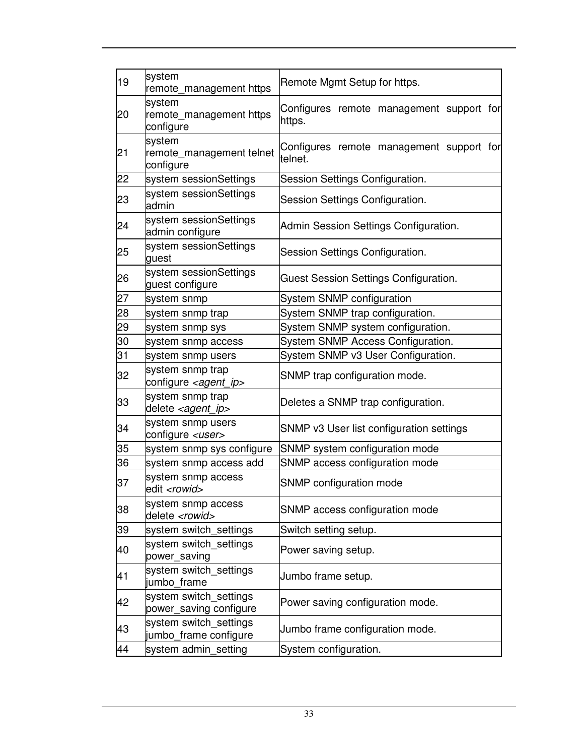| 19 | system<br>remote_management https                   | Remote Mgmt Setup for https.                        |
|----|-----------------------------------------------------|-----------------------------------------------------|
| 20 | system<br>remote_management https<br>configure      | Configures remote management support for<br>https.  |
| 21 | system<br>remote_management telnet<br>configure     | Configures remote management support for<br>telnet. |
| 22 | system sessionSettings                              | Session Settings Configuration.                     |
| 23 | system sessionSettings<br>admin                     | Session Settings Configuration.                     |
| 24 | system sessionSettings<br>admin configure           | Admin Session Settings Configuration.               |
| 25 | system sessionSettings<br>guest                     | Session Settings Configuration.                     |
| 26 | system sessionSettings<br>guest configure           | Guest Session Settings Configuration.               |
| 27 | system snmp                                         | System SNMP configuration                           |
| 28 | system snmp trap                                    | System SNMP trap configuration.                     |
| 29 | system snmp sys                                     | System SNMP system configuration.                   |
| 30 | system snmp access                                  | System SNMP Access Configuration.                   |
| 31 | system snmp users                                   | System SNMP v3 User Configuration.                  |
| 32 | system snmp trap<br>configure <agent_ip></agent_ip> | SNMP trap configuration mode.                       |
| 33 | system snmp trap<br>delete <agent_ip></agent_ip>    | Deletes a SNMP trap configuration.                  |
| 34 | system snmp users<br>configure <user></user>        | SNMP v3 User list configuration settings            |
| 35 | system snmp sys configure                           | SNMP system configuration mode                      |
| 36 | system snmp access add                              | SNMP access configuration mode                      |
| 37 | system snmp access<br>edit <rowid></rowid>          | SNMP configuration mode                             |
| 38 | system snmp access<br>delete <rowid></rowid>        | SNMP access configuration mode                      |
| 39 | system switch_settings                              | Switch setting setup.                               |
| 40 | system switch_settings<br>power_saving              | Power saving setup.                                 |
| 41 | system switch settings<br>jumbo frame               | Jumbo frame setup.                                  |
| 42 | system switch settings<br>power_saving configure    | Power saving configuration mode.                    |
| 43 | system switch_settings<br>jumbo_frame configure     | Jumbo frame configuration mode.                     |
| 44 | system admin_setting                                | System configuration.                               |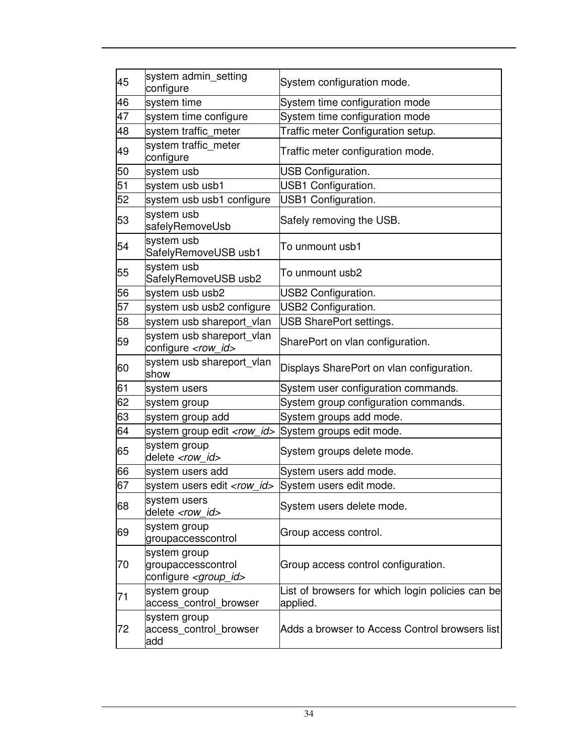| 45 | system admin setting<br>configure                                     | System configuration mode.                                   |
|----|-----------------------------------------------------------------------|--------------------------------------------------------------|
| 46 | system time                                                           | System time configuration mode                               |
| 47 | system time configure                                                 | System time configuration mode                               |
| 48 | system traffic_meter                                                  | Traffic meter Configuration setup.                           |
| 49 | system traffic_meter<br>configure                                     | Traffic meter configuration mode.                            |
| 50 | system usb                                                            | USB Configuration.                                           |
| 51 | system usb usb1                                                       | USB1 Configuration.                                          |
| 52 | system usb usb1 configure                                             | USB1 Configuration.                                          |
| 53 | system usb<br>safelyRemoveUsb                                         | Safely removing the USB.                                     |
| 54 | system usb<br>SafelyRemoveUSB usb1                                    | To unmount usb1                                              |
| 55 | system usb<br>SafelyRemoveUSB usb2                                    | To unmount usb2                                              |
| 56 | system usb usb2                                                       | USB2 Configuration.                                          |
| 57 | system usb usb2 configure                                             | USB2 Configuration.                                          |
| 58 | system usb shareport vlan                                             | USB SharePort settings.                                      |
| 59 | system usb shareport_vlan<br>configure <row_id></row_id>              | SharePort on vlan configuration.                             |
| 60 | system usb shareport_vlan<br>show                                     | Displays SharePort on vlan configuration.                    |
| 61 | system users                                                          | System user configuration commands.                          |
| 62 | system group                                                          | System group configuration commands.                         |
| 63 | system group add                                                      | System groups add mode.                                      |
| 64 | system group edit <row_id> System groups edit mode.</row_id>          |                                                              |
| 65 | system group<br>delete <row id=""></row>                              | System groups delete mode.                                   |
| 66 | system users add                                                      | System users add mode.                                       |
| 67 | system users edit <row_id> System users edit mode.</row_id>           |                                                              |
| 68 | system users<br>delete <row id=""></row>                              | System users delete mode.                                    |
| 69 | system group<br>groupaccesscontrol                                    | Group access control.                                        |
| 70 | system group<br>groupaccesscontrol<br>configure <group_id></group_id> | Group access control configuration.                          |
| 71 | system group<br>access_control_browser                                | List of browsers for which login policies can be<br>applied. |
| 72 | system group<br>access_control_browser<br>add                         | Adds a browser to Access Control browsers list               |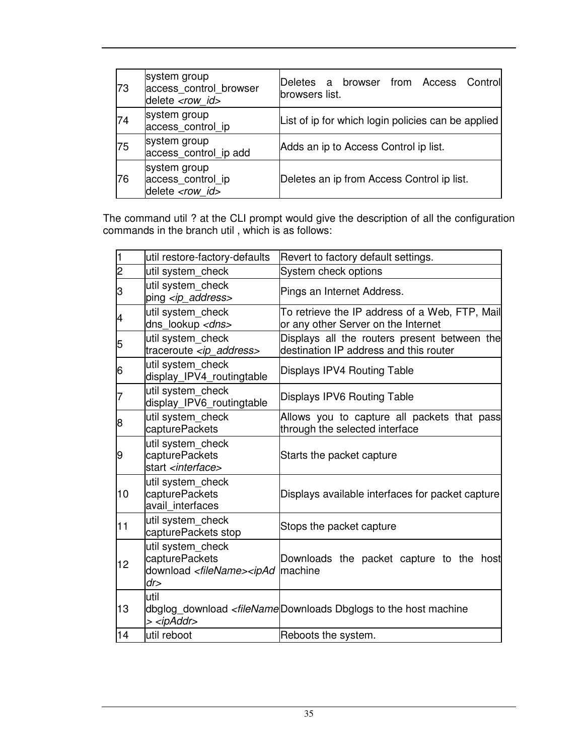| 73 | system group<br>access control browser<br>delete <row_id></row_id> | Deletes a browser from Access Controll<br>browsers list. |
|----|--------------------------------------------------------------------|----------------------------------------------------------|
| 74 | system group<br>access control ip                                  | List of ip for which login policies can be applied       |
| 75 | system group<br>access_control_ip add                              | Adds an ip to Access Control ip list.                    |
| 76 | system group<br>access_control_ip<br>delete <row id=""></row>      | Deletes an ip from Access Control ip list.               |

The command util ? at the CLI prompt would give the description of all the configuration commands in the branch util , which is as follows:

| l1             | util restore-factory-defaults                                                              | Revert to factory default settings.                                                                       |
|----------------|--------------------------------------------------------------------------------------------|-----------------------------------------------------------------------------------------------------------|
| $\overline{c}$ | util system check                                                                          | System check options                                                                                      |
| З              | util system check<br>ping <ip address=""></ip>                                             | Pings an Internet Address.                                                                                |
| 4              | util system_check<br>dns_lookup <dns></dns>                                                | To retrieve the IP address of a Web, FTP, Mail<br>or any other Server on the Internet                     |
| 5              | util system_check<br>traceroute <ip_address></ip_address>                                  | Displays all the routers present between the<br>destination IP address and this router                    |
| 6              | util system_check<br>display_IPV4_routingtable                                             | Displays IPV4 Routing Table                                                                               |
| 7              | util system_check<br>display_IPV6_routingtable                                             | Displays IPV6 Routing Table                                                                               |
| 8              | util system check<br>capturePackets                                                        | Allows you to capture all packets that pass<br>through the selected interface                             |
| 9              | util system check<br>capturePackets<br>start <interface></interface>                       | Starts the packet capture                                                                                 |
| 10             | util system_check<br>capturePackets<br>avail interfaces                                    | Displays available interfaces for packet capture                                                          |
| 11             | util system_check<br>capturePackets stop                                                   | Stops the packet capture                                                                                  |
| 12             | util system_check<br>capturePackets<br>download <filename><ipad<br>dr</ipad<br></filename> | Downloads the packet capture to the host<br>machine                                                       |
| 13             | util<br>> <ipaddr></ipaddr>                                                                | dbglog_download <filenamedownloads dbglogs="" host="" machine<="" td="" the="" to=""></filenamedownloads> |
| 14             | util reboot                                                                                | Reboots the system.                                                                                       |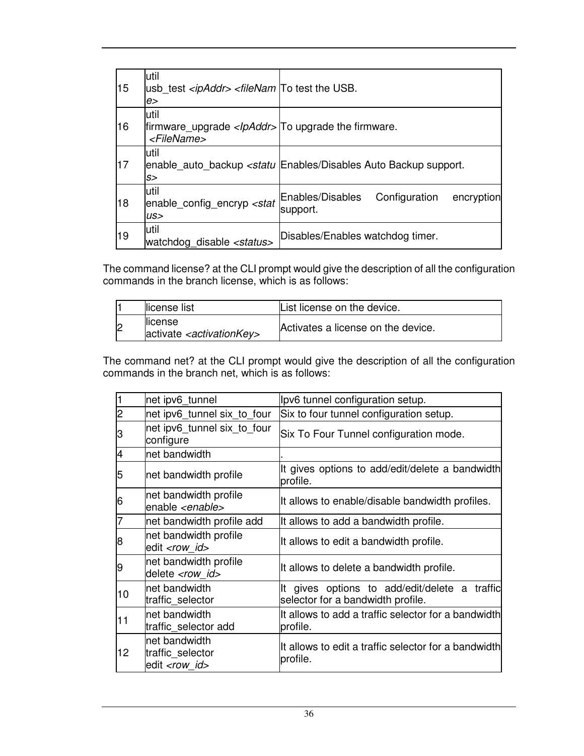| 15 | lutil<br>usb test <ipaddr> <filenam test="" the="" to="" usb.<br="">e&gt;</filenam></ipaddr>   |                                                                                                |
|----|------------------------------------------------------------------------------------------------|------------------------------------------------------------------------------------------------|
| 16 | lutil<br>firmware_upgrade <lpaddr> To upgrade the firmware.<br/><filename></filename></lpaddr> |                                                                                                |
| 17 | lutil<br>S>                                                                                    | enable auto backup <statu auto="" backup="" disables="" enables="" support.<="" td=""></statu> |
| 18 | lutil<br>enable_config_encryp <stat<br>US&gt;</stat<br>                                        | Enables/Disables<br>Configuration<br>encryption<br>support.                                    |
| 19 | lutil<br>watchdog disable <status></status>                                                    | Disables/Enables watchdog timer.                                                               |

The command license? at the CLI prompt would give the description of all the configuration commands in the branch license, which is as follows:

|                | license list                                                | List license on the device.        |
|----------------|-------------------------------------------------------------|------------------------------------|
| $\overline{2}$ | llicense<br>activate <i><activationkey></activationkey></i> | Activates a license on the device. |

The command net? at the CLI prompt would give the description of all the configuration commands in the branch net, which is as follows:

| 1              | net ipv6_tunnel                                             | lpv6 tunnel configuration setup.                                                      |
|----------------|-------------------------------------------------------------|---------------------------------------------------------------------------------------|
| $\overline{2}$ | net ipv6 tunnel six to four                                 | Six to four tunnel configuration setup.                                               |
| З              | net ipv6 tunnel six to four<br>configure                    | Six To Four Tunnel configuration mode.                                                |
| $\overline{4}$ | net bandwidth                                               |                                                                                       |
| 5              | net bandwidth profile                                       | It gives options to add/edit/delete a bandwidth<br>profile.                           |
| 6              | net bandwidth profile<br>enable <enable></enable>           | It allows to enable/disable bandwidth profiles.                                       |
| 7              | net bandwidth profile add                                   | It allows to add a bandwidth profile.                                                 |
| 8              | net bandwidth profile<br>edit <row id=""></row>             | It allows to edit a bandwidth profile.                                                |
| 9              | net bandwidth profile<br>delete <row id=""></row>           | It allows to delete a bandwidth profile.                                              |
| 10             | net bandwidth<br>traffic selector                           | gives options to add/edit/delete a traffic<br>It<br>selector for a bandwidth profile. |
| 11             | net bandwidth<br>traffic_selector add                       | It allows to add a traffic selector for a bandwidth<br>profile.                       |
| 12             | net bandwidth<br>traffic selector<br>edit <row id=""></row> | It allows to edit a traffic selector for a bandwidth<br>profile.                      |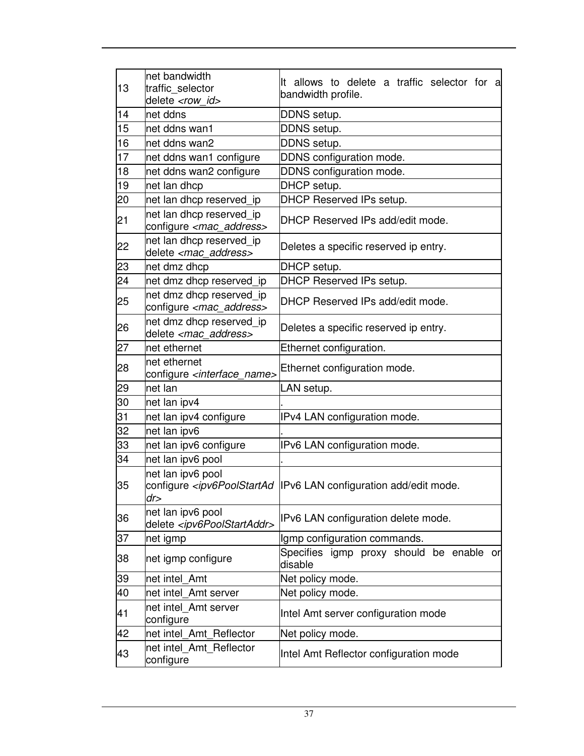| 13 | net bandwidth<br>traffic_selector<br>delete <row id=""></row>       | It allows to delete a traffic selector for<br>- al<br>bandwidth profile.                                      |  |  |
|----|---------------------------------------------------------------------|---------------------------------------------------------------------------------------------------------------|--|--|
| 14 | net ddns                                                            | DDNS setup.                                                                                                   |  |  |
| 15 | net ddns wan1                                                       | DDNS setup.                                                                                                   |  |  |
| 16 | net ddns wan2                                                       | DDNS setup.                                                                                                   |  |  |
| 17 | net ddns wan1 configure                                             | DDNS configuration mode.                                                                                      |  |  |
| 18 | net ddns wan2 configure                                             | DDNS configuration mode.                                                                                      |  |  |
| 19 | net lan dhcp                                                        | DHCP setup.                                                                                                   |  |  |
| 20 | net lan dhcp reserved ip                                            | DHCP Reserved IPs setup.                                                                                      |  |  |
| 21 | net lan dhcp reserved_ip<br>configure <mac_address></mac_address>   | DHCP Reserved IPs add/edit mode.                                                                              |  |  |
| 22 | net lan dhcp reserved ip<br>delete <mac_address></mac_address>      | Deletes a specific reserved ip entry.                                                                         |  |  |
| 23 | net dmz dhcp                                                        | DHCP setup.                                                                                                   |  |  |
| 24 | net dmz dhcp reserved_ip                                            | <b>DHCP Reserved IPs setup.</b>                                                                               |  |  |
| 25 | net dmz dhcp reserved_ip<br>configure <mac_address></mac_address>   | DHCP Reserved IPs add/edit mode.                                                                              |  |  |
| 26 | net dmz dhcp reserved ip<br>delete <mac address=""></mac>           | Deletes a specific reserved ip entry.                                                                         |  |  |
| 27 | net ethernet                                                        | Ethernet configuration.                                                                                       |  |  |
| 28 | net ethernet<br>configure <interface_name></interface_name>         | Ethernet configuration mode.                                                                                  |  |  |
| 29 | net lan                                                             | LAN setup.                                                                                                    |  |  |
| 30 | net lan ipv4                                                        |                                                                                                               |  |  |
| 31 | net lan ipv4 configure                                              | IPv4 LAN configuration mode.                                                                                  |  |  |
| 32 | net lan ipv6                                                        |                                                                                                               |  |  |
| 33 | net lan ipv6 configure                                              | IPv6 LAN configuration mode.                                                                                  |  |  |
| 34 | net lan ipv6 pool                                                   |                                                                                                               |  |  |
| 35 | net lan ipv6 pool<br>dr>                                            | configure <ipv6poolstartad add="" configuration="" edit="" lan="" mode.<="" td=""  ipv6=""></ipv6poolstartad> |  |  |
| 36 | net lan ipv6 pool<br>delete <ipv6poolstartaddr></ipv6poolstartaddr> | IPv6 LAN configuration delete mode.                                                                           |  |  |
| 37 | net igmp                                                            | Igmp configuration commands.                                                                                  |  |  |
| 38 | net igmp configure                                                  | Specifies igmp proxy should be enable or<br>disable                                                           |  |  |
| 39 | net intel Amt                                                       | Net policy mode.                                                                                              |  |  |
| 40 | net intel Amt server                                                | Net policy mode.                                                                                              |  |  |
| 41 | net intel_Amt server<br>configure                                   | Intel Amt server configuration mode                                                                           |  |  |
| 42 | net intel Amt Reflector                                             | Net policy mode.                                                                                              |  |  |
| 43 | net intel Amt Reflector<br>configure                                | Intel Amt Reflector configuration mode                                                                        |  |  |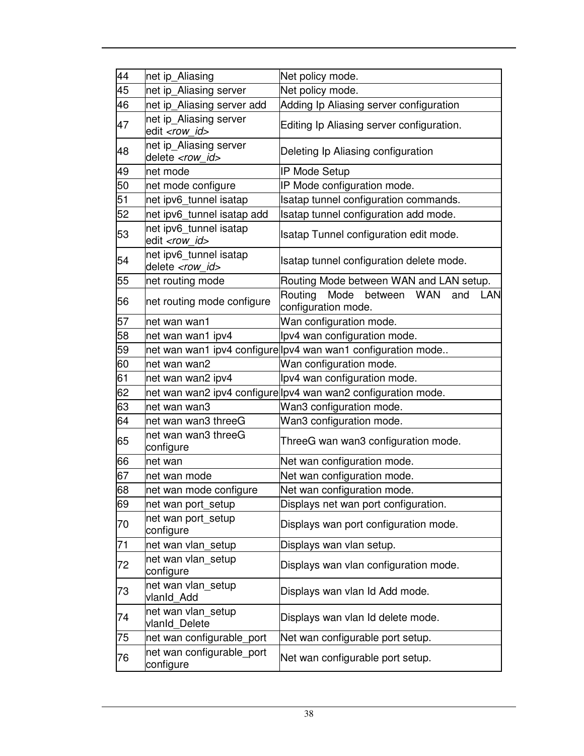| 44 | net ip_Aliasing                                    | Net policy mode.                                                              |  |
|----|----------------------------------------------------|-------------------------------------------------------------------------------|--|
| 45 | net ip_Aliasing server                             | Net policy mode.                                                              |  |
| 46 | net ip_Aliasing server add                         | Adding Ip Aliasing server configuration                                       |  |
| 47 | net ip_Aliasing server<br>edit <row id=""></row>   | Editing Ip Aliasing server configuration.                                     |  |
| 48 | net ip_Aliasing server<br>delete <row_id></row_id> | Deleting Ip Aliasing configuration                                            |  |
| 49 | net mode                                           | <b>IP Mode Setup</b>                                                          |  |
| 50 | net mode configure                                 | IP Mode configuration mode.                                                   |  |
| 51 | net ipv6_tunnel isatap                             | Isatap tunnel configuration commands.                                         |  |
| 52 | net ipv6_tunnel isatap add                         | Isatap tunnel configuration add mode.                                         |  |
| 53 | net ipv6_tunnel isatap<br>edit <row id=""></row>   | Isatap Tunnel configuration edit mode.                                        |  |
| 54 | net ipv6_tunnel isatap<br>delete <row id=""></row> | Isatap tunnel configuration delete mode.                                      |  |
| 55 | net routing mode                                   | Routing Mode between WAN and LAN setup.                                       |  |
| 56 | net routing mode configure                         | Routing<br>Mode<br>between<br><b>WAN</b><br>and<br>LAN<br>configuration mode. |  |
| 57 | net wan wan1                                       | Wan configuration mode.                                                       |  |
| 58 | net wan wan1 ipv4                                  | Ipv4 wan configuration mode.                                                  |  |
| 59 |                                                    | net wan wan1 ipv4 configure lpv4 wan wan1 configuration mode                  |  |
| 60 | net wan wan2                                       | Wan configuration mode.                                                       |  |
| 61 | net wan wan2 ipv4                                  | lpv4 wan configuration mode.                                                  |  |
| 62 |                                                    | net wan wan2 ipv4 configure lpv4 wan wan2 configuration mode.                 |  |
| 63 | net wan wan3                                       | Wan3 configuration mode.                                                      |  |
| 64 | net wan wan3 threeG                                | Wan3 configuration mode.                                                      |  |
| 65 | net wan wan3 threeG<br>configure                   | ThreeG wan wan3 configuration mode.                                           |  |
| 66 | net wan                                            | Net wan configuration mode.                                                   |  |
| 67 | net wan mode                                       | Net wan configuration mode.                                                   |  |
| 68 | net wan mode configure                             | Net wan configuration mode.                                                   |  |
| 69 | net wan port setup                                 | Displays net wan port configuration.                                          |  |
| 70 | net wan port_setup<br>configure                    | Displays wan port configuration mode.                                         |  |
| 71 | net wan vlan_setup                                 | Displays wan vlan setup.                                                      |  |
| 72 | net wan vlan setup<br>configure                    | Displays wan vlan configuration mode.                                         |  |
| 73 | net wan vlan setup<br>vlanId Add                   | Displays wan vlan Id Add mode.                                                |  |
| 74 | net wan vlan_setup<br>vlanId Delete                | Displays wan vlan Id delete mode.                                             |  |
| 75 | net wan configurable_port                          | Net wan configurable port setup.                                              |  |
| 76 | net wan configurable_port<br>configure             | Net wan configurable port setup.                                              |  |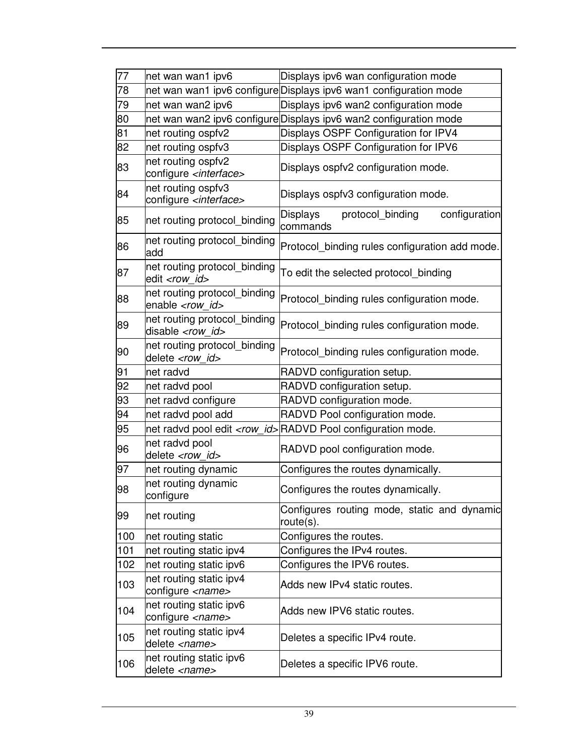| 77  | net wan wan1 ipv6                                         | Displays ipv6 wan configuration mode                                |  |  |
|-----|-----------------------------------------------------------|---------------------------------------------------------------------|--|--|
| 78  |                                                           | net wan wan1 ipv6 configure Displays ipv6 wan1 configuration mode   |  |  |
| 79  | net wan wan2 ipv6                                         | Displays ipv6 wan2 configuration mode                               |  |  |
| 80  |                                                           | net wan wan2 ipv6 configure Displays ipv6 wan2 configuration mode   |  |  |
| 81  | net routing ospfv2                                        | Displays OSPF Configuration for IPV4                                |  |  |
| 82  | net routing ospfv3                                        | Displays OSPF Configuration for IPV6                                |  |  |
|     | net routing ospfv2                                        |                                                                     |  |  |
| 83  | configure <interface></interface>                         | Displays ospfv2 configuration mode.                                 |  |  |
| 84  | net routing ospfv3                                        |                                                                     |  |  |
|     | configure <interface></interface>                         | Displays ospfv3 configuration mode.                                 |  |  |
| 85  | net routing protocol binding                              | <b>Displays</b><br>configuration<br>protocol_binding<br>commands    |  |  |
| 86  | net routing protocol_binding<br>add                       | Protocol_binding rules configuration add mode.                      |  |  |
| 87  | net routing protocol_binding<br>edit <row id=""></row>    | To edit the selected protocol_binding                               |  |  |
| 88  | net routing protocol_binding<br>enable <row id=""></row>  | Protocol binding rules configuration mode.                          |  |  |
| 89  | net routing protocol binding<br>disable <row id=""></row> | Protocol_binding rules configuration mode.                          |  |  |
| 90  | net routing protocol_binding<br>delete <row id=""></row>  | Protocol binding rules configuration mode.                          |  |  |
| 91  | net radvd                                                 | RADVD configuration setup.                                          |  |  |
| 92  | net radvd pool                                            | RADVD configuration setup.                                          |  |  |
| 93  | net radvd configure                                       | RADVD configuration mode.                                           |  |  |
| 94  | net radvd pool add                                        | RADVD Pool configuration mode.                                      |  |  |
| 95  |                                                           | net radvd pool edit <row_id>RADVD Pool configuration mode.</row_id> |  |  |
| 96  | net radvd pool<br>delete <row id=""></row>                | RADVD pool configuration mode.                                      |  |  |
| 97  | net routing dynamic                                       | Configures the routes dynamically.                                  |  |  |
| 98  | net routing dynamic<br>configure                          | Configures the routes dynamically.                                  |  |  |
| 99  | net routing                                               | Configures routing mode, static and dynamic<br>route(s).            |  |  |
| 100 | net routing static                                        | Configures the routes.                                              |  |  |
| 101 | net routing static ipv4                                   | Configures the IPv4 routes.                                         |  |  |
| 102 | net routing static ipv6                                   | Configures the IPV6 routes.                                         |  |  |
| 103 | net routing static ipv4<br>configure <name></name>        | Adds new IPv4 static routes.                                        |  |  |
| 104 | net routing static ipv6<br>configure <name></name>        | Adds new IPV6 static routes.                                        |  |  |
| 105 | net routing static ipv4<br>delete <name></name>           | Deletes a specific IPv4 route.                                      |  |  |
| 106 | net routing static ipv6<br>delete <name></name>           | Deletes a specific IPV6 route.                                      |  |  |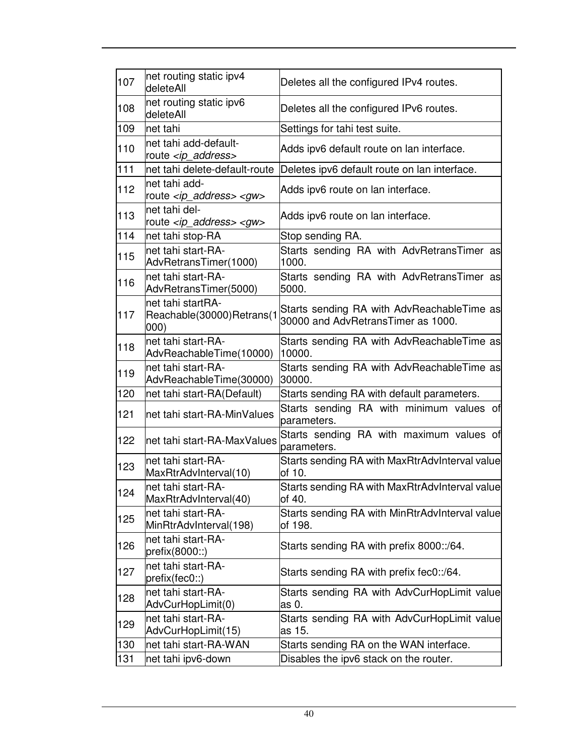| 107 | net routing static ipv4<br>deleteAll                       | Deletes all the configured IPv4 routes.                                          |  |
|-----|------------------------------------------------------------|----------------------------------------------------------------------------------|--|
| 108 | net routing static ipv6<br>deleteAll                       | Deletes all the configured IPv6 routes.                                          |  |
| 109 | net tahi                                                   | Settings for tahi test suite.                                                    |  |
| 110 | net tahi add-default-<br>route <ip_address></ip_address>   | Adds ipv6 default route on lan interface.                                        |  |
| 111 | net tahi delete-default-route                              | Deletes ipv6 default route on lan interface.                                     |  |
| 112 | net tahi add-<br>route <ip_address> <gw></gw></ip_address> | Adds ipv6 route on lan interface.                                                |  |
| 113 | net tahi del-<br>route <ip_address> <gw></gw></ip_address> | Adds ipv6 route on lan interface.                                                |  |
| 114 | net tahi stop-RA                                           | Stop sending RA.                                                                 |  |
| 115 | net tahi start-RA-<br>AdvRetransTimer(1000)                | Starts sending RA with AdvRetransTimer as<br>1000.                               |  |
| 116 | net tahi start-RA-<br>AdvRetransTimer(5000)                | Starts sending RA with AdvRetransTimer as<br>5000.                               |  |
| 117 | net tahi startRA-<br>Reachable(30000)Retrans(1<br>000)     | Starts sending RA with AdvReachableTime as<br>30000 and AdvRetransTimer as 1000. |  |
| 118 | net tahi start-RA-<br>AdvReachableTime(10000)              | Starts sending RA with AdvReachableTime as<br>10000.                             |  |
| 119 | net tahi start-RA-<br>AdvReachableTime(30000)              | Starts sending RA with AdvReachableTime as<br>30000.                             |  |
| 120 | net tahi start-RA(Default)                                 | Starts sending RA with default parameters.                                       |  |
| 121 | net tahi start-RA-MinValues                                | Starts sending RA with minimum values of<br>parameters.                          |  |
| 122 | net tahi start-RA-MaxValues                                | Starts sending RA with maximum values of<br>parameters.                          |  |
| 123 | net tahi start-RA-<br>MaxRtrAdvInterval(10)                | Starts sending RA with MaxRtrAdvInterval value<br>of 10.                         |  |
| 124 | net tahi start-RA-<br>MaxRtrAdvInterval(40)                | Starts sending RA with MaxRtrAdvInterval value<br>of 40.                         |  |
| 125 | net tahi start-RA-<br>MinRtrAdvInterval(198)               | Starts sending RA with MinRtrAdvInterval value<br>of 198.                        |  |
| 126 | net tahi start-RA-<br>prefix(8000::)                       | Starts sending RA with prefix 8000::/64.                                         |  |
| 127 | net tahi start-RA-<br>prefix(fec0::)                       | Starts sending RA with prefix fec0::/64.                                         |  |
| 128 | net tahi start-RA-<br>AdvCurHopLimit(0)                    | Starts sending RA with AdvCurHopLimit value<br>as 0.                             |  |
| 129 | net tahi start-RA-<br>AdvCurHopLimit(15)                   | Starts sending RA with AdvCurHopLimit value<br>as 15.                            |  |
| 130 | net tahi start-RA-WAN                                      | Starts sending RA on the WAN interface.                                          |  |
| 131 | net tahi ipv6-down                                         | Disables the ipv6 stack on the router.                                           |  |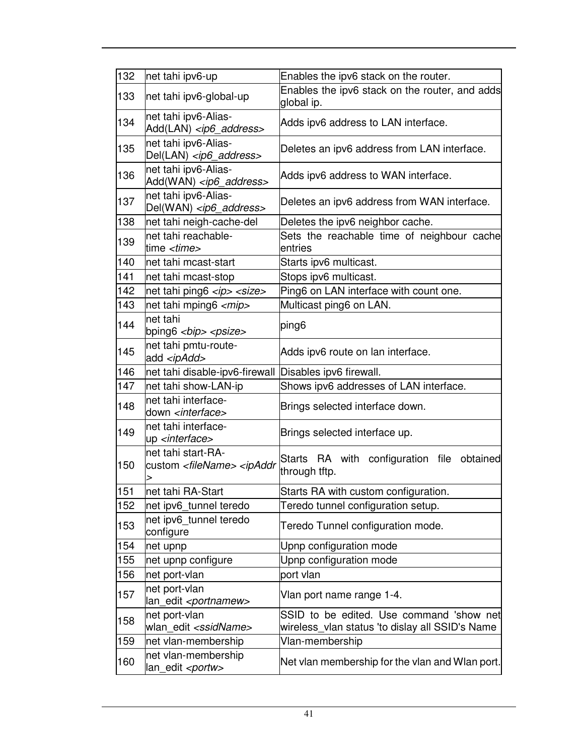| 132 | net tahi ipv6-up                                                                                                                                  | Enables the ipv6 stack on the router.                                                       |  |
|-----|---------------------------------------------------------------------------------------------------------------------------------------------------|---------------------------------------------------------------------------------------------|--|
| 133 | net tahi ipv6-global-up                                                                                                                           | Enables the ipv6 stack on the router, and adds<br>global ip.                                |  |
| 134 | net tahi ipv6-Alias-<br>Add(LAN) <ip6_address></ip6_address>                                                                                      | Adds ipv6 address to LAN interface.                                                         |  |
| 135 | net tahi ipv6-Alias-<br>Del(LAN) <ip6_address></ip6_address>                                                                                      | Deletes an ipv6 address from LAN interface.                                                 |  |
| 136 | net tahi ipv6-Alias-<br>Add(WAN) <ip6_address></ip6_address>                                                                                      | Adds ipv6 address to WAN interface.                                                         |  |
| 137 | net tahi ipv6-Alias-<br>Del(WAN) <ip6_address></ip6_address>                                                                                      | Deletes an ipv6 address from WAN interface.                                                 |  |
| 138 | net tahi neigh-cache-del                                                                                                                          | Deletes the ipv6 neighbor cache.                                                            |  |
| 139 | net tahi reachable-<br>time <i><time></time></i>                                                                                                  | Sets the reachable time of neighbour cache<br>entries                                       |  |
| 140 | net tahi mcast-start                                                                                                                              | Starts ipv6 multicast.                                                                      |  |
| 141 | net tahi mcast-stop                                                                                                                               | Stops ipv6 multicast.                                                                       |  |
| 142 | net tahi ping6 <ip> <size></size></ip>                                                                                                            | Ping6 on LAN interface with count one.                                                      |  |
| 143 | net tahi mping6 <mip></mip>                                                                                                                       | Multicast ping6 on LAN.                                                                     |  |
| 144 | net tahi<br>bping6 $\langle$ bip> $\langle$ psize>                                                                                                | ping6                                                                                       |  |
| 145 | net tahi pmtu-route-<br>add <ipadd></ipadd>                                                                                                       | Adds ipv6 route on lan interface.                                                           |  |
| 146 | net tahi disable-ipv6-firewall                                                                                                                    | Disables ipv6 firewall.                                                                     |  |
| 147 | net tahi show-LAN-ip                                                                                                                              | Shows ipv6 addresses of LAN interface.                                                      |  |
| 148 | net tahi interface-<br>down <interface></interface>                                                                                               | Brings selected interface down.                                                             |  |
| 149 | net tahi interface-<br>up <interface></interface>                                                                                                 | Brings selected interface up.                                                               |  |
| 150 | net tahi start-RA-<br>custom <filename> <ipaddr< td=""><td>Starts RA with configuration file obtained<br/>through tftp.</td></ipaddr<></filename> | Starts RA with configuration file obtained<br>through tftp.                                 |  |
| 151 | lnet tahi RA-Start                                                                                                                                | Starts RA with custom configuration.                                                        |  |
| 152 | net ipv6_tunnel teredo                                                                                                                            | Teredo tunnel configuration setup.                                                          |  |
| 153 | net ipv6_tunnel teredo<br>configure                                                                                                               | Teredo Tunnel configuration mode.                                                           |  |
| 154 | net upnp                                                                                                                                          | Upnp configuration mode                                                                     |  |
| 155 | net upnp configure                                                                                                                                | Upnp configuration mode                                                                     |  |
| 156 | net port-vlan                                                                                                                                     | port vlan                                                                                   |  |
| 157 | net port-vlan<br>lan_edit <portnamew></portnamew>                                                                                                 | Vlan port name range 1-4.                                                                   |  |
| 158 | net port-vlan<br>wlan edit <ssidname></ssidname>                                                                                                  | SSID to be edited. Use command 'show net<br>wireless_vlan status 'to dislay all SSID's Name |  |
| 159 | net vlan-membership                                                                                                                               | Vlan-membership                                                                             |  |
| 160 | net vlan-membership<br>lan_edit <portw></portw>                                                                                                   | Net vlan membership for the vlan and Wlan port.                                             |  |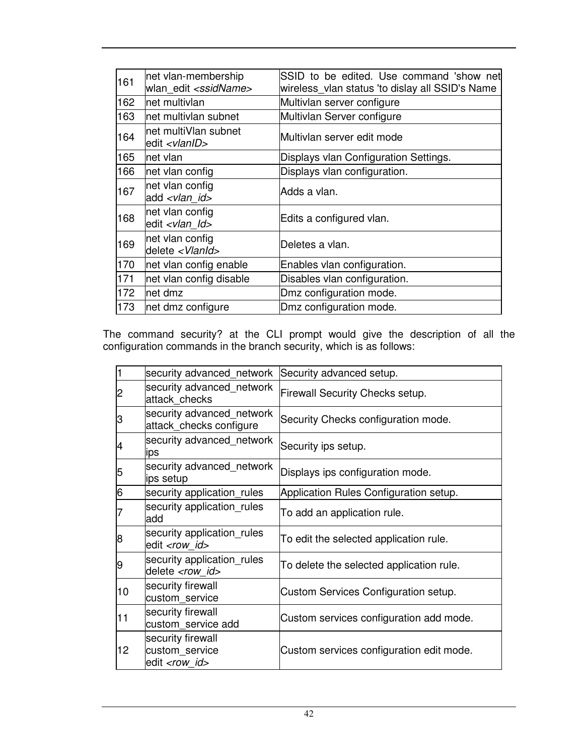| 161 | net vlan-membership<br>wlan edit <ssidname></ssidname> | SSID to be edited. Use command 'show net<br>wireless_vlan status 'to dislay all SSID's Name |  |
|-----|--------------------------------------------------------|---------------------------------------------------------------------------------------------|--|
| 162 | net multivlan                                          | Multivlan server configure                                                                  |  |
| 163 | net multivlan subnet                                   | Multivlan Server configure                                                                  |  |
| 164 | net multiVlan subnet<br>edit <vlanid></vlanid>         | Multivlan server edit mode                                                                  |  |
| 165 | net vlan                                               | Displays vlan Configuration Settings.                                                       |  |
| 166 | net vlan config                                        | Displays vlan configuration.                                                                |  |
| 167 | net vlan config<br>add <vlan_id></vlan_id>             | Adds a vlan.                                                                                |  |
| 168 | net vlan config<br>edit <vlan id=""></vlan>            | Edits a configured vlan.                                                                    |  |
| 169 | net vlan config<br>delete <vlanid></vlanid>            | Deletes a vlan.                                                                             |  |
| 170 | net vlan config enable                                 | Enables vlan configuration.                                                                 |  |
| 171 | net vlan config disable                                | Disables vlan configuration.                                                                |  |
| 172 | net dmz                                                | Dmz configuration mode.                                                                     |  |
| 173 | net dmz configure                                      | Dmz configuration mode.                                                                     |  |

The command security? at the CLI prompt would give the description of all the configuration commands in the branch security, which is as follows:

| 1  | security advanced network                                     | Security advanced setup.                 |
|----|---------------------------------------------------------------|------------------------------------------|
| 2  | security advanced_network<br>attack checks                    | <b>Firewall Security Checks setup.</b>   |
| З  | security advanced network<br>attack_checks configure          | Security Checks configuration mode.      |
| 4  | security advanced network<br>ips                              | Security ips setup.                      |
| 5  | security advanced network<br>lips setup                       | Displays ips configuration mode.         |
| 6  | security application rules                                    | Application Rules Configuration setup.   |
|    | security application rules<br>add                             | To add an application rule.              |
| 8  | security application rules<br>edit <row id=""></row>          | To edit the selected application rule.   |
| 9  | security application rules<br>delete <row id=""></row>        | To delete the selected application rule. |
| 10 | security firewall<br>custom service                           | Custom Services Configuration setup.     |
| 11 | security firewall<br>custom service add                       | Custom services configuration add mode.  |
| 12 | security firewall<br>custom service<br>edit <row id=""></row> | Custom services configuration edit mode. |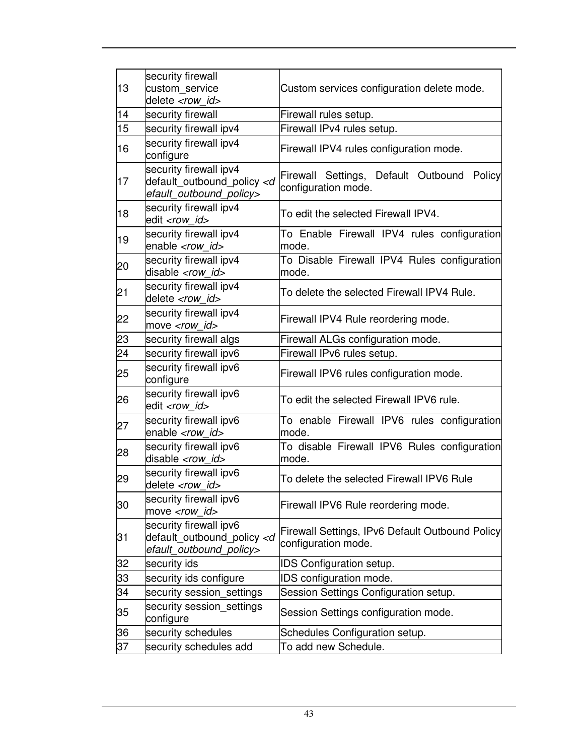| 13 | security firewall<br>custom service                                                       | Custom services configuration delete mode.                             |  |
|----|-------------------------------------------------------------------------------------------|------------------------------------------------------------------------|--|
|    | delete <row id=""></row>                                                                  |                                                                        |  |
| 14 | security firewall                                                                         | Firewall rules setup.                                                  |  |
| 15 | security firewall ipv4                                                                    | Firewall IPv4 rules setup.                                             |  |
| 16 | security firewall ipv4<br>configure                                                       | Firewall IPV4 rules configuration mode.                                |  |
| 17 | security firewall ipv4<br>default_outbound_policy <d<br>efault_outbound_policy&gt;</d<br> | Firewall Settings, Default Outbound Policy<br>configuration mode.      |  |
| 18 | security firewall ipv4<br>edit <row id=""></row>                                          | To edit the selected Firewall IPV4.                                    |  |
| 19 | security firewall ipv4<br>enable <row id=""></row>                                        | To Enable Firewall IPV4 rules configuration<br>mode.                   |  |
| 20 | security firewall ipv4<br>disable <row id=""></row>                                       | To Disable Firewall IPV4 Rules configuration<br>mode.                  |  |
| 21 | security firewall ipv4<br>delete <row id=""></row>                                        | To delete the selected Firewall IPV4 Rule.                             |  |
| 22 | security firewall ipv4<br>move <row_id></row_id>                                          | Firewall IPV4 Rule reordering mode.                                    |  |
| 23 | security firewall algs                                                                    | Firewall ALGs configuration mode.                                      |  |
| 24 | security firewall ipv6                                                                    | Firewall IPv6 rules setup.                                             |  |
| 25 | security firewall ipv6<br>configure                                                       | Firewall IPV6 rules configuration mode.                                |  |
| 26 | security firewall ipv6<br>edit <row id=""></row>                                          | To edit the selected Firewall IPV6 rule.                               |  |
| 27 | security firewall ipv6<br>enable <row_id></row_id>                                        | To enable Firewall IPV6 rules configuration<br>mode.                   |  |
| 28 | security firewall ipv6<br>disable <row id=""></row>                                       | To disable Firewall IPV6 Rules configuration<br>mode.                  |  |
| 29 | security firewall ipv6<br>delete <row id=""></row>                                        | To delete the selected Firewall IPV6 Rule                              |  |
| 30 | security firewall ipv6<br>move <row_id></row_id>                                          | Firewall IPV6 Rule reordering mode.                                    |  |
| 31 | security firewall ipv6<br>default outbound policy <d<br>efault_outbound_policy&gt;</d<br> | Firewall Settings, IPv6 Default Outbound Policy<br>configuration mode. |  |
| 32 | security ids                                                                              | IDS Configuration setup.                                               |  |
| 33 | security ids configure                                                                    | IDS configuration mode.                                                |  |
| 34 | security session_settings                                                                 | Session Settings Configuration setup.                                  |  |
| 35 | security session_settings<br>configure                                                    | Session Settings configuration mode.                                   |  |
| 36 | security schedules                                                                        | Schedules Configuration setup.                                         |  |
| 37 | security schedules add                                                                    | To add new Schedule.                                                   |  |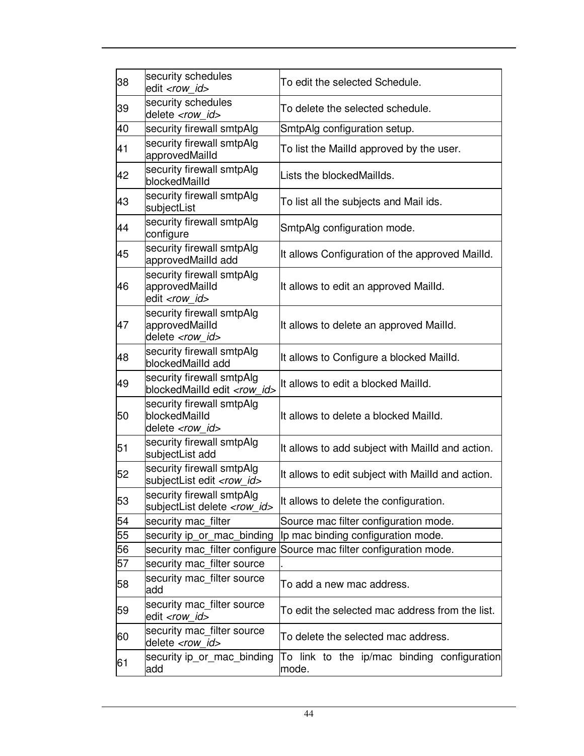| 38 | security schedules<br>edit <row id=""></row>                            | To edit the selected Schedule.                       |  |
|----|-------------------------------------------------------------------------|------------------------------------------------------|--|
| 39 | security schedules<br>delete <row id=""></row>                          | To delete the selected schedule.                     |  |
| 40 | security firewall smtpAlg                                               | SmtpAlg configuration setup.                         |  |
| 41 | security firewall smtpAlg<br>approvedMailld                             | To list the Mailld approved by the user.             |  |
| 42 | security firewall smtpAlg<br>blockedMailld                              | Lists the blockedMaillds.                            |  |
| 43 | security firewall smtpAlg<br>subjectList                                | To list all the subjects and Mail ids.               |  |
| 44 | security firewall smtpAlg<br>configure                                  | SmtpAlg configuration mode.                          |  |
| 45 | security firewall smtpAlg<br>approvedMailld add                         | It allows Configuration of the approved Mailld.      |  |
| 46 | security firewall smtpAlg<br>approvedMailld<br>edit <row id=""></row>   | It allows to edit an approved Mailld.                |  |
| 47 | security firewall smtpAlg<br>approvedMailld<br>delete <row id=""></row> | It allows to delete an approved Mailld.              |  |
| 48 | security firewall smtpAlg<br>blockedMailld add                          | It allows to Configure a blocked Mailld.             |  |
| 49 | security firewall smtpAlg<br>blockedMailld edit <row_id></row_id>       | It allows to edit a blocked Mailld.                  |  |
| 50 | security firewall smtpAlg<br>blockedMailld<br>delete <row id=""></row>  | It allows to delete a blocked Mailld.                |  |
| 51 | security firewall smtpAlg<br>subjectList add                            | It allows to add subject with Mailld and action.     |  |
| 52 | security firewall smtpAlg<br>subjectList edit <row_id></row_id>         | It allows to edit subject with Mailld and action.    |  |
| 53 | security firewall smtpAlg<br>subjectList delete <row_id></row_id>       | It allows to delete the configuration.               |  |
| 54 | security mac_filter                                                     | Source mac filter configuration mode.                |  |
| 55 | security ip or mac binding                                              | Ip mac binding configuration mode.                   |  |
| 56 | security mac_filter configure                                           | Source mac filter configuration mode.                |  |
| 57 | security mac_filter source                                              |                                                      |  |
| 58 | security mac_filter source<br>add                                       | To add a new mac address.                            |  |
| 59 | security mac_filter source<br>edit <row_id></row_id>                    | To edit the selected mac address from the list.      |  |
| 60 | security mac_filter source<br>delete <row id=""></row>                  | To delete the selected mac address.                  |  |
| 61 | security ip_or_mac_binding<br>add                                       | To link to the ip/mac binding configuration<br>mode. |  |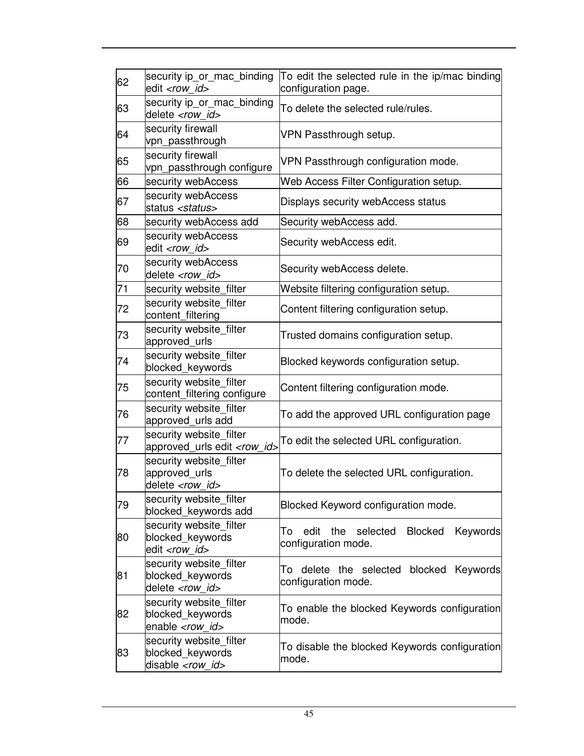| 62 | security ip or mac binding<br>edit <row id=""></row>                     | To edit the selected rule in the ip/mac binding<br>configuration page.             |  |
|----|--------------------------------------------------------------------------|------------------------------------------------------------------------------------|--|
| 63 | security ip_or_mac_binding<br>delete <row id=""></row>                   | To delete the selected rule/rules.                                                 |  |
| 64 | security firewall<br>vpn_passthrough                                     | VPN Passthrough setup.                                                             |  |
| 65 | security firewall<br>vpn passthrough configure                           | VPN Passthrough configuration mode.                                                |  |
| 66 | security webAccess                                                       | Web Access Filter Configuration setup.                                             |  |
| 67 | security webAccess<br>status <status></status>                           | Displays security webAccess status                                                 |  |
| 68 | security webAccess add                                                   | Security webAccess add.                                                            |  |
| 69 | security webAccess<br>edit <row id=""></row>                             | Security webAccess edit.                                                           |  |
| 70 | security webAccess<br>delete <row id=""></row>                           | Security webAccess delete.                                                         |  |
| 71 | security website filter                                                  | Website filtering configuration setup.                                             |  |
| 72 | security website_filter<br>content_filtering                             | Content filtering configuration setup.                                             |  |
| 73 | security website filter<br>approved_urls                                 | Trusted domains configuration setup.                                               |  |
| 74 | security website filter<br>blocked_keywords                              | Blocked keywords configuration setup.                                              |  |
| 75 | security website filter<br>content_filtering configure                   | Content filtering configuration mode.                                              |  |
| 76 | security website filter<br>approved_urls add                             | To add the approved URL configuration page                                         |  |
| 77 | security website filter<br>approved_urls edit <row_id></row_id>          | To edit the selected URL configuration.                                            |  |
| 78 | security website filter<br>approved_urls<br>delete <row id=""></row>     | To delete the selected URL configuration.                                          |  |
| 79 | security website_filter<br>blocked_keywords add                          | Blocked Keyword configuration mode.                                                |  |
| 80 | security website_filter<br>blocked_keywords<br>edit <row id=""></row>    | <b>Blocked</b><br>edit<br>selected<br>Keywords<br>the<br>To<br>configuration mode. |  |
| 81 | security website filter<br>blocked_keywords<br>delete <row id=""></row>  | delete the selected blocked Keywords<br>To<br>configuration mode.                  |  |
| 82 | security website filter<br>blocked keywords<br>enable <row id=""></row>  | To enable the blocked Keywords configuration<br>mode.                              |  |
| 83 | security website_filter<br>blocked_keywords<br>disable <row_id></row_id> | To disable the blocked Keywords configuration<br>mode.                             |  |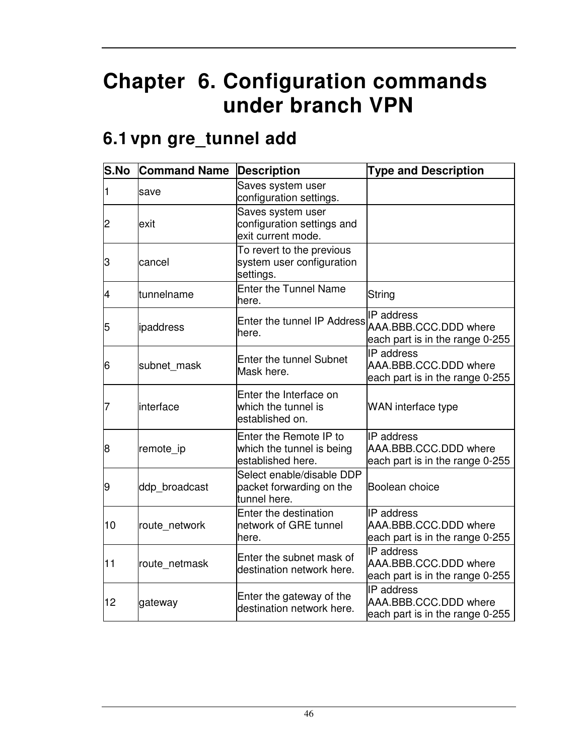# **Chapter 6. Configuration commands under branch VPN**

### **6.1 vpn gre\_tunnel add**

| S.No | <b>Command Name</b> | <b>Description</b>                                                       | <b>Type and Description</b>                                                      |
|------|---------------------|--------------------------------------------------------------------------|----------------------------------------------------------------------------------|
|      | save                | Saves system user<br>configuration settings.                             |                                                                                  |
| 2    | exit                | Saves system user<br>configuration settings and<br>exit current mode.    |                                                                                  |
| 3    | cancel              | To revert to the previous<br>system user configuration<br>settings.      |                                                                                  |
| 4    | tunnelname          | <b>Enter the Tunnel Name</b><br>here.                                    | String                                                                           |
| 5    | ipaddress           | Enter the tunnel IP Address<br>here.                                     | IP address<br>AAA.BBB.CCC.DDD where<br>each part is in the range 0-255           |
| 6    | subnet mask         | <b>Enter the tunnel Subnet</b><br>Mask here.                             | <b>IP</b> address<br>AAA.BBB.CCC.DDD where<br>each part is in the range 0-255    |
| 7    | linterface          | Enter the Interface on<br>which the tunnel is<br>established on.         | WAN interface type                                                               |
| 8    | remote_ip           | Enter the Remote IP to<br>which the tunnel is being<br>established here. | <b>IP</b> address<br>AAA.BBB.CCC.DDD where<br>each part is in the range 0-255    |
| 9    | ddp_broadcast       | Select enable/disable DDP<br>packet forwarding on the<br>tunnel here.    | Boolean choice                                                                   |
| 10   | route network       | Enter the destination<br>network of GRE tunnel<br>here.                  | <b>IP</b> address<br>AAA.BBB.CCC.DDD where<br>each part is in the range 0-255    |
| 11   | route_netmask       | Enter the subnet mask of<br>destination network here.                    | <b>IP</b> address<br>AAA, BBB, CCC, DDD where<br>each part is in the range 0-255 |
| 12   | gateway             | Enter the gateway of the<br>destination network here.                    | <b>IP</b> address<br>AAA.BBB.CCC.DDD where<br>each part is in the range 0-255    |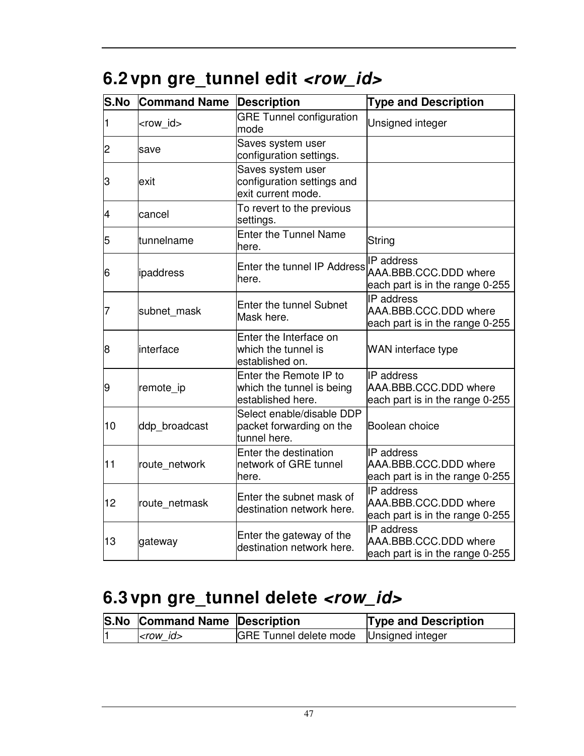| 6.2 vpn gre_tunnel edit <row_id></row_id> |  |  |  |
|-------------------------------------------|--|--|--|
|-------------------------------------------|--|--|--|

| S.No | <b>Command Name</b> | <b>Description</b>                                                       | <b>Type and Description</b>                                               |
|------|---------------------|--------------------------------------------------------------------------|---------------------------------------------------------------------------|
| 1    | <row_id></row_id>   | <b>GRE Tunnel configuration</b><br>mode                                  | Unsigned integer                                                          |
| 2    | save                | Saves system user<br>configuration settings.                             |                                                                           |
| З    | exit                | Saves system user<br>configuration settings and<br>exit current mode.    |                                                                           |
| 4    | cancel              | To revert to the previous<br>settings.                                   |                                                                           |
| 5    | tunnelname          | <b>Enter the Tunnel Name</b><br>here.                                    | String                                                                    |
| 6    | ipaddress           | Enter the tunnel IP Address<br>here.                                     | IP address<br>AAA.BBB.CCC.DDD where<br>each part is in the range 0-255    |
| 7    | subnet_mask         | <b>Enter the tunnel Subnet</b><br>Mask here.                             | IP address<br>AAA.BBB.CCC.DDD where<br>each part is in the range 0-255    |
| 8    | linterface          | Enter the Interface on<br>which the tunnel is<br>established on.         | WAN interface type                                                        |
| 9    | remote_ip           | Enter the Remote IP to<br>which the tunnel is being<br>established here. | IP address<br>AAA.BBB.CCC.DDD where<br>each part is in the range 0-255    |
| 10   | ddp_broadcast       | Select enable/disable DDP<br>packet forwarding on the<br>tunnel here.    | Boolean choice                                                            |
| 11   | route_network       | Enter the destination<br>network of GRE tunnel<br>here.                  | IP address<br>AAA.BBB.CCC.DDD where<br>each part is in the range 0-255    |
| 12   | route netmask       | Enter the subnet mask of<br>destination network here.                    | IP address<br>AAA.BBB.CCC.DDD where<br>each part is in the range 0-255    |
| 13   | gateway             | Enter the gateway of the<br>destination network here.                    | IP address<br>AAA, BBB, CCC, DDD where<br>each part is in the range 0-255 |

# **6.3 vpn gre\_tunnel delete <row\_id>**

| S.No Command Name Description |                                           | <b>Type and Description</b> |
|-------------------------------|-------------------------------------------|-----------------------------|
| $ <$ row id $>$               | GRE Tunnel delete mode   Unsigned integer |                             |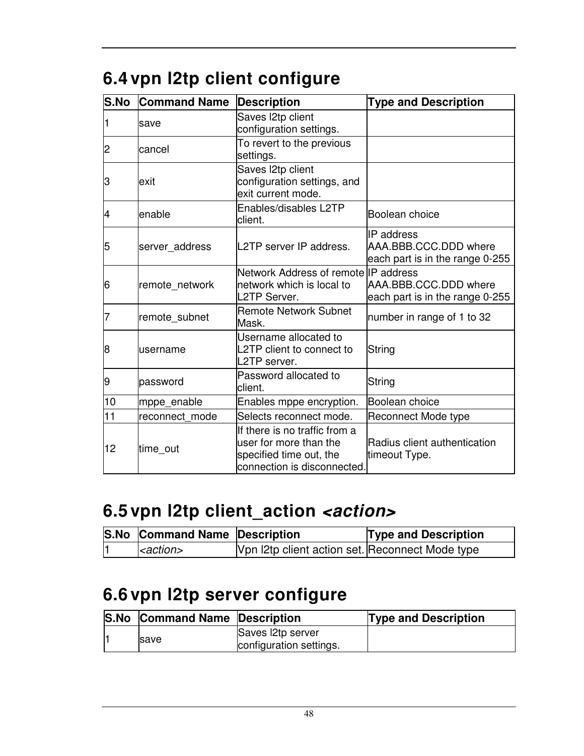| S.No | <b>Command Name</b> | <b>Description</b>                                                                                                | <b>Type and Description</b>                                                   |  |
|------|---------------------|-------------------------------------------------------------------------------------------------------------------|-------------------------------------------------------------------------------|--|
|      | save                | Saves I2tp client<br>configuration settings.                                                                      |                                                                               |  |
| 2    | lcancel             | To revert to the previous<br>settings.                                                                            |                                                                               |  |
| 3    | exit                | Saves I2tp client<br>configuration settings, and<br>exit current mode.                                            |                                                                               |  |
| 4    | enable              | Enables/disables L2TP<br>client.                                                                                  | Boolean choice                                                                |  |
| 5    | server address      | L2TP server IP address.                                                                                           | <b>IP</b> address<br>AAA.BBB.CCC.DDD where<br>each part is in the range 0-255 |  |
| 6    | remote network      | Network Address of remote IIP address<br>network which is local to<br>L2TP Server.                                | AAA.BBB.CCC.DDD where<br>each part is in the range 0-255                      |  |
| 7    | remote subnet       | <b>Remote Network Subnet</b><br>Mask.                                                                             | number in range of 1 to 32                                                    |  |
| 8    | lusername           | Username allocated to<br>L2TP client to connect to<br>L2TP server.                                                | String                                                                        |  |
| 9    | password            | Password allocated to<br>client.                                                                                  | String                                                                        |  |
| 10   | mppe_enable         | Enables mppe encryption.                                                                                          | Boolean choice                                                                |  |
| 11   | reconnect mode      | Selects reconnect mode.                                                                                           | <b>Reconnect Mode type</b>                                                    |  |
| 12   | time_out            | If there is no traffic from a<br>user for more than the<br>specified time out, the<br>connection is disconnected. | Radius client authentication<br>timeout Type.                                 |  |

# **6.4 vpn l2tp client configure**

### **6.5 vpn l2tp client\_action <action>**

| S.No Command Name Description |                                                 | <b>Type and Description</b> |
|-------------------------------|-------------------------------------------------|-----------------------------|
| <action></action>             | Vpn I2tp client action set. Reconnect Mode type |                             |

### **6.6 vpn l2tp server configure**

|  | <b>S.No Command Name Description</b> |                         | <b>Type and Description</b> |
|--|--------------------------------------|-------------------------|-----------------------------|
|  | <b>Save</b>                          | Saves 2tp server        |                             |
|  |                                      | configuration settings. |                             |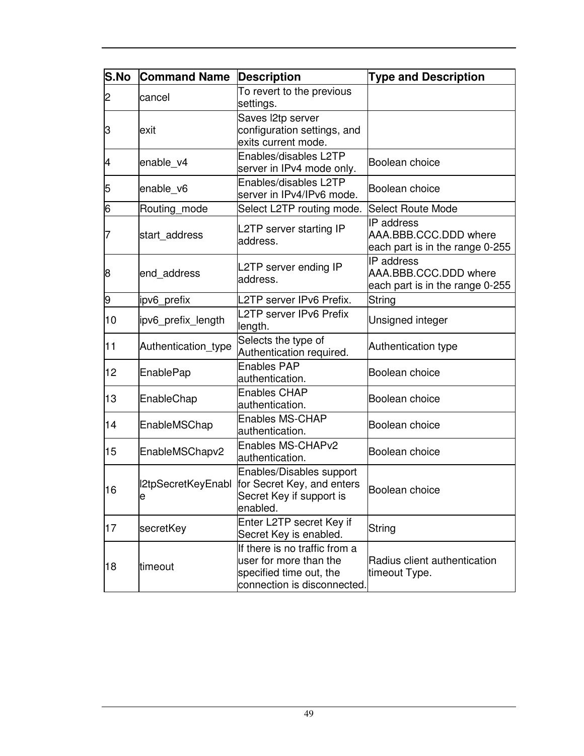| S.No | <b>Command Name</b>     | <b>Description</b>                                                                                                | <b>Type and Description</b>                                            |
|------|-------------------------|-------------------------------------------------------------------------------------------------------------------|------------------------------------------------------------------------|
| 2    | cancel                  | To revert to the previous<br>settings.                                                                            |                                                                        |
| З    | exit                    | Saves l2tp server<br>configuration settings, and<br>exits current mode.                                           |                                                                        |
| 4    | enable_v4               | Enables/disables L2TP<br>server in IPv4 mode only.                                                                | Boolean choice                                                         |
| 5    | enable_v6               | Enables/disables L2TP<br>server in IPv4/IPv6 mode.                                                                | Boolean choice                                                         |
| 6    | Routing mode            | Select L2TP routing mode.                                                                                         | <b>Select Route Mode</b>                                               |
| 7    | start_address           | L2TP server starting IP<br>address.                                                                               | IP address<br>AAA.BBB.CCC.DDD where<br>each part is in the range 0-255 |
| 8    | end_address             | L2TP server ending IP<br>address.                                                                                 | IP address<br>AAA.BBB.CCC.DDD where<br>each part is in the range 0-255 |
| 9    | ipv6_prefix             | L2TP server IPv6 Prefix.                                                                                          | String                                                                 |
| 10   | ipv6_prefix_length      | L2TP server IPv6 Prefix<br>length.                                                                                | Unsigned integer                                                       |
| 11   | Authentication_type     | Selects the type of<br>Authentication required.                                                                   | Authentication type                                                    |
| 12   | <b>EnablePap</b>        | <b>Enables PAP</b><br>authentication.                                                                             | Boolean choice                                                         |
| 13   | EnableChap              | <b>Enables CHAP</b><br>authentication.                                                                            | Boolean choice                                                         |
| 14   | EnableMSChap            | <b>Enables MS-CHAP</b><br>authentication.                                                                         | Boolean choice                                                         |
| 15   | EnableMSChapv2          | Enables MS-CHAPv2<br>authentication.                                                                              | Boolean choice                                                         |
| 16   | I2tpSecretKeyEnabl<br>e | Enables/Disables support<br>for Secret Key, and enters<br>Secret Key if support is<br>enabled.                    | Boolean choice                                                         |
| 17   | secretKey               | Enter L2TP secret Key if<br>Secret Key is enabled.                                                                | String                                                                 |
| 18   | timeout                 | If there is no traffic from a<br>user for more than the<br>specified time out, the<br>connection is disconnected. | Radius client authentication<br>timeout Type.                          |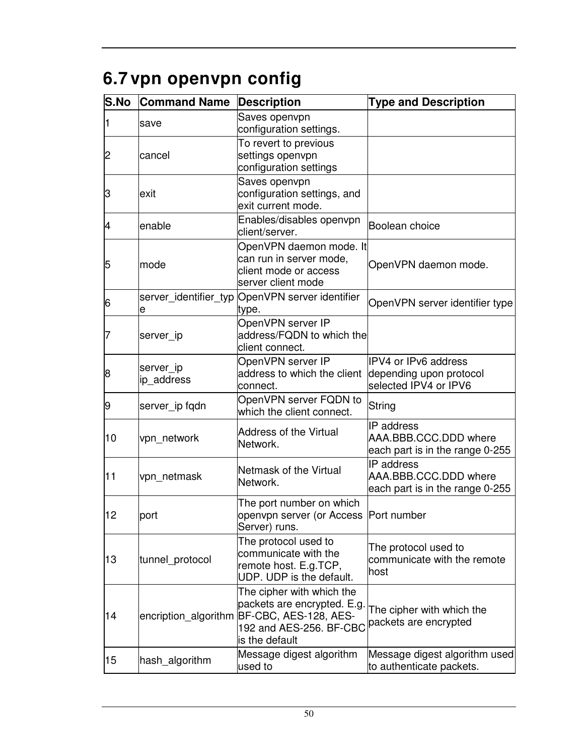# **6.7 vpn openvpn config**

| <b>S.No</b> | <b>Command Name</b>     | <b>Description</b>                                                                                                             | <b>Type and Description</b>                                              |
|-------------|-------------------------|--------------------------------------------------------------------------------------------------------------------------------|--------------------------------------------------------------------------|
| 1           | save                    | Saves openvpn<br>configuration settings.                                                                                       |                                                                          |
| 2           | cancel                  | To revert to previous<br>settings openvpn<br>configuration settings                                                            |                                                                          |
| З           | exit                    | Saves openvpn<br>configuration settings, and<br>exit current mode.                                                             |                                                                          |
| 4           | enable                  | Enables/disables openvpn<br>client/server.                                                                                     | Boolean choice                                                           |
| 5           | mode                    | OpenVPN daemon mode. It<br>can run in server mode,<br>client mode or access<br>server client mode                              | OpenVPN daemon mode.                                                     |
| 6           | е                       | server_identifier_typ OpenVPN server identifier<br>type.                                                                       | OpenVPN server identifier type                                           |
| 7           | server ip               | OpenVPN server IP<br>address/FQDN to which the<br>client connect.                                                              |                                                                          |
| 8           | server_ip<br>ip_address | OpenVPN server IP<br>address to which the client<br>connect.                                                                   | IPV4 or IPv6 address<br>depending upon protocol<br>selected IPV4 or IPV6 |
| 9           | server_ip fqdn          | OpenVPN server FQDN to<br>which the client connect.                                                                            | String                                                                   |
| 10          | vpn_network             | <b>Address of the Virtual</b><br>Network.                                                                                      | IP address<br>AAA.BBB.CCC.DDD where<br>each part is in the range 0-255   |
| 11          | vpn_netmask             | Netmask of the Virtual<br>Network.                                                                                             | IP address<br>AAA.BBB.CCC.DDD where<br>each part is in the range 0-255   |
| 12          | port                    | The port number on which<br>openvpn server (or Access  Port number<br>Server) runs.                                            |                                                                          |
| 13          | tunnel_protocol         | The protocol used to<br>communicate with the<br>remote host. E.g.TCP,<br>UDP. UDP is the default.                              | The protocol used to<br>communicate with the remote<br>host              |
| 14          | encription_algorithm    | The cipher with which the<br>packets are encrypted. E.g.<br>BF-CBC, AES-128, AES-<br>192 and AES-256. BF-CBC<br>is the default | The cipher with which the<br>packets are encrypted                       |
| 15          | hash_algorithm          | Message digest algorithm<br>used to                                                                                            | Message digest algorithm used<br>to authenticate packets.                |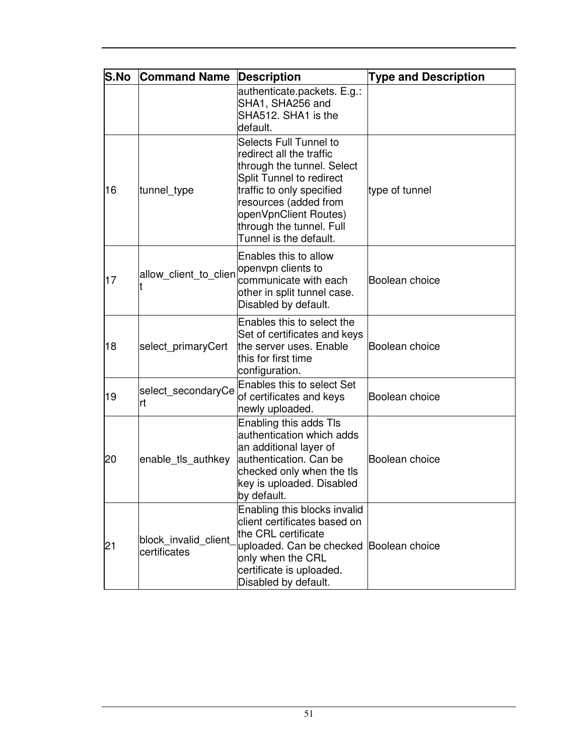| <b>S.No</b> | <b>Command Name</b>                  | <b>Description</b>                                                                                                                                                                                                                                       | <b>Type and Description</b> |
|-------------|--------------------------------------|----------------------------------------------------------------------------------------------------------------------------------------------------------------------------------------------------------------------------------------------------------|-----------------------------|
|             |                                      | authenticate.packets. E.g.:<br>SHA1, SHA256 and<br>SHA512. SHA1 is the<br>default.                                                                                                                                                                       |                             |
| 16          | tunnel_type                          | Selects Full Tunnel to<br>redirect all the traffic<br>through the tunnel. Select<br><b>Split Tunnel to redirect</b><br>traffic to only specified<br>resources (added from<br>openVpnClient Routes)<br>through the tunnel. Full<br>Tunnel is the default. | type of tunnel              |
| 17          | allow client to clien                | Enables this to allow<br>openvpn clients to<br>communicate with each<br>other in split tunnel case.<br>Disabled by default.                                                                                                                              | Boolean choice              |
| 18          | select_primaryCert                   | Enables this to select the<br>Set of certificates and keys<br>the server uses. Enable<br>this for first time<br>configuration.                                                                                                                           | Boolean choice              |
| 19          | select_secondaryCe<br>lrt            | <b>Enables this to select Set</b><br>of certificates and keys<br>newly uploaded.                                                                                                                                                                         | Boolean choice              |
| 20          | enable_tls_authkey                   | Enabling this adds Tls<br>authentication which adds<br>an additional layer of<br>authentication. Can be<br>checked only when the tls<br>key is uploaded. Disabled<br>by default.                                                                         | Boolean choice              |
| 21          | block invalid client<br>certificates | Enabling this blocks invalid<br>client certificates based on<br>the CRL certificate<br>uploaded. Can be checked Boolean choice<br>only when the CRL<br>certificate is uploaded.<br>Disabled by default.                                                  |                             |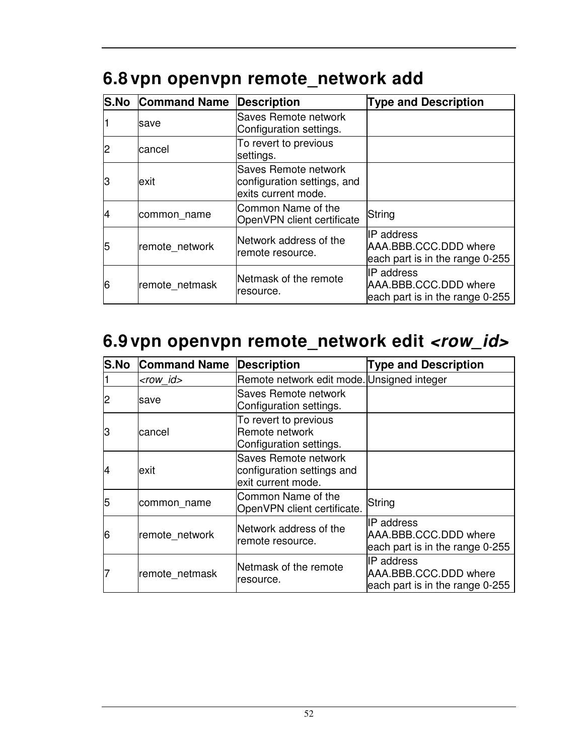## **6.8 vpn openvpn remote\_network add**

|    | <b>S.No Command Name</b> | Description                                                                | <b>Type and Description</b>                                                   |
|----|--------------------------|----------------------------------------------------------------------------|-------------------------------------------------------------------------------|
|    | lsave                    | Saves Remote network<br>Configuration settings.                            |                                                                               |
|    | lcancel                  | To revert to previous<br>settings.                                         |                                                                               |
| lЗ | lexit                    | Saves Remote network<br>configuration settings, and<br>exits current mode. |                                                                               |
| 14 | common name              | Common Name of the<br>OpenVPN client certificate                           | String                                                                        |
| 15 | remote network           | Network address of the<br>remote resource.                                 | IIP address<br>AAA.BBB.CCC.DDD where<br>each part is in the range 0-255       |
| 6  | remote_netmask           | Netmask of the remote<br>resource.                                         | <b>IP</b> address<br>AAA.BBB.CCC.DDD where<br>each part is in the range 0-255 |

### **6.9 vpn openvpn remote\_network edit <row\_id>**

| <b>S.No</b> | <b>Command Name</b> | <b>Description</b>                                                       | <b>Type and Description</b>                                             |
|-------------|---------------------|--------------------------------------------------------------------------|-------------------------------------------------------------------------|
|             | $<$ row id $>$      | Remote network edit mode. Unsigned integer                               |                                                                         |
|             | save                | Saves Remote network<br>Configuration settings.                          |                                                                         |
| 3           | lcancel             | To revert to previous<br>Remote network<br>Configuration settings.       |                                                                         |
| 14          | lexit               | Saves Remote network<br>configuration settings and<br>exit current mode. |                                                                         |
| 5           | common_name         | Common Name of the<br>OpenVPN client certificate.                        | String                                                                  |
| 6           | remote network      | Network address of the<br>remote resource.                               | IIP address<br>AAA.BBB.CCC.DDD where<br>each part is in the range 0-255 |
|             | remote netmask      | Netmask of the remote<br>resource.                                       | IP address<br>AAA.BBB.CCC.DDD where<br>each part is in the range 0-255  |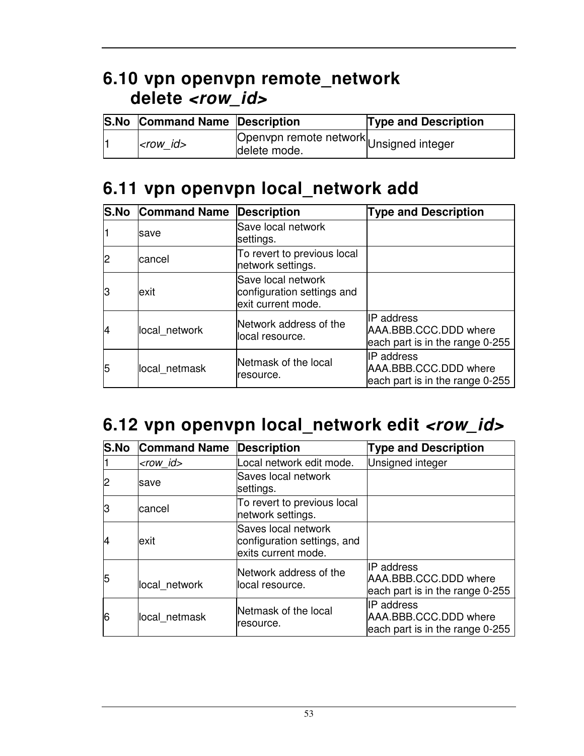### **6.10 vpn openvpn remote\_network delete <row\_id>**

| <b>S.No Command Name Description</b> |                                        | <b>Type and Description</b> |
|--------------------------------------|----------------------------------------|-----------------------------|
| $<$ row id $>$                       | Openvpn remote network<br>delete mode. |                             |

### **6.11 vpn openvpn local\_network add**

|    | <b>S.No Command Name</b> | <b>Description</b>                                                     | <b>Type and Description</b>                                                   |
|----|--------------------------|------------------------------------------------------------------------|-------------------------------------------------------------------------------|
|    | save                     | Save local network<br>settings.                                        |                                                                               |
|    | cancel                   | To revert to previous local<br>network settings.                       |                                                                               |
| lЗ | lexit                    | Save local network<br>configuration settings and<br>exit current mode. |                                                                               |
| 4  | local network            | Network address of the<br>local resource.                              | <b>IP</b> address<br>AAA.BBB.CCC.DDD where<br>each part is in the range 0-255 |
| 5  | local netmask            | Netmask of the local<br>resource.                                      | IP address<br>AAA.BBB.CCC.DDD where<br>each part is in the range 0-255        |

### 6.12 vpn openvpn local\_network edit <row\_id>

| <b>S.No</b> | <b>Command Name</b> | <b>Description</b>                                                        | <b>Type and Description</b>                                                   |
|-------------|---------------------|---------------------------------------------------------------------------|-------------------------------------------------------------------------------|
|             | <row_id></row_id>   | Local network edit mode.                                                  | Unsigned integer                                                              |
| 2           | save                | Saves local network<br>settings.                                          |                                                                               |
| l3          | cancel              | To revert to previous local<br>network settings.                          |                                                                               |
| 14          | exit                | Saves local network<br>configuration settings, and<br>exits current mode. |                                                                               |
| 5           | local network       | Network address of the<br>local resource.                                 | <b>IP</b> address<br>AAA.BBB.CCC.DDD where<br>each part is in the range 0-255 |
| 6           | local netmask       | Netmask of the local<br>resource.                                         | <b>IP</b> address<br>AAA.BBB.CCC.DDD where<br>each part is in the range 0-255 |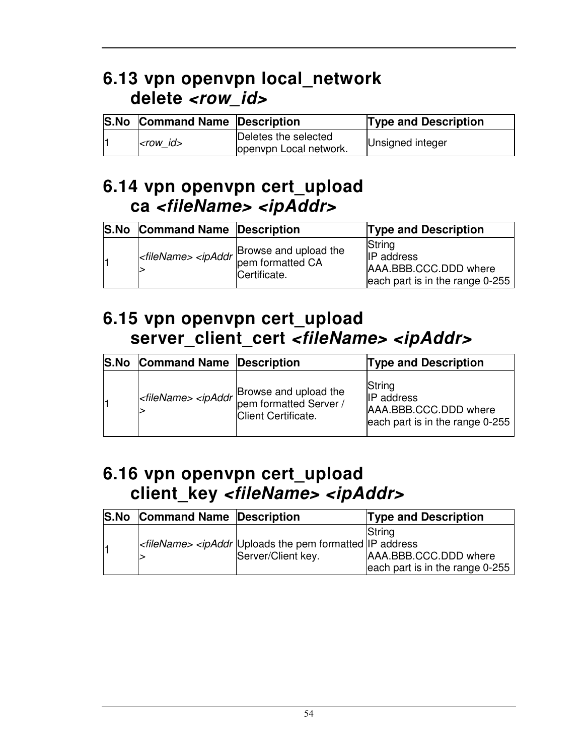### **6.13 vpn openvpn local\_network delete <row\_id>**

| <b>S.No Command Name Description</b> |                                                | <b>Type and Description</b> |
|--------------------------------------|------------------------------------------------|-----------------------------|
| $ <$ row $ d>$                       | Deletes the selected<br>openypn Local network. | Unsigned integer            |

#### **6.14 vpn openvpn cert\_upload ca <fileName> <ipAddr>**

| <b>S.No</b> | <b>Command Name Description</b> |                                                                                                                   | <b>Type and Description</b>                                                             |
|-------------|---------------------------------|-------------------------------------------------------------------------------------------------------------------|-----------------------------------------------------------------------------------------|
|             |                                 | Browse and upload the<br>I <filename> <ipaddr ca<br="" provide="" stated=""  ="">Certificate.</ipaddr></filename> | String<br><b>IP</b> address<br>AAA.BBB.CCC.DDD where<br>each part is in the range 0-255 |

#### **6.15 vpn openvpn cert\_upload server\_client\_cert <fileName> <ipAddr>**

| <b>S.No</b> | <b>Command Name Description</b> |                                                                                              | <b>Type and Description</b>                                                             |
|-------------|---------------------------------|----------------------------------------------------------------------------------------------|-----------------------------------------------------------------------------------------|
|             |                                 | Browse and upload the<br>Server / Server / Server / Server / Server /<br>Client Certificate. | String<br><b>IP</b> address<br>AAA.BBB.CCC.DDD where<br>each part is in the range 0-255 |

#### **6.16 vpn openvpn cert\_upload client\_key <fileName> <ipAddr>**

| <b>S.No Command Name Description</b> |                                                                                                 | <b>Type and Description</b>                                        |
|--------------------------------------|-------------------------------------------------------------------------------------------------|--------------------------------------------------------------------|
|                                      | $\kappa$ -fileName> $\kappa$ ipAddr Uploads the pem formatted IIP address<br>Server/Client key. | String<br>AAA.BBB.CCC.DDD where<br>each part is in the range 0-255 |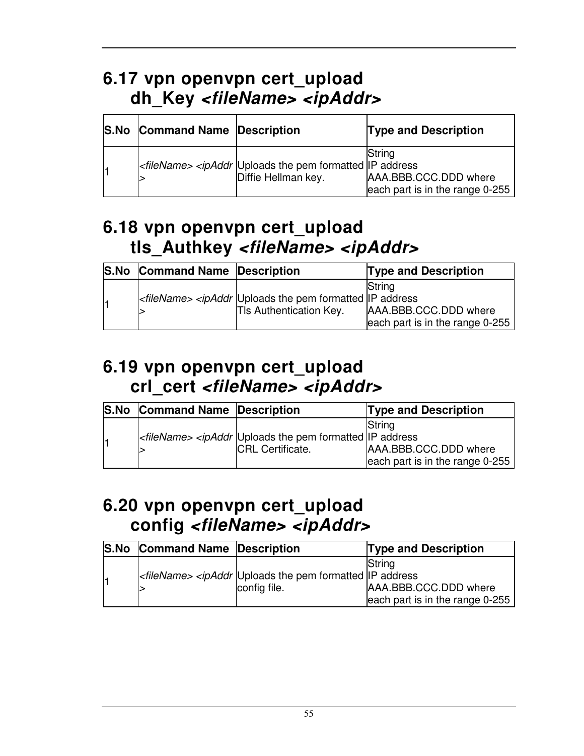### **6.17 vpn openvpn cert\_upload dh\_Key <fileName> <ipAddr>**

| <b>S.No Command Name Description</b> |                                                                                                                      | <b>Type and Description</b>                                        |
|--------------------------------------|----------------------------------------------------------------------------------------------------------------------|--------------------------------------------------------------------|
|                                      | <filename> <ipaddr address<br="" formatted="" ip="" pem="" the="" uploads="">Diffie Hellman key.</ipaddr></filename> | String<br>AAA.BBB.CCC.DDD where<br>each part is in the range 0-255 |

#### **6.18 vpn openvpn cert\_upload tls\_Authkey <fileName> <ipAddr>**

| <b>S.No Command Name Description</b> |                                                                                                                          | <b>Type and Description</b>                                                |
|--------------------------------------|--------------------------------------------------------------------------------------------------------------------------|----------------------------------------------------------------------------|
|                                      | <filename> <ipaddr address<br="" formatted="" ip="" pem="" the="" uploads="">TIs Authentication Key.</ipaddr></filename> | <b>S</b> trina<br>AAA.BBB.CCC.DDD where<br>each part is in the range 0-255 |

#### **6.19 vpn openvpn cert\_upload crl\_cert <fileName> <ipAddr>**

| <b>S.No</b> | <b>Command Name Description</b> |                                                                                                                | <b>Type and Description</b>     |
|-------------|---------------------------------|----------------------------------------------------------------------------------------------------------------|---------------------------------|
|             |                                 |                                                                                                                | String                          |
|             |                                 | <filename> <ipaddr address<="" formatted="" ip="" pem="" td="" the="" uploads=""><td></td></ipaddr></filename> |                                 |
|             |                                 | <b>ICRL Certificate.</b>                                                                                       | AAA.BBB.CCC.DDD where           |
|             |                                 |                                                                                                                | each part is in the range 0-255 |

### **6.20 vpn openvpn cert\_upload config <fileName> <ipAddr>**

| <b>S.No</b> | <b>Command Name Description</b> |                                                                                                              | <b>Type and Description</b>     |
|-------------|---------------------------------|--------------------------------------------------------------------------------------------------------------|---------------------------------|
|             |                                 |                                                                                                              | String                          |
|             |                                 | $\kappa$ -fileName> <ipaddr address<="" formatted="" ip="" pem="" td="" the="" uploads=""><td></td></ipaddr> |                                 |
|             |                                 | config file.                                                                                                 | AAA.BBB.CCC.DDD where           |
|             |                                 |                                                                                                              | each part is in the range 0-255 |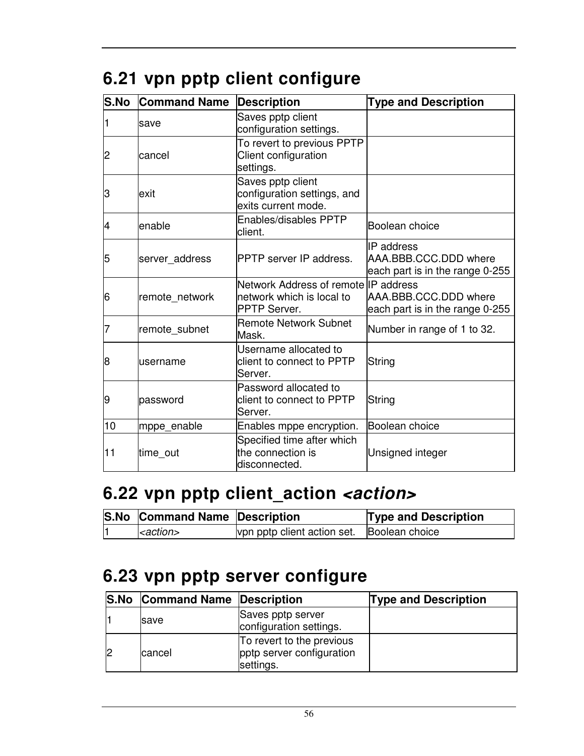|  |  |  |  | 6.21 vpn pptp client configure |
|--|--|--|--|--------------------------------|
|--|--|--|--|--------------------------------|

| S.No           | <b>Command Name</b> | <b>Description</b>                                                                        | <b>Type and Description</b>                                            |  |
|----------------|---------------------|-------------------------------------------------------------------------------------------|------------------------------------------------------------------------|--|
|                | save                | Saves pptp client<br>configuration settings.                                              |                                                                        |  |
| $\overline{c}$ | cancel              | To revert to previous PPTP<br>Client configuration<br>settings.                           |                                                                        |  |
| З              | lexit               | Saves pptp client<br>configuration settings, and<br>exits current mode.                   |                                                                        |  |
| 14             | lenable             | Enables/disables PPTP<br>client.                                                          | Boolean choice                                                         |  |
| 5              | server_address      | PPTP server IP address.                                                                   | IP address<br>AAA.BBB.CCC.DDD where<br>each part is in the range 0-255 |  |
| 6              | remote network      | Network Address of remote IIP address<br>network which is local to<br><b>PPTP Server.</b> | AAA.BBB.CCC.DDD where<br>each part is in the range 0-255               |  |
| 7              | remote_subnet       | <b>Remote Network Subnet</b><br>Mask.                                                     | Number in range of 1 to 32.                                            |  |
| 8              | lusername           | Username allocated to<br>client to connect to PPTP<br>Server.                             | String                                                                 |  |
| 9              | password            | Password allocated to<br>client to connect to PPTP<br>Server.                             | String                                                                 |  |
| 10             | mppe_enable         | Enables mppe encryption.                                                                  | Boolean choice                                                         |  |
| 11             | time out            | Specified time after which<br>the connection is<br>disconnected.                          | Unsigned integer                                                       |  |

# **6.22 vpn pptp client\_action <action>**

| S.No Command Name Description |                                            | <b>Type and Description</b> |
|-------------------------------|--------------------------------------------|-----------------------------|
| $ $ <i>-action</i>            | vpn pptp client action set. Boolean choice |                             |

## **6.23 vpn pptp server configure**

| <b>S.No Command Name Description</b> |                                                                     | <b>Type and Description</b> |
|--------------------------------------|---------------------------------------------------------------------|-----------------------------|
| <b>Save</b>                          | Saves pptp server<br>configuration settings.                        |                             |
| cancel                               | To revert to the previous<br>pptp server configuration<br>settings. |                             |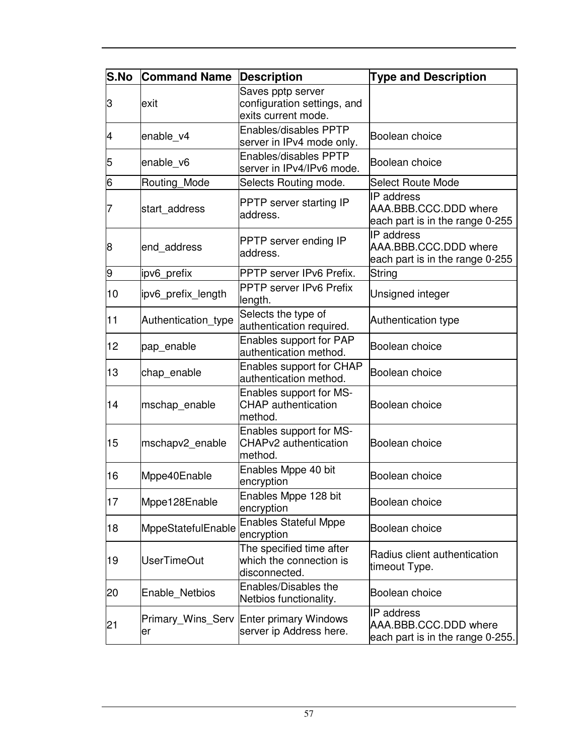| <b>S.No</b> | <b>Command Name</b>     | <b>Description</b>                                                      | <b>Type and Description</b>                                             |
|-------------|-------------------------|-------------------------------------------------------------------------|-------------------------------------------------------------------------|
| З           | exit                    | Saves pptp server<br>configuration settings, and<br>exits current mode. |                                                                         |
| 4           | enable_v4               | <b>Enables/disables PPTP</b><br>server in IPv4 mode only.               | Boolean choice                                                          |
| 5           | enable_v6               | Enables/disables PPTP<br>server in IPv4/IPv6 mode.                      | Boolean choice                                                          |
| 6           | Routing_Mode            | Selects Routing mode.                                                   | <b>Select Route Mode</b>                                                |
| 7           | start_address           | PPTP server starting IP<br>address.                                     | IP address<br>AAA.BBB.CCC.DDD where<br>each part is in the range 0-255  |
| 8           | end address             | PPTP server ending IP<br>address.                                       | IP address<br>AAA.BBB.CCC.DDD where<br>each part is in the range 0-255  |
| 9           | ipv6 prefix             | PPTP server IPv6 Prefix.                                                | String                                                                  |
| 10          | ipv6 prefix length      | <b>PPTP server IPv6 Prefix</b><br>length.                               | Unsigned integer                                                        |
| 11          | Authentication type     | Selects the type of<br>authentication required.                         | Authentication type                                                     |
| 12          | pap_enable              | Enables support for PAP<br>authentication method.                       | Boolean choice                                                          |
| 13          | chap_enable             | <b>Enables support for CHAP</b><br>authentication method.               | Boolean choice                                                          |
| 14          | mschap_enable           | Enables support for MS-<br><b>CHAP</b> authentication<br>method.        | Boolean choice                                                          |
| 15          | mschapv2_enable         | Enables support for MS-<br>CHAPv2 authentication<br>method.             | Boolean choice                                                          |
| 16          | Mppe40Enable            | Enables Mppe 40 bit<br>encryption                                       | Boolean choice                                                          |
| 17          | Mppe128Enable           | Enables Mppe 128 bit<br>encryption                                      | Boolean choice                                                          |
| 18          | MppeStatefulEnable      | <b>Enables Stateful Mppe</b><br>encryption                              | Boolean choice                                                          |
| 19          | <b>UserTimeOut</b>      | The specified time after<br>which the connection is<br>disconnected.    | Radius client authentication<br>timeout Type.                           |
| 20          | Enable Netbios          | <b>Enables/Disables the</b><br>Netbios functionality.                   | Boolean choice                                                          |
| 21          | Primary_Wins_Serv<br>er | Enter primary Windows<br>server ip Address here.                        | IP address<br>AAA.BBB.CCC.DDD where<br>each part is in the range 0-255. |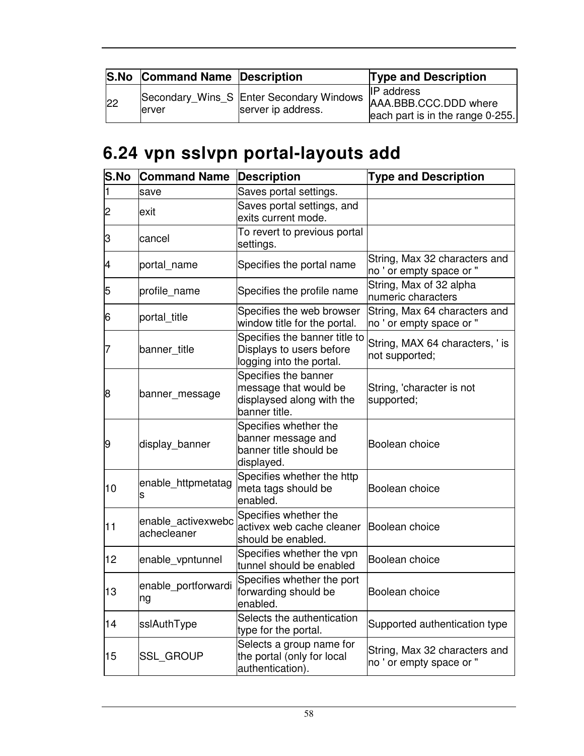|    | <b>S.No Command Name Description</b> |                    | <b>Type and Description</b>                                                                                               |
|----|--------------------------------------|--------------------|---------------------------------------------------------------------------------------------------------------------------|
| 22 | lerver                               | server ip address. | <b>IP</b> address<br>Secondary_Wins_S Enter Secondary Windows   AAA.BBB.CCC.DDD where<br>each part is in the range 0-255. |

# **6.24 vpn sslvpn portal-layouts add**

| S.No | <b>Command Name</b>               | Description                                                                                 | <b>Type and Description</b>                               |
|------|-----------------------------------|---------------------------------------------------------------------------------------------|-----------------------------------------------------------|
| 1    | save                              | Saves portal settings.                                                                      |                                                           |
| 2    | lexit                             | Saves portal settings, and<br>exits current mode.                                           |                                                           |
| З    | cancel                            | To revert to previous portal<br>settings.                                                   |                                                           |
| 4    | portal_name                       | Specifies the portal name                                                                   | String, Max 32 characters and<br>no ' or empty space or " |
| 5    | profile name                      | Specifies the profile name                                                                  | String, Max of 32 alpha<br>numeric characters             |
| 6    | portal_title                      | Specifies the web browser<br>window title for the portal.                                   | String, Max 64 characters and<br>no ' or empty space or " |
| 7    | banner title                      | Specifies the banner title to<br>Displays to users before<br>logging into the portal.       | String, MAX 64 characters, ' is<br>not supported;         |
| 8    | banner_message                    | Specifies the banner<br>message that would be<br>displaysed along with the<br>banner title. | String, 'character is not<br>supported;                   |
| 9    | display_banner                    | Specifies whether the<br>banner message and<br>banner title should be<br>displayed.         | Boolean choice                                            |
| 10   | enable_httpmetatag<br>s           | Specifies whether the http<br>meta tags should be<br>enabled.                               | Boolean choice                                            |
| 11   | enable activexwebc<br>achecleaner | Specifies whether the<br>activex web cache cleaner<br>should be enabled.                    | Boolean choice                                            |
| 12   | enable_vpntunnel                  | Specifies whether the vpn<br>tunnel should be enabled                                       | Boolean choice                                            |
| 13   | enable_portforwardi<br>ng         | Specifies whether the port<br>forwarding should be<br>enabled.                              | Boolean choice                                            |
| 14   | sslAuthType                       | Selects the authentication<br>type for the portal.                                          | Supported authentication type                             |
| 15   | <b>SSL_GROUP</b>                  | Selects a group name for<br>the portal (only for local<br>authentication).                  | String, Max 32 characters and<br>no ' or empty space or " |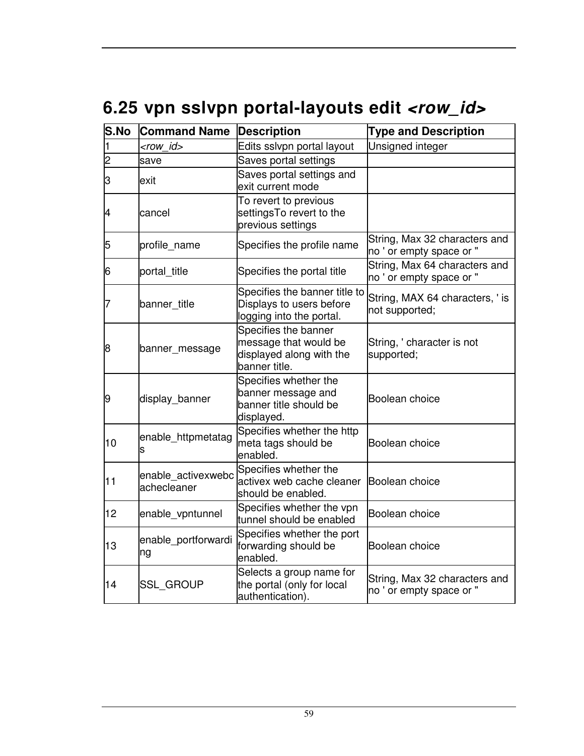# 6.25 vpn sslvpn portal-layouts edit <row\_id>

| S.No | <b>Command Name</b>               | <b>Description</b>                                                                         | <b>Type and Description</b>                               |
|------|-----------------------------------|--------------------------------------------------------------------------------------------|-----------------------------------------------------------|
|      | <row id=""></row>                 | Edits sslvpn portal layout                                                                 | Unsigned integer                                          |
| 2    | save                              | Saves portal settings                                                                      |                                                           |
| 3    | exit                              | Saves portal settings and<br>exit current mode                                             |                                                           |
| 4    | cancel                            | To revert to previous<br>settingsTo revert to the<br>previous settings                     |                                                           |
| 5    | profile_name                      | Specifies the profile name                                                                 | String, Max 32 characters and<br>no ' or empty space or " |
| 6    | portal_title                      | Specifies the portal title                                                                 | String, Max 64 characters and<br>no ' or empty space or " |
| 7    | banner_title                      | Specifies the banner title to<br>Displays to users before<br>logging into the portal.      | String, MAX 64 characters, ' is<br>not supported;         |
| 8    | banner_message                    | Specifies the banner<br>message that would be<br>displayed along with the<br>banner title. | String, ' character is not<br>supported;                  |
| 9    | display_banner                    | Specifies whether the<br>banner message and<br>banner title should be<br>displayed.        | Boolean choice                                            |
| 10   | enable_httpmetatag<br>s           | Specifies whether the http<br>meta tags should be<br>enabled.                              | Boolean choice                                            |
| 11   | enable activexwebc<br>achecleaner | Specifies whether the<br>activex web cache cleaner<br>should be enabled.                   | Boolean choice                                            |
| 12   | enable_vpntunnel                  | Specifies whether the vpn<br>tunnel should be enabled                                      | Boolean choice                                            |
| 13   | enable_portforwardi<br>ng         | Specifies whether the port<br>forwarding should be<br>enabled.                             | Boolean choice                                            |
| 14   | <b>SSL_GROUP</b>                  | Selects a group name for<br>the portal (only for local<br>authentication).                 | String, Max 32 characters and<br>no ' or empty space or " |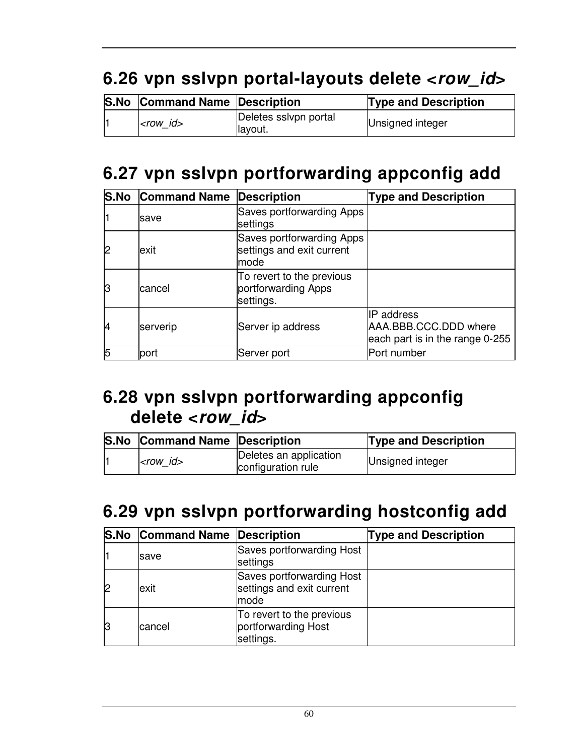# **6.26 vpn sslvpn portal-layouts delete <row\_id>**

| <b>S.No Command Name Description</b> |                                   | <b>Type and Description</b> |
|--------------------------------------|-----------------------------------|-----------------------------|
| $ <$ row $id$                        | Deletes sslvpn portal<br>llayout. | Unsigned integer            |

## **6.27 vpn sslvpn portforwarding appconfig add**

|    | <b>S.No Command Name Description</b> |                                                                 | <b>Type and Description</b>                                                   |
|----|--------------------------------------|-----------------------------------------------------------------|-------------------------------------------------------------------------------|
|    | <b>save</b>                          | Saves portforwarding Apps<br>settings                           |                                                                               |
|    | exit                                 | Saves portforwarding Apps<br>settings and exit current<br>lmode |                                                                               |
| lЗ | cancel                               | To revert to the previous<br>portforwarding Apps<br>settings.   |                                                                               |
| 14 | serverip                             | Server ip address                                               | <b>IP</b> address<br>AAA.BBB.CCC.DDD where<br>each part is in the range 0-255 |
| 15 | port                                 | Server port                                                     | Port number                                                                   |

### **6.28 vpn sslvpn portforwarding appconfig delete <row\_id>**

| <b>S.No Command Name Description</b> |                                              | <b>Type and Description</b> |
|--------------------------------------|----------------------------------------------|-----------------------------|
| $<$ row id $>$                       | Deletes an application<br>configuration rule | Unsigned integer            |

### **6.29 vpn sslvpn portforwarding hostconfig add**

|    | <b>S.No Command Name Description</b> |                                                                | <b>Type and Description</b> |
|----|--------------------------------------|----------------------------------------------------------------|-----------------------------|
|    | save                                 | Saves portforwarding Host<br>settings                          |                             |
|    | exit                                 | Saves portforwarding Host<br>settings and exit current<br>mode |                             |
| 13 | lcancel                              | To revert to the previous<br>portforwarding Host<br>settings.  |                             |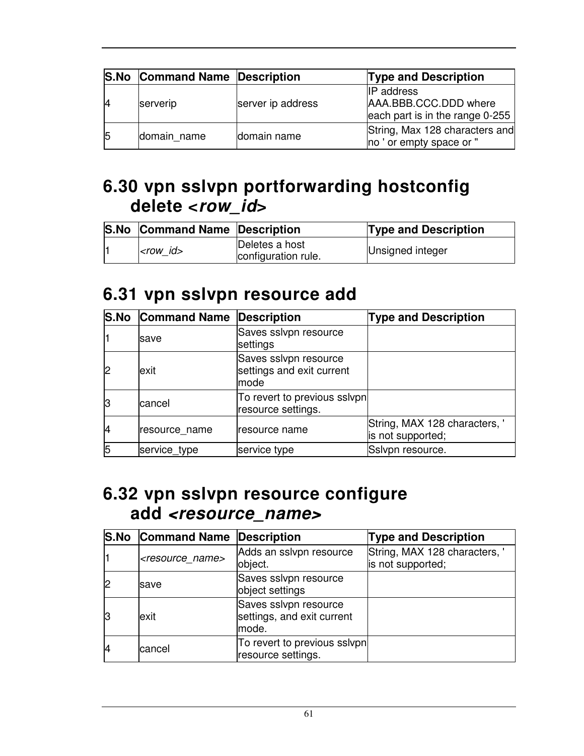|    | <b>S.No Command Name Description</b> |                   | <b>Type and Description</b>                                                   |
|----|--------------------------------------|-------------------|-------------------------------------------------------------------------------|
|    | serverip                             | server ip address | <b>IP</b> address<br>AAA.BBB.CCC.DDD where<br>each part is in the range 0-255 |
| 15 | domain name                          | domain name       | String, Max 128 characters and<br>no ' or empty space or "                    |

### **6.30 vpn sslvpn portforwarding hostconfig delete <row\_id>**

|  | <b>S.No Command Name Description</b> |                                       | <b>Type and Description</b> |
|--|--------------------------------------|---------------------------------------|-----------------------------|
|  | $ $ <row <math="" id="">&gt;</row>   | Deletes a host<br>configuration rule. | Unsigned integer            |

#### **6.31 vpn sslvpn resource add**

|    | <b>S.No Command Name Description</b> |                                                            | <b>Type and Description</b>                        |
|----|--------------------------------------|------------------------------------------------------------|----------------------------------------------------|
|    | <b>save</b>                          | Saves sslvpn resource<br>settings                          |                                                    |
|    | exit                                 | Saves sslvpn resource<br>settings and exit current<br>mode |                                                    |
|    | cancel                               | To revert to previous sslvpn<br>resource settings.         |                                                    |
| 14 | resource name                        | resource name                                              | String, MAX 128 characters, '<br>is not supported; |
|    | service_type                         | service type                                               | Sslvpn resource.                                   |

#### **6.32 vpn sslvpn resource configure add <resource\_name>**

|    | <b>S.No Command Name Description</b> |                                                              | <b>Type and Description</b>                        |
|----|--------------------------------------|--------------------------------------------------------------|----------------------------------------------------|
|    | <resource name=""></resource>        | Adds an sslvpn resource<br>object.                           | String, MAX 128 characters, '<br>is not supported; |
|    | save                                 | Saves sslvpn resource<br>object settings                     |                                                    |
| 13 | exit                                 | Saves sslvpn resource<br>settings, and exit current<br>mode. |                                                    |
| 14 | cancel                               | To revert to previous sslvpn<br>resource settings.           |                                                    |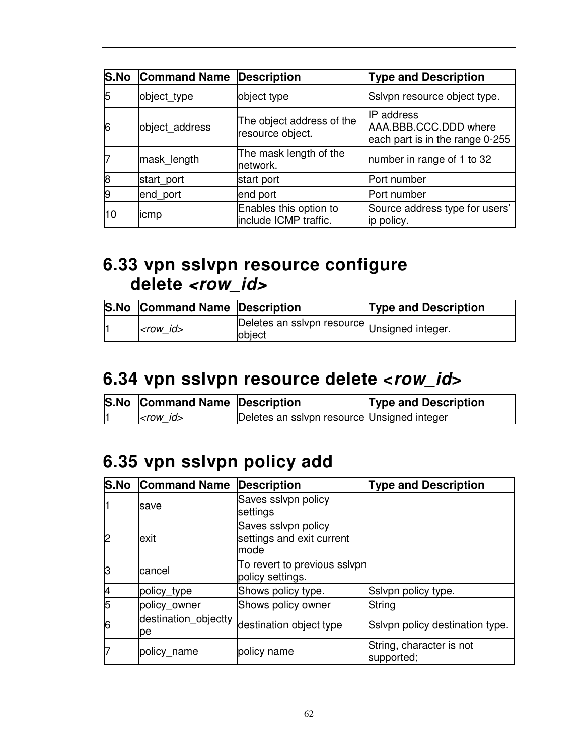|    | <b>S.No Command Name</b> | <b>Description</b>                              | <b>Type and Description</b>                                            |
|----|--------------------------|-------------------------------------------------|------------------------------------------------------------------------|
|    | object_type              | object type                                     | Ssivpn resource object type.                                           |
|    | object_address           | The object address of the<br>resource object.   | IP address<br>AAA.BBB.CCC.DDD where<br>each part is in the range 0-255 |
|    | mask_length              | The mask length of the<br>network.              | number in range of 1 to 32                                             |
|    | start_port               | start port                                      | Port number                                                            |
|    | end_port                 | end port                                        | Port number                                                            |
| 10 | licmp                    | Enables this option to<br>include ICMP traffic. | Source address type for users'<br>ip policy.                           |

#### **6.33 vpn sslvpn resource configure delete <row\_id>**

|  | <b>S.No Command Name Description</b> |                                                        | <b>Type and Description</b> |
|--|--------------------------------------|--------------------------------------------------------|-----------------------------|
|  | $<$ row id $>$                       | Deletes an sslvpn resource Unsigned integer.<br>object |                             |

#### **6.34 vpn sslvpn resource delete <row\_id>**

| S.No Command Name Description |                                             | <b>Type and Description</b> |
|-------------------------------|---------------------------------------------|-----------------------------|
| $ <$ row $id$                 | Deletes an sslvpn resource Unsigned integer |                             |

### **6.35 vpn sslvpn policy add**

|    | <b>S.No Command Name</b>   | <b>Description</b>                                       | <b>Type and Description</b>            |
|----|----------------------------|----------------------------------------------------------|----------------------------------------|
|    | save                       | Saves sslvpn policy<br>settings                          |                                        |
| 2  | exit                       | Saves sslvpn policy<br>settings and exit current<br>mode |                                        |
| lЗ | lcancel                    | To revert to previous sslvpn<br>policy settings.         |                                        |
| 4  | policy_type                | Shows policy type.                                       | Sslvpn policy type.                    |
| 5  | policy_owner               | Shows policy owner                                       | String                                 |
| 6  | destination_objectty<br>pe | destination object type                                  | Sslvpn policy destination type.        |
|    | policy_name                | policy name                                              | String, character is not<br>supported; |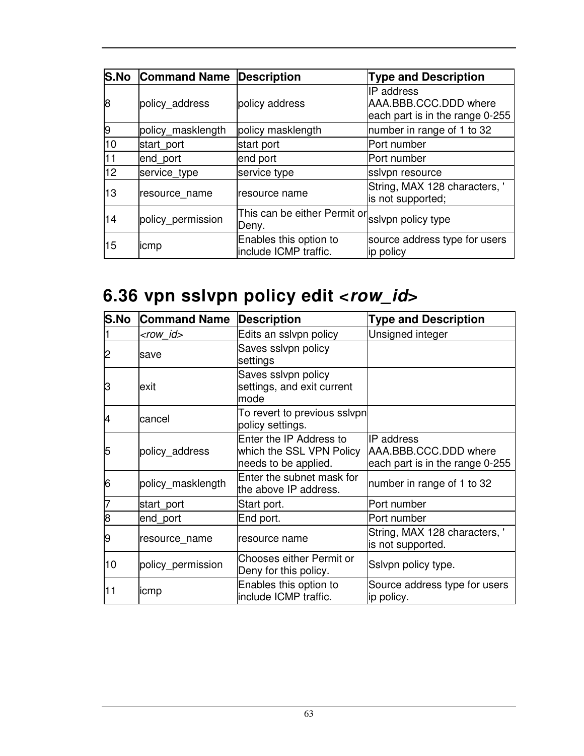|    | <b>S.No Command Name Description</b> |                                                          | <b>Type and Description</b>                                                   |
|----|--------------------------------------|----------------------------------------------------------|-------------------------------------------------------------------------------|
| 8  | policy address                       | policy address                                           | <b>IP</b> address<br>AAA.BBB.CCC.DDD where<br>each part is in the range 0-255 |
| 9  | policy_masklength                    | policy masklength                                        | number in range of 1 to 32                                                    |
| 10 | start port                           | start port                                               | Port number                                                                   |
| 11 | end_port                             | end port                                                 | Port number                                                                   |
| 12 | service_type                         | service type                                             | ssivpn resource                                                               |
| 13 | resource name                        | Iresource name                                           | String, MAX 128 characters, '<br>is not supported;                            |
| 14 | policy_permission                    | This can be either Permit or sslvpn policy type<br>Deny. |                                                                               |
| 15 | icmp                                 | Enables this option to<br>include ICMP traffic.          | source address type for users<br>ip policy                                    |

# **6.36 vpn sslvpn policy edit <row\_id>**

| S.No | <b>Command Name</b> | <b>Description</b>                                                          | <b>Type and Description</b>                                             |
|------|---------------------|-----------------------------------------------------------------------------|-------------------------------------------------------------------------|
|      | <row_id></row_id>   | Edits an sslvpn policy                                                      | Unsigned integer                                                        |
| 2    | save                | Saves sslvpn policy<br>settings                                             |                                                                         |
| З    | lexit               | Saves sslvpn policy<br>settings, and exit current<br>mode                   |                                                                         |
| 4    | lcancel             | To revert to previous sslvpn<br>policy settings.                            |                                                                         |
| 5    | policy_address      | Enter the IP Address to<br>which the SSL VPN Policy<br>needs to be applied. | IIP address<br>AAA.BBB.CCC.DDD where<br>each part is in the range 0-255 |
| 6    | policy_masklength   | Enter the subnet mask for<br>the above IP address.                          | number in range of 1 to 32                                              |
|      | start_port          | Start port.                                                                 | Port number                                                             |
| 8    | end_port            | End port.                                                                   | Port number                                                             |
| 9    | resource_name       | resource name                                                               | String, MAX 128 characters, '<br>is not supported.                      |
| 10   | policy_permission   | Chooses either Permit or<br>Deny for this policy.                           | Ssivpn policy type.                                                     |
| 11   | licmp               | Enables this option to<br>include ICMP traffic.                             | Source address type for users<br>ip policy.                             |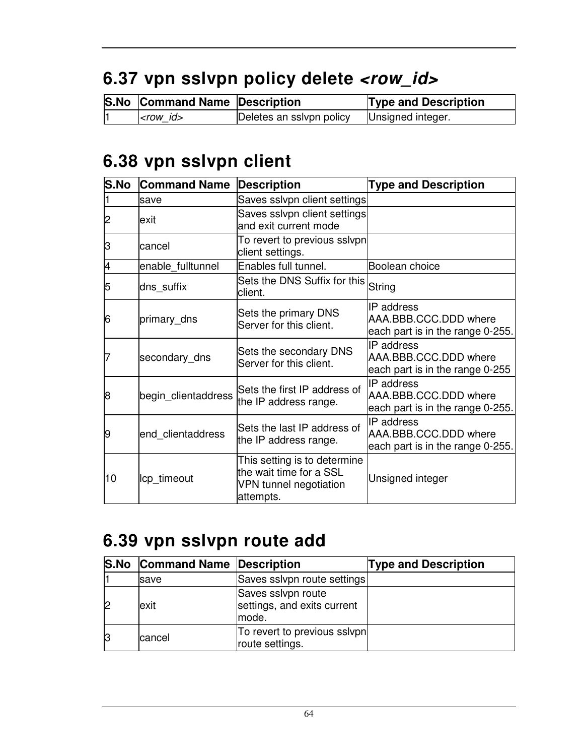## **6.37 vpn sslvpn policy delete <row\_id>**

| <b>S.No Command Name Description</b> |                          | <b>Type and Description</b> |
|--------------------------------------|--------------------------|-----------------------------|
| $<$ row id $>$                       | Deletes an sslvpn policy | Unsigned integer.           |

### **6.38 vpn sslvpn client**

| S.No | <b>Command Name</b> | <b>Description</b>                                                                             | <b>Type and Description</b>                                                    |
|------|---------------------|------------------------------------------------------------------------------------------------|--------------------------------------------------------------------------------|
|      | save                | Saves sslvpn client settings                                                                   |                                                                                |
| 2    | lexit               | Saves sslvpn client settings<br>and exit current mode                                          |                                                                                |
| З    | cancel              | To revert to previous sslvpn<br>client settings.                                               |                                                                                |
| 4    | enable_fulltunnel   | Enables full tunnel.                                                                           | Boolean choice                                                                 |
| 5    | dns_suffix          | Sets the DNS Suffix for this<br>client.                                                        | String                                                                         |
| 6    | primary_dns         | Sets the primary DNS<br>Server for this client.                                                | IIP address<br>AAA.BBB.CCC.DDD where<br>each part is in the range 0-255.       |
| 7    | secondary_dns       | Sets the secondary DNS<br>Server for this client.                                              | IP address<br>AAA.BBB.CCC.DDD where<br>each part is in the range 0-255         |
| 8    | begin_clientaddress | Sets the first IP address of<br>the IP address range.                                          | <b>IP</b> address<br>AAA.BBB.CCC.DDD where<br>each part is in the range 0-255. |
| 9    | end clientaddress   | Sets the last IP address of<br>the IP address range.                                           | <b>IP</b> address<br>AAA.BBB.CCC.DDD where<br>each part is in the range 0-255. |
| 10   | lcp_timeout         | This setting is to determine<br>the wait time for a SSL<br>VPN tunnel negotiation<br>attempts. | Unsigned integer                                                               |

### **6.39 vpn sslvpn route add**

| <b>S.No Command Name Description</b> |                                                            | <b>Type and Description</b> |
|--------------------------------------|------------------------------------------------------------|-----------------------------|
| <b>Isave</b>                         | Saves sslvpn route settings                                |                             |
| exit                                 | Saves ssivpn route<br>settings, and exits current<br>mode. |                             |
| cancel                               | To revert to previous sslvpn<br>route settings.            |                             |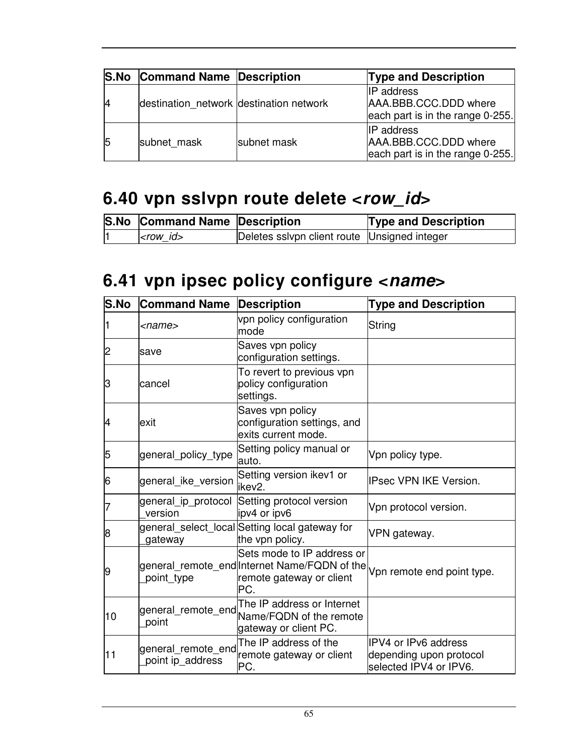| <b>S.No Command Name Description</b>    |             | <b>Type and Description</b>                                                    |
|-----------------------------------------|-------------|--------------------------------------------------------------------------------|
| destination_network destination network |             | <b>IP</b> address<br>AAA.BBB.CCC.DDD where<br>each part is in the range 0-255. |
| subnet mask                             | subnet mask | <b>IP</b> address<br>AAA.BBB.CCC.DDD where<br>each part is in the range 0-255. |

### **6.40 vpn sslvpn route delete <row\_id>**

|  | <b>S.No Command Name Description</b> |                                              | <b>Type and Description</b> |
|--|--------------------------------------|----------------------------------------------|-----------------------------|
|  | $ <$ row $id$                        | Deletes sslvpn client route Unsigned integer |                             |

### **6.41 vpn ipsec policy configure <name>**

| S.No | <b>Command Name</b>                    | <b>Description</b>                                                                                                                       | <b>Type and Description</b>                                               |
|------|----------------------------------------|------------------------------------------------------------------------------------------------------------------------------------------|---------------------------------------------------------------------------|
|      | <name></name>                          | vpn policy configuration<br>mode                                                                                                         | <b>String</b>                                                             |
| 2    | save                                   | Saves vpn policy<br>configuration settings.                                                                                              |                                                                           |
| З    | cancel                                 | To revert to previous vpn<br>policy configuration<br>settings.                                                                           |                                                                           |
| 4    | exit                                   | Saves vpn policy<br>configuration settings, and<br>exits current mode.                                                                   |                                                                           |
| 5    | general_policy_type                    | Setting policy manual or<br>auto.                                                                                                        | Vpn policy type.                                                          |
| 6    | general_ike_version                    | Setting version ikev1 or<br>ikev <sub>2.</sub>                                                                                           | <b>IPsec VPN IKE Version.</b>                                             |
|      | general_ip_protocol<br>version         | Setting protocol version<br>ipv4 or ipv6                                                                                                 | Vpn protocol version.                                                     |
| 8    | gateway                                | general_select_local Setting local gateway for<br>the vpn policy.                                                                        | VPN gateway.                                                              |
| 9    | point_type                             | Sets mode to IP address or<br>general_remote_end Internet Name/FQDN of the Vpn remote end point type.<br>remote gateway or client<br>PC. |                                                                           |
| 10   | general_remote_end<br>point            | The IP address or Internet<br>Name/FQDN of the remote<br>gateway or client PC.                                                           |                                                                           |
| 11   | general remote end<br>point ip_address | The IP address of the<br>remote gateway or client<br>PC.                                                                                 | IPV4 or IPv6 address<br>depending upon protocol<br>selected IPV4 or IPV6. |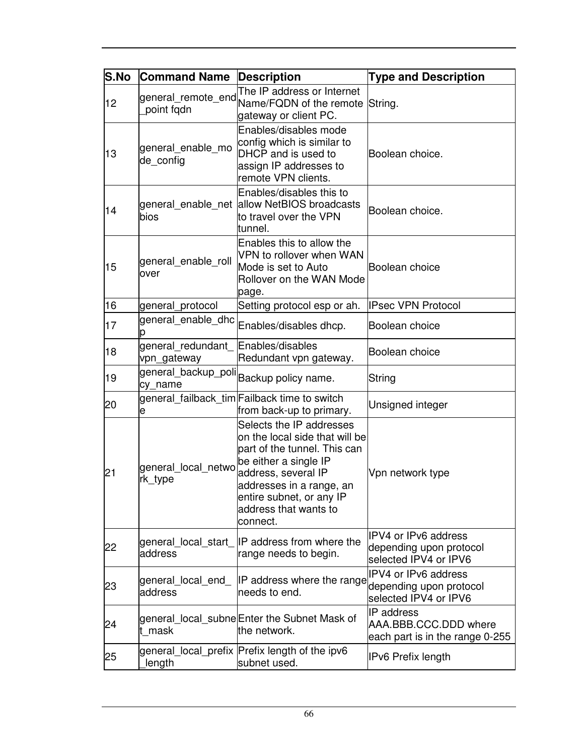| S.No | <b>Command Name</b>              | <b>Description</b>                                                                                                                                                                                                                      | <b>Type and Description</b>                                                     |
|------|----------------------------------|-----------------------------------------------------------------------------------------------------------------------------------------------------------------------------------------------------------------------------------------|---------------------------------------------------------------------------------|
| 12   | point fqdn                       | The IP address or Internet<br>gateway or client PC.                                                                                                                                                                                     |                                                                                 |
| 13   | general enable mo<br>de_config   | Enables/disables mode<br>config which is similar to<br>DHCP and is used to<br>assign IP addresses to<br>remote VPN clients.                                                                                                             | Boolean choice.                                                                 |
| 14   | bios                             | Enables/disables this to<br>general enable net allow NetBIOS broadcasts<br>to travel over the VPN<br>tunnel.                                                                                                                            | Boolean choice.                                                                 |
| 15   | general_enable_roll<br>over      | Enables this to allow the<br>VPN to rollover when WAN<br>Mode is set to Auto<br>Rollover on the WAN Mode<br>page.                                                                                                                       | Boolean choice                                                                  |
| 16   | general protocol                 | Setting protocol esp or ah.                                                                                                                                                                                                             | <b>IPsec VPN Protocol</b>                                                       |
| 17   | general enable dhc               | Enables/disables dhcp.                                                                                                                                                                                                                  | Boolean choice                                                                  |
| 18   | general redundant<br>vpn_gateway | Enables/disables<br>Redundant vpn gateway.                                                                                                                                                                                              | Boolean choice                                                                  |
| 19   | cy_name                          | general_backup_poli Backup policy name.                                                                                                                                                                                                 | String                                                                          |
| 20   | e                                | general failback tim Failback time to switch<br>from back-up to primary.                                                                                                                                                                | Unsigned integer                                                                |
| 21   | general local netwo<br>rk_type   | Selects the IP addresses<br>on the local side that will be<br>part of the tunnel. This can<br>be either a single IP<br>address, several IP<br>addresses in a range, an<br>entire subnet, or any IP<br>address that wants to<br>connect. | Vpn network type                                                                |
| 22   | address                          | general_local_start_IP address from where the<br>range needs to begin.                                                                                                                                                                  | <b>IPV4 or IPv6 address</b><br>depending upon protocol<br>selected IPV4 or IPV6 |
| 23   | general local end<br>address     | IP address where the range<br>needs to end.                                                                                                                                                                                             | IPV4 or IPv6 address<br>depending upon protocol<br>selected IPV4 or IPV6        |
| 24   | t mask                           | general_local_subne Enter the Subnet Mask of<br>the network.                                                                                                                                                                            | IP address<br>AAA.BBB.CCC.DDD where<br>each part is in the range 0-255          |
| 25   | length                           | general local prefix Prefix length of the ipv6<br>subnet used.                                                                                                                                                                          | IPv6 Prefix length                                                              |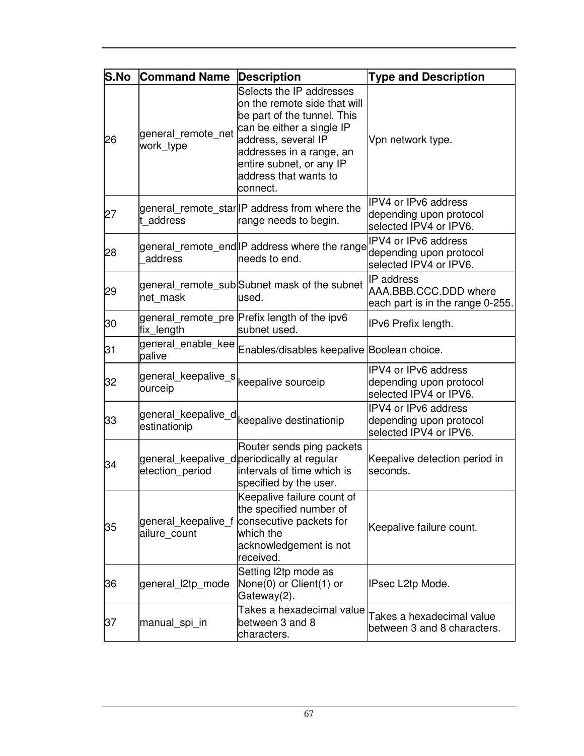| <b>S.No</b> | <b>Command Name</b>                                           | <b>Description</b>                                                                                                                                                                                                                       | <b>Type and Description</b>                                                    |
|-------------|---------------------------------------------------------------|------------------------------------------------------------------------------------------------------------------------------------------------------------------------------------------------------------------------------------------|--------------------------------------------------------------------------------|
| 26          | general_remote_net<br>work_type                               | Selects the IP addresses<br>on the remote side that will<br>be part of the tunnel. This<br>can be either a single IP<br>address, several IP<br>addresses in a range, an<br>entire subnet, or any IP<br>address that wants to<br>connect. | Vpn network type.                                                              |
| 27          | t address                                                     | general_remote_star IP address from where the<br>range needs to begin.                                                                                                                                                                   | IPV4 or IPv6 address<br>depending upon protocol<br>selected IPV4 or IPV6.      |
| 28          | address                                                       | general_remote_end IP address where the range<br>needs to end.                                                                                                                                                                           | IPV4 or IPv6 address<br>depending upon protocol<br>selected IPV4 or IPV6.      |
| 29          | net_mask                                                      | general_remote_sub Subnet mask of the subnet<br>used.                                                                                                                                                                                    | <b>IP</b> address<br>AAA.BBB.CCC.DDD where<br>each part is in the range 0-255. |
| 30          | fix_length                                                    | general_remote_pre Prefix length of the ipv6<br>subnet used.                                                                                                                                                                             | IPv6 Prefix length.                                                            |
| 31          |                                                               | general_enable_kee Enables/disables keepalive Boolean choice.                                                                                                                                                                            |                                                                                |
| 32          | general_keepalive_s  <sub>keepalive sourceip</sub><br>ourceip |                                                                                                                                                                                                                                          | IPV4 or IPv6 address<br>depending upon protocol<br>selected IPV4 or IPV6.      |
| 33          | estinationip                                                  | general_keepalive_d  <sub>keepalive destinationip</sub>                                                                                                                                                                                  | IPV4 or IPv6 address<br>depending upon protocol<br>selected IPV4 or IPV6.      |
| 34          | etection_period                                               | Router sends ping packets<br>general_keepalive_d periodically at regular<br>intervals of time which is<br>specified by the user.                                                                                                         | Keepalive detection period in<br>seconds.                                      |
| 35          | general keepalive f<br>ailure_count                           | Keepalive failure count of<br>the specified number of<br>consecutive packets for<br>which the<br>acknowledgement is not<br>received.                                                                                                     | Keepalive failure count.                                                       |
| 36          | general l2tp mode                                             | Setting l2tp mode as<br>None(0) or Client(1) or<br>Gateway(2).                                                                                                                                                                           | IPsec L2tp Mode.                                                               |
| 37          | manual_spi_in                                                 | Takes a hexadecimal value<br>between 3 and 8<br>characters.                                                                                                                                                                              | Takes a hexadecimal value<br>between 3 and 8 characters.                       |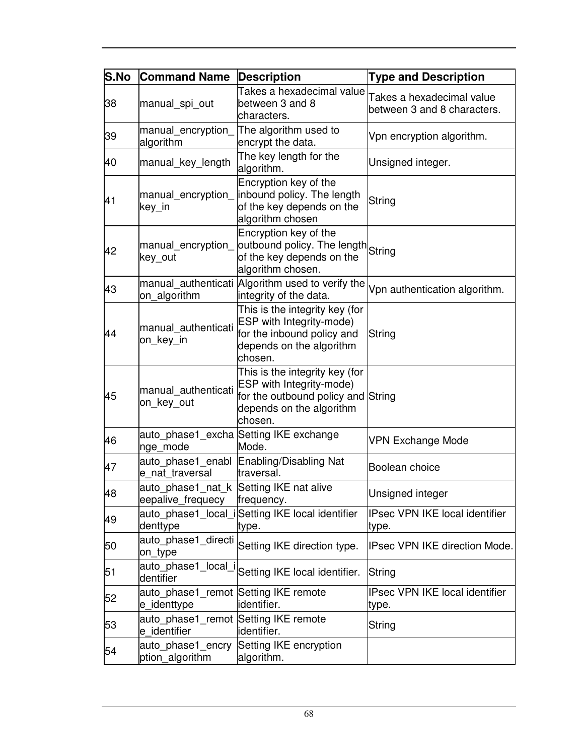| S.No | <b>Command Name</b>                                          | <b>Description</b>                                                                                                                      | <b>Type and Description</b>                              |
|------|--------------------------------------------------------------|-----------------------------------------------------------------------------------------------------------------------------------------|----------------------------------------------------------|
| 38   | manual_spi_out                                               | Takes a hexadecimal value<br>between 3 and 8<br>characters.                                                                             | Takes a hexadecimal value<br>between 3 and 8 characters. |
| 39   | manual encryption<br>algorithm                               | The algorithm used to<br>encrypt the data.                                                                                              | Vpn encryption algorithm.                                |
| 40   | manual_key_length                                            | The key length for the<br>algorithm.                                                                                                    | Unsigned integer.                                        |
| 41   | manual encryption<br>key_in                                  | Encryption key of the<br>inbound policy. The length<br>of the key depends on the<br>algorithm chosen                                    | String                                                   |
| 42   | manual_encryption_<br>key_out                                | Encryption key of the<br>outbound policy. The length String<br>of the key depends on the<br>algorithm chosen.                           |                                                          |
| 43   | on_algorithm                                                 | manual authenticati Algorithm used to verify the<br>integrity of the data.                                                              | Vpn authentication algorithm.                            |
| 44   | manual authenticati<br>on key in                             | This is the integrity key (for<br>ESP with Integrity-mode)<br>for the inbound policy and<br>depends on the algorithm<br>chosen.         | String                                                   |
| 45   | manual_authenticati<br>on_key_out                            | This is the integrity key (for<br>ESP with Integrity-mode)<br>for the outbound policy and String<br>depends on the algorithm<br>chosen. |                                                          |
| 46   | nge_mode                                                     | auto_phase1_excha Setting IKE exchange<br>Mode.                                                                                         | <b>VPN Exchange Mode</b>                                 |
| 47   | e nat traversal                                              | auto phase1 enabl Enabling/Disabling Nat<br>traversal.                                                                                  | Boolean choice                                           |
| 48   | auto phase1 nat k Setting IKE nat alive<br>eepalive frequecy | frequency.                                                                                                                              | Unsigned integer                                         |
| 49   | denttype                                                     | auto phase1_local_iSetting IKE local identifier<br>type.                                                                                | <b>IPsec VPN IKE local identifier</b><br>type.           |
| 50   | auto_phase1_directi<br>on_type                               | Setting IKE direction type.                                                                                                             | IPsec VPN IKE direction Mode.                            |
| 51   | auto_phase1_local_i<br>dentifier                             | Setting IKE local identifier.                                                                                                           | String                                                   |
| 52   | auto_phase1_remot Setting IKE remote<br>e_identtype          | identifier.                                                                                                                             | <b>IPsec VPN IKE local identifier</b><br>type.           |
| 53   | auto_phase1_remot<br>e identifier                            | Setting IKE remote<br>identifier.                                                                                                       | String                                                   |
| 54   | auto phase1 encry<br>ption_algorithm                         | Setting IKE encryption<br>algorithm.                                                                                                    |                                                          |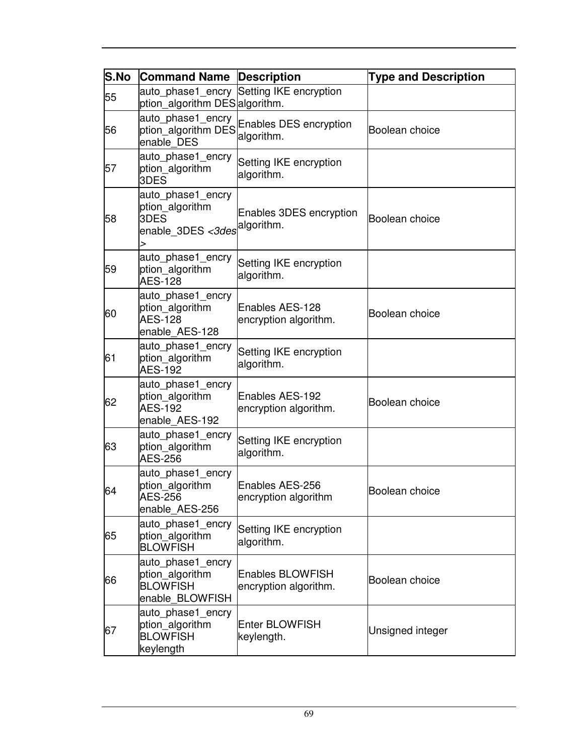| S.No | <b>Command Name</b>                                                        | Description                                      | <b>Type and Description</b> |
|------|----------------------------------------------------------------------------|--------------------------------------------------|-----------------------------|
| 55   | auto phase1 encry<br>ption algorithm DES algorithm.                        | Setting IKE encryption                           |                             |
| 56   | auto phase1 encry<br>ption_algorithm DES<br>enable DES                     | Enables DES encryption<br>algorithm.             | Boolean choice              |
| 57   | auto phase1 encry<br>ption_algorithm<br>3DES                               | Setting IKE encryption<br>algorithm.             |                             |
| 58   | auto_phase1_encry<br>ption algorithm<br>3DES<br>enable 3DES <3des<br>⋗     | Enables 3DES encryption<br>algorithm.            | Boolean choice              |
| 59   | auto_phase1_encry<br>ption_algorithm<br><b>AES-128</b>                     | Setting IKE encryption<br>algorithm.             |                             |
| 60   | auto_phase1_encry<br>ption_algorithm<br><b>AES-128</b><br>enable AES-128   | Enables AES-128<br>encryption algorithm.         | Boolean choice              |
| 61   | auto_phase1_encry<br>ption_algorithm<br><b>AES-192</b>                     | Setting IKE encryption<br>algorithm.             |                             |
| 62   | auto_phase1_encry<br>ption_algorithm<br><b>AES-192</b><br>enable AES-192   | Enables AES-192<br>encryption algorithm.         | Boolean choice              |
| 63   | auto_phase1_encry<br>ption algorithm<br><b>AES-256</b>                     | Setting IKE encryption<br>algorithm.             |                             |
| 64   | auto_phase1_encry<br>ption_algorithm<br>ALS-256<br>enable AES-256          | Enables AES-256<br>encryption algorithm          | Boolean choice              |
| 65   | auto phase1 encry<br>ption_algorithm<br><b>BLOWFISH</b>                    | Setting IKE encryption<br>algorithm.             |                             |
| 66   | auto phase1 encry<br>ption algorithm<br><b>BLOWFISH</b><br>enable BLOWFISH | <b>Enables BLOWFISH</b><br>encryption algorithm. | Boolean choice              |
| 67   | auto_phase1_encry<br>ption_algorithm<br><b>BLOWFISH</b><br>keylength       | <b>Enter BLOWFISH</b><br>keylength.              | Unsigned integer            |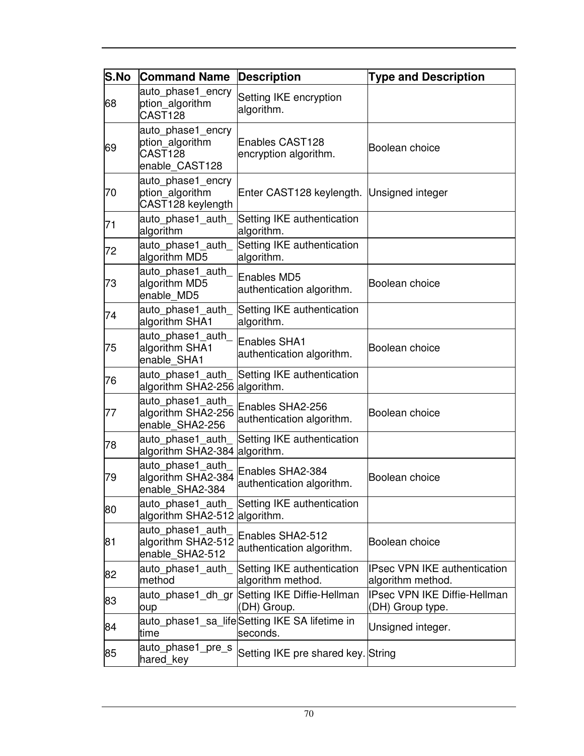| S.No | <b>Command Name</b>                                               | <b>Description</b>                                        | <b>Type and Description</b>                             |
|------|-------------------------------------------------------------------|-----------------------------------------------------------|---------------------------------------------------------|
| 68   | auto phase1 encry<br>ption algorithm<br>CAST128                   | Setting IKE encryption<br>algorithm.                      |                                                         |
| 69   | auto phase1 encry<br>ption_algorithm<br>CAST128<br>enable_CAST128 | Enables CAST128<br>encryption algorithm.                  | Boolean choice                                          |
| 70   | auto phase1 encry<br>ption_algorithm<br>CAST128 keylength         | Enter CAST128 keylength. Unsigned integer                 |                                                         |
| 71   | auto phase1 auth<br>algorithm                                     | Setting IKE authentication<br>algorithm.                  |                                                         |
| 72   | auto phase1 auth<br>algorithm MD5                                 | Setting IKE authentication<br>algorithm.                  |                                                         |
| 73   | auto phase1 auth<br>algorithm MD5<br>enable MD5                   | <b>Enables MD5</b><br>authentication algorithm.           | Boolean choice                                          |
| 74   | auto phase1 auth<br>algorithm SHA1                                | Setting IKE authentication<br>algorithm.                  |                                                         |
| 75   | auto phase1 auth<br>algorithm SHA1<br>enable SHA1                 | <b>Enables SHA1</b><br>authentication algorithm.          | Boolean choice                                          |
| 76   | auto phase1 auth<br>algorithm SHA2-256                            | Setting IKE authentication<br>algorithm.                  |                                                         |
| 77   | auto_phase1_auth<br>algorithm SHA2-256<br>enable SHA2-256         | Enables SHA2-256<br>authentication algorithm.             | Boolean choice                                          |
| 78   | auto phase1 auth<br>algorithm SHA2-384                            | Setting IKE authentication<br>algorithm.                  |                                                         |
| 79   | auto_phase1_auth<br>algorithm SHA2-384<br>enable_SHA2-384         | Enables SHA2-384<br>authentication algorithm.             | Boolean choice                                          |
| 80   | auto phase1 auth<br>algorithm SHA2-512                            | Setting IKE authentication<br>algorithm.                  |                                                         |
| 81   | auto phase1 auth<br>algorithm SHA2-512<br>enable_SHA2-512         | Enables SHA2-512<br>authentication algorithm.             | Boolean choice                                          |
| 82   | auto phase1 auth<br>method                                        | Setting IKE authentication<br>algorithm method.           | IPsec VPN IKE authentication<br>algorithm method.       |
| 83   | auto phase1 dh gr<br>oup                                          | Setting IKE Diffie-Hellman<br>(DH) Group.                 | <b>IPsec VPN IKE Diffie-Hellman</b><br>(DH) Group type. |
| 84   | time                                                              | auto_phase1_sa_lifeSetting IKE SA lifetime in<br>seconds. | Unsigned integer.                                       |
| 85   | auto phase1 pre s<br>hared_key                                    | Setting IKE pre shared key. String                        |                                                         |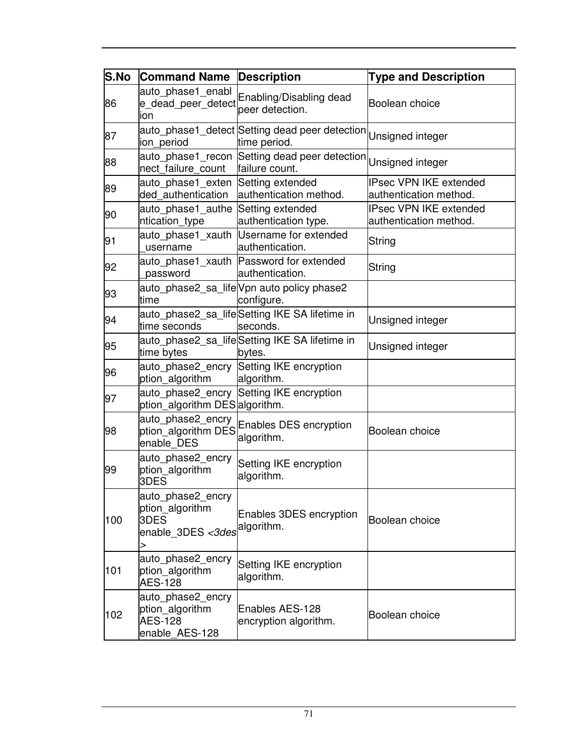| <b>S.No</b> | <b>Command Name</b>                                                      | <b>Description</b>                                                               | <b>Type and Description</b>                             |
|-------------|--------------------------------------------------------------------------|----------------------------------------------------------------------------------|---------------------------------------------------------|
| 86          | auto_phase1_enabl<br>e dead peer detect<br>ion                           | Enabling/Disabling dead<br>peer detection.                                       | Boolean choice                                          |
| 87          | ion_period                                                               | auto_phase1_detect Setting dead peer detection<br>time period.                   | Unsigned integer                                        |
| 88          | nect_failure_count                                                       | auto_phase1_recon Setting dead peer detection Unsigned integer<br>failure count. |                                                         |
| 89          | auto phase1 exten<br>ded authentication                                  | Setting extended<br>authentication method.                                       | IPsec VPN IKE extended<br>authentication method.        |
| 90          | auto phase1_authe Setting extended<br>ntication_type                     | authentication type.                                                             | <b>IPsec VPN IKE extended</b><br>authentication method. |
| 91          | username                                                                 | auto_phase1_xauth Username for extended<br>authentication.                       | String                                                  |
| 92          | password                                                                 | auto_phase1_xauth Password for extended<br>authentication.                       | String                                                  |
| 93          | time                                                                     | auto_phase2_sa_life Vpn auto policy phase2<br>configure.                         |                                                         |
| 94          | time seconds                                                             | auto_phase2_sa_lifeSetting IKE SA lifetime in<br>seconds.                        | Unsigned integer                                        |
| 95          | time bytes                                                               | auto phase2 sa lifeSetting IKE SA lifetime in<br>bytes.                          | Unsigned integer                                        |
| 96          | ption_algorithm                                                          | auto_phase2_encry Setting IKE encryption<br>algorithm.                           |                                                         |
| 97          | ption_algorithm DES algorithm.                                           | auto_phase2_encry Setting IKE encryption                                         |                                                         |
| 98          | auto_phase2_encry<br>ption_algorithm DES<br>enable DES                   | Enables DES encryption<br>algorithm.                                             | Boolean choice                                          |
| 99          | auto_phase2_encry<br>ption_algorithm<br>3DES                             | Setting IKE encryption<br>algorithm.                                             |                                                         |
| 100         | auto phase2 encry<br>ption_algorithm<br>3DES<br>enable 3DES <3des<br>>   | Enables 3DES encryption<br>algorithm.                                            | Boolean choice                                          |
| 101         | auto phase2 encry<br>ption_algorithm<br><b>AES-128</b>                   | Setting IKE encryption<br>algorithm.                                             |                                                         |
| 102         | auto_phase2_encry<br>ption algorithm<br><b>AES-128</b><br>enable AES-128 | Enables AES-128<br>encryption algorithm.                                         | Boolean choice                                          |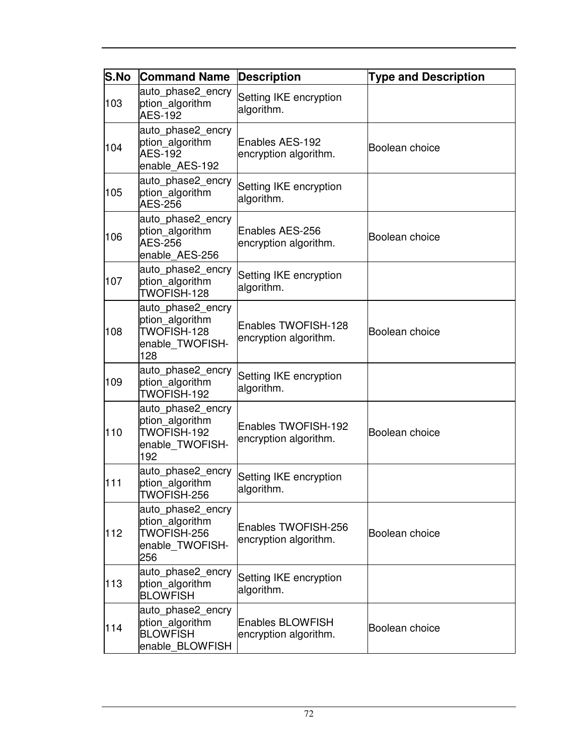| <b>S.No</b> | <b>Command Name</b>                                                           | <b>Description</b>                               | <b>Type and Description</b> |
|-------------|-------------------------------------------------------------------------------|--------------------------------------------------|-----------------------------|
| 103         | auto_phase2_encry<br>ption_algorithm<br><b>AES-192</b>                        | Setting IKE encryption<br>algorithm.             |                             |
| 104         | auto phase2 encry<br>ption_algorithm<br><b>AES-192</b><br>enable AES-192      | Enables AES-192<br>encryption algorithm.         | Boolean choice              |
| 105         | auto_phase2_encry<br>ption_algorithm<br><b>AES-256</b>                        | Setting IKE encryption<br>algorithm.             |                             |
| 106         | auto_phase2_encry<br>ption_algorithm<br><b>AES-256</b><br>enable AES-256      | Enables AES-256<br>encryption algorithm.         | Boolean choice              |
| 107         | auto_phase2_encry<br>ption_algorithm<br>TWOFISH-128                           | Setting IKE encryption<br>algorithm.             |                             |
| 108         | auto_phase2_encry<br>ption_algorithm<br>TWOFISH-128<br>enable_TWOFISH-<br>128 | Enables TWOFISH-128<br>encryption algorithm.     | Boolean choice              |
| 109         | auto phase2 encry<br>ption_algorithm<br>TWOFISH-192                           | Setting IKE encryption<br>algorithm.             |                             |
| 110         | auto_phase2_encry<br>ption_algorithm<br>TWOFISH-192<br>enable_TWOFISH-<br>192 | Enables TWOFISH-192<br>encryption algorithm.     | Boolean choice              |
| 111         | auto_phase2_encry<br>ption algorithm<br>TWOFISH-256                           | Setting IKE encryption<br>algorithm.             |                             |
| 112         | auto_phase2_encry<br>ption_algorithm<br>TWOFISH-256<br>enable TWOFISH-<br>256 | Enables TWOFISH-256<br>encryption algorithm.     | Boolean choice              |
| 113         | auto_phase2_encry<br>ption_algorithm<br><b>BLOWFISH</b>                       | Setting IKE encryption<br>algorithm.             |                             |
| 114         | auto phase2 encry<br>ption_algorithm<br><b>BLOWFISH</b><br>enable BLOWFISH    | <b>Enables BLOWFISH</b><br>encryption algorithm. | Boolean choice              |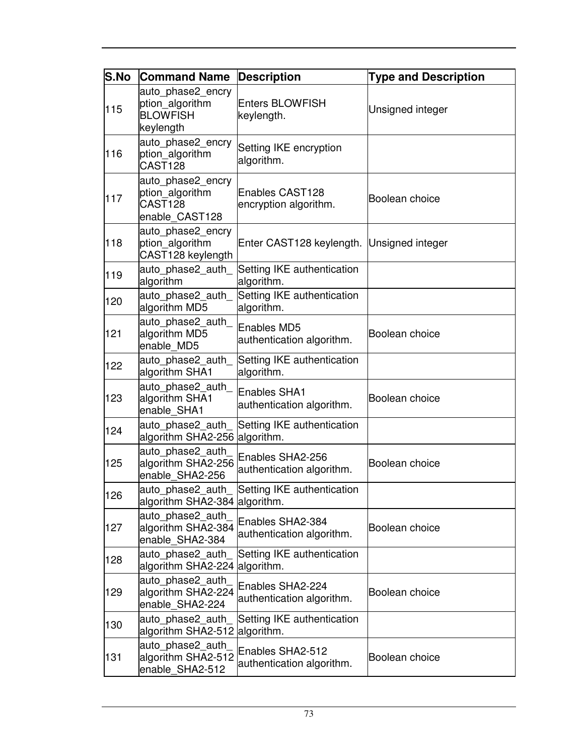| <b>S.No</b> | <b>Command Name</b>                                                  | <b>Description</b>                              | <b>Type and Description</b> |
|-------------|----------------------------------------------------------------------|-------------------------------------------------|-----------------------------|
| 115         | auto phase2 encry<br>ption_algorithm<br><b>BLOWFISH</b><br>keylength | <b>Enters BLOWFISH</b><br>keylength.            | Unsigned integer            |
| 116         | auto_phase2_encry<br>ption_algorithm<br>CAST <sub>128</sub>          | Setting IKE encryption<br>algorithm.            |                             |
| 117         | auto phase2 encry<br>ption algorithm<br>CAST128<br>enable CAST128    | Enables CAST128<br>encryption algorithm.        | Boolean choice              |
| 118         | auto_phase2_encry<br>ption_algorithm<br>CAST128 keylength            | Enter CAST128 keylength. Unsigned integer       |                             |
| 119         | auto phase2 auth<br>algorithm                                        | Setting IKE authentication<br>algorithm.        |                             |
| 120         | auto phase2 auth<br>algorithm MD5                                    | Setting IKE authentication<br>algorithm.        |                             |
| 121         | auto phase2 auth<br>algorithm MD5<br>enable MD5                      | <b>Enables MD5</b><br>authentication algorithm. | Boolean choice              |
| 122         | auto_phase2_auth_<br>algorithm SHA1                                  | Setting IKE authentication<br>algorithm.        |                             |
| 123         | auto phase2 auth<br>algorithm SHA1<br>enable SHA1                    | Enables SHA1<br>authentication algorithm.       | Boolean choice              |
| 124         | auto phase2 auth<br>algorithm SHA2-256 algorithm.                    | Setting IKE authentication                      |                             |
| 125         | auto_phase2_auth<br>algorithm SHA2-256<br>enable_SHA2-256            | Enables SHA2-256<br>authentication algorithm.   | Boolean choice              |
| 126         | auto phase2 auth<br>algorithm SHA2-384 algorithm.                    | Setting IKE authentication                      |                             |
| 127         | auto_phase2_auth<br>algorithm SHA2-384<br>enable SHA2-384            | Enables SHA2-384<br>authentication algorithm.   | Boolean choice              |
| 128         | auto phase2 auth<br>algorithm SHA2-224                               | Setting IKE authentication<br>algorithm.        |                             |
| 129         | auto phase2 auth<br>algorithm SHA2-224<br>enable SHA2-224            | Enables SHA2-224<br>authentication algorithm.   | Boolean choice              |
| 130         | auto_phase2_auth<br>algorithm SHA2-512                               | Setting IKE authentication<br>algorithm.        |                             |
| 131         | auto phase2 auth<br>algorithm SHA2-512<br>enable_SHA2-512            | Enables SHA2-512<br>authentication algorithm.   | Boolean choice              |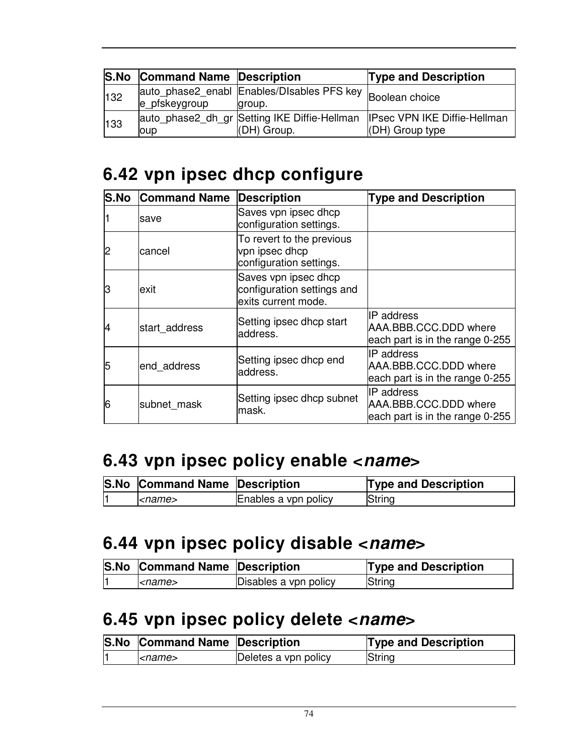|     | <b>S.No Command Name Description</b> |                                                                     | <b>Type and Description</b>                                                                        |
|-----|--------------------------------------|---------------------------------------------------------------------|----------------------------------------------------------------------------------------------------|
| 132 | e pfskeygroup                        | auto_phase2_enabl Enables/DIsables PFS key Boolean choice<br>group. |                                                                                                    |
| 133 | oup                                  | (DH) Group.                                                         | auto_phase2_dh_gr  Setting IKE Diffie-Hellman  IPsec VPN IKE Diffie-Hellman<br>$ $ (DH) Group type |

## **6.42 vpn ipsec dhcp configure**

| <b>S.No</b> | <b>Command Name</b> | Description                                                               | <b>Type and Description</b>                                             |
|-------------|---------------------|---------------------------------------------------------------------------|-------------------------------------------------------------------------|
|             | Isave               | Saves vpn ipsec dhcp<br>configuration settings.                           |                                                                         |
| 12          | cancel              | To revert to the previous<br>vpn ipsec dhcp<br>configuration settings.    |                                                                         |
| lЗ          | exit                | Saves vpn ipsec dhcp<br>configuration settings and<br>exits current mode. |                                                                         |
| 14          | start address       | Setting ipsec dhcp start<br>address.                                      | IIP address<br>AAA.BBB.CCC.DDD where<br>each part is in the range 0-255 |
| 5           | end address         | Setting ipsec dhcp end<br>address.                                        | IIP address<br>AAA.BBB.CCC.DDD where<br>each part is in the range 0-255 |
| 6           | subnet mask         | Setting ipsec dhcp subnet<br>mask.                                        | IIP address<br>AAA.BBB.CCC.DDD where<br>each part is in the range 0-255 |

### **6.43 vpn ipsec policy enable <name>**

| <b>S.No Command Name Description</b> |                      | <b>Type and Description</b> |
|--------------------------------------|----------------------|-----------------------------|
| <i><name></name></i>                 | Enables a vpn policy | String                      |

#### **6.44 vpn ipsec policy disable <name>**

| <b>S.No Command Name Description</b> |                       | <b>Type and Description</b> |
|--------------------------------------|-----------------------|-----------------------------|
| $<$ name $>$                         | Disables a vpn policy | String                      |

### **6.45 vpn ipsec policy delete <name>**

| <b>S.No Command Name Description</b> |                      | <b>Type and Description</b> |
|--------------------------------------|----------------------|-----------------------------|
| $\leq$ name $\geq$                   | Deletes a vpn policy | String                      |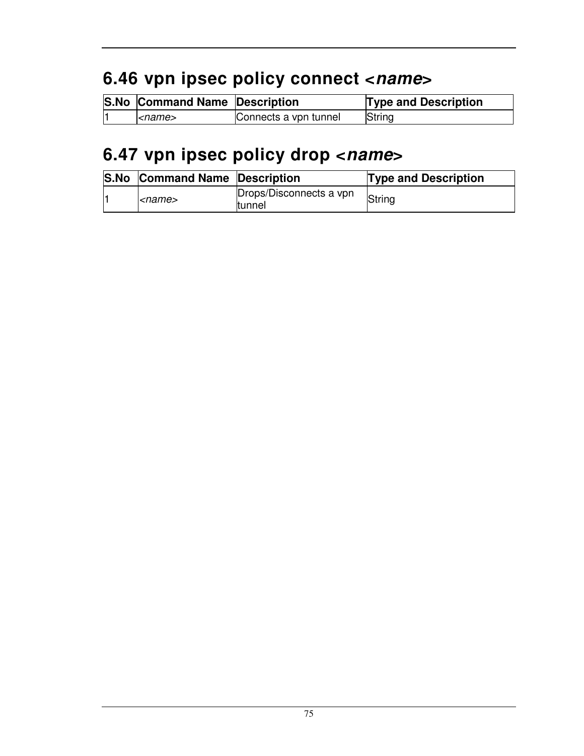# **6.46 vpn ipsec policy connect <name>**

| <b>S.No Command Name Description</b> |                       | <b>Type and Description</b> |
|--------------------------------------|-----------------------|-----------------------------|
| $<$ name $>$                         | Connects a vpn tunnel | String                      |

## **6.47 vpn ipsec policy drop <name>**

| <b>S.No Command Name Description</b> |                                   | <b>Type and Description</b> |
|--------------------------------------|-----------------------------------|-----------------------------|
| <name></name>                        | Drops/Disconnects a vpn<br>tunnel | String                      |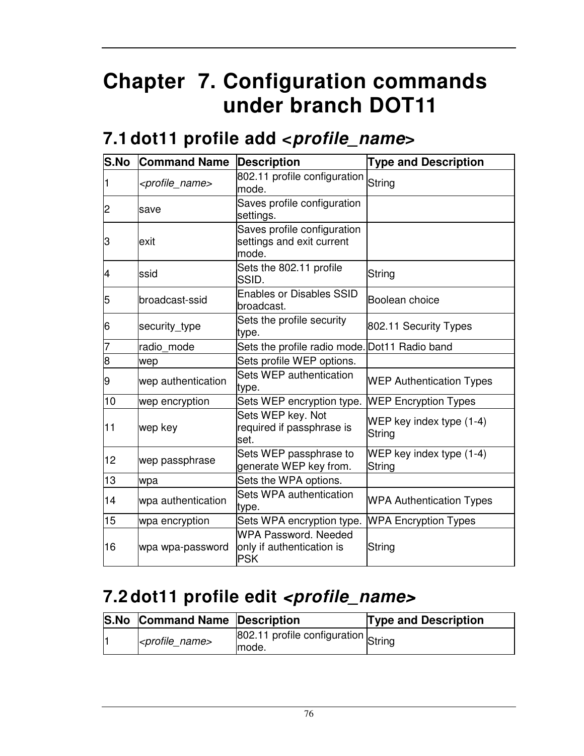# **Chapter 7. Configuration commands under branch DOT11**

#### **7.1 dot11 profile add <profile\_name>**

| S.No | <b>Command Name</b>           | <b>Description</b>                                                     | <b>Type and Description</b>               |
|------|-------------------------------|------------------------------------------------------------------------|-------------------------------------------|
| 1    | <profile_name></profile_name> | 802.11 profile configuration<br>mode.                                  | String                                    |
| 2    | save                          | Saves profile configuration<br>settings.                               |                                           |
| З    | exit                          | Saves profile configuration<br>settings and exit current<br>mode.      |                                           |
| 4    | ssid                          | Sets the 802.11 profile<br>SSID.                                       | String                                    |
| 5    | broadcast-ssid                | <b>Enables or Disables SSID</b><br>broadcast.                          | Boolean choice                            |
| 16   | security_type                 | Sets the profile security<br>type.                                     | 802.11 Security Types                     |
|      | radio mode                    | Sets the profile radio mode.                                           | Dot11 Radio band                          |
| 8    | wep                           | Sets profile WEP options.                                              |                                           |
| 9    | wep authentication            | Sets WEP authentication<br>type.                                       | <b>WEP Authentication Types</b>           |
| 10   | wep encryption                | Sets WEP encryption type.                                              | <b>WEP Encryption Types</b>               |
| 11   | wep key                       | Sets WEP key. Not<br>required if passphrase is<br>lset.                | WEP key index type (1-4)<br>String        |
| 12   | wep passphrase                | Sets WEP passphrase to<br>generate WEP key from.                       | WEP key index type (1-4)<br><b>String</b> |
| 13   | wpa                           | Sets the WPA options.                                                  |                                           |
| 14   | wpa authentication            | Sets WPA authentication<br>type.                                       | <b>WPA Authentication Types</b>           |
| 15   | wpa encryption                | Sets WPA encryption type.                                              | <b>WPA Encryption Types</b>               |
| 16   | wpa wpa-password              | <b>WPA Password, Needed</b><br>only if authentication is<br><b>PSK</b> | String                                    |

### **7.2 dot11 profile edit <profile\_name>**

| <b>S.No Command Name Description</b> |                                               | <b>Type and Description</b> |
|--------------------------------------|-----------------------------------------------|-----------------------------|
| <profile name=""></profile>          | 802.11 profile configuration String<br>Imode. |                             |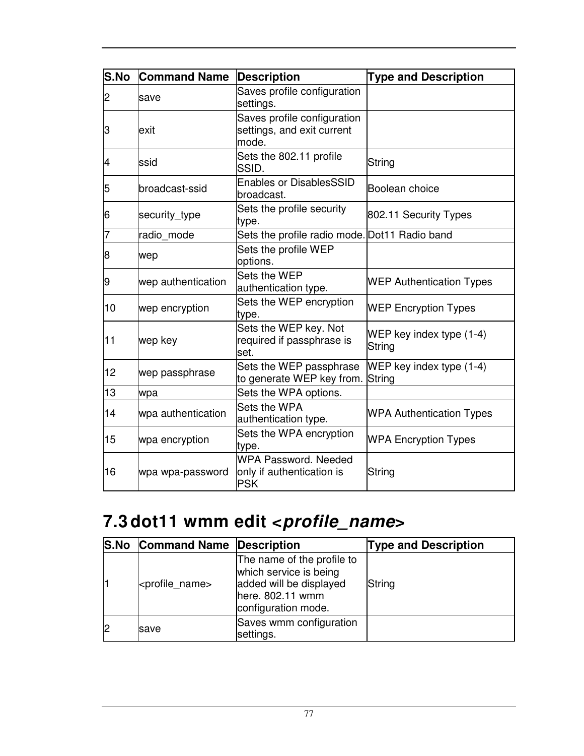| S.No | <b>Command Name</b> | <b>Description</b>                                                     | <b>Type and Description</b>          |
|------|---------------------|------------------------------------------------------------------------|--------------------------------------|
| 2    | save                | Saves profile configuration<br>settings.                               |                                      |
| З    | lexit               | Saves profile configuration<br>settings, and exit current<br>mode.     |                                      |
| 4    | ssid                | Sets the 802.11 profile<br>SSID.                                       | String                               |
| 5    | broadcast-ssid      | <b>Enables or DisablesSSID</b><br>broadcast.                           | Boolean choice                       |
| 6    | security_type       | Sets the profile security<br>type.                                     | 802.11 Security Types                |
| 7    | radio mode          | Sets the profile radio mode. Dot11 Radio band                          |                                      |
| 8    | wep                 | Sets the profile WEP<br>options.                                       |                                      |
| 9    | wep authentication  | Sets the WEP<br>authentication type.                                   | <b>WEP Authentication Types</b>      |
| 10   | wep encryption      | Sets the WEP encryption<br>type.                                       | <b>WEP Encryption Types</b>          |
| 11   | wep key             | Sets the WEP key. Not<br>required if passphrase is<br>set.             | WEP key index type $(1-4)$<br>String |
| 12   | wep passphrase      | Sets the WEP passphrase<br>to generate WEP key from.                   | WEP key index type (1-4)<br>String   |
| 13   | wpa                 | Sets the WPA options.                                                  |                                      |
| 14   | wpa authentication  | Sets the WPA<br>authentication type.                                   | <b>WPA Authentication Types</b>      |
| 15   | wpa encryption      | Sets the WPA encryption<br>type.                                       | <b>WPA Encryption Types</b>          |
| 16   | wpa wpa-password    | <b>WPA Password, Needed</b><br>only if authentication is<br><b>PSK</b> | String                               |

# **7.3 dot11 wmm edit <profile\_name>**

| <b>S.No Command Name Description</b> |                                                                                                                            | <b>Type and Description</b> |
|--------------------------------------|----------------------------------------------------------------------------------------------------------------------------|-----------------------------|
| <profile_name></profile_name>        | The name of the profile to<br>which service is being<br>added will be displayed<br>here. 802.11 wmm<br>configuration mode. | String                      |
| <b>save</b>                          | Saves wmm configuration<br>settings.                                                                                       |                             |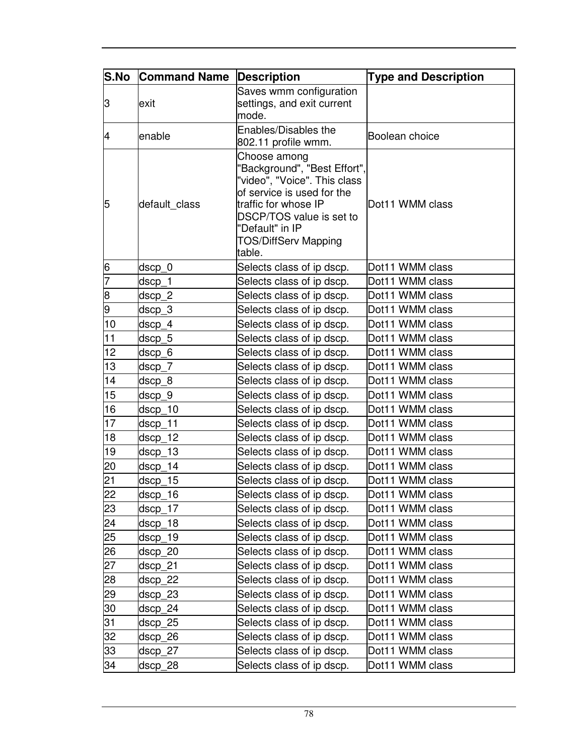| S.No           | <b>Command Name</b> | <b>Description</b>                                                                                                                                                                                                         | <b>Type and Description</b> |
|----------------|---------------------|----------------------------------------------------------------------------------------------------------------------------------------------------------------------------------------------------------------------------|-----------------------------|
| 3              | exit                | Saves wmm configuration<br>settings, and exit current<br>mode.                                                                                                                                                             |                             |
| $\overline{4}$ | enable              | Enables/Disables the<br>802.11 profile wmm.                                                                                                                                                                                | Boolean choice              |
| 5              | default_class       | Choose among<br>'Background", "Best Effort",<br>"video", "Voice". This class<br>of service is used for the<br>traffic for whose IP<br>DSCP/TOS value is set to<br>"Default" in IP<br><b>TOS/DiffServ Mapping</b><br>table. | Dot11 WMM class             |
| 6              | dscp_0              | Selects class of ip dscp.                                                                                                                                                                                                  | Dot11 WMM class             |
| 7              | dscp_1              | Selects class of ip dscp.                                                                                                                                                                                                  | Dot11 WMM class             |
| 8              | dscp_2              | Selects class of ip dscp.                                                                                                                                                                                                  | Dot11 WMM class             |
| 9              | $dscp_3$            | Selects class of ip dscp.                                                                                                                                                                                                  | Dot11 WMM class             |
| 10             | dscp_4              | Selects class of ip dscp.                                                                                                                                                                                                  | Dot11 WMM class             |
| 11             | dscp_5              | Selects class of ip dscp.                                                                                                                                                                                                  | Dot11 WMM class             |
| 12             | dscp 6              | Selects class of ip dscp.                                                                                                                                                                                                  | Dot11 WMM class             |
| 13             | dscp_7              | Selects class of ip dscp.                                                                                                                                                                                                  | Dot11 WMM class             |
| 14             | dscp <sub>8</sub>   | Selects class of ip dscp.                                                                                                                                                                                                  | Dot11 WMM class             |
| 15             | dscp 9              | Selects class of ip dscp.                                                                                                                                                                                                  | Dot11 WMM class             |
| 16             | dscp_10             | Selects class of ip dscp.                                                                                                                                                                                                  | Dot11 WMM class             |
| 17             | dscp_11             | Selects class of ip dscp.                                                                                                                                                                                                  | Dot11 WMM class             |
| 18             | $dscp_12$           | Selects class of ip dscp.                                                                                                                                                                                                  | Dot11 WMM class             |
| 19             | dscp 13             | Selects class of ip dscp.                                                                                                                                                                                                  | Dot11 WMM class             |
| 20             | $dscp_14$           | Selects class of ip dscp.                                                                                                                                                                                                  | Dot11 WMM class             |
| 21             | dscp 15             | Selects class of ip dscp.                                                                                                                                                                                                  | Dot11 WMM class             |
| 22             | $dscp_16$           | Selects class of ip dscp.                                                                                                                                                                                                  | Dot11 WMM class             |
| 23             | dscp_17             | Selects class of ip dscp.                                                                                                                                                                                                  | Dot11 WMM class             |
| 24             | dscp_18             | Selects class of ip dscp.                                                                                                                                                                                                  | Dot11 WMM class             |
| 25             | dscp_19             | Selects class of ip dscp.                                                                                                                                                                                                  | Dot11 WMM class             |
| 26             | dscp_20             | Selects class of ip dscp.                                                                                                                                                                                                  | Dot11 WMM class             |
| 27             | dscp 21             | Selects class of ip dscp.                                                                                                                                                                                                  | Dot11 WMM class             |
| 28             | dscp_22             | Selects class of ip dscp.                                                                                                                                                                                                  | Dot11 WMM class             |
| 29             | dscp 23             | Selects class of ip dscp.                                                                                                                                                                                                  | Dot11 WMM class             |
| 30             | dscp_24             | Selects class of ip dscp.                                                                                                                                                                                                  | Dot11 WMM class             |
| 31             | dscp_25             | Selects class of ip dscp.                                                                                                                                                                                                  | Dot11 WMM class             |
| 32             | dscp_26             | Selects class of ip dscp.                                                                                                                                                                                                  | Dot11 WMM class             |
| 33             | dscp_27             | Selects class of ip dscp.                                                                                                                                                                                                  | Dot11 WMM class             |
| 34             | dscp_28             | Selects class of ip dscp.                                                                                                                                                                                                  | Dot11 WMM class             |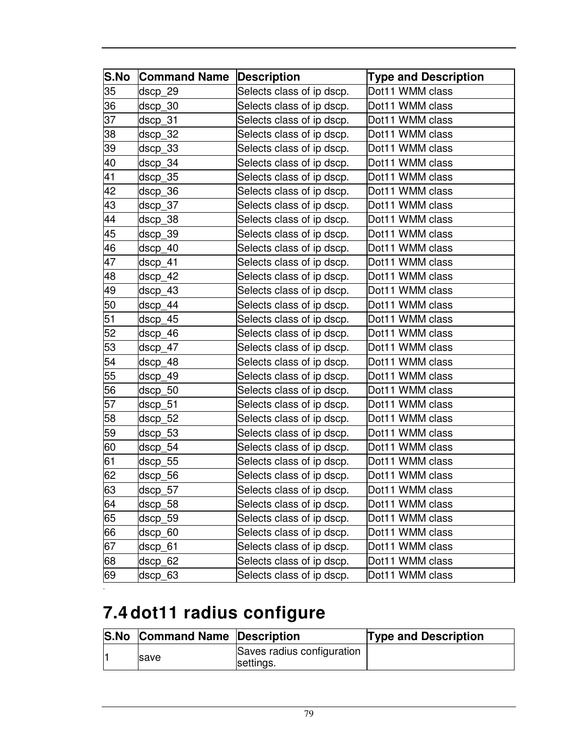| S.No | <b>Command Name</b> | <b>Description</b>        | <b>Type and Description</b> |
|------|---------------------|---------------------------|-----------------------------|
| 35   | dscp_29             | Selects class of ip dscp. | Dot11 WMM class             |
| 36   | dscp_30             | Selects class of ip dscp. | Dot11 WMM class             |
| 37   | dscp_31             | Selects class of ip dscp. | Dot11 WMM class             |
| 38   | dscp_32             | Selects class of ip dscp. | Dot11 WMM class             |
| 39   | $dscp_33$           | Selects class of ip dscp. | Dot11 WMM class             |
| 40   | dscp_34             | Selects class of ip dscp. | Dot11 WMM class             |
| 41   | dscp_35             | Selects class of ip dscp. | Dot11 WMM class             |
| 42   | dscp_36             | Selects class of ip dscp. | Dot11 WMM class             |
| 43   | dscp_37             | Selects class of ip dscp. | Dot11 WMM class             |
| 44   | dscp_38             | Selects class of ip dscp. | Dot11 WMM class             |
| 45   | dscp_39             | Selects class of ip dscp. | Dot11 WMM class             |
| 46   | dscp_40             | Selects class of ip dscp. | Dot11 WMM class             |
| 47   | dscp 41             | Selects class of ip dscp. | Dot11 WMM class             |
| 48   | dscp_42             | Selects class of ip dscp. | Dot11 WMM class             |
| 49   | dscp 43             | Selects class of ip dscp. | Dot11 WMM class             |
| 50   | dscp_44             | Selects class of ip dscp. | Dot11 WMM class             |
| 51   | dscp 45             | Selects class of ip dscp. | Dot11 WMM class             |
| 52   | dscp_46             | Selects class of ip dscp. | Dot11 WMM class             |
| 53   | dscp 47             | Selects class of ip dscp. | Dot11 WMM class             |
| 54   | dscp_48             | Selects class of ip dscp. | Dot11 WMM class             |
| 55   | dscp_49             | Selects class of ip dscp. | Dot11 WMM class             |
| 56   | dscp_50             | Selects class of ip dscp. | Dot11 WMM class             |
| 57   | dscp_51             | Selects class of ip dscp. | Dot11 WMM class             |
| 58   | dscp_52             | Selects class of ip dscp. | Dot11 WMM class             |
| 59   | dscp_53             | Selects class of ip dscp. | Dot11 WMM class             |
| 60   | dscp_54             | Selects class of ip dscp. | Dot11 WMM class             |
| 61   | dscp_55             | Selects class of ip dscp. | Dot11 WMM class             |
| 62   | dscp_56             | Selects class of ip dscp. | Dot11 WMM class             |
| 63   | dscp_57             | Selects class of ip dscp. | Dot11 WMM class             |
| 64   | dscp_58             | Selects class of ip dscp. | Dot11 WMM class             |
| 65   | dscp_59             | Selects class of ip dscp. | Dot11 WMM class             |
| 66   | dscp_60             | Selects class of ip dscp. | Dot11 WMM class             |
| 67   | dscp_61             | Selects class of ip dscp. | Dot11 WMM class             |
| 68   | dscp_62             | Selects class of ip dscp. | Dot11 WMM class             |
| 69   | dscp_63             | Selects class of ip dscp. | Dot11 WMM class             |

# **7.4 dot11 radius configure**

| <b>S.No Command Name Description</b> |                                         | <b>Type and Description</b> |
|--------------------------------------|-----------------------------------------|-----------------------------|
| <b>Save</b>                          | Saves radius configuration<br>settings. |                             |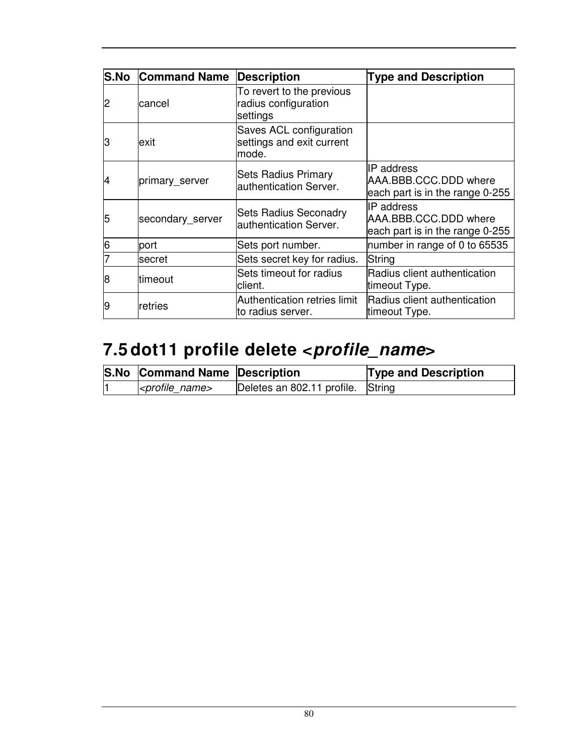| <b>S.No</b> | <b>Command Name</b> | <b>Description</b>                                            | <b>Type and Description</b>                                             |
|-------------|---------------------|---------------------------------------------------------------|-------------------------------------------------------------------------|
| 2           | lcancel             | To revert to the previous<br>radius configuration<br>settings |                                                                         |
| З           | exit                | Saves ACL configuration<br>settings and exit current<br>mode. |                                                                         |
| 4           | primary_server      | <b>Sets Radius Primary</b><br>authentication Server.          | IIP address<br>AAA.BBB.CCC.DDD where<br>each part is in the range 0-255 |
| 5           | secondary_server    | <b>Sets Radius Seconadry</b><br>authentication Server.        | IIP address<br>AAA.BBB.CCC.DDD where<br>each part is in the range 0-255 |
| 6           | port                | Sets port number.                                             | number in range of 0 to 65535                                           |
|             | secret              | Sets secret key for radius.                                   | String                                                                  |
| 18          | timeout             | Sets timeout for radius<br>client.                            | Radius client authentication<br>timeout Type.                           |
| 19          | retries             | Authentication retries limit<br>to radius server.             | Radius client authentication<br>timeout Type.                           |

# **7.5 dot11 profile delete <profile\_name>**

| <b>S.No Command Name Description</b> |                                   | <b>Type and Description</b> |
|--------------------------------------|-----------------------------------|-----------------------------|
| $ $ <profile name=""></profile>      | Deletes an 802.11 profile. String |                             |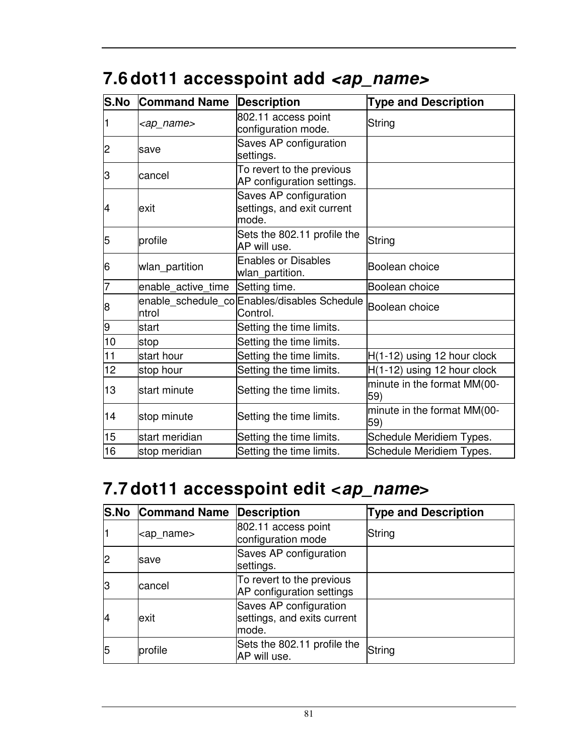| S.No | <b>Command Name</b> | <b>Description</b>                                            | <b>Type and Description</b>        |
|------|---------------------|---------------------------------------------------------------|------------------------------------|
|      | <ap_name></ap_name> | 802.11 access point<br>configuration mode.                    | String                             |
| 2    | save                | Saves AP configuration<br>settings.                           |                                    |
| 3    | cancel              | To revert to the previous<br>AP configuration settings.       |                                    |
| 4    | lexit               | Saves AP configuration<br>settings, and exit current<br>mode. |                                    |
| 5    | profile             | Sets the 802.11 profile the<br>AP will use.                   | String                             |
| 6    | wlan_partition      | <b>Enables or Disables</b><br>wlan partition.                 | Boolean choice                     |
| 7    | enable_active_time  | Setting time.                                                 | Boolean choice                     |
| 8    | ntrol               | enable_schedule_co Enables/disables Schedule<br>Control.      | Boolean choice                     |
| 9    | start               | Setting the time limits.                                      |                                    |
| 10   | stop                | Setting the time limits.                                      |                                    |
| 11   | start hour          | Setting the time limits.                                      | $H(1-12)$ using 12 hour clock      |
| 12   | stop hour           | Setting the time limits.                                      | H(1-12) using 12 hour clock        |
| 13   | start minute        | Setting the time limits.                                      | minute in the format MM(00-<br>59) |
| 14   | stop minute         | Setting the time limits.                                      | minute in the format MM(00-<br>59) |
| 15   | start meridian      | Setting the time limits.                                      | Schedule Meridiem Types.           |
| 16   | stop meridian       | Setting the time limits.                                      | Schedule Meridiem Types.           |

## 7.6 dot11 accesspoint add <ap\_name>

## **7.7 dot11 accesspoint edit <ap\_name>**

|    | <b>S.No Command Name Description</b> |                                                                | <b>Type and Description</b> |
|----|--------------------------------------|----------------------------------------------------------------|-----------------------------|
|    | <ap_name></ap_name>                  | 802.11 access point<br>configuration mode                      | String                      |
|    | lsave                                | Saves AP configuration<br>settings.                            |                             |
| lЗ | lcancel                              | To revert to the previous<br>AP configuration settings         |                             |
| 14 | exit                                 | Saves AP configuration<br>settings, and exits current<br>mode. |                             |
| 5  | profile                              | Sets the 802.11 profile the<br>AP will use.                    | String                      |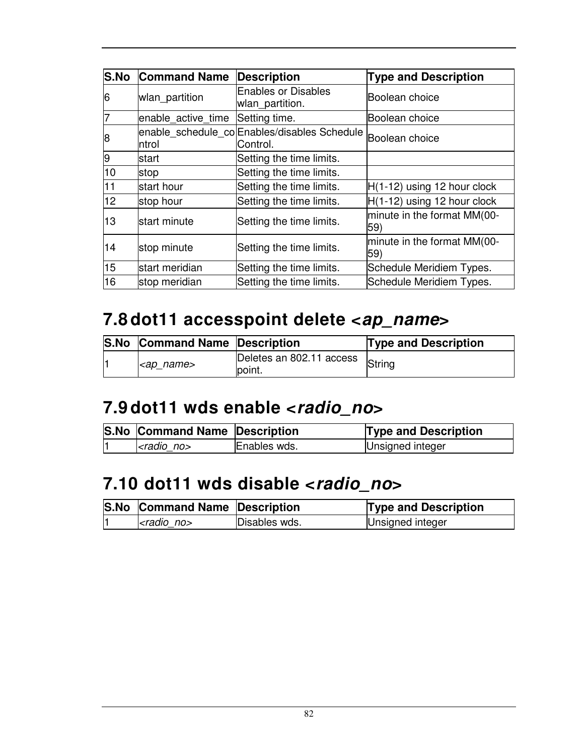| <b>S.No</b> | <b>Command Name</b> | <b>Description</b>                                       | <b>Type and Description</b>        |
|-------------|---------------------|----------------------------------------------------------|------------------------------------|
| 6           | wlan_partition      | <b>Enables or Disables</b><br>wlan_partition.            | Boolean choice                     |
| 7           | enable_active_time  | Setting time.                                            | lBoolean choice                    |
| 8           | ntrol               | enable_schedule_co Enables/disables Schedule<br>Control. | Boolean choice                     |
| 9           | lstart              | Setting the time limits.                                 |                                    |
| 10          | stop                | Setting the time limits.                                 |                                    |
| 11          | start hour          | Setting the time limits.                                 | $H(1-12)$ using 12 hour clock      |
| 12          | stop hour           | Setting the time limits.                                 | $H(1-12)$ using 12 hour clock      |
| 13          | lstart minute       | Setting the time limits.                                 | minute in the format MM(00-<br>59) |
| 14          | stop minute         | Setting the time limits.                                 | minute in the format MM(00-<br>59) |
| 15          | start meridian      | Setting the time limits.                                 | Schedule Meridiem Types.           |
| 16          | stop meridian       | Setting the time limits.                                 | Schedule Meridiem Types.           |

### **7.8 dot11 accesspoint delete <ap\_name>**

|  | <b>S.No Command Name Description</b> |                                            | <b>Type and Description</b> |
|--|--------------------------------------|--------------------------------------------|-----------------------------|
|  | <ap_name></ap_name>                  | Deletes an 802.11 access String<br>lpoint. |                             |

#### **7.9 dot11 wds enable <radio\_no>**

| <b>S.No Command Name Description</b> |              | <b>Type and Description</b> |
|--------------------------------------|--------------|-----------------------------|
| $<$ radio no $>$                     | Enables wds. | Unsigned integer            |

### **7.10 dot11 wds disable <radio\_no>**

| <b>S.No Command Name Description</b> |               | <b>Type and Description</b> |
|--------------------------------------|---------------|-----------------------------|
| $ <$ radio no $>$                    | Disables wds. | Unsigned integer            |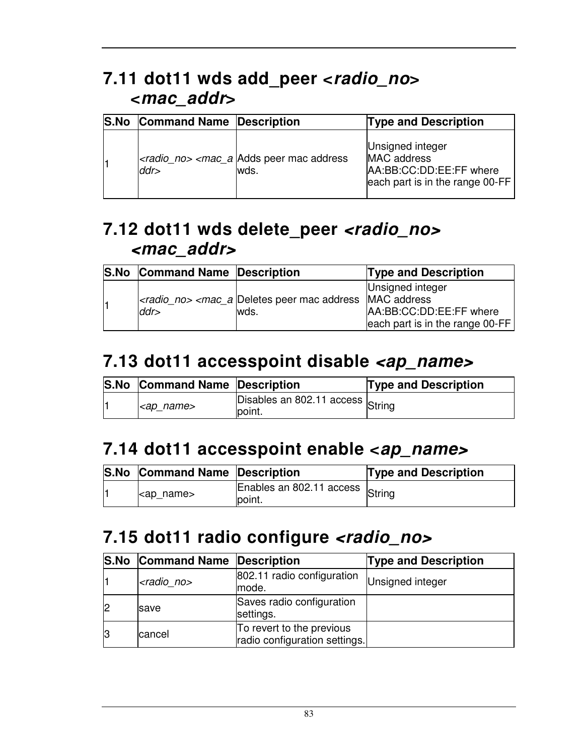### **7.11 dot11 wds add\_peer <radio\_no> <mac\_addr>**

| <b>S.No</b> | <b>Command Name Description</b> |                                                                                | <b>Type and Description</b>                                                                   |
|-------------|---------------------------------|--------------------------------------------------------------------------------|-----------------------------------------------------------------------------------------------|
|             | ddr>                            | <radio_no> <mac_a address<br="" adds="" mac="" peer="">wds.</mac_a></radio_no> | Unsigned integer<br>MAC address<br>AA:BB:CC:DD:EE:FF where<br>each part is in the range 00-FF |

#### **7.12 dot11 wds delete\_peer <radio\_no> <mac\_addr>**

| <b>S.No Command Name Description</b> |                                                                            | <b>Type and Description</b>                                                       |
|--------------------------------------|----------------------------------------------------------------------------|-----------------------------------------------------------------------------------|
| ddr                                  | $\vert$ < radio no > < mac a Deletes peer mac address MAC address<br>lwds. | Unsigned integer<br>AA:BB:CC:DD:EE:FF where<br>each part is in the range $00$ -FF |

#### **7.13 dot11 accesspoint disable <ap\_name>**

| <b>S.No Command Name Description</b> |                                             | <b>Type and Description</b> |
|--------------------------------------|---------------------------------------------|-----------------------------|
| <ap_name></ap_name>                  | Disables an 802.11 access String<br>lpoint. |                             |

#### **7.14 dot11 accesspoint enable <ap\_name>**

| <b>S.No Command Name Description</b> |                                            | <b>Type and Description</b> |
|--------------------------------------|--------------------------------------------|-----------------------------|
| l <ap_name></ap_name>                | Enables an 802.11 access String<br>lpoint. |                             |

#### **7.15 dot11 radio configure <radio\_no>**

|    | <b>S.No Command Name Description</b> |                                                            | <b>Type and Description</b> |
|----|--------------------------------------|------------------------------------------------------------|-----------------------------|
|    | <radio no=""></radio>                | 802.11 radio configuration<br>mode.                        | Unsigned integer            |
|    | <b>save</b>                          | Saves radio configuration<br>settings.                     |                             |
| 13 | cancel                               | To revert to the previous<br>radio configuration settings. |                             |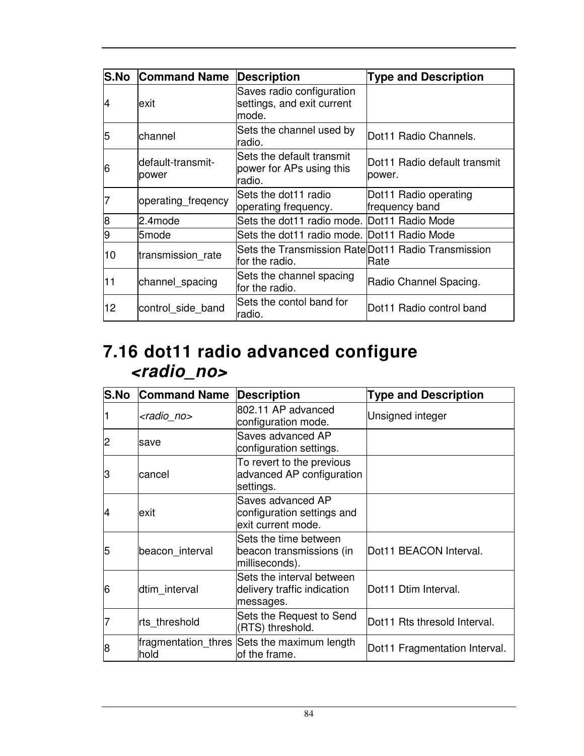| lS.No | <b>Command Name</b>         | Description                                                           | <b>Type and Description</b>             |
|-------|-----------------------------|-----------------------------------------------------------------------|-----------------------------------------|
| 14    | lexit                       | Saves radio configuration<br>settings, and exit current<br>mode.      |                                         |
| 5     | channel                     | Sets the channel used by<br>radio.                                    | Dot11 Radio Channels.                   |
| 16    | ldefault-transmit-<br>power | Sets the default transmit<br>power for APs using this<br>radio.       | lDot11 Radio default transmit<br>power. |
|       | operating freqency          | Sets the dot11 radio<br>operating frequency.                          | Dot11 Radio operating<br>frequency band |
| 8     | 2.4mode                     | Sets the dot11 radio mode. Dot11 Radio Mode                           |                                         |
| 9     | 5mode                       | Sets the dot11 radio mode. Dot11 Radio Mode                           |                                         |
| 10    | transmission rate           | Sets the Transmission Rate Dot11 Radio Transmission<br>for the radio. | Rate                                    |
| 11    | channel_spacing             | Sets the channel spacing<br>for the radio.                            | Radio Channel Spacing.                  |
| 12    | control side band           | Sets the contol band for<br>radio.                                    | Dot11 Radio control band                |

### **7.16 dot11 radio advanced configure <radio\_no>**

| <b>S.No</b> | <b>Command Name</b>   | <b>Description</b>                                                    | <b>Type and Description</b>   |
|-------------|-----------------------|-----------------------------------------------------------------------|-------------------------------|
|             | <radio_no></radio_no> | 802.11 AP advanced<br>configuration mode.                             | Unsigned integer              |
| 2           | save                  | Saves advanced AP<br>configuration settings.                          |                               |
| З           | cancel                | To revert to the previous<br>advanced AP configuration<br>settings.   |                               |
| 4           | lexit                 | Saves advanced AP<br>configuration settings and<br>exit current mode. |                               |
| 5           | beacon_interval       | Sets the time between<br>beacon transmissions (in<br>milliseconds).   | Dot11 BEACON Interval.        |
| 6           | dtim interval         | Sets the interval between<br>delivery traffic indication<br>messages. | Dot11 Dtim Interval.          |
|             | rts threshold         | Sets the Request to Send<br>(RTS) threshold.                          | Dot11 Rts thresold Interval.  |
| 8           | hold                  | fragmentation_thres Sets the maximum length<br>of the frame.          | Dot11 Fragmentation Interval. |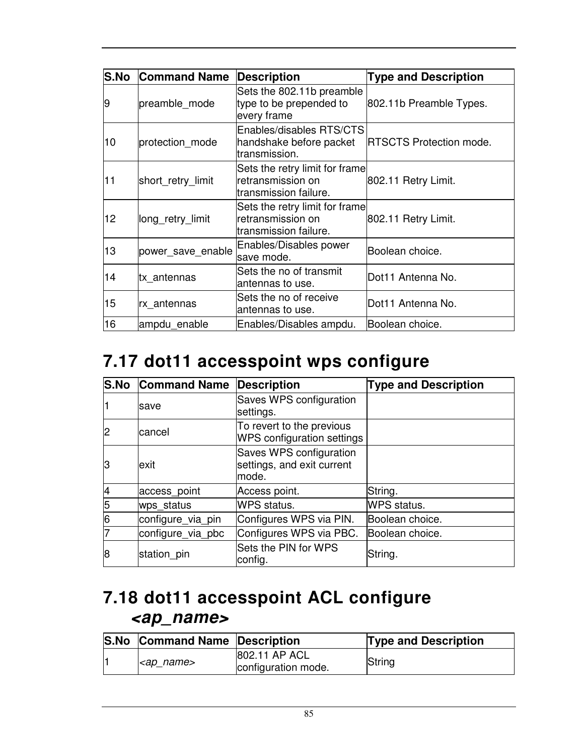| S.No | <b>Command Name</b> | <b>Description</b>                                                            | <b>Type and Description</b>     |
|------|---------------------|-------------------------------------------------------------------------------|---------------------------------|
| 9    | preamble_mode       | Sets the 802.11b preamble<br>type to be prepended to<br>every frame           | 802.11b Preamble Types.         |
| 10   | protection_mode     | Enables/disables RTS/CTS<br>handshake before packet<br>transmission.          | <b>IRTSCTS Protection mode.</b> |
| 11   | short_retry_limit   | Sets the retry limit for frame<br>retransmission on<br>ltransmission failure. | 802.11 Retry Limit.             |
| 12.  | long_retry_limit    | Sets the retry limit for frame<br>retransmission on<br>ltransmission failure. | 802.11 Retry Limit.             |
| 13   | power save enable   | Enables/Disables power<br>save mode.                                          | Boolean choice.                 |
| 14   | tx_antennas         | Sets the no of transmit<br>antennas to use.                                   | Dot11 Antenna No.               |
| 15   | rx antennas         | Sets the no of receive<br>antennas to use.                                    | Dot11 Antenna No.               |
| 16   | ampdu enable        | Enables/Disables ampdu.                                                       | Boolean choice.                 |

### **7.17 dot11 accesspoint wps configure**

|    | <b>S.No Command Name</b> | <b>Description</b>                                             | <b>Type and Description</b> |
|----|--------------------------|----------------------------------------------------------------|-----------------------------|
|    | save                     | Saves WPS configuration<br>settings.                           |                             |
| 2  | cancel                   | To revert to the previous<br>WPS configuration settings        |                             |
| lЗ | exit                     | Saves WPS configuration<br>settings, and exit current<br>mode. |                             |
| 4  | access_point             | Access point.                                                  | String.                     |
| 5  | wps status               | <b>WPS</b> status.                                             | <b>WPS</b> status.          |
| 6  | configure_via_pin        | Configures WPS via PIN.                                        | Boolean choice.             |
|    | configure_via_pbc        | Configures WPS via PBC.                                        | Boolean choice.             |
| 8  | station pin              | Sets the PIN for WPS<br>config.                                | String.                     |

### **7.18 dot11 accesspoint ACL configure <ap\_name>**

Ī

| <b>S.No Command Name Description</b> |                                      | <b>Type and Description</b> |
|--------------------------------------|--------------------------------------|-----------------------------|
| l <ap_name></ap_name>                | 802.11 AP ACL<br>configuration mode. | String                      |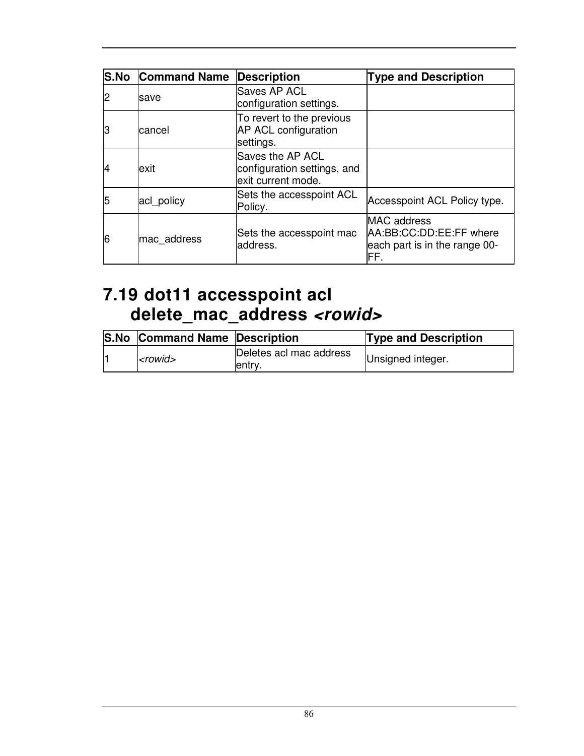|    | <b>S.No Command Name</b> | <b>Description</b>                                                    | <b>Type and Description</b>                                                            |
|----|--------------------------|-----------------------------------------------------------------------|----------------------------------------------------------------------------------------|
| 2  | save                     | Saves AP ACL<br>configuration settings.                               |                                                                                        |
| IЗ | cancel                   | To revert to the previous<br><b>AP ACL configuration</b><br>settings. |                                                                                        |
| 4  | exit                     | Saves the AP ACL<br>configuration settings, and<br>exit current mode. |                                                                                        |
| 15 | acl_policy               | Sets the accesspoint ACL<br>Policy.                                   | Accesspoint ACL Policy type.                                                           |
| 6  | mac address              | Sets the accesspoint mac<br>address.                                  | <b>MAC</b> address<br>AA:BB:CC:DD:EE:FF where<br>each part is in the range 00-<br>lFF. |

#### **7.19 dot11 accesspoint acl delete\_mac\_address <rowid>**

|  | <b>S.No Command Name Description</b> |                                    | <b>Type and Description</b> |
|--|--------------------------------------|------------------------------------|-----------------------------|
|  | $<$ rowid $>$                        | Deletes acl mac address<br>lentry. | Unsigned integer.           |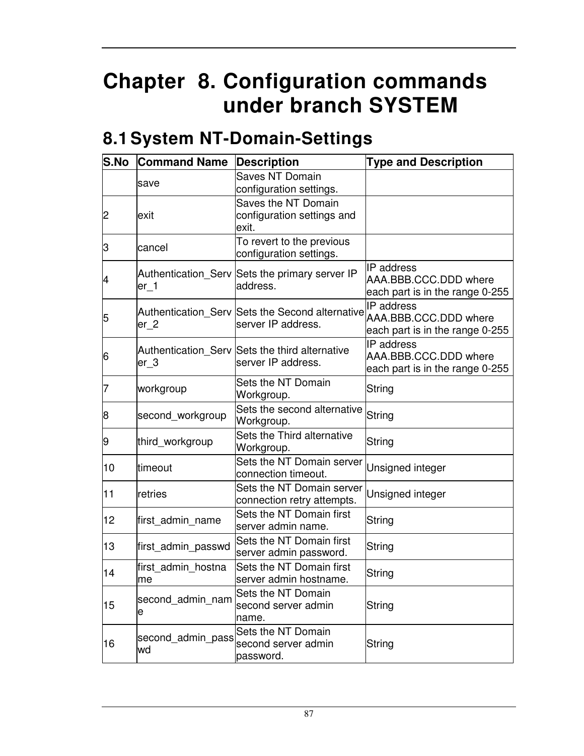# **Chapter 8. Configuration commands under branch SYSTEM**

# **8.1 System NT-Domain-Settings**

| S.No | <b>Command Name</b>      | <b>Description</b>                                                    | <b>Type and Description</b>                                                   |
|------|--------------------------|-----------------------------------------------------------------------|-------------------------------------------------------------------------------|
|      | save                     | <b>Saves NT Domain</b><br>configuration settings.                     |                                                                               |
| 2    | exit                     | Saves the NT Domain<br>configuration settings and<br>exit.            |                                                                               |
| З    | cancel                   | To revert to the previous<br>configuration settings.                  |                                                                               |
| 14   | $er_1$                   | Authentication_Serv Sets the primary server IP<br>address.            | <b>IP</b> address<br>AAA.BBB.CCC.DDD where<br>each part is in the range 0-255 |
| 5    | $er_2$                   | Authentication_Serv Sets the Second alternative<br>server IP address. | IP address<br>AAA.BBB.CCC.DDD where<br>each part is in the range 0-255        |
| 6    | $er_3$                   | Authentication_Serv Sets the third alternative<br>server IP address.  | IP address<br>AAA.BBB.CCC.DDD where<br>each part is in the range 0-255        |
|      | workgroup                | Sets the NT Domain<br>Workgroup.                                      | String                                                                        |
| 8    | second_workgroup         | Sets the second alternative<br>Workgroup.                             | String                                                                        |
| 9    | third_workgroup          | Sets the Third alternative<br>Workgroup.                              | String                                                                        |
| 10   | timeout                  | Sets the NT Domain server<br>connection timeout.                      | Unsigned integer                                                              |
| 11   | retries                  | Sets the NT Domain server<br>connection retry attempts.               | Unsigned integer                                                              |
| 12   | first_admin_name         | Sets the NT Domain first<br>server admin name.                        | String                                                                        |
| 13   | first_admin_passwd       | Sets the NT Domain first<br>server admin password.                    | String                                                                        |
| 14   | first_admin_hostna<br>me | Sets the NT Domain first<br>server admin hostname                     | String                                                                        |
| 15   | second admin nam<br>е    | Sets the NT Domain<br>second server admin<br>name.                    | String                                                                        |
| 16   | second admin pass<br>wd  | Sets the NT Domain<br>second server admin<br>password.                | String                                                                        |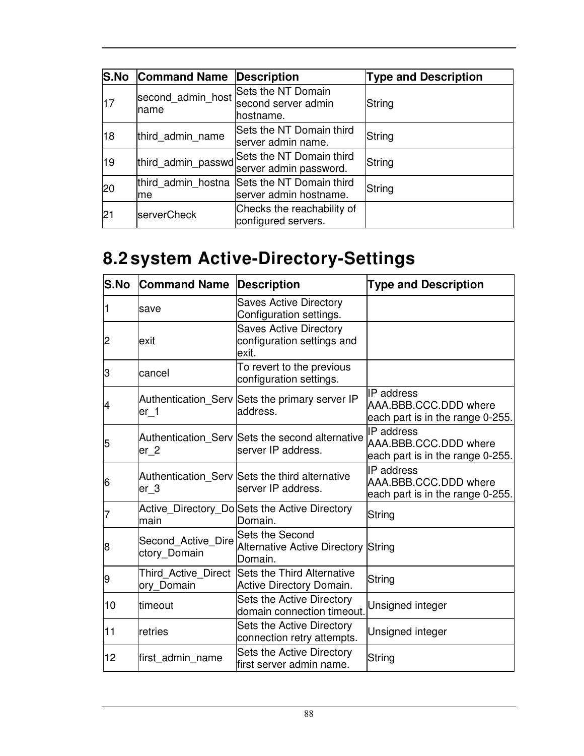| <b>S.No</b> | <b>Command Name</b>       | <b>Description</b>                                     | <b>Type and Description</b> |
|-------------|---------------------------|--------------------------------------------------------|-----------------------------|
| 17          | second admin host<br>name | Sets the NT Domain<br>second server admin<br>hostname. | String                      |
| 18          | third admin name          | Sets the NT Domain third<br>server admin name.         | String                      |
| 19          | third_admin_passwd        | Sets the NT Domain third<br>server admin password.     | String                      |
| 20          | third admin hostna<br>me  | Sets the NT Domain third<br>server admin hostname.     | String                      |
| 21          | serverCheck               | Checks the reachability of<br>configured servers.      |                             |

# **8.2 system Active-Directory-Settings**

| <b>S.No</b> | <b>Command Name</b>                | <b>Description</b>                                                       | <b>Type and Description</b>                                             |
|-------------|------------------------------------|--------------------------------------------------------------------------|-------------------------------------------------------------------------|
| 1           | save                               | <b>Saves Active Directory</b><br>Configuration settings.                 |                                                                         |
| 2           | lexit                              | <b>Saves Active Directory</b><br>configuration settings and<br>exit.     |                                                                         |
| З           | lcancel                            | To revert to the previous<br>configuration settings.                     |                                                                         |
| 14          | er 1                               | Authentication_Serv Sets the primary server IP<br>address.               | IP address<br>AAA.BBB.CCC.DDD where<br>each part is in the range 0-255. |
| 5           | er <sub>2</sub>                    | Authentication_Serv Sets the second alternative<br>server IP address.    | IP address<br>AAA.BBB.CCC.DDD where<br>each part is in the range 0-255. |
| 16          | $er_3$                             | Authentication Serv Sets the third alternative<br>server IP address.     | IP address<br>AAA.BBB.CCC.DDD where<br>each part is in the range 0-255. |
|             | lmain                              | Active_Directory_Do Sets the Active Directory<br>Domain.                 | String                                                                  |
| 8           | Second Active Dire<br>ctory_Domain | Sets the Second<br><b>Alternative Active Directory String</b><br>Domain. |                                                                         |
| 9           | Third Active Direct<br>ory_Domain  | <b>Sets the Third Alternative</b><br>Active Directory Domain.            | String                                                                  |
| 10          | timeout                            | Sets the Active Directory<br>domain connection timeout.                  | Unsigned integer                                                        |
| 11          | retries                            | <b>Sets the Active Directory</b><br>connection retry attempts.           | Unsigned integer                                                        |
| 12          | first admin name                   | Sets the Active Directory<br>first server admin name.                    | String                                                                  |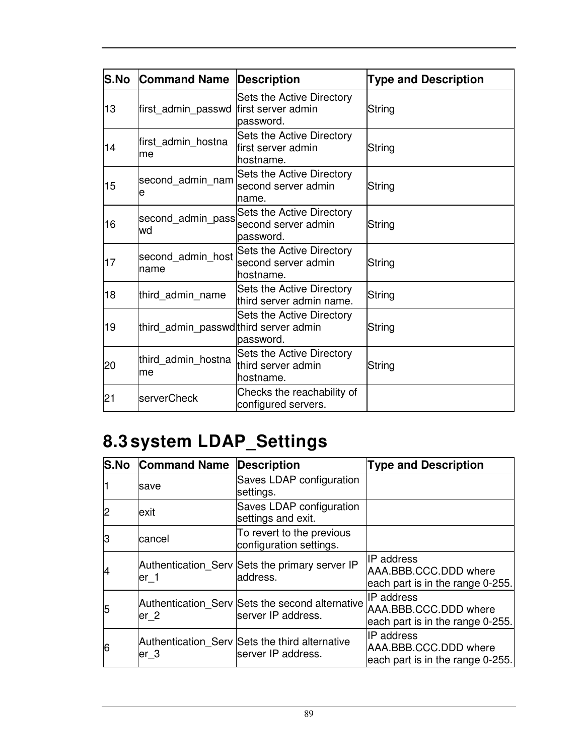| S.No | <b>Command Name</b>                   | <b>Description</b>                                                   | <b>Type and Description</b> |
|------|---------------------------------------|----------------------------------------------------------------------|-----------------------------|
| 13   | first_admin_passwd                    | Sets the Active Directory<br>first server admin<br>password.         | String                      |
| 14   | first_admin_hostna<br>lme             | Sets the Active Directory<br>lfirst server admin<br>hostname.        | String                      |
| 15   | second admin nam<br>le                | Sets the Active Directory<br>second server admin<br>name.            | String                      |
| 16   | second_admin_pass<br>wd               | Sets the Active Directory<br>second server admin<br>password.        | String                      |
| 17   | second_admin_host<br>Iname            | <b>Sets the Active Directory</b><br>second server admin<br>hostname. | String                      |
| 18   | third admin name                      | Sets the Active Directory<br>third server admin name.                | String                      |
| 19   | third_admin_passwd third server admin | Sets the Active Directory<br>password.                               | String                      |
| 20   | third admin hostna<br>lme             | Sets the Active Directory<br>third server admin<br>hostname.         | String                      |
| 21   | <b>serverCheck</b>                    | Checks the reachability of<br>configured servers.                    |                             |

# **8.3 system LDAP\_Settings**

| <b>S.No</b> | <b>Command Name</b> | <b>Description</b>                                                    | <b>Type and Description</b>                                                    |
|-------------|---------------------|-----------------------------------------------------------------------|--------------------------------------------------------------------------------|
|             | save                | Saves LDAP configuration<br>settings.                                 |                                                                                |
|             | exit                | Saves LDAP configuration<br>settings and exit.                        |                                                                                |
| lЗ          | cancel              | To revert to the previous<br>configuration settings.                  |                                                                                |
|             | er 1                | Authentication_Serv Sets the primary server IP<br>address.            | IIP address<br>AAA.BBB.CCC.DDD where<br>each part is in the range 0-255.       |
| 15          | er <sub>2</sub>     | Authentication Serv Sets the second alternative<br>server IP address. | <b>IP</b> address<br>AAA.BBB.CCC.DDD where<br>each part is in the range 0-255. |
| 6           | er 3                | Authentication_Serv Sets the third alternative<br>server IP address.  | <b>IP</b> address<br>AAA.BBB.CCC.DDD where<br>each part is in the range 0-255. |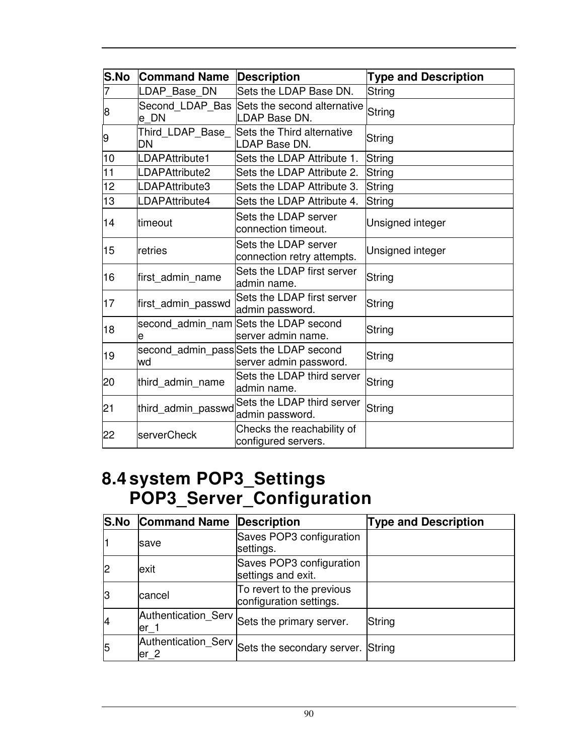| S.No | <b>Command Name</b>      | <b>Description</b>                                               | <b>Type and Description</b> |
|------|--------------------------|------------------------------------------------------------------|-----------------------------|
|      | LDAP Base DN             | Sets the LDAP Base DN.                                           | String                      |
| 8    | Second_LDAP_Bas<br>le DN | Sets the second alternative<br>LDAP Base DN.                     | String                      |
| 9    | Third LDAP Base<br>DN    | Sets the Third alternative<br>LDAP Base DN.                      | String                      |
| 10   | LDAPAttribute1           | Sets the LDAP Attribute 1.                                       | String                      |
| 11   | LDAPAttribute2           | Sets the LDAP Attribute 2.                                       | String                      |
| 12   | LDAPAttribute3           | Sets the LDAP Attribute 3.                                       | String                      |
| 13   | LDAPAttribute4           | Sets the LDAP Attribute 4.                                       | <b>String</b>               |
| 14   | timeout                  | Sets the LDAP server<br>connection timeout.                      | Unsigned integer            |
| 15   | lretries                 | Sets the LDAP server<br>connection retry attempts.               | Unsigned integer            |
| 16   | first admin name         | Sets the LDAP first server<br>admin name.                        | String                      |
| 17   | first_admin_passwd       | Sets the LDAP first server<br>admin password.                    | String                      |
| 18   | е                        | second_admin_nam Sets the LDAP second<br>server admin name.      | String                      |
| 19   | wd                       | second_admin_pass Sets the LDAP second<br>server admin password. | String                      |
| 20   | third_admin_name         | Sets the LDAP third server<br>admin name.                        | String                      |
| 21   | third_admin_passwd       | Sets the LDAP third server<br>admin password.                    | String                      |
| 22   | serverCheck              | Checks the reachability of<br>configured servers.                |                             |

#### **8.4 system POP3\_Settings POP3\_Server\_Configuration**

|   | <b>S.No Command Name</b> | Description                                           | <b>Type and Description</b> |
|---|--------------------------|-------------------------------------------------------|-----------------------------|
|   | <b>save</b>              | Saves POP3 configuration<br>settings.                 |                             |
|   | lexit                    | Saves POP3 configuration<br>settings and exit.        |                             |
| ß | cancel                   | To revert to the previous<br>configuration settings.  |                             |
|   | $er_1$                   | Authentication_Serv Sets the primary server.          | String                      |
| 5 | $er_2$                   | Authentication_Serv Sets the secondary server. String |                             |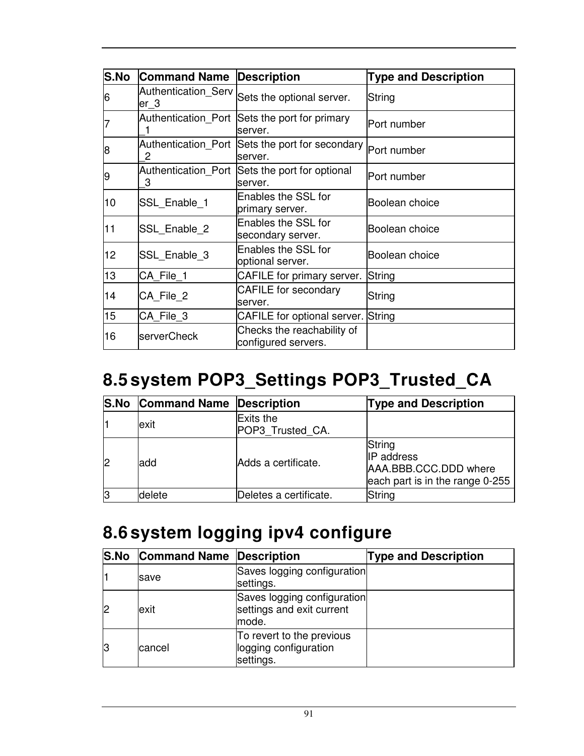| S.No | <b>Command Name</b>          | <b>Description</b>                                         | <b>Type and Description</b> |
|------|------------------------------|------------------------------------------------------------|-----------------------------|
| 6    | Authentication Serv<br>ler_3 | Sets the optional server.                                  | String                      |
|      |                              | Authentication Port Sets the port for primary<br>server.   | lPort number                |
| 8    | 2                            | Authentication_Port Sets the port for secondary<br>server. | Port number                 |
| 19   | 3                            | Authentication_Port Sets the port for optional<br>lserver. | lPort number                |
| 10   | SSL_Enable_1                 | Enables the SSL for<br>primary server.                     | Boolean choice              |
| 11   | SSL_Enable_2                 | Enables the SSL for<br>secondary server.                   | Boolean choice              |
| 12   | SSL Enable 3                 | Enables the SSL for<br>optional server.                    | Boolean choice              |
| 13   | CA File 1                    | CAFILE for primary server.                                 | String                      |
| 14   | CA_File_2                    | <b>CAFILE</b> for secondary<br>lserver.                    | String                      |
| 15   | CA_File_3                    | CAFILE for optional server. String                         |                             |
| 16   | serverCheck                  | Checks the reachability of<br>configured servers.          |                             |

# **8.5 system POP3\_Settings POP3\_Trusted\_CA**

|                | S.No Command Name Description |                               | <b>Type and Description</b>                                                             |
|----------------|-------------------------------|-------------------------------|-----------------------------------------------------------------------------------------|
|                | exit                          | Exits the<br>POP3 Trusted CA. |                                                                                         |
| $\overline{2}$ | ladd                          | lAdds a certificate.          | String<br><b>IP</b> address<br>AAA.BBB.CCC.DDD where<br>each part is in the range 0-255 |
| 13             | delete                        | Deletes a certificate.        | String                                                                                  |

### **8.6 system logging ipv4 configure**

|    | <b>S.No Command Name Description</b> |                                                                   | <b>Type and Description</b> |
|----|--------------------------------------|-------------------------------------------------------------------|-----------------------------|
|    | save                                 | Saves logging configuration<br>settings.                          |                             |
| 12 | exit                                 | Saves logging configuration<br>settings and exit current<br>mode. |                             |
| 13 | cancel                               | To revert to the previous<br>logging configuration<br>settings.   |                             |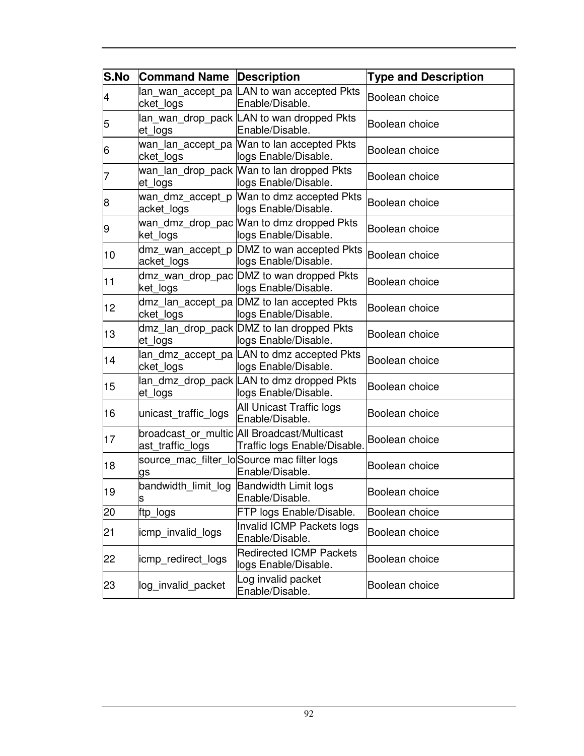| S.No                     | <b>Command Name</b>  | <b>Description</b>                                                          | <b>Type and Description</b> |
|--------------------------|----------------------|-----------------------------------------------------------------------------|-----------------------------|
| $\overline{\mathcal{A}}$ | cket_logs            | lan_wan_accept_pa LAN to wan accepted Pkts<br>Enable/Disable.               | Boolean choice              |
| 5                        | et logs              | lan wan drop pack LAN to wan dropped Pkts<br>Enable/Disable.                | Boolean choice              |
| 6                        | cket_logs            | wan_lan_accept_pa Wan to lan accepted Pkts<br>logs Enable/Disable.          | Boolean choice              |
| 7                        | et logs              | wan lan drop pack Wan to lan dropped Pkts<br>logs Enable/Disable.           | Boolean choice              |
| 8                        | acket_logs           | wan dmz_accept_p  Wan to dmz accepted Pkts<br>logs Enable/Disable.          | Boolean choice              |
| 9                        | ket_logs             | wan dmz_drop_pac Wan to dmz dropped Pkts<br>logs Enable/Disable.            | Boolean choice              |
| 10                       | acket_logs           | dmz_wan_accept_p DMZ to wan accepted Pkts<br>logs Enable/Disable.           | Boolean choice              |
| 11                       | ket_logs             | dmz wan drop pac DMZ to wan dropped Pkts<br>logs Enable/Disable.            | Boolean choice              |
| 12                       | cket_logs            | dmz_lan_accept_pa DMZ to lan accepted Pkts<br>logs Enable/Disable.          | Boolean choice              |
| 13                       | et logs              | dmz_lan_drop_pack DMZ to lan dropped Pkts<br>logs Enable/Disable.           | Boolean choice              |
| 14                       | cket_logs            | lan_dmz_accept_pa  LAN to dmz accepted Pkts<br>logs Enable/Disable.         | Boolean choice              |
| 15                       | et logs              | lan_dmz_drop_pack LAN to dmz dropped Pkts<br>logs Enable/Disable.           | Boolean choice              |
| 16                       | unicast_traffic_logs | All Unicast Traffic logs<br>Enable/Disable.                                 | Boolean choice              |
| 17                       | ast traffic logs     | broadcast_or_multic All Broadcast/Multicast<br>Traffic logs Enable/Disable. | Boolean choice              |
| 18                       | gs                   | source_mac_filter_lo Source mac filter logs<br>Enable/Disable.              | Boolean choice              |
| 19                       | S                    | bandwidth limit log Bandwidth Limit logs<br>Enable/Disable.                 | Boolean choice              |
| 20                       | ftp_logs             | FTP logs Enable/Disable.                                                    | Boolean choice              |
| 21                       | icmp invalid logs    | Invalid ICMP Packets logs<br>Enable/Disable.                                | Boolean choice              |
| 22                       | icmp redirect logs   | <b>Redirected ICMP Packets</b><br>logs Enable/Disable.                      | Boolean choice              |
| 23                       | log_invalid_packet   | Log invalid packet<br>Enable/Disable.                                       | Boolean choice              |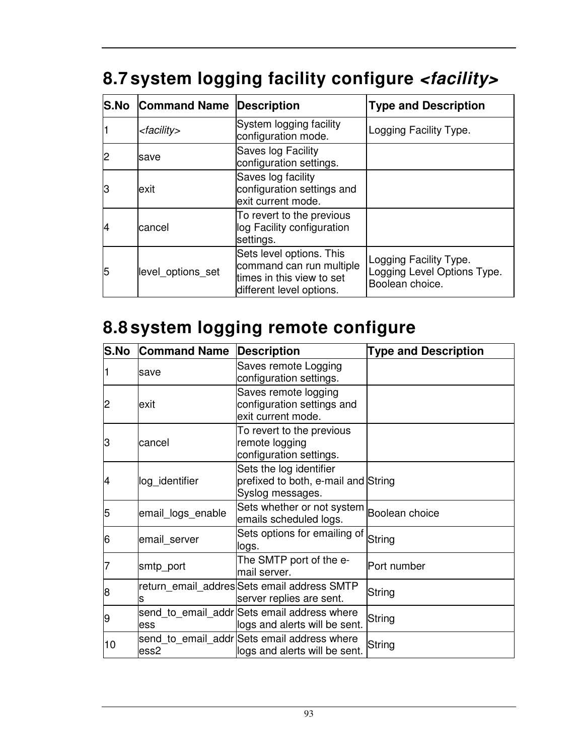# **8.7 system logging facility configure <facility>**

| <b>S.No</b> | <b>Command Name Description</b> |                                                                                                               | <b>Type and Description</b>                                              |
|-------------|---------------------------------|---------------------------------------------------------------------------------------------------------------|--------------------------------------------------------------------------|
|             | <facility></facility>           | System logging facility<br>configuration mode.                                                                | Logging Facility Type.                                                   |
| 2           | save                            | Saves log Facility<br>configuration settings.                                                                 |                                                                          |
| lЗ          | exit                            | Saves log facility<br>configuration settings and<br>exit current mode.                                        |                                                                          |
| 14          | cancel                          | To revert to the previous<br>log Facility configuration<br>settings.                                          |                                                                          |
| 5           | level_options_set               | Sets level options. This<br>command can run multiple<br>times in this view to set<br>different level options. | Logging Facility Type.<br>Logging Level Options Type.<br>Boolean choice. |

# **8.8 system logging remote configure**

| S.No | <b>Command Name</b> | <b>Description</b>                                                                 | <b>Type and Description</b> |
|------|---------------------|------------------------------------------------------------------------------------|-----------------------------|
|      | save                | Saves remote Logging<br>configuration settings.                                    |                             |
| 2    | lexit               | Saves remote logging<br>configuration settings and<br>exit current mode.           |                             |
| З    | cancel              | To revert to the previous<br>remote logging<br>configuration settings.             |                             |
| 4    | log_identifier      | Sets the log identifier<br>prefixed to both, e-mail and String<br>Syslog messages. |                             |
| 5    | email logs enable   | Sets whether or not system<br>emails scheduled logs.                               | Boolean choice              |
| 6    | email server        | Sets options for emailing of<br>llogs.                                             | String                      |
|      | smtp_port           | The SMTP port of the e-<br>mail server.                                            | Port number                 |
| 8    | lS                  | return_email_addres Sets email address SMTP<br>server replies are sent.            | String                      |
| 19   | ess                 | send to email addr Sets email address where<br>logs and alerts will be sent.       | String                      |
| 10   | ess2                | send to email addr Sets email address where<br>logs and alerts will be sent.       | String                      |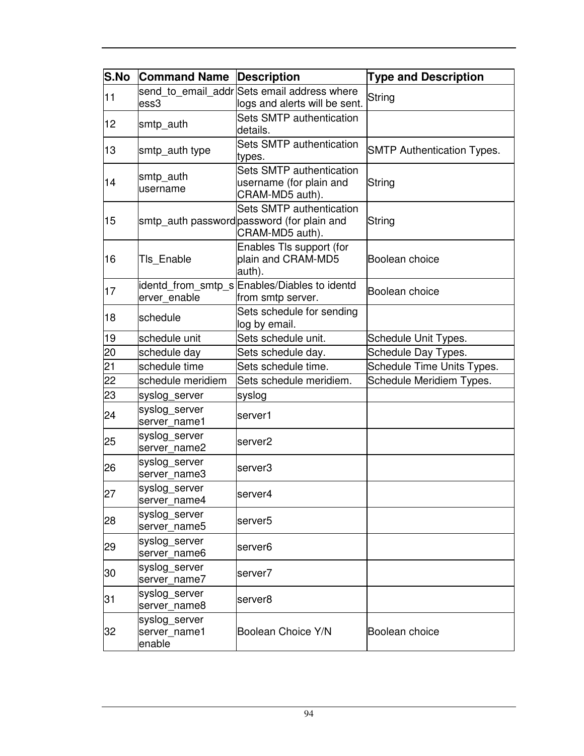| S.No | <b>Command Name Description</b>         |                                                                                           | <b>Type and Description</b>       |
|------|-----------------------------------------|-------------------------------------------------------------------------------------------|-----------------------------------|
| 11   | ess3                                    | send to email addr Sets email address where<br>logs and alerts will be sent.              | String                            |
| 12   | smtp_auth                               | Sets SMTP authentication<br>details.                                                      |                                   |
| 13   | smtp_auth type                          | Sets SMTP authentication<br>types.                                                        | <b>SMTP Authentication Types.</b> |
| 14   | smtp auth<br>username                   | Sets SMTP authentication<br>username (for plain and<br>CRAM-MD5 auth).                    | String                            |
| 15   |                                         | Sets SMTP authentication<br>smtp_auth password password (for plain and<br>CRAM-MD5 auth). | String                            |
| 16   | Tls Enable                              | Enables TIs support (for<br>plain and CRAM-MD5<br>auth).                                  | Boolean choice                    |
| 17   | erver_enable                            | identd_from_smtp_s Enables/Diables to identd<br>from smtp server.                         | Boolean choice                    |
| 18   | schedule                                | Sets schedule for sending<br>log by email.                                                |                                   |
| 19   | schedule unit                           | Sets schedule unit.                                                                       | Schedule Unit Types.              |
| 20   | schedule day                            | Sets schedule day.                                                                        | Schedule Day Types.               |
| 21   | schedule time                           | Sets schedule time.                                                                       | Schedule Time Units Types.        |
| 22   | schedule meridiem                       | Sets schedule meridiem.                                                                   | Schedule Meridiem Types.          |
| 23   | syslog_server                           | syslog                                                                                    |                                   |
| 24   | syslog_server<br>server name1           | server1                                                                                   |                                   |
| 25   | syslog_server<br>server name2           | server <sub>2</sub>                                                                       |                                   |
| 26   | syslog_server<br>server name3           | server3                                                                                   |                                   |
| 27   | syslog server<br>server name4           | server4                                                                                   |                                   |
| 28   | syslog_server<br>server_name5           | server <sub>5</sub>                                                                       |                                   |
| 29   | syslog_server<br>server_name6           | server <sub>6</sub>                                                                       |                                   |
| 30   | syslog_server<br>server name7           | server7                                                                                   |                                   |
| 31   | syslog server<br>server_name8           | server <sub>8</sub>                                                                       |                                   |
| 32   | syslog_server<br>server name1<br>enable | Boolean Choice Y/N                                                                        | Boolean choice                    |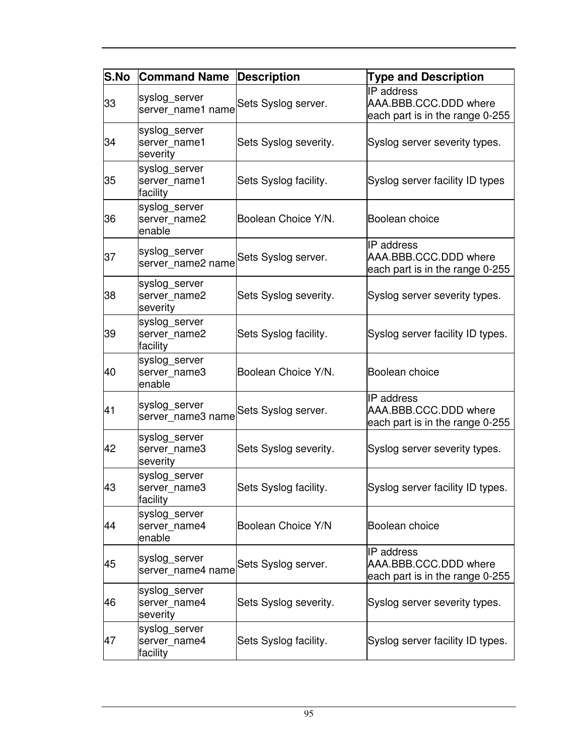| S.No | <b>Command Name</b>                       | <b>Description</b>    | <b>Type and Description</b>                                                   |
|------|-------------------------------------------|-----------------------|-------------------------------------------------------------------------------|
| 33   | syslog_server<br>server_name1 name        | Sets Syslog server.   | IP address<br>AAA.BBB.CCC.DDD where<br>each part is in the range 0-255        |
| 34   | syslog_server<br>server name1<br>severity | Sets Syslog severity. | Syslog server severity types.                                                 |
| 35   | syslog_server<br>server_name1<br>facility | Sets Syslog facility. | Syslog server facility ID types                                               |
| 36   | syslog_server<br>server name2<br>enable   | Boolean Choice Y/N.   | Boolean choice                                                                |
| 37   | syslog_server<br>server_name2 name        | Sets Syslog server.   | IP address<br>AAA.BBB.CCC.DDD where<br>each part is in the range 0-255        |
| 38   | syslog_server<br>server_name2<br>severity | Sets Syslog severity. | Syslog server severity types.                                                 |
| 39   | syslog server<br>server_name2<br>facility | Sets Syslog facility. | Syslog server facility ID types.                                              |
| 40   | syslog_server<br>server_name3<br>enable   | Boolean Choice Y/N.   | Boolean choice                                                                |
| 41   | syslog_server<br>server_name3 name        | Sets Syslog server.   | <b>IP</b> address<br>AAA.BBB.CCC.DDD where<br>each part is in the range 0-255 |
| 42   | syslog_server<br>server_name3<br>severity | Sets Syslog severity. | Syslog server severity types.                                                 |
| 43   | syslog_server<br>server_name3<br>facility | Sets Syslog facility. | Syslog server facility ID types.                                              |
| 44   | syslog_server<br>server_name4<br>enable   | Boolean Choice Y/N    | Boolean choice                                                                |
| 45   | syslog_server<br>server name4 name        | Sets Syslog server.   | <b>IP</b> address<br>AAA.BBB.CCC.DDD where<br>each part is in the range 0-255 |
| 46   | syslog_server<br>server name4<br>severity | Sets Syslog severity. | Syslog server severity types.                                                 |
| 47   | syslog_server<br>server_name4<br>facility | Sets Syslog facility. | Syslog server facility ID types.                                              |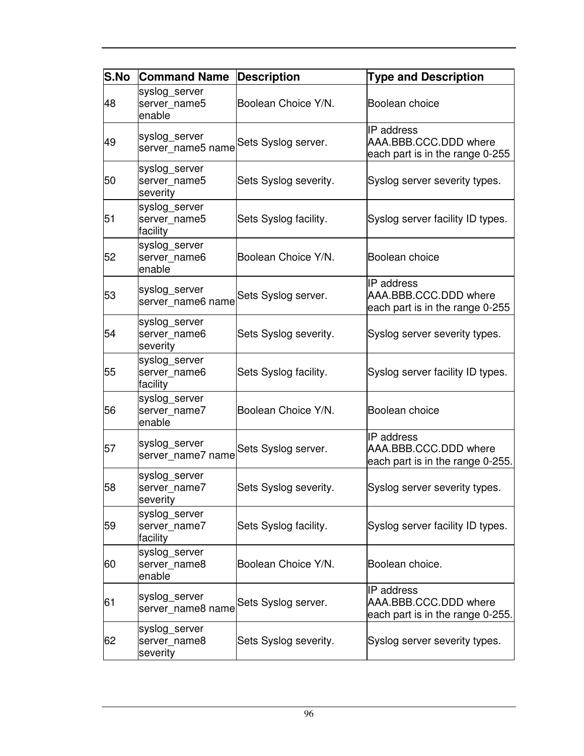| <b>S.No</b> | <b>Command Name</b>                       | <b>Description</b>    | <b>Type and Description</b>                                                    |
|-------------|-------------------------------------------|-----------------------|--------------------------------------------------------------------------------|
| 48          | syslog_server<br>server name5<br>enable   | Boolean Choice Y/N.   | Boolean choice                                                                 |
| 49          | syslog_server<br>server name5 name        | Sets Syslog server.   | IP address<br>AAA.BBB.CCC.DDD where<br>each part is in the range 0-255         |
| 50          | syslog_server<br>server name5<br>severity | Sets Syslog severity. | Syslog server severity types.                                                  |
| 51          | syslog_server<br>server_name5<br>facility | Sets Syslog facility. | Syslog server facility ID types.                                               |
| 52          | syslog_server<br>server_name6<br>enable   | Boolean Choice Y/N.   | Boolean choice                                                                 |
| 53          | syslog_server<br>server name6 name        | Sets Syslog server.   | <b>IP</b> address<br>AAA.BBB.CCC.DDD where<br>each part is in the range 0-255  |
| 54          | syslog_server<br>server_name6<br>severity | Sets Syslog severity. | Syslog server severity types.                                                  |
| 55          | syslog_server<br>server name6<br>facility | Sets Syslog facility. | Syslog server facility ID types.                                               |
| 56          | syslog_server<br>server_name7<br>enable   | Boolean Choice Y/N.   | Boolean choice                                                                 |
| 57          | syslog_server<br>server name7 name        | Sets Syslog server.   | <b>IP</b> address<br>AAA.BBB.CCC.DDD where<br>each part is in the range 0-255. |
| 58          | syslog_server<br>server name7<br>severity | Sets Syslog severity. | Syslog server severity types.                                                  |
| 59          | syslog_server<br>server_name7<br>facility | Sets Syslog facility. | Syslog server facility ID types.                                               |
| 60          | syslog_server<br>server_name8<br>enable   | Boolean Choice Y/N.   | Boolean choice.                                                                |
| 61          | syslog_server<br>server name8 name        | Sets Syslog server.   | <b>IP</b> address<br>AAA.BBB.CCC.DDD where<br>each part is in the range 0-255. |
| 62          | syslog_server<br>server name8<br>severity | Sets Syslog severity. | Syslog server severity types.                                                  |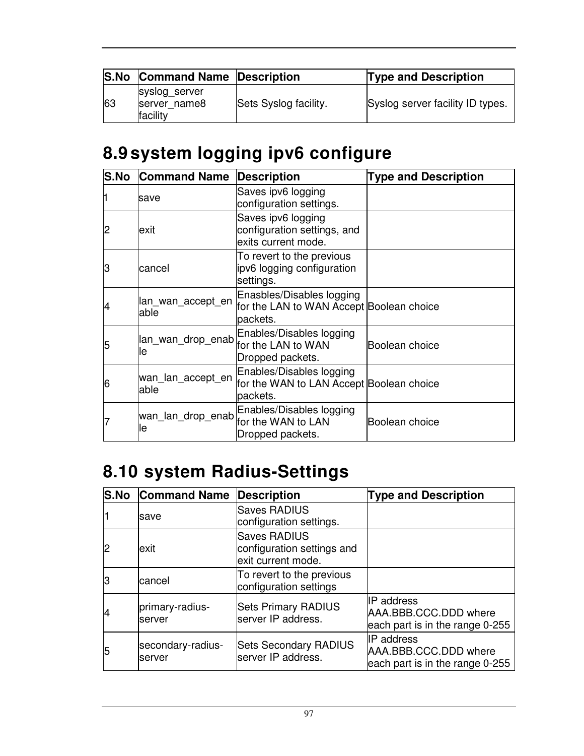| <b>S.No</b> | <b>Command Name Description</b>           |                       | <b>Type and Description</b>      |
|-------------|-------------------------------------------|-----------------------|----------------------------------|
| 63          | syslog_server<br>server name8<br>facility | Sets Syslog facility. | Syslog server facility ID types. |

# **8.9 system logging ipv6 configure**

| <b>S.No</b> | <b>Command Name</b>        | <b>Description</b>                                                                | <b>Type and Description</b> |
|-------------|----------------------------|-----------------------------------------------------------------------------------|-----------------------------|
|             | save                       | Saves ipv6 logging<br>configuration settings.                                     |                             |
|             | exit                       | Saves ipv6 logging<br>configuration settings, and<br>exits current mode.          |                             |
| З           | cancel                     | To revert to the previous<br>ipv6 logging configuration<br>settings.              |                             |
| 4           | lan wan accept en<br>lable | Enasbles/Disables logging<br>for the LAN to WAN Accept Boolean choice<br>packets. |                             |
| 5           | lan_wan_drop_enab<br>lle   | Enables/Disables logging<br>for the LAN to WAN<br>Dropped packets.                | Boolean choice              |
| 6           | wan lan accept en<br>able  | Enables/Disables logging<br>for the WAN to LAN Accept Boolean choice<br>packets.  |                             |
|             | wan_lan_drop_enab<br>le    | Enables/Disables logging<br>for the WAN to LAN<br>Dropped packets.                | Boolean choice              |

# **8.10 system Radius-Settings**

| <b>S.No</b> | <b>Command Name</b>         | <b>Description</b>                                                      | <b>Type and Description</b>                                                   |
|-------------|-----------------------------|-------------------------------------------------------------------------|-------------------------------------------------------------------------------|
|             | Isave                       | <b>Saves RADIUS</b><br>configuration settings.                          |                                                                               |
|             | exit                        | <b>Saves RADIUS</b><br>configuration settings and<br>exit current mode. |                                                                               |
| lЗ          | cancel                      | To revert to the previous<br>configuration settings                     |                                                                               |
| 14          | primary-radius-<br>lserver  | <b>Sets Primary RADIUS</b><br>server IP address.                        | <b>IP</b> address<br>AAA.BBB.CCC.DDD where<br>each part is in the range 0-255 |
| 5           | secondary-radius-<br>server | <b>Sets Secondary RADIUS</b><br>server IP address.                      | <b>IP</b> address<br>AAA.BBB.CCC.DDD where<br>each part is in the range 0-255 |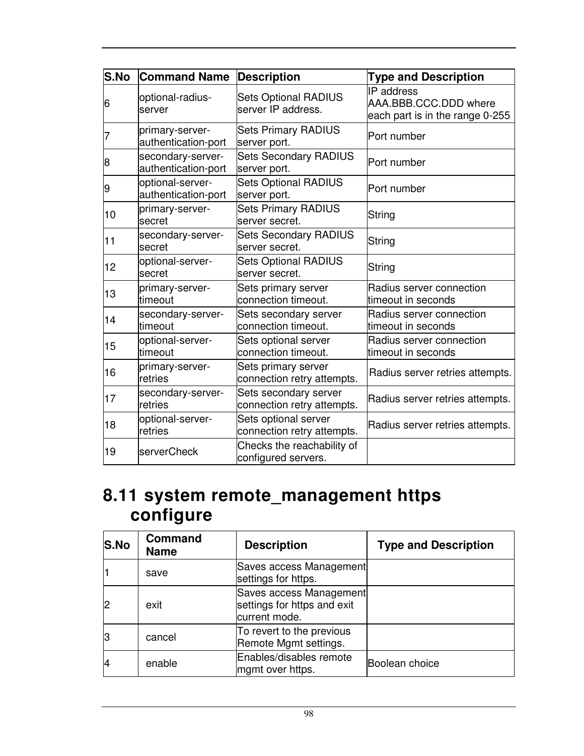| <b>S.No</b> | <b>Command Name</b>                      | <b>Description</b>                                  | <b>Type and Description</b>                                                   |
|-------------|------------------------------------------|-----------------------------------------------------|-------------------------------------------------------------------------------|
| 6           | optional-radius-<br>server               | <b>Sets Optional RADIUS</b><br>server IP address.   | <b>IP</b> address<br>AAA.BBB.CCC.DDD where<br>each part is in the range 0-255 |
|             | primary-server-<br>authentication-port   | <b>Sets Primary RADIUS</b><br>server port.          | Port number                                                                   |
| 8           | secondary-server-<br>authentication-port | <b>Sets Secondary RADIUS</b><br>server port.        | Port number                                                                   |
| 9           | optional-server-<br>authentication-port  | <b>Sets Optional RADIUS</b><br>server port.         | Port number                                                                   |
| 10          | primary-server-<br>secret                | <b>Sets Primary RADIUS</b><br>server secret.        | String                                                                        |
| 11          | secondary-server-<br>secret              | <b>Sets Secondary RADIUS</b><br>server secret.      | String                                                                        |
| 12          | optional-server-<br>secret               | <b>Sets Optional RADIUS</b><br>server secret.       | String                                                                        |
| 13          | primary-server-<br>ltimeout              | Sets primary server<br>connection timeout.          | Radius server connection<br>timeout in seconds                                |
| 14          | secondary-server-<br>timeout             | Sets secondary server<br>connection timeout.        | Radius server connection<br>timeout in seconds                                |
| 15          | optional-server-<br>timeout              | Sets optional server<br>connection timeout.         | Radius server connection<br>timeout in seconds                                |
| 16          | primary-server-<br>retries               | Sets primary server<br>connection retry attempts.   | Radius server retries attempts.                                               |
| 17          | secondary-server-<br>retries             | Sets secondary server<br>connection retry attempts. | Radius server retries attempts.                                               |
| 18          | optional-server-<br>retries              | Sets optional server<br>connection retry attempts.  | Radius server retries attempts.                                               |
| 19          | serverCheck                              | Checks the reachability of<br>configured servers.   |                                                                               |

#### **8.11 system remote\_management https configure**

| S.No | <b>Command</b><br><b>Name</b> | <b>Description</b>                                                      | <b>Type and Description</b> |
|------|-------------------------------|-------------------------------------------------------------------------|-----------------------------|
|      | save                          | Saves access Management<br>settings for https.                          |                             |
|      | exit                          | Saves access Management<br>settings for https and exit<br>current mode. |                             |
| ß    | cancel                        | To revert to the previous<br>Remote Mgmt settings.                      |                             |
|      | enable                        | Enables/disables remote<br>mgmt over https.                             | Boolean choice              |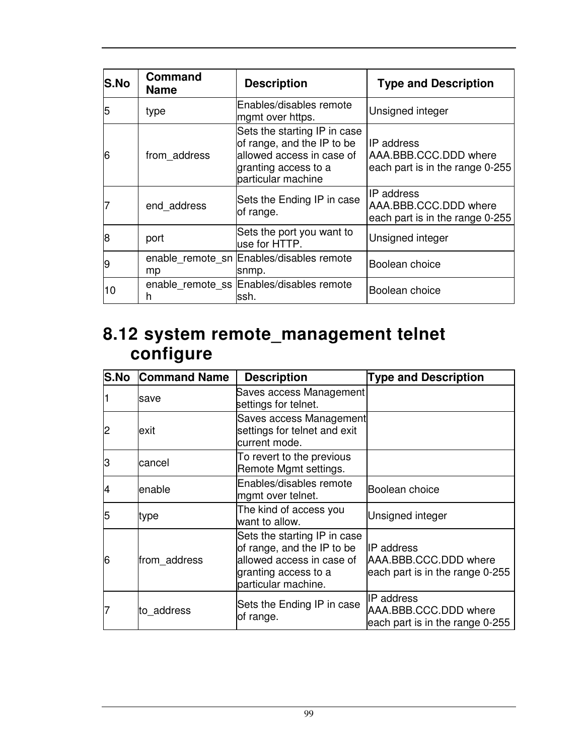| S.No | <b>Command</b><br><b>Name</b> | <b>Description</b>                                                                                                                    | <b>Type and Description</b>                                                |
|------|-------------------------------|---------------------------------------------------------------------------------------------------------------------------------------|----------------------------------------------------------------------------|
| 5    | type                          | Enables/disables remote<br>mgmt over https.                                                                                           | Unsigned integer                                                           |
| 6    | from address                  | Sets the starting IP in case<br>of range, and the IP to be<br>allowed access in case of<br>granting access to a<br>particular machine | IIP address<br>AAA, BBB, CCC, DDD where<br>each part is in the range 0-255 |
|      | end address                   | Sets the Ending IP in case<br>of range.                                                                                               | IP address<br>AAA.BBB.CCC.DDD where<br>each part is in the range 0-255     |
| 8    | port                          | Sets the port you want to<br>use for HTTP.                                                                                            | Unsigned integer                                                           |
| 9    | mp                            | enable_remote_sn  Enables/disables remote<br>snmp.                                                                                    | Boolean choice                                                             |
| 10   | h                             | enable_remote_ss  Enables/disables remote<br>lssh.                                                                                    | Boolean choice                                                             |

#### **8.12 system remote\_management telnet configure**

| S.No | <b>Command Name</b> | <b>Description</b>                                                                                                                     | <b>Type and Description</b>                                                   |
|------|---------------------|----------------------------------------------------------------------------------------------------------------------------------------|-------------------------------------------------------------------------------|
|      | save                | Saves access Management<br>settings for telnet.                                                                                        |                                                                               |
|      | lexit               | Saves access Management<br>settings for telnet and exit<br>current mode.                                                               |                                                                               |
| З    | cancel              | To revert to the previous<br>Remote Mgmt settings.                                                                                     |                                                                               |
|      | enable              | Enables/disables remote<br>mgmt over telnet.                                                                                           | Boolean choice                                                                |
| 5    | type                | The kind of access you<br>want to allow.                                                                                               | Unsigned integer                                                              |
| 6    | from address        | Sets the starting IP in case<br>of range, and the IP to be<br>allowed access in case of<br>granting access to a<br>particular machine. | <b>IP</b> address<br>AAA.BBB.CCC.DDD where<br>each part is in the range 0-255 |
|      | to address          | Sets the Ending IP in case<br>of range.                                                                                                | IP address<br>AAA.BBB.CCC.DDD where<br>each part is in the range 0-255        |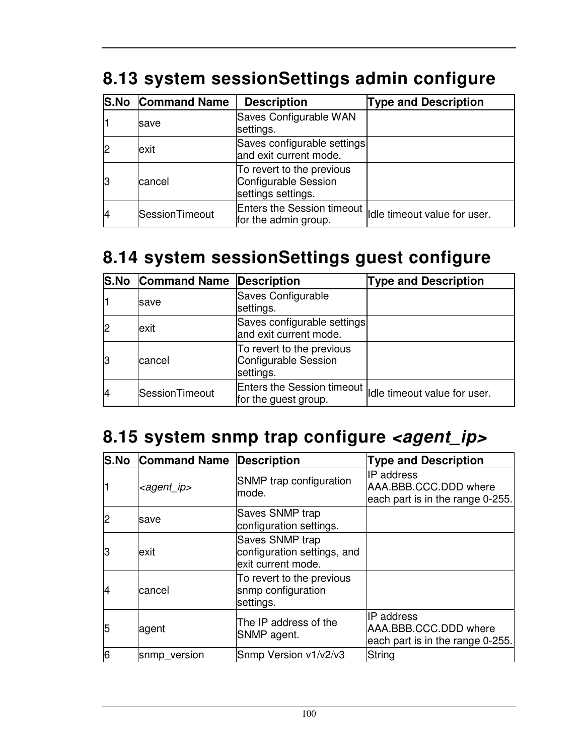|  |  | 8.13 system sessionSettings admin configure |  |  |
|--|--|---------------------------------------------|--|--|
|--|--|---------------------------------------------|--|--|

|    | <b>S.No Command Name</b> | <b>Description</b>                                                               | <b>Type and Description</b> |
|----|--------------------------|----------------------------------------------------------------------------------|-----------------------------|
|    | save                     | Saves Configurable WAN<br>settings.                                              |                             |
|    | exit                     | Saves configurable settings<br>and exit current mode.                            |                             |
| 13 | cancel                   | To revert to the previous<br>Configurable Session<br>settings settings.          |                             |
| 4  | SessionTimeout           | Enters the Session timeout   dle timeout value for user.<br>for the admin group. |                             |

# **8.14 system sessionSettings guest configure**

|    | <b>S.No Command Name Description</b> |                                                                                  | <b>Type and Description</b> |
|----|--------------------------------------|----------------------------------------------------------------------------------|-----------------------------|
|    | <b>save</b>                          | Saves Configurable<br>settings.                                                  |                             |
|    | exit                                 | Saves configurable settings<br>and exit current mode.                            |                             |
| 13 | cancel                               | To revert to the previous<br>Configurable Session<br>settings.                   |                             |
|    | SessionTimeout                       | Enters the Session timeout   dle timeout value for user.<br>for the guest group. |                             |

# 8.15 system snmp trap configure <agent\_ip>

| <b>S.No</b> | <b>Command Name</b>   | <b>Description</b>                                                   | <b>Type and Description</b>                                                    |
|-------------|-----------------------|----------------------------------------------------------------------|--------------------------------------------------------------------------------|
|             | <agent_ip></agent_ip> | SNMP trap configuration<br>mode.                                     | <b>IP</b> address<br>AAA.BBB.CCC.DDD where<br>each part is in the range 0-255. |
|             | save                  | Saves SNMP trap<br>configuration settings.                           |                                                                                |
| З           | exit                  | Saves SNMP trap<br>configuration settings, and<br>exit current mode. |                                                                                |
| 14          | cancel                | To revert to the previous<br>snmp configuration<br>settings.         |                                                                                |
| 5           | agent                 | The IP address of the<br>SNMP agent.                                 | <b>IP</b> address<br>AAA.BBB.CCC.DDD where<br>each part is in the range 0-255. |
| 6           | snmp_version          | Snmp Version v1/v2/v3                                                | String                                                                         |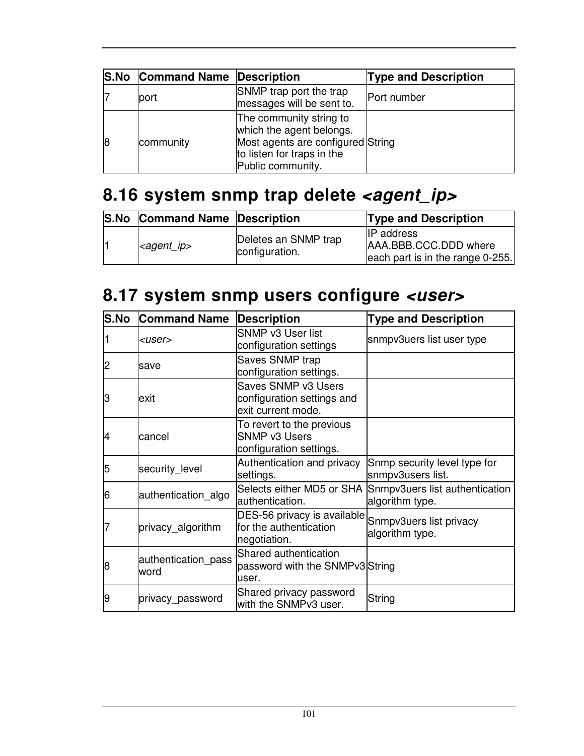|    | <b>S.No Command Name Description</b> |                                                                                                                                             | <b>Type and Description</b> |
|----|--------------------------------------|---------------------------------------------------------------------------------------------------------------------------------------------|-----------------------------|
|    | port                                 | SNMP trap port the trap<br>messages will be sent to.                                                                                        | Port number                 |
| 18 | community                            | The community string to<br>which the agent belongs.<br>Most agents are configured String<br>to listen for traps in the<br>Public community. |                             |

# 8.16 system snmp trap delete <agent\_ip>

| <b>S.No Command Name Description</b> |                                        | <b>Type and Description</b>                                                    |
|--------------------------------------|----------------------------------------|--------------------------------------------------------------------------------|
| $\leq$ <i>agent ip</i> $>$           | Deletes an SNMP trap<br>configuration. | <b>IP</b> address<br>AAA.BBB.CCC.DDD where<br>each part is in the range 0-255. |

# **8.17 system snmp users configure <user>**

| S.No | <b>Command Name</b>         | <b>Description</b>                                                           | <b>Type and Description</b>                                                 |
|------|-----------------------------|------------------------------------------------------------------------------|-----------------------------------------------------------------------------|
|      | $user$                      | SNMP v3 User list<br>configuration settings                                  | snmpv3uers list user type                                                   |
| 12   | save                        | Saves SNMP trap<br>configuration settings.                                   |                                                                             |
| З    | lexit                       | Saves SNMP v3 Users<br>configuration settings and<br>exit current mode.      |                                                                             |
| 4    | cancel                      | To revert to the previous<br><b>SNMP v3 Users</b><br>configuration settings. |                                                                             |
| 5    | security_level              | Authentication and privacy<br>settings.                                      | Snmp security level type for<br>snmpv3users list.                           |
| 16   | authentication algo         | authentication.                                                              | Selects either MD5 or SHA Snmpv3uers list authentication<br>algorithm type. |
|      | privacy_algorithm           | DES-56 privacy is available<br>for the authentication<br>negotiation.        | Snmpv3uers list privacy<br>algorithm type.                                  |
| 8    | authentication pass<br>word | Shared authentication<br>password with the SNMPv3 String<br>user.            |                                                                             |
| 9    | privacy_password            | Shared privacy password<br>with the SNMPv3 user.                             | String                                                                      |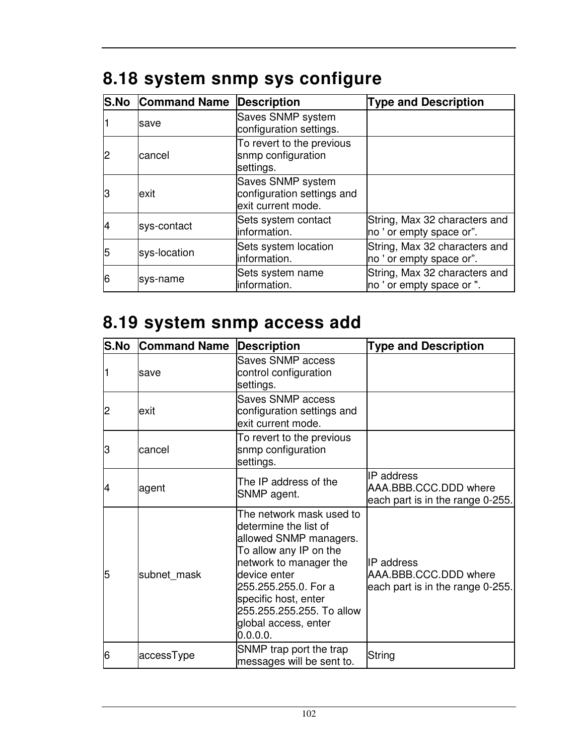|  |  |  |  | 8.18 system snmp sys configure |
|--|--|--|--|--------------------------------|
|--|--|--|--|--------------------------------|

|    | <b>S.No Command Name</b> | <b>Description</b>                                                    | <b>Type and Description</b>                                |
|----|--------------------------|-----------------------------------------------------------------------|------------------------------------------------------------|
|    | save                     | Saves SNMP system<br>configuration settings.                          |                                                            |
|    | cancel                   | To revert to the previous<br>snmp configuration<br>settings.          |                                                            |
| lЗ | exit                     | Saves SNMP system<br>configuration settings and<br>exit current mode. |                                                            |
|    | sys-contact              | Sets system contact<br>linformation.                                  | String, Max 32 characters and<br>no ' or empty space or".  |
| 5  | sys-location             | Sets system location<br>information.                                  | String, Max 32 characters and<br>no ' or empty space or".  |
| 16 | sys-name                 | Sets system name<br>information.                                      | String, Max 32 characters and<br>no ' or empty space or ". |

# **8.19 system snmp access add**

| <b>S.No</b> | <b>Command Name</b> | <b>Description</b>                                                                                                                                                                                                                                               | <b>Type and Description</b>                                              |
|-------------|---------------------|------------------------------------------------------------------------------------------------------------------------------------------------------------------------------------------------------------------------------------------------------------------|--------------------------------------------------------------------------|
|             | save                | Saves SNMP access<br>control configuration<br>settings.                                                                                                                                                                                                          |                                                                          |
| 2           | lexit               | Saves SNMP access<br>configuration settings and<br>exit current mode.                                                                                                                                                                                            |                                                                          |
| З           | lcancel             | To revert to the previous<br>snmp configuration<br>settings.                                                                                                                                                                                                     |                                                                          |
| 4           | agent               | The IP address of the<br>SNMP agent.                                                                                                                                                                                                                             | IP address<br>AAA.BBB.CCC.DDD where<br>each part is in the range 0-255.  |
| 5           | subnet mask         | The network mask used to<br>determine the list of<br>allowed SNMP managers.<br>To allow any IP on the<br>network to manager the<br>device enter<br>255.255.255.0. For a<br>specific host, enter<br>255.255.255.255. To allow<br>global access, enter<br>0.0.0.0. | IIP address<br>AAA.BBB.CCC.DDD where<br>each part is in the range 0-255. |
| 6           | accessType          | SNMP trap port the trap<br>messages will be sent to.                                                                                                                                                                                                             | String                                                                   |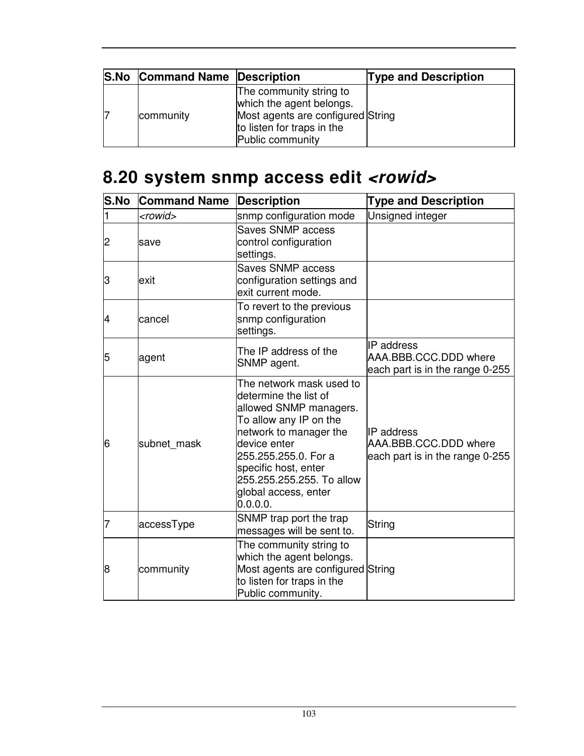| <b>S.No Command Name Description</b> |                                                                                                                                            | <b>Type and Description</b> |
|--------------------------------------|--------------------------------------------------------------------------------------------------------------------------------------------|-----------------------------|
| community                            | The community string to<br>which the agent belongs.<br>Most agents are configured String<br>to listen for traps in the<br>Public community |                             |

# **8.20 system snmp access edit <rowid>**

| <b>S.No</b> | <b>Command Name</b> | <b>Description</b>                                                                                                                                                                                                                                               | <b>Type and Description</b>                                                   |
|-------------|---------------------|------------------------------------------------------------------------------------------------------------------------------------------------------------------------------------------------------------------------------------------------------------------|-------------------------------------------------------------------------------|
| 1           | <rowid></rowid>     | snmp configuration mode                                                                                                                                                                                                                                          | Unsigned integer                                                              |
| 2           | save                | Saves SNMP access<br>control configuration<br>settings.                                                                                                                                                                                                          |                                                                               |
| 3           | exit                | <b>Saves SNMP access</b><br>configuration settings and<br>exit current mode.                                                                                                                                                                                     |                                                                               |
| 4           | cancel              | To revert to the previous<br>snmp configuration<br>settings.                                                                                                                                                                                                     |                                                                               |
| 5           | agent               | The IP address of the<br>SNMP agent.                                                                                                                                                                                                                             | IP address<br>AAA.BBB.CCC.DDD where<br>each part is in the range 0-255        |
| 6           | subnet mask         | The network mask used to<br>determine the list of<br>allowed SNMP managers.<br>To allow any IP on the<br>network to manager the<br>device enter<br>255.255.255.0. For a<br>specific host, enter<br>255.255.255.255. To allow<br>global access, enter<br>0.0.0.0. | <b>IP</b> address<br>AAA.BBB.CCC.DDD where<br>each part is in the range 0-255 |
|             | accessType          | SNMP trap port the trap<br>messages will be sent to.                                                                                                                                                                                                             | String                                                                        |
| 8           | community           | The community string to<br>which the agent belongs.<br>Most agents are configured String<br>to listen for traps in the<br>Public community.                                                                                                                      |                                                                               |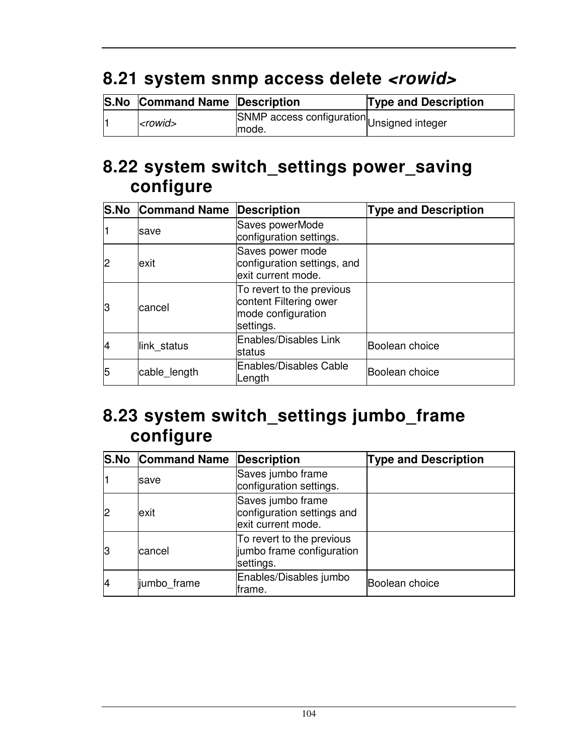## **8.21 system snmp access delete <rowid>**

| <b>S.No Command Name Description</b> |                                                     | <b>Type and Description</b> |
|--------------------------------------|-----------------------------------------------------|-----------------------------|
| $ $ < rowid >                        | SNMP access configuration Unsigned integer<br>mode. |                             |

#### **8.22 system switch\_settings power\_saving configure**

|    | <b>S.No Command Name Description</b> |                                                                                        | <b>Type and Description</b> |
|----|--------------------------------------|----------------------------------------------------------------------------------------|-----------------------------|
|    | save                                 | Saves powerMode<br>configuration settings.                                             |                             |
| 2  | exit                                 | Saves power mode<br>configuration settings, and<br>exit current mode.                  |                             |
| IЗ | cancel                               | To revert to the previous<br>content Filtering ower<br>mode configuration<br>settings. |                             |
| 14 | link_status                          | Enables/Disables Link<br><b>status</b>                                                 | Boolean choice              |
| 5  | cable_length                         | <b>Enables/Disables Cable</b><br>Length                                                | Boolean choice              |

#### **8.23 system switch\_settings jumbo\_frame configure**

|    | <b>S.No Command Name Description</b> |                                                                       | <b>Type and Description</b> |
|----|--------------------------------------|-----------------------------------------------------------------------|-----------------------------|
|    | save                                 | Saves jumbo frame<br>configuration settings.                          |                             |
|    | exit                                 | Saves jumbo frame<br>configuration settings and<br>exit current mode. |                             |
| 13 | cancel                               | To revert to the previous<br>jumbo frame configuration<br>settings.   |                             |
| 4  | jumbo frame                          | Enables/Disables jumbo<br>frame.                                      | Boolean choice              |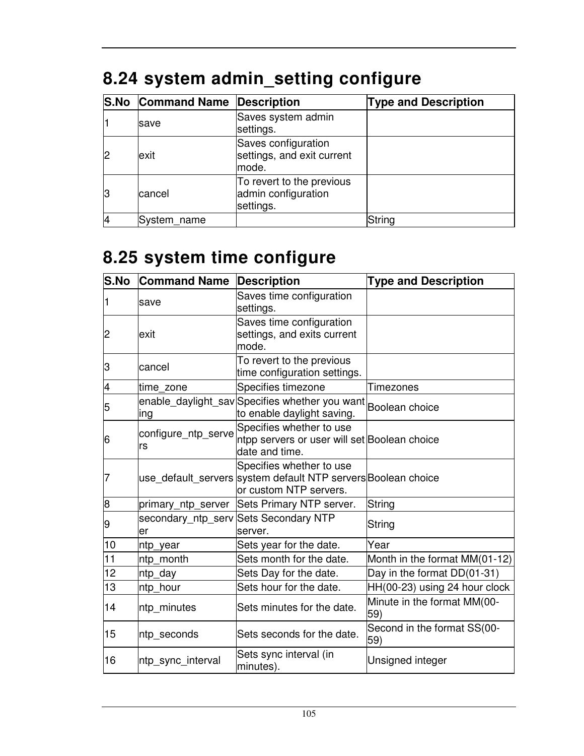|    | <b>S.No Command Name Description</b> |                                                               | <b>Type and Description</b> |
|----|--------------------------------------|---------------------------------------------------------------|-----------------------------|
|    | save                                 | Saves system admin<br>settings.                               |                             |
| 2  | exit                                 | Saves configuration<br>settings, and exit current<br>mode.    |                             |
| lЗ | cancel                               | To revert to the previous<br>admin configuration<br>settings. |                             |
|    | System_name                          |                                                               | String                      |

# **8.24 system admin\_setting configure**

## **8.25 system time configure**

| S.No           | <b>Command Name</b>       | <b>Description</b>                                                                                                  | <b>Type and Description</b>        |
|----------------|---------------------------|---------------------------------------------------------------------------------------------------------------------|------------------------------------|
| 1              | save                      | Saves time configuration<br>settings.                                                                               |                                    |
| $\overline{c}$ | exit                      | Saves time configuration<br>settings, and exits current<br>mode.                                                    |                                    |
| З              | cancel                    | To revert to the previous<br>time configuration settings.                                                           |                                    |
| 4              | time zone                 | Specifies timezone                                                                                                  | <b>Timezones</b>                   |
| 5              | ing                       | enable_daylight_savSpecifies whether you want Boolean choice<br>to enable daylight saving.                          |                                    |
| 16             | configure_ntp_serve<br>rs | Specifies whether to use<br>ntpp servers or user will set Boolean choice<br>date and time.                          |                                    |
| 7              |                           | Specifies whether to use<br>use_default_servers system default NTP servers Boolean choice<br>or custom NTP servers. |                                    |
| 8              |                           | primary_ntp_server Sets Primary NTP server.                                                                         | String                             |
| 9              | ler                       | secondary_ntp_serv Sets Secondary NTP<br>server.                                                                    | String                             |
| 10             | ntp year                  | Sets year for the date.                                                                                             | Year                               |
| 11             | ntp month                 | Sets month for the date.                                                                                            | Month in the format MM(01-12)      |
| 12             | ntp day                   | Sets Day for the date.                                                                                              | Day in the format DD(01-31)        |
| 13             | ntp_hour                  | Sets hour for the date.                                                                                             | HH(00-23) using 24 hour clock      |
| 14             | ntp_minutes               | Sets minutes for the date.                                                                                          | Minute in the format MM(00-<br>59) |
| 15             | ntp_seconds               | Sets seconds for the date.                                                                                          | Second in the format SS(00-<br>59) |
| 16             | ntp_sync_interval         | Sets sync interval (in<br>minutes).                                                                                 | Unsigned integer                   |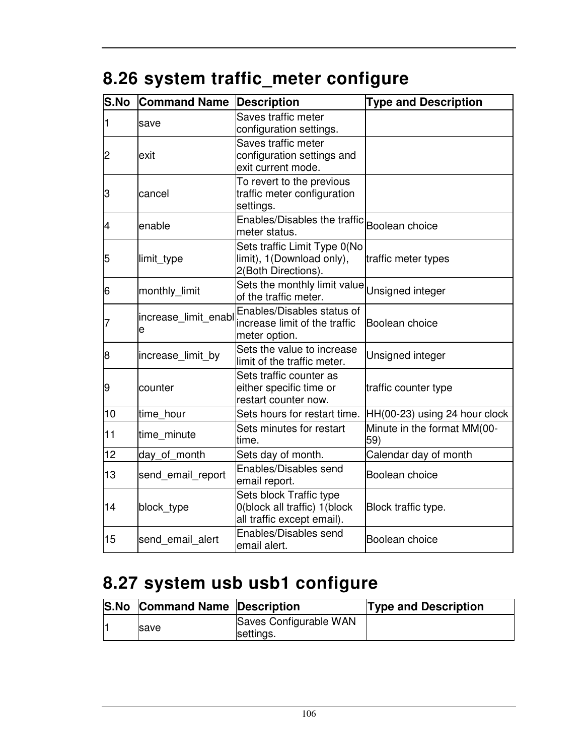# **8.26 system traffic\_meter configure**

| S.No | <b>Command Name</b>       | <b>Description</b>                                                                    | <b>Type and Description</b>        |
|------|---------------------------|---------------------------------------------------------------------------------------|------------------------------------|
| 1    | save                      | Saves traffic meter<br>configuration settings.                                        |                                    |
| 2    | exit                      | Saves traffic meter<br>configuration settings and<br>exit current mode.               |                                    |
| З    | cancel                    | To revert to the previous<br>traffic meter configuration<br>settings.                 |                                    |
| 4    | enable                    | Enables/Disables the traffic Boolean choice<br>meter status.                          |                                    |
| 5    | limit_type                | Sets traffic Limit Type 0(No<br>limit), 1(Download only),<br>2(Both Directions).      | traffic meter types                |
| 6    | monthly_limit             | Sets the monthly limit value Unsigned integer<br>of the traffic meter.                |                                    |
| 7    | increase limit enabl<br>e | Enables/Disables status of<br>increase limit of the traffic<br>meter option.          | Boolean choice                     |
| 8    | increase_limit_by         | Sets the value to increase<br>limit of the traffic meter.                             | Unsigned integer                   |
| 9    | counter                   | Sets traffic counter as<br>either specific time or<br>restart counter now.            | traffic counter type               |
| 10   | time hour                 | Sets hours for restart time.                                                          | HH(00-23) using 24 hour clock      |
| 11   | time minute               | Sets minutes for restart<br>time.                                                     | Minute in the format MM(00-<br>59) |
| 12   | day_of_month              | Sets day of month.                                                                    | Calendar day of month              |
| 13   | send email report         | Enables/Disables send<br>email report.                                                | Boolean choice                     |
| 14   | block_type                | Sets block Traffic type<br>0(block all traffic) 1(block<br>all traffic except email). | Block traffic type.                |
| 15   | send_email_alert          | Enables/Disables send<br>email alert.                                                 | Boolean choice                     |

## **8.27 system usb usb1 configure**

| <b>S.No Command Name Description</b> |                                     | <b>Type and Description</b> |
|--------------------------------------|-------------------------------------|-----------------------------|
| <b>Save</b>                          | Saves Configurable WAN<br>settings. |                             |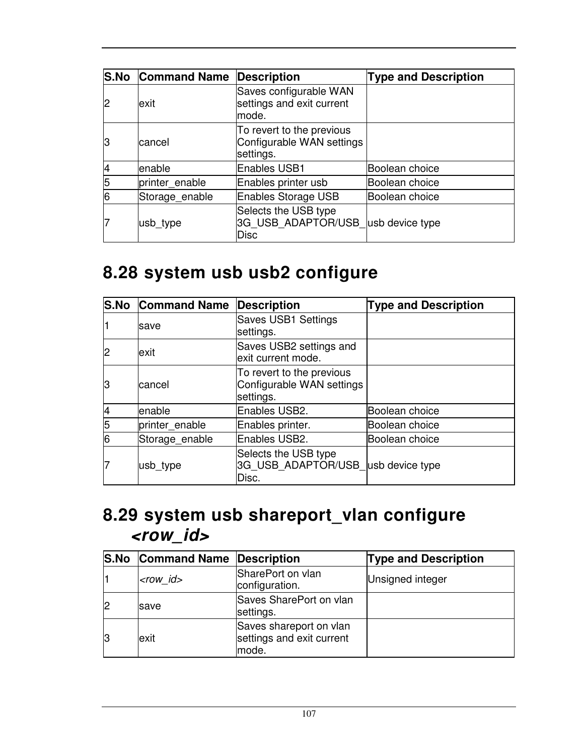|    | <b>S.No Command Name</b> | Description                                                               | <b>Type and Description</b> |
|----|--------------------------|---------------------------------------------------------------------------|-----------------------------|
| 2  | exit                     | Saves configurable WAN<br>settings and exit current<br>mode.              |                             |
| lЗ | cancel                   | To revert to the previous<br>Configurable WAN settings<br>settings.       |                             |
|    | enable                   | <b>Enables USB1</b>                                                       | Boolean choice              |
| 5  | printer_enable           | Enables printer usb                                                       | Boolean choice              |
| 6  | Storage_enable           | <b>Enables Storage USB</b>                                                | Boolean choice              |
|    | usb type                 | Selects the USB type<br>3G USB ADAPTOR/USB usb device type<br><b>Disc</b> |                             |

### **8.28 system usb usb2 configure**

|    | <b>S.No Command Name</b> | <b>Description</b>                                                  | <b>Type and Description</b> |
|----|--------------------------|---------------------------------------------------------------------|-----------------------------|
|    | lsave                    | Saves USB1 Settings<br>settings.                                    |                             |
| 2  | exit                     | Saves USB2 settings and<br>exit current mode.                       |                             |
| lЗ | lcancel                  | To revert to the previous<br>Configurable WAN settings<br>settings. |                             |
| 4  | enable                   | Enables USB2.                                                       | Boolean choice              |
| 5  | printer enable           | Enables printer.                                                    | Boolean choice              |
| 6  | Storage enable           | Enables USB2.                                                       | Boolean choice              |
|    | usb_type                 | Selects the USB type<br>3G USB ADAPTOR/USB usb device type<br>Disc. |                             |

### **8.29 system usb shareport\_vlan configure <row\_id>**

|    | <b>S.No Command Name Description</b> |                                                               | <b>Type and Description</b> |
|----|--------------------------------------|---------------------------------------------------------------|-----------------------------|
|    | $<$ row id $>$                       | SharePort on vlan<br>configuration.                           | Unsigned integer            |
|    | save                                 | Saves SharePort on vlan<br>settings.                          |                             |
| 13 | exit                                 | Saves shareport on vlan<br>settings and exit current<br>mode. |                             |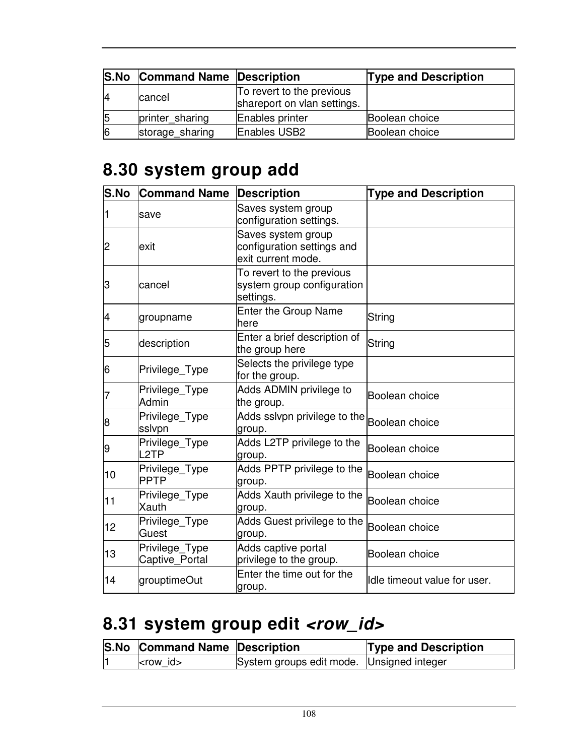|    | <b>S.No Command Name Description</b> |                                                          | <b>Type and Description</b> |
|----|--------------------------------------|----------------------------------------------------------|-----------------------------|
| 14 | <b>cancel</b>                        | To revert to the previous<br>shareport on vlan settings. |                             |
| 5  | printer sharing                      | Enables printer                                          | Boolean choice              |
| 16 | storage sharing                      | Enables USB2                                             | Boolean choice              |

### **8.30 system group add**

| S.No | <b>Command Name</b>                 | <b>Description</b>                                                     | <b>Type and Description</b>  |
|------|-------------------------------------|------------------------------------------------------------------------|------------------------------|
| 1    | save                                | Saves system group<br>configuration settings.                          |                              |
| 2    | lexit                               | Saves system group<br>configuration settings and<br>exit current mode. |                              |
| З    | cancel                              | To revert to the previous<br>system group configuration<br>settings.   |                              |
| 4    | groupname                           | <b>Enter the Group Name</b><br>here                                    | String                       |
| 5    | description                         | Enter a brief description of<br>the group here                         | String                       |
| 6    | Privilege_Type                      | Selects the privilege type<br>for the group.                           |                              |
| 7    | Privilege_Type<br>Admin             | Adds ADMIN privilege to<br>the group.                                  | Boolean choice               |
| 8    | Privilege_Type<br>sslvpn            | Adds sslvpn privilege to the<br>group.                                 | Boolean choice               |
| 9    | Privilege_Type<br>L <sub>2</sub> TP | Adds L2TP privilege to the<br>group.                                   | Boolean choice               |
| 10   | Privilege_Type<br><b>PPTP</b>       | Adds PPTP privilege to the<br>group.                                   | Boolean choice               |
| 11   | Privilege_Type<br>Xauth             | Adds Xauth privilege to the<br>group.                                  | Boolean choice               |
| 12   | Privilege_Type<br>Guest             | Adds Guest privilege to the<br>group.                                  | Boolean choice               |
| 13   | Privilege_Type<br>Captive_Portal    | Adds captive portal<br>privilege to the group.                         | Boolean choice               |
| 14   | grouptimeOut                        | Enter the time out for the<br>group.                                   | Idle timeout value for user. |

# 8.31 system group edit <row\_id>

| <b>S.No Command Name Description</b> |                                           | <b>Type and Description</b> |
|--------------------------------------|-------------------------------------------|-----------------------------|
| $ $ -row id                          | System groups edit mode. Unsigned integer |                             |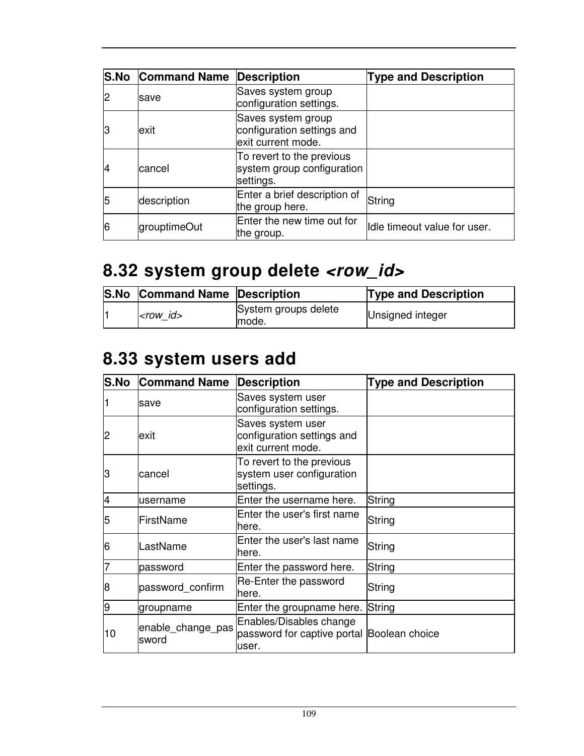|    | <b>S.No Command Name Description</b> |                                                                        | <b>Type and Description</b>  |
|----|--------------------------------------|------------------------------------------------------------------------|------------------------------|
| 2  | save                                 | Saves system group<br>configuration settings.                          |                              |
| IЗ | lexit                                | Saves system group<br>configuration settings and<br>exit current mode. |                              |
|    | cancel                               | To revert to the previous<br>system group configuration<br>settings.   |                              |
| 5  | description                          | Enter a brief description of<br>the group here.                        | String                       |
| 6  | grouptimeOut                         | Enter the new time out for<br>the group.                               | Idle timeout value for user. |

# 8.32 system group delete <row\_id>

| <b>S.No Command Name Description</b> |                                | <b>Type and Description</b> |
|--------------------------------------|--------------------------------|-----------------------------|
| $ <$ row id $>$                      | System groups delete<br>lmode. | Unsigned integer            |

# **8.33 system users add**

| <b>S.No</b>    | <b>Command Name</b>        | <b>Description</b>                                                             | <b>Type and Description</b> |
|----------------|----------------------------|--------------------------------------------------------------------------------|-----------------------------|
|                | save                       | Saves system user<br>configuration settings.                                   |                             |
| $\overline{c}$ | lexit                      | Saves system user<br>configuration settings and<br>exit current mode.          |                             |
| lЗ             | cancel                     | To revert to the previous<br>system user configuration<br>settings.            |                             |
| $\overline{4}$ | username                   | Enter the username here.                                                       | String                      |
| 5              | FirstName                  | Enter the user's first name<br>here.                                           | String                      |
| 6              | LastName                   | Enter the user's last name<br>here.                                            | String                      |
|                | password                   | Enter the password here.                                                       | String                      |
| 8              | password_confirm           | Re-Enter the password<br>here.                                                 | String                      |
| 9              | groupname                  | Enter the groupname here.                                                      | String                      |
| 10             | enable_change_pas<br>sword | Enables/Disables change<br>password for captive portal Boolean choice<br>user. |                             |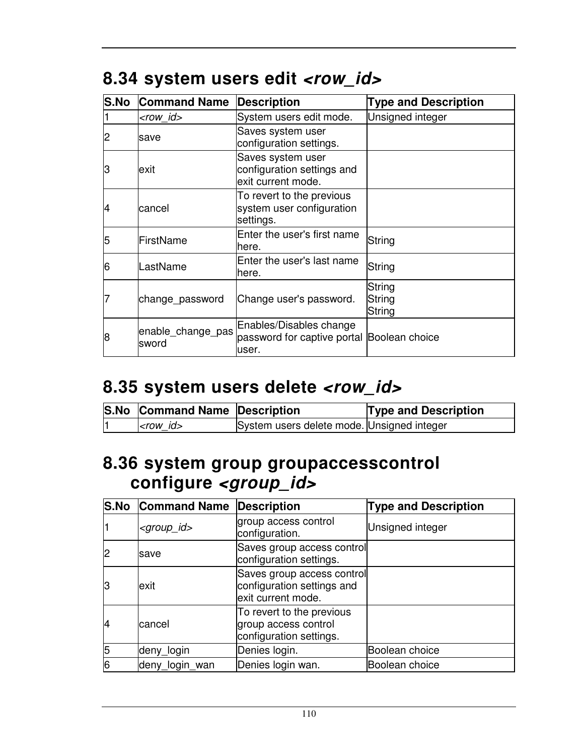| S.No | <b>Command Name</b>        | <b>Description</b>                                                             | <b>Type and Description</b> |
|------|----------------------------|--------------------------------------------------------------------------------|-----------------------------|
|      | $<$ row id $>$             | System users edit mode.                                                        | Unsigned integer            |
| 2    | lsave                      | Saves system user<br>configuration settings.                                   |                             |
| З    | exit                       | Saves system user<br>configuration settings and<br>exit current mode.          |                             |
| 4    | lcancel                    | To revert to the previous<br>system user configuration<br>settings.            |                             |
| 5    | FirstName                  | Enter the user's first name<br>here.                                           | String                      |
| 6    | LastName                   | Enter the user's last name<br>here.                                            | String                      |
|      | change_password            | Change user's password.                                                        | String<br>String<br>String  |
| 8    | enable_change_pas<br>sword | Enables/Disables change<br>password for captive portal Boolean choice<br>user. |                             |

## 8.34 system users edit <row\_id>

### 8.35 system users delete <row\_id>

| S.No Command Name Description |                                            | <b>Type and Description</b> |
|-------------------------------|--------------------------------------------|-----------------------------|
| $<$ row id $>$                | System users delete mode. Unsigned integer |                             |

#### **8.36 system group groupaccesscontrol configure <group\_id>**

|    | <b>S.No Command Name Description</b> |                                                                                | <b>Type and Description</b> |
|----|--------------------------------------|--------------------------------------------------------------------------------|-----------------------------|
|    | <group_id></group_id>                | group access control<br>configuration.                                         | Unsigned integer            |
| 2  | save                                 | Saves group access control<br>configuration settings.                          |                             |
| 13 | lexit                                | Saves group access control<br>configuration settings and<br>exit current mode. |                             |
| 14 | lcancel                              | To revert to the previous<br>group access control<br>configuration settings.   |                             |
| 5  | deny_login                           | Denies login.                                                                  | Boolean choice              |
| 6  | deny_login_wan                       | Denies login wan.                                                              | Boolean choice              |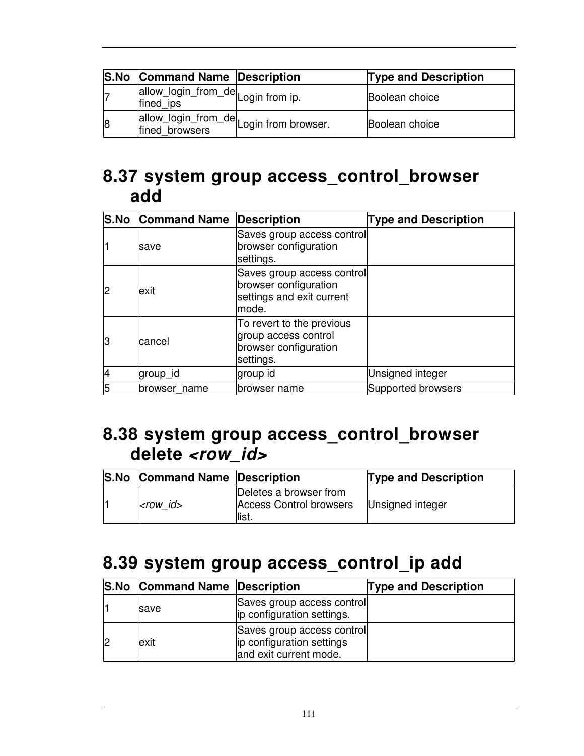|    | <b>S.No Command Name Description</b>                       | <b>Type and Description</b> |
|----|------------------------------------------------------------|-----------------------------|
|    | allow_login_from_de Login from ip.<br>fined ips            | Boolean choice              |
| 18 | allow_login_from_de<br>fined_browsers [Login from browser. | Boolean choice              |

#### **8.37 system group access\_control\_browser add**

|    | <b>S.No Command Name Description</b> |                                                                                           | <b>Type and Description</b> |
|----|--------------------------------------|-------------------------------------------------------------------------------------------|-----------------------------|
|    | save                                 | Saves group access control<br>browser configuration<br>settings.                          |                             |
| 2  | exit                                 | Saves group access control<br>browser configuration<br>settings and exit current<br>mode. |                             |
| lЗ | cancel                               | To revert to the previous<br>group access control<br>browser configuration<br>settings.   |                             |
|    | group_id                             | group id                                                                                  | Unsigned integer            |
|    | browser name                         | browser name                                                                              | Supported browsers          |

#### **8.38 system group access\_control\_browser delete <row\_id>**

| <b>S.No Command Name Description</b> |                                                                   | <b>Type and Description</b> |
|--------------------------------------|-------------------------------------------------------------------|-----------------------------|
| $<$ row id $>$                       | Deletes a browser from<br><b>Access Control browsers</b><br>list. | Unsigned integer            |

## **8.39 system group access\_control\_ip add**

| <b>S.No Command Name Description</b> |                                                                                   | <b>Type and Description</b> |
|--------------------------------------|-----------------------------------------------------------------------------------|-----------------------------|
| <b>Save</b>                          | Saves group access control<br>ip configuration settings.                          |                             |
| lexit                                | Saves group access control<br>ip configuration settings<br>and exit current mode. |                             |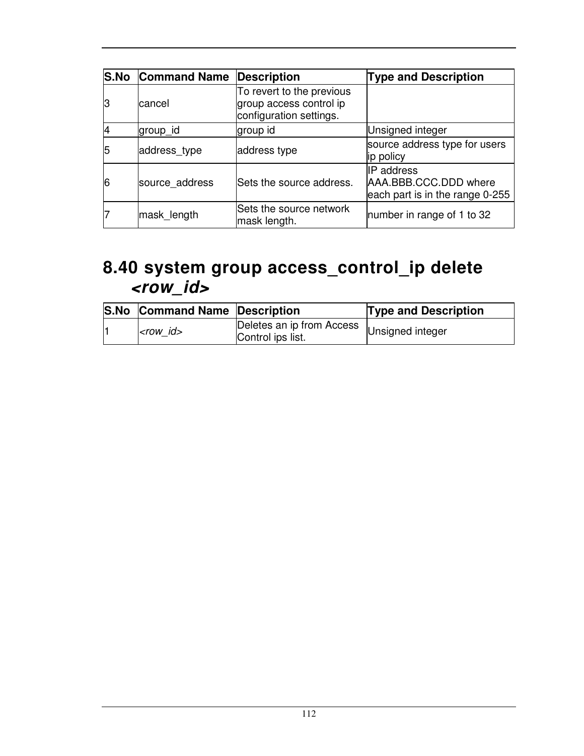| <b>S.No</b> | <b>Command Name</b> | <b>Description</b>                                                              | <b>Type and Description</b>                                            |
|-------------|---------------------|---------------------------------------------------------------------------------|------------------------------------------------------------------------|
| ß           | cancel              | To revert to the previous<br>group access control ip<br>configuration settings. |                                                                        |
|             | group id            | group id                                                                        | Unsigned integer                                                       |
| 5           | address_type        | address type                                                                    | source address type for users<br>ip policy                             |
| 6           | source_address      | Sets the source address.                                                        | IP address<br>AAA.BBB.CCC.DDD where<br>each part is in the range 0-255 |
|             | mask_length         | Sets the source network<br>mask length.                                         | number in range of 1 to 32                                             |

#### **8.40 system group access\_control\_ip delete <row\_id>**

| <b>S.No Command Name Description</b> |                                                                 | <b>Type and Description</b> |
|--------------------------------------|-----------------------------------------------------------------|-----------------------------|
| $<$ row id $>$                       | Deletes an ip from Access Unsigned integer<br>Control ips list. |                             |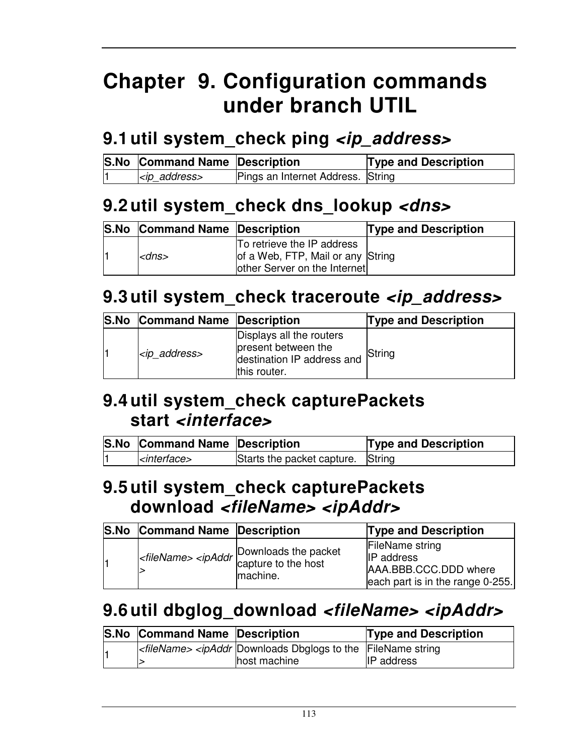# **Chapter 9. Configuration commands under branch UTIL**

## **9.1 util system\_check ping <ip\_address>**

| <b>S.No Command Name Description</b> |                                   | <b>Type and Description</b> |
|--------------------------------------|-----------------------------------|-----------------------------|
| kip_address>                         | Pings an Internet Address. String |                             |

## **9.2 util system\_check dns\_lookup <dns>**

| <b>S.No</b> | <b>Command Name Description</b> |                                                                                                 | <b>Type and Description</b> |
|-------------|---------------------------------|-------------------------------------------------------------------------------------------------|-----------------------------|
|             | <dns></dns>                     | To retrieve the IP address<br>of a Web, FTP, Mail or any String<br>other Server on the Internet |                             |

## **9.3 util system\_check traceroute <ip\_address>**

| <b>S.No Command Name Description</b> |                                                                                               | <b>Type and Description</b> |
|--------------------------------------|-----------------------------------------------------------------------------------------------|-----------------------------|
| $<$ ip address>                      | Displays all the routers<br>present between the<br>destination IP address and<br>this router. | String                      |

#### **9.4 util system\_check capturePackets start <interface>**

| <b>S.No Command Name Description</b> |                                   | <b>Type and Description</b> |
|--------------------------------------|-----------------------------------|-----------------------------|
| $ $ <i><interface></interface></i>   | Starts the packet capture. String |                             |

#### **9.5 util system\_check capturePackets download <fileName> <ipAddr>**

| S.No | <b>Command Name Description</b> |                                                                 | <b>Type and Description</b>                                                                              |
|------|---------------------------------|-----------------------------------------------------------------|----------------------------------------------------------------------------------------------------------|
|      |                                 | $\leq$ fileName> $\leq$ ipAddr Downloads the packet<br>machine. | <b>FileName string</b><br><b>IP</b> address<br>AAA.BBB.CCC.DDD where<br>each part is in the range 0-255. |

# **9.6 util dbglog\_download <fileName> <ipAddr>**

| <b>S.No Command Name Description</b> |                                                                                                   | <b>Type and Description</b> |
|--------------------------------------|---------------------------------------------------------------------------------------------------|-----------------------------|
|                                      | $\kappa$ - <i>stileName&gt; <ipaddr< i=""> Downloads Dbglogs to the FileName string</ipaddr<></i> |                             |
|                                      | host machine                                                                                      | <b>IP</b> address           |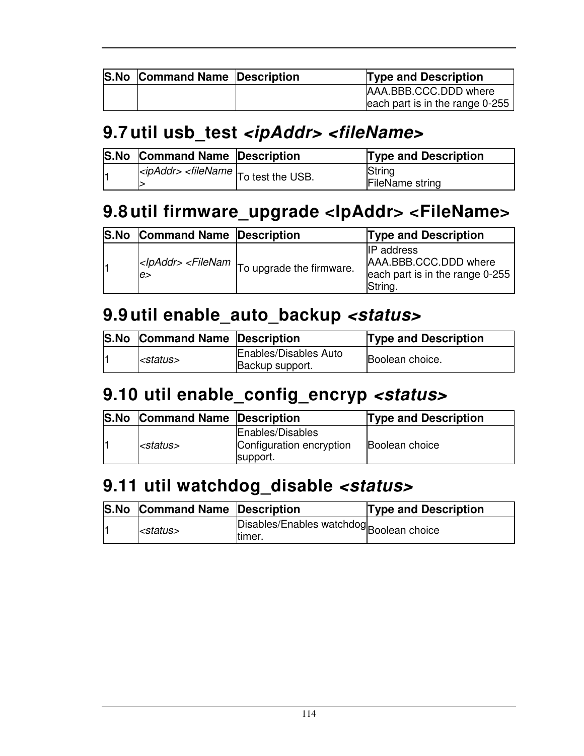| <b>S.No Command Name Description</b> | <b>Type and Description</b>     |
|--------------------------------------|---------------------------------|
|                                      | AAA.BBB.CCC.DDD where           |
|                                      | each part is in the range 0-255 |

#### **9.7 util usb\_test <ipAddr> <fileName>**

| <b>S.No Command Name Description</b> |                                                              | <b>Type and Description</b>      |
|--------------------------------------|--------------------------------------------------------------|----------------------------------|
|                                      | $\ket{eq}$ and $\ket{eq}$ stile Name $\ket{p}$ test the USB. | String<br><b>FileName string</b> |

### **9.8 util firmware\_upgrade <IpAddr> <FileName>**

| <b>S.No Command Name Description</b> |                                                                                                                                                                                            | <b>Type and Description</b>                                                              |
|--------------------------------------|--------------------------------------------------------------------------------------------------------------------------------------------------------------------------------------------|------------------------------------------------------------------------------------------|
| e                                    | <lpaddr> <filenam firmware.<="" td="" the="" to="" upgrade=""  =""><td><b>IP</b> address<br/>AAA.BBB.CCC.DDD where<br/>each part is in the range 0-255<br/>String.</td></filenam></lpaddr> | <b>IP</b> address<br>AAA.BBB.CCC.DDD where<br>each part is in the range 0-255<br>String. |

#### **9.9 util enable\_auto\_backup <status>**

| <b>S.No Command Name Description</b> |                                          | <b>Type and Description</b> |
|--------------------------------------|------------------------------------------|-----------------------------|
| <i>status&gt;</i>                    | Enables/Disables Auto<br>Backup support. | Boolean choice.             |

## **9.10 util enable\_config\_encryp <status>**

| <b>S.No</b> | <b>Command Name Description</b> |                                                          | <b>Type and Description</b> |
|-------------|---------------------------------|----------------------------------------------------------|-----------------------------|
|             | l <status></status>             | Enables/Disables<br>Configuration encryption<br>support. | <b>Boolean choice</b>       |

#### **9.11 util watchdog\_disable <status>**

| <b>S.No Command Name Description</b> |                                                    | <b>Type and Description</b> |
|--------------------------------------|----------------------------------------------------|-----------------------------|
| <status></status>                    | Disables/Enables watchdog Boolean choice<br>timer. |                             |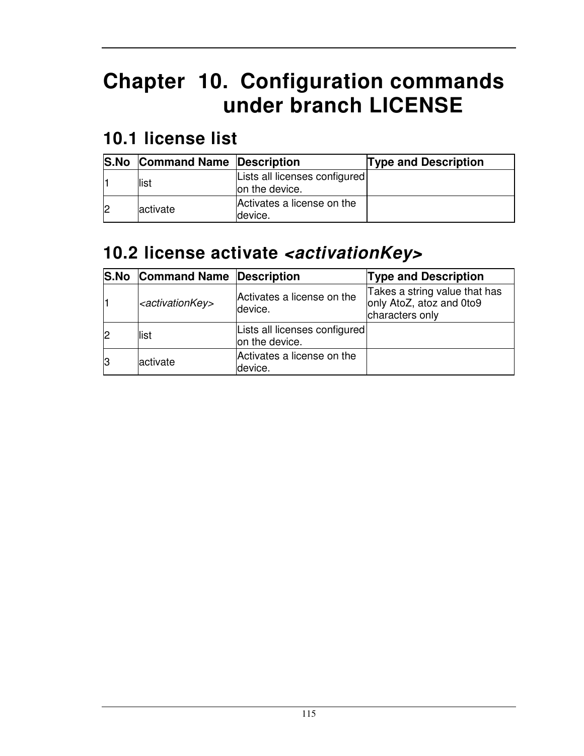# **Chapter 10. Configuration commands under branch LICENSE**

#### **10.1 license list**

| <b>S.No Command Name Description</b> |                                                 | <b>Type and Description</b> |
|--------------------------------------|-------------------------------------------------|-----------------------------|
| llist                                | Lists all licenses configured<br>on the device. |                             |
| lactivate                            | Activates a license on the<br>device.           |                             |

## **10.2 license activate <activationKey>**

|    | <b>S.No Command Name Description</b> |                                                 | <b>Type and Description</b>                                                  |
|----|--------------------------------------|-------------------------------------------------|------------------------------------------------------------------------------|
|    | <activationkey></activationkey>      | Activates a license on the<br>device.           | Takes a string value that has<br>only AtoZ, atoz and 0to9<br>characters only |
| l2 | list                                 | Lists all licenses configured<br>on the device. |                                                                              |
| 13 | activate                             | Activates a license on the<br>device.           |                                                                              |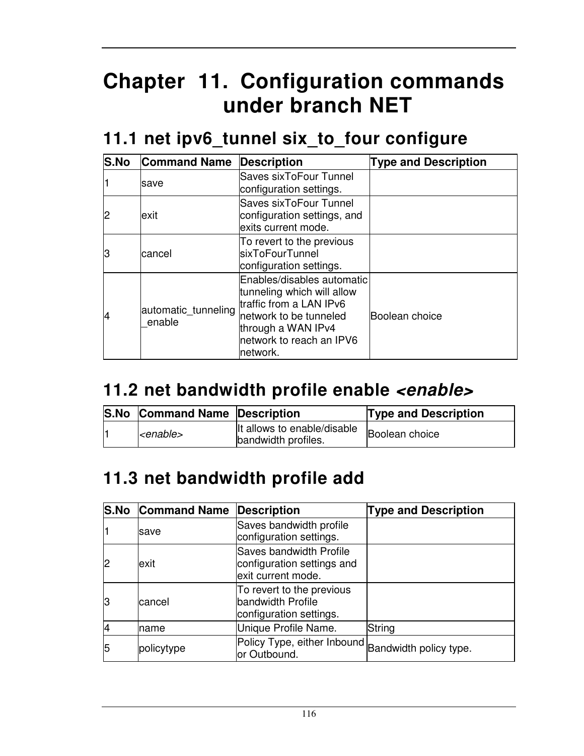# **Chapter 11. Configuration commands under branch NET**

#### **11.1 net ipv6\_tunnel six\_to\_four configure**

| <b>S.No</b> | <b>Command Name</b>           | <b>Description</b>                                                                                                                                                          | <b>Type and Description</b> |
|-------------|-------------------------------|-----------------------------------------------------------------------------------------------------------------------------------------------------------------------------|-----------------------------|
|             | save                          | Saves sixToFour Tunnel<br>configuration settings.                                                                                                                           |                             |
|             | exit                          | Saves sixToFour Tunnel<br>configuration settings, and<br>exits current mode.                                                                                                |                             |
| IЗ          | cancel                        | To revert to the previous<br>lsixToFourTunnel<br>configuration settings.                                                                                                    |                             |
| 14          | automatic_tunneling<br>enable | Enables/disables automatic<br>tunneling which will allow<br>traffic from a LAN IPv6<br>network to be tunneled<br>through a WAN IPv4<br>network to reach an IPV6<br>network. | Boolean choice              |

## **11.2 net bandwidth profile enable <enable>**

| <b>S.No Command Name Description</b> |                                                    | <b>Type and Description</b> |
|--------------------------------------|----------------------------------------------------|-----------------------------|
| <i><enable></enable></i>             | It allows to enable/disable<br>bandwidth profiles. | Boolean choice              |

# **11.3 net bandwidth profile add**

|    | <b>S.No Command Name</b> | Description                                                                        | <b>Type and Description</b> |
|----|--------------------------|------------------------------------------------------------------------------------|-----------------------------|
|    | save                     | Saves bandwidth profile<br>configuration settings.                                 |                             |
| 2  | exit                     | <b>Saves bandwidth Profile</b><br>configuration settings and<br>exit current mode. |                             |
| 13 | lcancel                  | To revert to the previous<br>bandwidth Profile<br>configuration settings.          |                             |
| 14 | Iname                    | Unique Profile Name.                                                               | String                      |
| 5  | policytype               | Policy Type, either Inbound Bandwidth policy type.<br>or Outbound.                 |                             |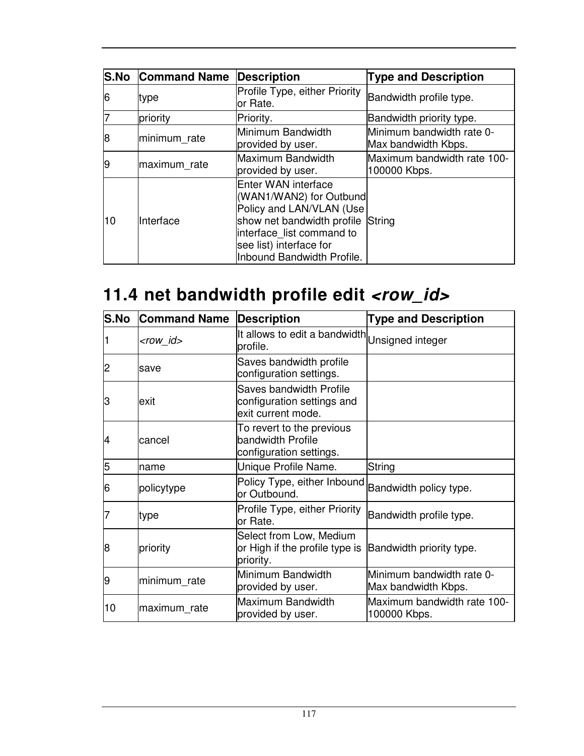|    | <b>S.No Command Name</b> | <b>Description</b>                                                                                                                                                                                    | <b>Type and Description</b>                      |
|----|--------------------------|-------------------------------------------------------------------------------------------------------------------------------------------------------------------------------------------------------|--------------------------------------------------|
| 6  | type                     | Profile Type, either Priority<br>or Rate.                                                                                                                                                             | Bandwidth profile type.                          |
|    | priority                 | Priority.                                                                                                                                                                                             | Bandwidth priority type.                         |
| 8  | minimum rate             | Minimum Bandwidth<br>provided by user.                                                                                                                                                                | Minimum bandwidth rate 0-<br>Max bandwidth Kbps. |
| 19 | maximum_rate             | Maximum Bandwidth<br>provided by user.                                                                                                                                                                | Maximum bandwidth rate 100-<br>100000 Kbps.      |
| 10 | Interface                | Enter WAN interface<br>(WAN1/WAN2) for Outbund<br>Policy and LAN/VLAN (Use<br>show net bandwidth profile String<br>interface list command to<br>see list) interface for<br>Inbound Bandwidth Profile. |                                                  |

# 11.4 net bandwidth profile edit <row\_id>

| <b>S.No</b> | <b>Command Name</b> | <b>Description</b>                                                          | <b>Type and Description</b>                      |
|-------------|---------------------|-----------------------------------------------------------------------------|--------------------------------------------------|
|             | <row_id></row_id>   | It allows to edit a bandwidth Unsigned integer<br>profile.                  |                                                  |
| 2           | save                | Saves bandwidth profile<br>configuration settings.                          |                                                  |
| З           | lexit               | Saves bandwidth Profile<br>configuration settings and<br>exit current mode. |                                                  |
| 14          | cancel              | To revert to the previous<br>bandwidth Profile<br>configuration settings.   |                                                  |
| 5           | name                | Unique Profile Name.                                                        | String                                           |
| 16          | policytype          | Policy Type, either Inbound<br>or Outbound.                                 | Bandwidth policy type.                           |
|             | type                | Profile Type, either Priority<br>or Rate.                                   | Bandwidth profile type.                          |
| 8           | priority            | Select from Low, Medium<br>or High if the profile type is<br>priority.      | Bandwidth priority type.                         |
| 19          | minimum_rate        | Minimum Bandwidth<br>provided by user.                                      | Minimum bandwidth rate 0-<br>Max bandwidth Kbps. |
| 10          | maximum_rate        | Maximum Bandwidth<br>provided by user.                                      | Maximum bandwidth rate 100-<br>100000 Kbps.      |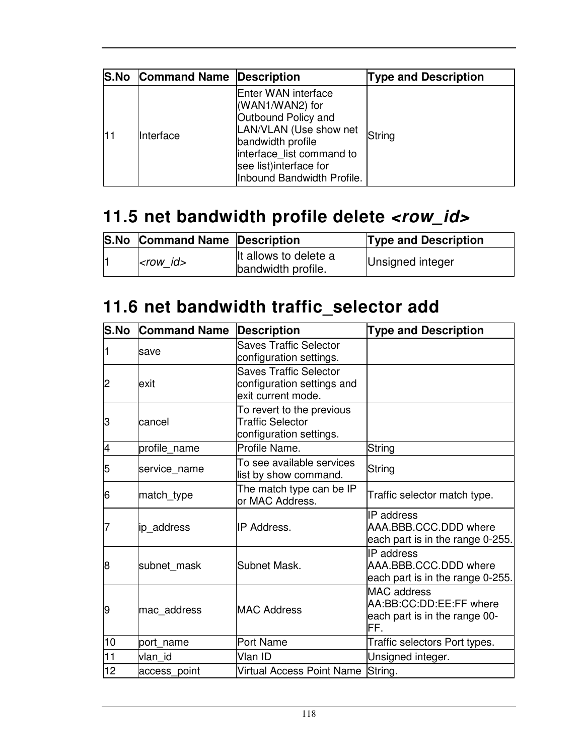|     | S.No Command Name Description |                                                                                                                                                                                                    | <b>Type and Description</b> |
|-----|-------------------------------|----------------------------------------------------------------------------------------------------------------------------------------------------------------------------------------------------|-----------------------------|
| l11 | Interface                     | Enter WAN interface<br>(WAN1/WAN2) for<br>Outbound Policy and<br>LAN/VLAN (Use show net<br>bandwidth profile<br>interface list command to<br>see list) interface for<br>Inbound Bandwidth Profile. | String                      |

# **11.5 net bandwidth profile delete <row\_id>**

| <b>S.No Command Name Description</b> |                                             | <b>Type and Description</b> |
|--------------------------------------|---------------------------------------------|-----------------------------|
| $ $ -row id $>$                      | It allows to delete a<br>bandwidth profile. | Unsigned integer            |

## **11.6 net bandwidth traffic\_selector add**

| <b>S.No</b>    | <b>Command Name</b> | <b>Description</b>                                                                | <b>Type and Description</b>                                                           |
|----------------|---------------------|-----------------------------------------------------------------------------------|---------------------------------------------------------------------------------------|
| 1              | save                | <b>Saves Traffic Selector</b><br>configuration settings.                          |                                                                                       |
| $\overline{2}$ | exit                | <b>Saves Traffic Selector</b><br>configuration settings and<br>exit current mode. |                                                                                       |
| З              | cancel              | To revert to the previous<br><b>Traffic Selector</b><br>configuration settings.   |                                                                                       |
| 4              | profile_name        | Profile Name.                                                                     | String                                                                                |
| 5              | service name        | To see available services<br>list by show command.                                | String                                                                                |
| 6              | match_type          | The match type can be IP<br>or MAC Address.                                       | Traffic selector match type.                                                          |
| 7              | ip_address          | IP Address.                                                                       | IP address<br>AAA.BBB.CCC.DDD where<br>each part is in the range 0-255.               |
| 8              | subnet mask         | Subnet Mask.                                                                      | IP address<br>AAA.BBB.CCC.DDD where<br>each part is in the range 0-255.               |
| 9              | mac address         | <b>MAC Address</b>                                                                | <b>MAC</b> address<br>AA:BB:CC:DD:EE:FF where<br>each part is in the range 00-<br>FF. |
| 10             | port_name           | Port Name                                                                         | Traffic selectors Port types.                                                         |
| 11             | vlan id             | Vlan ID                                                                           | Unsigned integer.                                                                     |
| 12             | access_point        | Virtual Access Point Name String.                                                 |                                                                                       |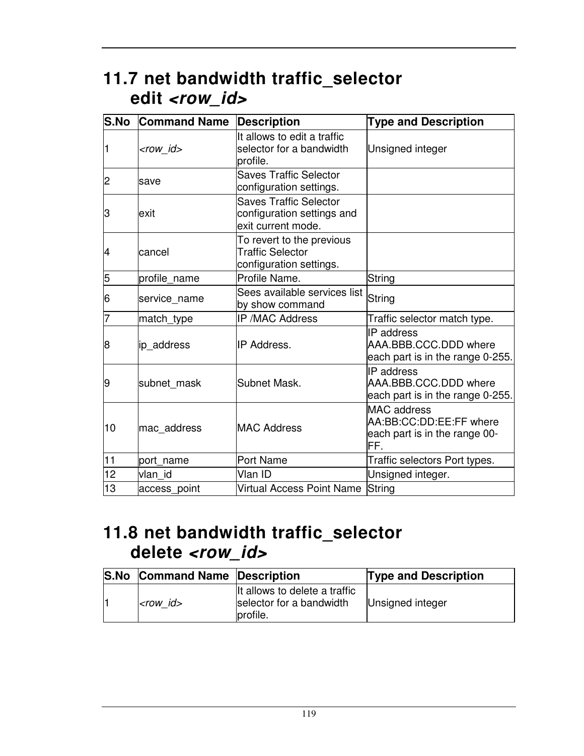## **11.7 net bandwidth traffic\_selector**  edit <row\_id>

| S.No | <b>Command Name</b> | <b>Description</b>                                                                | <b>Type and Description</b>                                                           |
|------|---------------------|-----------------------------------------------------------------------------------|---------------------------------------------------------------------------------------|
| 1    | <row id=""></row>   | It allows to edit a traffic<br>selector for a bandwidth<br>profile.               | Unsigned integer                                                                      |
| 2    | Isave               | <b>Saves Traffic Selector</b><br>configuration settings.                          |                                                                                       |
| 3    | exit                | <b>Saves Traffic Selector</b><br>configuration settings and<br>exit current mode. |                                                                                       |
| 4    | lcancel             | To revert to the previous<br><b>Traffic Selector</b><br>configuration settings.   |                                                                                       |
| 5    | profile name        | Profile Name.                                                                     | <b>String</b>                                                                         |
| 6    | service_name        | Sees available services list<br>by show command                                   | String                                                                                |
| 7    | match_type          | <b>IP /MAC Address</b>                                                            | Traffic selector match type.                                                          |
| 8    | ip address          | <b>IP Address.</b>                                                                | IP address<br>AAA.BBB.CCC.DDD where<br>each part is in the range 0-255.               |
| 9    | subnet mask         | Subnet Mask.                                                                      | <b>IP</b> address<br>AAA.BBB.CCC.DDD where<br>each part is in the range 0-255.        |
| 10   | mac address         | <b>MAC Address</b>                                                                | <b>MAC</b> address<br>AA:BB:CC:DD:EE:FF where<br>each part is in the range 00-<br>FF. |
| 11   | port_name           | Port Name                                                                         | Traffic selectors Port types.                                                         |
| 12   | vlan id             | Vlan ID                                                                           | Unsigned integer.                                                                     |
| 13   | access_point        | Virtual Access Point Name String                                                  |                                                                                       |

### **11.8 net bandwidth traffic\_selector delete <row\_id>**

| <b>S.No Command Name Description</b> |                                                                       | <b>Type and Description</b> |
|--------------------------------------|-----------------------------------------------------------------------|-----------------------------|
| $ <$ row id $>$                      | It allows to delete a traffic<br>selector for a bandwidth<br>profile. | Unsigned integer            |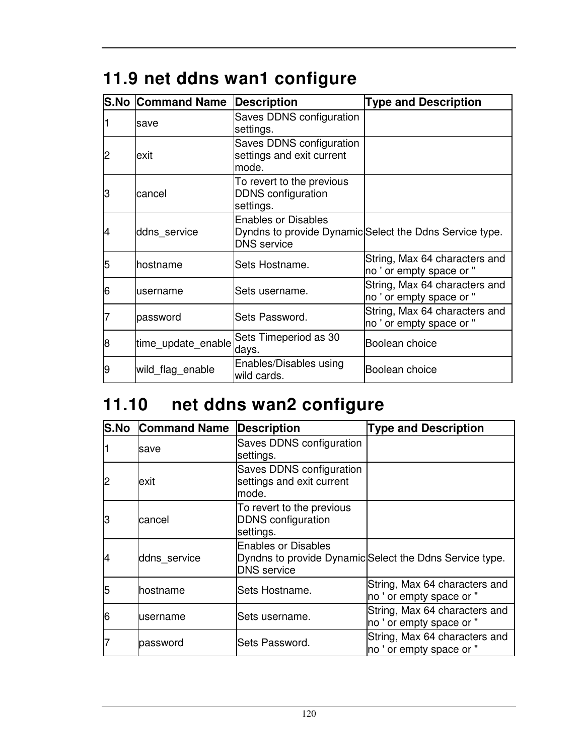# **11.9 net ddns wan1 configure**

|   | <b>S.No Command Name</b> | Description                                                         | <b>Type and Description</b>                               |
|---|--------------------------|---------------------------------------------------------------------|-----------------------------------------------------------|
|   | save                     | Saves DDNS configuration<br>settings.                               |                                                           |
| 2 | lexit                    | Saves DDNS configuration<br>settings and exit current<br>lmode.     |                                                           |
| З | cancel                   | To revert to the previous<br><b>DDNS</b> configuration<br>settings. |                                                           |
| 4 | ddns service             | <b>Enables or Disables</b><br><b>DNS</b> service                    | Dyndns to provide Dynamic Select the Ddns Service type.   |
| 5 | lhostname                | Sets Hostname.                                                      | String, Max 64 characters and<br>no ' or empty space or " |
| 6 | username                 | lSets username.                                                     | String, Max 64 characters and<br>no ' or empty space or " |
|   | password                 | <b>Sets Password.</b>                                               | String, Max 64 characters and<br>no ' or empty space or " |
| 8 | time_update_enable       | Sets Timeperiod as 30<br>days.                                      | Boolean choice                                            |
| 9 | wild flag enable         | Enables/Disables using<br>wild cards.                               | Boolean choice                                            |

# **11.10 net ddns wan2 configure**

| <b>S.No</b> | <b>Command Name</b> | <b>Description</b>                                                  | <b>Type and Description</b>                               |
|-------------|---------------------|---------------------------------------------------------------------|-----------------------------------------------------------|
|             | save                | Saves DDNS configuration<br>settings.                               |                                                           |
| 2           | exit                | Saves DDNS configuration<br>settings and exit current<br>mode.      |                                                           |
| IЗ          | cancel              | To revert to the previous<br><b>DDNS</b> configuration<br>settings. |                                                           |
| 4           | ddns service        | <b>Enables or Disables</b><br><b>DNS</b> service                    | Dyndns to provide Dynamic Select the Ddns Service type.   |
| 5           | hostname            | Sets Hostname.                                                      | String, Max 64 characters and<br>no ' or empty space or " |
| 6           | username            | Sets username.                                                      | String, Max 64 characters and<br>no ' or empty space or " |
|             | password            | Sets Password.                                                      | String, Max 64 characters and<br>no ' or empty space or " |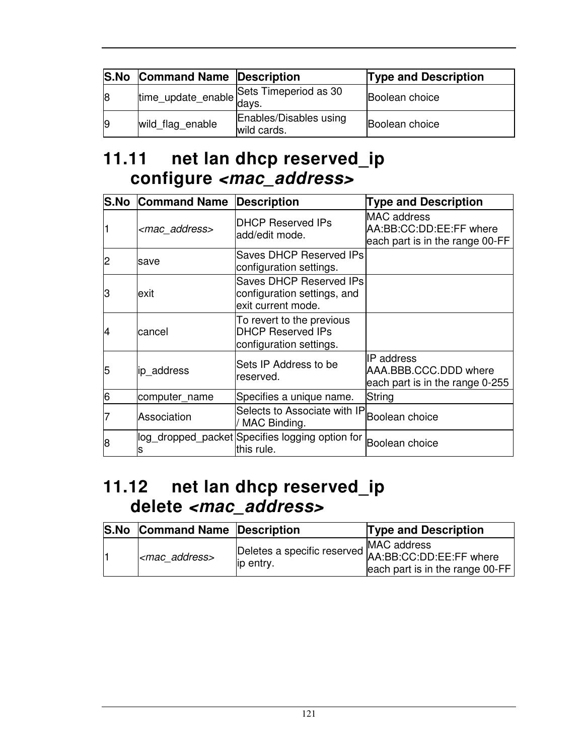|    | <b>S.No Command Name Description</b> |                                          | <b>Type and Description</b> |
|----|--------------------------------------|------------------------------------------|-----------------------------|
| 8  |                                      | time_update_enable Sets Timeperiod as 30 | Boolean choice              |
| 19 | wild_flag_enable                     | Enables/Disables using<br>wild cards.    | Boolean choice              |

#### **11.11 net lan dhcp reserved\_ip configure <mac\_address>**

| S.No | <b>Command Name</b>    | <b>Description</b>                                                               | <b>Type and Description</b>                                                      |
|------|------------------------|----------------------------------------------------------------------------------|----------------------------------------------------------------------------------|
|      | <mac address=""></mac> | <b>DHCP Reserved IPs</b><br>add/edit mode.                                       | <b>MAC</b> address<br>AA:BB:CC:DD:EE:FF where<br>each part is in the range 00-FF |
| 2    | save                   | Saves DHCP Reserved IPs<br>configuration settings.                               |                                                                                  |
| З    | exit                   | Saves DHCP Reserved IPs<br>configuration settings, and<br>exit current mode.     |                                                                                  |
| 4    | cancel                 | To revert to the previous<br><b>DHCP Reserved IPs</b><br>configuration settings. |                                                                                  |
| 5    | ip_address             | Sets IP Address to be<br>reserved.                                               | IIP address<br>AAA.BBB.CCC.DDD where<br>each part is in the range 0-255          |
| 6    | computer_name          | Specifies a unique name.                                                         | String                                                                           |
|      | Association            | Selects to Associate with IP<br>/ MAC Binding.                                   | Boolean choice                                                                   |
| 8    | s                      | log_dropped_packet Specifies logging option for<br>this rule.                    | Boolean choice                                                                   |

#### **11.12 net lan dhcp reserved\_ip delete <mac\_address>**

| <b>S.No Command Name Description</b> |            | <b>Type and Description</b>                                                                                |
|--------------------------------------|------------|------------------------------------------------------------------------------------------------------------|
| $\vert$ <mac address=""></mac>       | lip entry. | Deletes a specific reserved MAC address<br>Example: EE:FF where<br>$ $ each part is in the range 00-FF $ $ |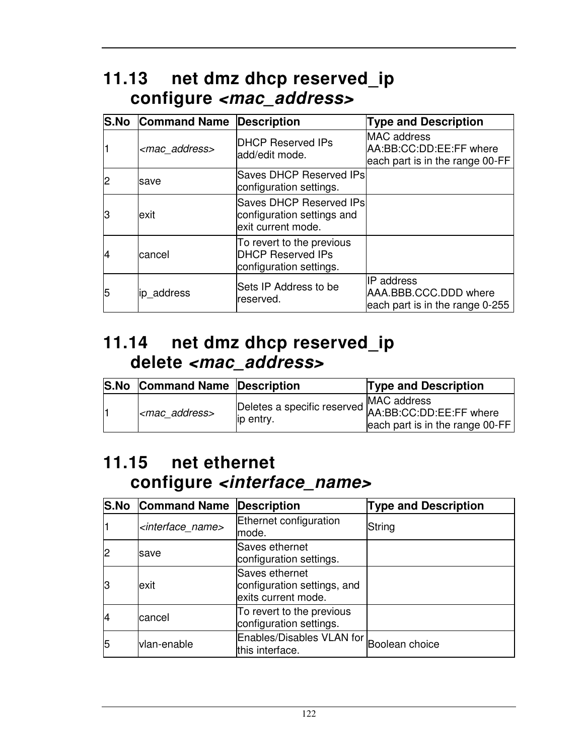## **11.13 net dmz dhcp reserved\_ip configure <mac\_address>**

|    | <b>S.No Command Name Description</b> |                                                                                  | <b>Type and Description</b>                                                      |
|----|--------------------------------------|----------------------------------------------------------------------------------|----------------------------------------------------------------------------------|
|    | <mac_address></mac_address>          | <b>IDHCP Reserved IPs</b><br>ladd/edit mode.                                     | <b>MAC</b> address<br>AA:BB:CC:DD:EE:FF where<br>each part is in the range 00-FF |
|    | save                                 | <b>Saves DHCP Reserved IPs</b><br>configuration settings.                        |                                                                                  |
| lЗ | exit                                 | Saves DHCP Reserved IPs<br>configuration settings and<br>lexit current mode.     |                                                                                  |
| 4  | lcancel                              | To revert to the previous<br><b>DHCP Reserved IPs</b><br>configuration settings. |                                                                                  |
| 5  | ip address                           | Sets IP Address to be<br>reserved.                                               | IP address<br>AAA.BBB.CCC.DDD where<br>each part is in the range 0-255           |

#### **11.14 net dmz dhcp reserved\_ip delete <mac\_address>**

| <b>S.No</b> | <b>Command Name Description</b> |            | <b>Type and Description</b>                                                            |
|-------------|---------------------------------|------------|----------------------------------------------------------------------------------------|
|             | <mac address=""></mac>          | lip entry. | Deletes a specific reserved MAC address<br>in entry<br>each part is in the range 00-FF |

#### **11.15 net ethernet configure <interface\_name>**

|    | <b>S.No Command Name</b>          | Description                                                          | <b>Type and Description</b> |
|----|-----------------------------------|----------------------------------------------------------------------|-----------------------------|
|    | <interface_name></interface_name> | Ethernet configuration<br>mode.                                      | String                      |
|    | save                              | Saves ethernet<br>configuration settings.                            |                             |
| lЗ | exit                              | Saves ethernet<br>configuration settings, and<br>exits current mode. |                             |
|    | lcancel                           | To revert to the previous<br>configuration settings.                 |                             |
| 5  | vlan-enable                       | Enables/Disables VLAN for Boolean choice<br>this interface.          |                             |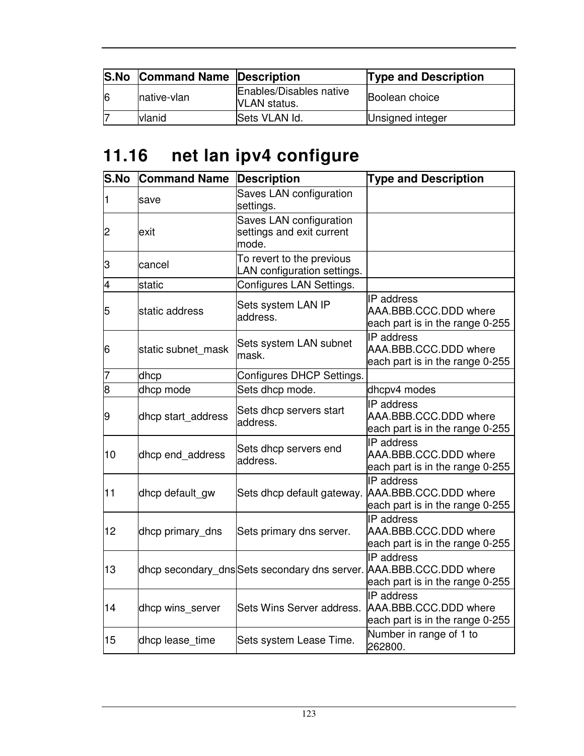|   | <b>S.No Command Name Description</b> |                                                | <b>Type and Description</b> |
|---|--------------------------------------|------------------------------------------------|-----------------------------|
| 6 | native-vlan                          | Enables/Disables native<br><b>VLAN</b> status. | <b>Boolean</b> choice       |
|   | vlanid                               | Sets VLAN Id.                                  | Unsigned integer            |

# **11.16 net lan ipv4 configure**

| <b>S.No</b>    | <b>Command Name</b> | <b>Description</b>                                            | <b>Type and Description</b>                                                                                          |
|----------------|---------------------|---------------------------------------------------------------|----------------------------------------------------------------------------------------------------------------------|
| 1              | save                | Saves LAN configuration<br>settings.                          |                                                                                                                      |
| $\overline{c}$ | exit                | Saves LAN configuration<br>settings and exit current<br>mode. |                                                                                                                      |
| З              | cancel              | To revert to the previous<br>LAN configuration settings.      |                                                                                                                      |
| 4              | static              | Configures LAN Settings.                                      |                                                                                                                      |
| 5              | static address      | Sets system LAN IP<br>address.                                | IP address<br>AAA.BBB.CCC.DDD where<br>each part is in the range 0-255                                               |
| 6              | static subnet mask  | Sets system LAN subnet<br>mask.                               | IP address<br>AAA.BBB.CCC.DDD where<br>each part is in the range 0-255                                               |
| 7              | dhcp                | Configures DHCP Settings.                                     |                                                                                                                      |
| 8              | dhcp mode           | Sets dhcp mode.                                               | dhcpv4 modes                                                                                                         |
| 9              | dhcp start_address  | Sets dhcp servers start<br>address.                           | IP address<br>AAA.BBB.CCC.DDD where<br>each part is in the range 0-255                                               |
| 10             | dhcp end_address    | Sets dhcp servers end<br>address.                             | IP address<br>AAA.BBB.CCC.DDD where<br>each part is in the range 0-255                                               |
| 11             | dhcp default_gw     | Sets dhcp default gateway.                                    | <b>IP</b> address<br>AAA.BBB.CCC.DDD where<br>each part is in the range 0-255                                        |
| 12             | dhcp primary_dns    | Sets primary dns server.                                      | IP address<br>AAA.BBB.CCC.DDD where<br>each part is in the range 0-255                                               |
| 13             |                     |                                                               | IP address<br>dhcp secondary_dns Sets secondary dns server. AAA.BBB.CCC.DDD where<br>each part is in the range 0-255 |
| 14             | dhcp wins server    | Sets Wins Server address.                                     | IP address<br>AAA.BBB.CCC.DDD where<br>each part is in the range 0-255                                               |
| 15             | dhcp lease_time     | Sets system Lease Time.                                       | Number in range of 1 to<br>262800.                                                                                   |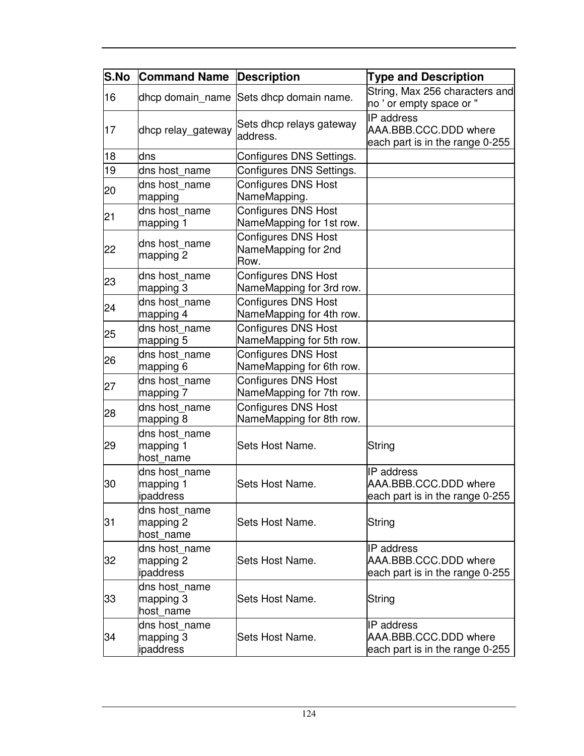| <b>S.No</b> | <b>Command Name</b>                     | <b>Description</b>                                        | <b>Type and Description</b>                                                   |
|-------------|-----------------------------------------|-----------------------------------------------------------|-------------------------------------------------------------------------------|
| 16          |                                         | dhcp domain_name Sets dhcp domain name.                   | String, Max 256 characters and<br>no ' or empty space or "                    |
| 17          | dhcp relay_gateway                      | Sets dhcp relays gateway<br>address.                      | <b>IP</b> address<br>AAA.BBB.CCC.DDD where<br>each part is in the range 0-255 |
| 18          | ldns                                    | Configures DNS Settings.                                  |                                                                               |
| 19          | dns host name                           | Configures DNS Settings.                                  |                                                                               |
| 20          | dns host name<br>mapping                | Configures DNS Host<br>NameMapping.                       |                                                                               |
| 21          | dns host name<br>mapping 1              | <b>Configures DNS Host</b><br>NameMapping for 1st row.    |                                                                               |
| 22          | dns host name<br>mapping 2              | <b>Configures DNS Host</b><br>NameMapping for 2nd<br>Row. |                                                                               |
| 23          | dns host name<br>mapping 3              | <b>Configures DNS Host</b><br>NameMapping for 3rd row.    |                                                                               |
| 24          | dns host name<br>mapping 4              | <b>Configures DNS Host</b><br>NameMapping for 4th row.    |                                                                               |
| 25          | dns host name<br>mapping 5              | <b>Configures DNS Host</b><br>NameMapping for 5th row.    |                                                                               |
| 26          | dns host name<br>mapping 6              | <b>Configures DNS Host</b><br>NameMapping for 6th row.    |                                                                               |
| 27          | dns host name<br>mapping 7              | <b>Configures DNS Host</b><br>NameMapping for 7th row.    |                                                                               |
| 28          | dns host name<br>mapping 8              | <b>Configures DNS Host</b><br>NameMapping for 8th row.    |                                                                               |
| 29          | dns host name<br>mapping 1<br>host_name | Sets Host Name.                                           | String                                                                        |
| 30          | dns host name<br>mapping 1<br>ipaddress | Sets Host Name.                                           | <b>IP</b> address<br>AAA.BBB.CCC.DDD where<br>each part is in the range 0-255 |
| 31          | dns host name<br>mapping 2<br>host name | Sets Host Name.                                           | String                                                                        |
| 32          | dns host_name<br>mapping 2<br>ipaddress | Sets Host Name.                                           | IP address<br>AAA.BBB.CCC.DDD where<br>each part is in the range 0-255        |
| 33          | dns host name<br>mapping 3<br>host name | Sets Host Name.                                           | String                                                                        |
| 34          | dns host name<br>mapping 3<br>ipaddress | Sets Host Name.                                           | <b>IP</b> address<br>AAA.BBB.CCC.DDD where<br>each part is in the range 0-255 |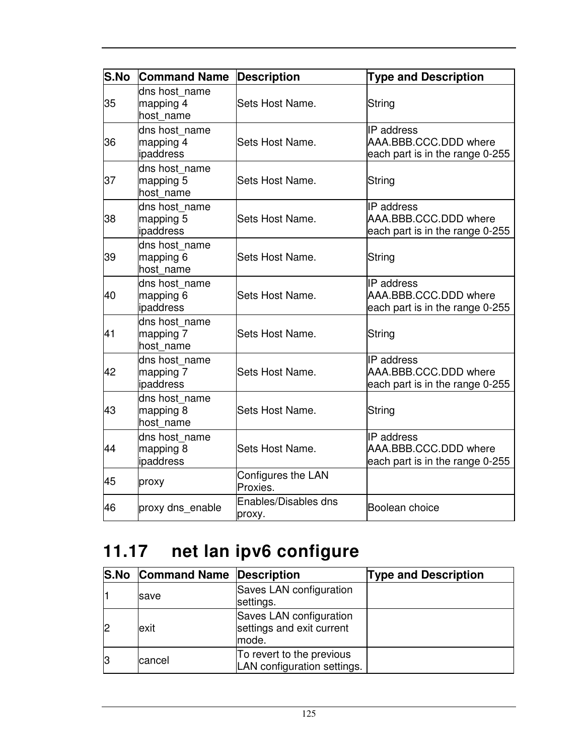| <b>S.No</b> | <b>Command Name</b>                     | <b>Description</b>             | <b>Type and Description</b>                                                   |
|-------------|-----------------------------------------|--------------------------------|-------------------------------------------------------------------------------|
| 35          | dns host name<br>mapping 4<br>host name | Sets Host Name.                | String                                                                        |
| 36          | dns host name<br>mapping 4<br>ipaddress | Sets Host Name.                | <b>IP</b> address<br>AAA.BBB.CCC.DDD where<br>each part is in the range 0-255 |
| 37          | dns host name<br>mapping 5<br>host name | Sets Host Name.                | String                                                                        |
| 38          | dns host name<br>mapping 5<br>ipaddress | Sets Host Name.                | IP address<br>AAA.BBB.CCC.DDD where<br>each part is in the range 0-255        |
| 39          | dns host_name<br>mapping 6<br>host name | Sets Host Name.                | String                                                                        |
| 40          | dns host name<br>mapping 6<br>ipaddress | Sets Host Name.                | IP address<br>AAA.BBB.CCC.DDD where<br>each part is in the range 0-255        |
| 41          | dns host name<br>mapping 7<br>host name | Sets Host Name.                | String                                                                        |
| 42          | dns host_name<br>mapping 7<br>ipaddress | Sets Host Name.                | <b>IP</b> address<br>AAA.BBB.CCC.DDD where<br>each part is in the range 0-255 |
| 43          | dns host_name<br>mapping 8<br>host name | Sets Host Name.                | String                                                                        |
| 44          | dns host name<br>mapping 8<br>ipaddress | Sets Host Name.                | IP address<br>AAA.BBB.CCC.DDD where<br>each part is in the range 0-255        |
| 45          | proxy                                   | Configures the LAN<br>Proxies. |                                                                               |
| 46          | proxy dns_enable                        | Enables/Disables dns<br>proxy. | Boolean choice                                                                |

# **11.17 net lan ipv6 configure**

| <b>S.No Command Name Description</b> |                                                               | <b>Type and Description</b> |
|--------------------------------------|---------------------------------------------------------------|-----------------------------|
| save                                 | Saves LAN configuration<br>settings.                          |                             |
| exit                                 | Saves LAN configuration<br>settings and exit current<br>mode. |                             |
| cancel                               | To revert to the previous<br>LAN configuration settings.      |                             |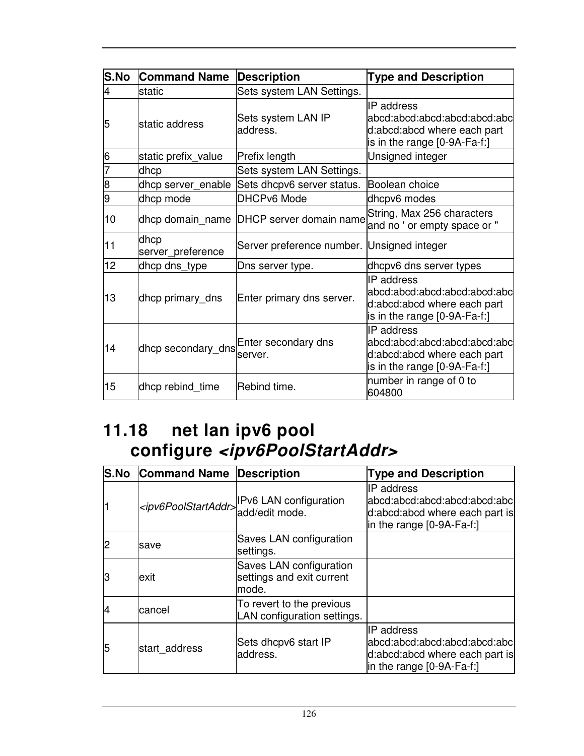| S.No | <b>Command Name</b>       | <b>Description</b>                         | <b>Type and Description</b>                                                                                         |
|------|---------------------------|--------------------------------------------|---------------------------------------------------------------------------------------------------------------------|
| 4    | static                    | Sets system LAN Settings.                  |                                                                                                                     |
| 5    | static address            | Sets system LAN IP<br>address.             | <b>IP</b> address<br>abcd:abcd:abcd:abcd:abcd:abcl<br>d:abcd:abcd where each part<br>is in the range $[0-9A-Fa-f.]$ |
| 6    | static prefix_value       | Prefix length                              | Unsigned integer                                                                                                    |
|      | dhcp                      | Sets system LAN Settings.                  |                                                                                                                     |
| 8    | dhcp server_enable        | Sets dhcpv6 server status.                 | Boolean choice                                                                                                      |
| 9    | dhcp mode                 | <b>DHCPv6 Mode</b>                         | dhcpv6 modes                                                                                                        |
| 10   |                           | dhcp domain_name DHCP server domain name   | String, Max 256 characters<br>and no'or empty space or"                                                             |
| 11   | dhcp<br>server_preference | Server preference number. Unsigned integer |                                                                                                                     |
| 12   | dhcp dns_type             | Dns server type.                           | dhcpv6 dns server types                                                                                             |
| 13   | dhcp primary_dns          | Enter primary dns server.                  | <b>IP</b> address<br>abcd:abcd:abcd:abcd:abcd:abc<br>d:abcd:abcd where each part<br>is in the range [0-9A-Fa-f:]    |
| 14   |                           | dhcp secondary_dns Enter secondary dns     | <b>IP</b> address<br>abcd:abcd:abcd:abcd:abcd:abc<br>d:abcd:abcd where each part<br>is in the range [0-9A-Fa-f:]    |
| 15   | dhcp rebind_time          | Rebind time.                               | number in range of 0 to<br>604800                                                                                   |

### **11.18 net lan ipv6 pool configure <ipv6PoolStartAddr>**

| <b>S.No</b> | <b>Command Name Description</b> |                                                                                  | <b>Type and Description</b>                                                                                        |
|-------------|---------------------------------|----------------------------------------------------------------------------------|--------------------------------------------------------------------------------------------------------------------|
|             |                                 | <ipv6poolstartaddr>IPv6 LAN configuration<br/>add/edit mode.</ipv6poolstartaddr> | IP address<br>labcd:abcd:abcd:abcd:abcd:abcl<br>d:abcd:abcd where each part is<br>in the range $[0-9A-Fa-f!]$      |
|             | save                            | Saves LAN configuration<br>settings.                                             |                                                                                                                    |
| З           | exit                            | Saves LAN configuration<br>settings and exit current<br>mode.                    |                                                                                                                    |
| 14          | cancel                          | To revert to the previous<br>LAN configuration settings.                         |                                                                                                                    |
| 15          | start address                   | Sets dhcpv6 start IP<br>address.                                                 | <b>IP</b> address<br>abcd:abcd:abcd:abcd:abcd:abc<br>d:abcd:abcd where each part is<br>in the range $[0-9A-Fa-f!]$ |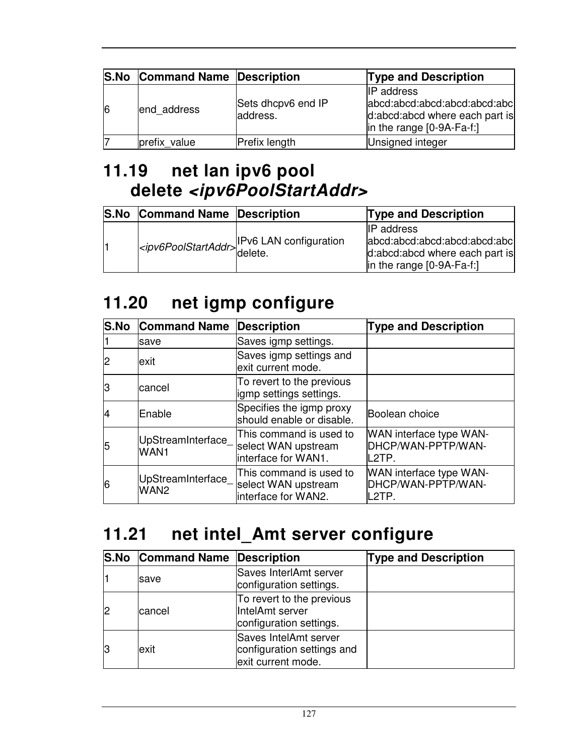|    | <b>S.No Command Name Description</b> |                                | <b>Type and Description</b>                                                                                       |
|----|--------------------------------------|--------------------------------|-------------------------------------------------------------------------------------------------------------------|
| 16 | end address                          | Sets dhcpv6 end IP<br>address. | <b>IP</b> address<br>abcd:abcd:abcd:abcd:abcd:abcl<br>d:abcd:abcd where each part is<br>in the range [0-9A-Fa-f:] |
|    | prefix value                         | Prefix length                  | Unsigned integer                                                                                                  |

### **11.19 net lan ipv6 pool delete <ipv6PoolStartAddr>**

| <b>S.No</b> | <b>Command Name Description</b> |                                                               | <b>Type and Description</b>                                                                                         |
|-------------|---------------------------------|---------------------------------------------------------------|---------------------------------------------------------------------------------------------------------------------|
|             |                                 | <ipv6poolstartaddr>IPv6 LAN configuration</ipv6poolstartaddr> | <b>IIP</b> address<br>abcd:abcd:abcd:abcd:abcd:abcl<br>d:abcd:abcd where each part is<br> in the range [0-9A-Fa-f:] |

## **11.20 net igmp configure**

| <b>S.No</b> | <b>Command Name</b>                    | <b>Description</b>                                                    | <b>Type and Description</b>                            |
|-------------|----------------------------------------|-----------------------------------------------------------------------|--------------------------------------------------------|
|             | save                                   | Saves igmp settings.                                                  |                                                        |
| 2           | lexit                                  | Saves igmp settings and<br>exit current mode.                         |                                                        |
| lЗ          | cancel                                 | To revert to the previous<br>igmp settings settings.                  |                                                        |
| 14          | Enable                                 | Specifies the igmp proxy<br>should enable or disable.                 | Boolean choice                                         |
| 5           | UpStreamInterface_<br>WAN1             | This command is used to<br>select WAN upstream<br>interface for WAN1. | WAN interface type WAN-<br>DHCP/WAN-PPTP/WAN-<br>L2TP. |
| 6           | UpStreamInterface_<br>WAN <sub>2</sub> | This command is used to<br>select WAN upstream<br>interface for WAN2. | WAN interface type WAN-<br>DHCP/WAN-PPTP/WAN-<br>L2TP. |

# **11.21 net intel\_Amt server configure**

|   | <b>S.No Command Name Description</b> |                                                                           | <b>Type and Description</b> |
|---|--------------------------------------|---------------------------------------------------------------------------|-----------------------------|
|   | save                                 | Saves InterlAmt server<br>configuration settings.                         |                             |
|   | cancel                               | To revert to the previous<br>IntelAmt server<br>configuration settings.   |                             |
| ß | exit                                 | Saves IntelAmt server<br>configuration settings and<br>exit current mode. |                             |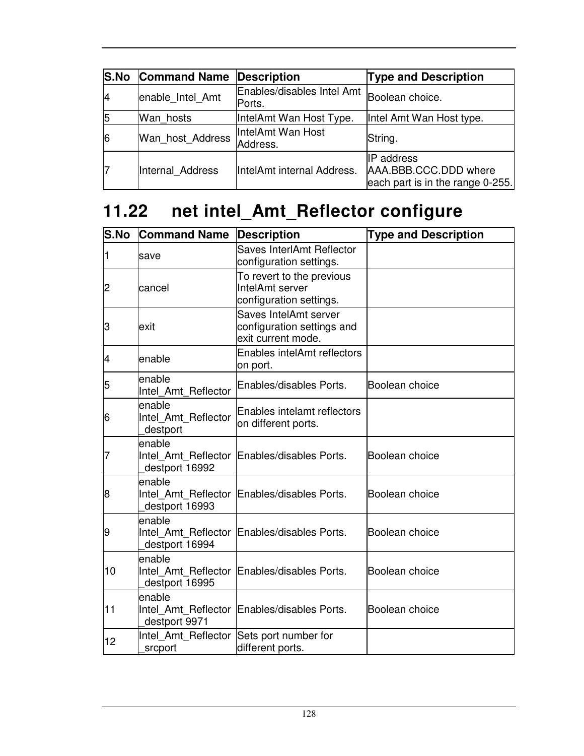|    | <b>S.No Command Name</b> | <b>Description</b>                   | <b>Type and Description</b>                                                    |
|----|--------------------------|--------------------------------------|--------------------------------------------------------------------------------|
| 14 | enable Intel Amt         | Enables/disables Intel Amt<br>Ports. | Boolean choice.                                                                |
| 15 | Wan hosts                | IntelAmt Wan Host Type.              | Intel Amt Wan Host type.                                                       |
| 6  | Wan_host_Address         | IntelAmt Wan Host<br>Address.        | String.                                                                        |
|    | Internal Address         | IntelAmt internal Address.           | <b>IP</b> address<br>AAA.BBB.CCC.DDD where<br>each part is in the range 0-255. |

# **11.22 net intel\_Amt\_Reflector configure**

| S.No | <b>Command Name</b>                             | <b>Description</b>                                                        | <b>Type and Description</b> |
|------|-------------------------------------------------|---------------------------------------------------------------------------|-----------------------------|
|      | save                                            | Saves InterlAmt Reflector<br>configuration settings.                      |                             |
| 2    | cancel                                          | To revert to the previous<br>IntelAmt server<br>configuration settings.   |                             |
| З    | lexit                                           | Saves IntelAmt server<br>configuration settings and<br>exit current mode. |                             |
| 4    | enable                                          | <b>Enables intelAmt reflectors</b><br>on port.                            |                             |
| 5    | enable<br>Intel Amt Reflector                   | Enables/disables Ports.                                                   | Boolean choice              |
| 6    | enable<br>Intel Amt Reflector<br>destport       | Enables intelamt reflectors<br>on different ports.                        |                             |
| 7    | enable<br>Intel Amt Reflector<br>destport 16992 | Enables/disables Ports.                                                   | Boolean choice              |
| 8    | enable<br>destport 16993                        | Intel Amt Reflector Enables/disables Ports.                               | Boolean choice              |
| 9    | enable<br>Intel Amt Reflector<br>destport 16994 | Enables/disables Ports.                                                   | Boolean choice              |
| 10   | enable<br>destport 16995                        | Intel Amt Reflector Enables/disables Ports.                               | Boolean choice              |
| 11   | enable<br>destport 9971                         | Intel Amt Reflector Enables/disables Ports.                               | Boolean choice              |
| 12   | Intel Amt Reflector<br>srcport                  | Sets port number for<br>different ports.                                  |                             |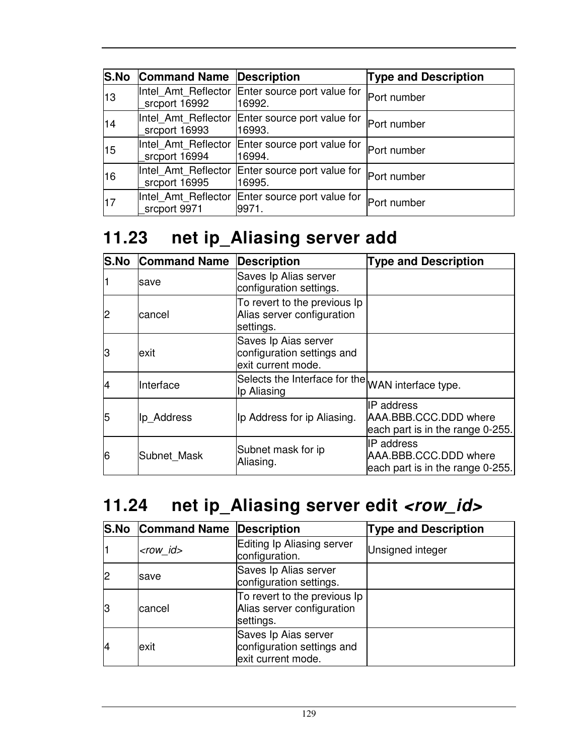| <b>S.No</b> | <b>Command Name Description</b>      |                                                           | <b>Type and Description</b> |
|-------------|--------------------------------------|-----------------------------------------------------------|-----------------------------|
| 13          | srcport 16992                        | Intel_Amt_Reflector Enter source port value for<br>16992. | Port number                 |
| 14          | Intel Amt Reflector<br>srcport 16993 | Enter source port value for<br>16993.                     | Port number                 |
| 15          | Intel Amt Reflector<br>srcport 16994 | Enter source port value for<br>16994.                     | Port number                 |
| 16          | Intel Amt Reflector<br>srcport 16995 | Enter source port value for<br>16995.                     | Port number                 |
| 17          | srcport 9971                         | Intel Amt Reflector Enter source port value for<br>9971.  | Port number                 |

# **11.23 net ip\_Aliasing server add**

|    | <b>S.No Command Name</b> | <b>Description</b>                                                       | <b>Type and Description</b>                                                    |
|----|--------------------------|--------------------------------------------------------------------------|--------------------------------------------------------------------------------|
|    | save                     | Saves Ip Alias server<br>configuration settings.                         |                                                                                |
|    | cancel                   | To revert to the previous Ip<br>Alias server configuration<br>settings.  |                                                                                |
| lЗ | exit                     | Saves Ip Aias server<br>configuration settings and<br>exit current mode. |                                                                                |
|    | Interface                | Selects the Interface for the WAN interface type.<br>Ip Aliasing         |                                                                                |
| 5  | Ip Address               | Ip Address for ip Aliasing.                                              | <b>IP</b> address<br>AAA.BBB.CCC.DDD where<br>each part is in the range 0-255. |
| 6  | Subnet Mask              | Subnet mask for ip<br>Aliasing.                                          | <b>IP</b> address<br>AAA.BBB.CCC.DDD where<br>each part is in the range 0-255. |

# 11.24 net ip\_Aliasing server edit <row\_id>

|    | <b>S.No Command Name Description</b> |                                                                          | <b>Type and Description</b> |
|----|--------------------------------------|--------------------------------------------------------------------------|-----------------------------|
|    | $<$ row id $>$                       | Editing Ip Aliasing server<br>configuration.                             | Unsigned integer            |
|    | save                                 | Saves Ip Alias server<br>configuration settings.                         |                             |
| 13 | cancel                               | To revert to the previous Ip<br>Alias server configuration<br>settings.  |                             |
| 14 | exit                                 | Saves Ip Aias server<br>configuration settings and<br>exit current mode. |                             |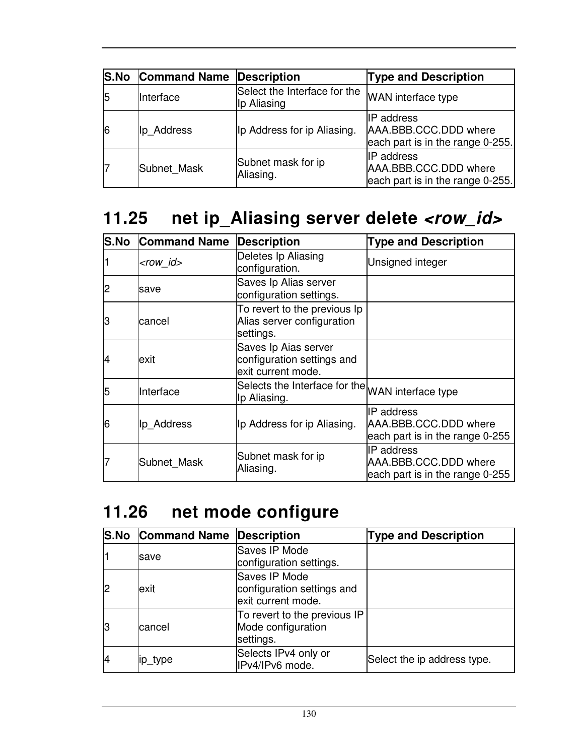|    | <b>S.No Command Name Description</b> |                                             | <b>Type and Description</b>                                                    |
|----|--------------------------------------|---------------------------------------------|--------------------------------------------------------------------------------|
| 15 | Interface                            | Select the Interface for the<br>Ip Aliasing | WAN interface type                                                             |
| 6  | Ip Address                           | Ip Address for ip Aliasing.                 | <b>IP</b> address<br>AAA.BBB.CCC.DDD where<br>each part is in the range 0-255. |
|    | Subnet Mask                          | Subnet mask for ip<br>Aliasing.             | <b>IP</b> address<br>AAA.BBB.CCC.DDD where<br>each part is in the range 0-255. |

# **11.25 net ip\_Aliasing server delete <row\_id>**

| <b>S.No</b> | <b>Command Name</b> | <b>Description</b>                                                       | <b>Type and Description</b>                                                   |
|-------------|---------------------|--------------------------------------------------------------------------|-------------------------------------------------------------------------------|
|             | <row id=""></row>   | Deletes Ip Aliasing<br>configuration.                                    | Unsigned integer                                                              |
| 2           | save                | Saves Ip Alias server<br>configuration settings.                         |                                                                               |
| З           | lcancel             | To revert to the previous Ip<br>Alias server configuration<br>settings.  |                                                                               |
| 14          | lexit               | Saves Ip Aias server<br>configuration settings and<br>exit current mode. |                                                                               |
| 5           | Interface           | Selects the Interface for the WAN interface type<br>Ip Aliasing.         |                                                                               |
| 6           | Ip Address          | Ip Address for ip Aliasing.                                              | <b>IP</b> address<br>AAA.BBB.CCC.DDD where<br>each part is in the range 0-255 |
|             | Subnet Mask         | Subnet mask for ip<br>Aliasing.                                          | <b>IP</b> address<br>AAA.BBB.CCC.DDD where<br>each part is in the range 0-255 |

## **11.26 net mode configure**

|    | <b>S.No Command Name Description</b> |                                                                   | <b>Type and Description</b> |
|----|--------------------------------------|-------------------------------------------------------------------|-----------------------------|
|    | <b>Isave</b>                         | Saves IP Mode<br>configuration settings.                          |                             |
|    | exit                                 | Saves IP Mode<br>configuration settings and<br>exit current mode. |                             |
| 13 | cancel                               | To revert to the previous IP<br>Mode configuration<br>settings.   |                             |
|    | ip_type                              | Selects IPv4 only or<br>IPv4/IPv6 mode.                           | Select the ip address type. |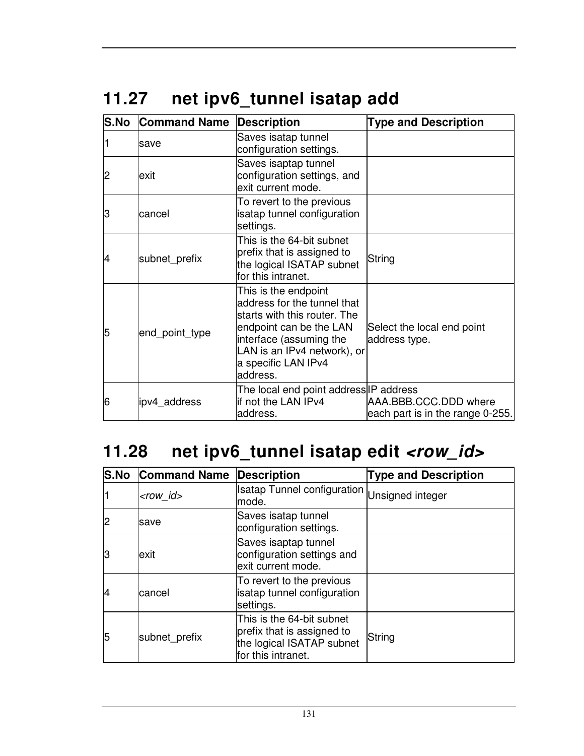# **11.27 net ipv6\_tunnel isatap add**

| <b>S.No</b> | <b>Command Name</b> | <b>Description</b>                                                                                                                                                                                          | <b>Type and Description</b>                               |
|-------------|---------------------|-------------------------------------------------------------------------------------------------------------------------------------------------------------------------------------------------------------|-----------------------------------------------------------|
|             | save                | Saves isatap tunnel<br>configuration settings.                                                                                                                                                              |                                                           |
| 2           | exit                | Saves isaptap tunnel<br>configuration settings, and<br>exit current mode.                                                                                                                                   |                                                           |
| 3           | cancel              | To revert to the previous<br>isatap tunnel configuration<br>settings.                                                                                                                                       |                                                           |
| 4           | subnet prefix       | This is the 64-bit subnet<br>prefix that is assigned to<br>the logical ISATAP subnet<br>for this intranet.                                                                                                  | String                                                    |
| 5           | end_point_type      | This is the endpoint<br>address for the tunnel that<br>starts with this router. The<br>endpoint can be the LAN<br>interface (assuming the<br>LAN is an IPv4 network), or<br>a specific LAN IPv4<br>address. | Select the local end point<br>address type.               |
| 6           | ipv4_address        | The local end point address IP address<br>if not the LAN IPv4<br>address.                                                                                                                                   | AAA.BBB.CCC.DDD where<br>each part is in the range 0-255. |

# 11.28 net ipv6\_tunnel isatap edit <row\_id>

| <b>S.No</b>    | <b>Command Name</b> | <b>Description</b>                                                                                         | <b>Type and Description</b> |
|----------------|---------------------|------------------------------------------------------------------------------------------------------------|-----------------------------|
|                | $<$ row id $>$      | Isatap Tunnel configuration Unsigned integer<br>mode.                                                      |                             |
| $\overline{c}$ | save                | Saves isatap tunnel<br>configuration settings.                                                             |                             |
| IЗ             | exit                | Saves isaptap tunnel<br>configuration settings and<br>exit current mode.                                   |                             |
| 14             | cancel              | To revert to the previous<br>isatap tunnel configuration<br>settings.                                      |                             |
| 15             | subnet prefix       | This is the 64-bit subnet<br>prefix that is assigned to<br>the logical ISATAP subnet<br>for this intranet. | String                      |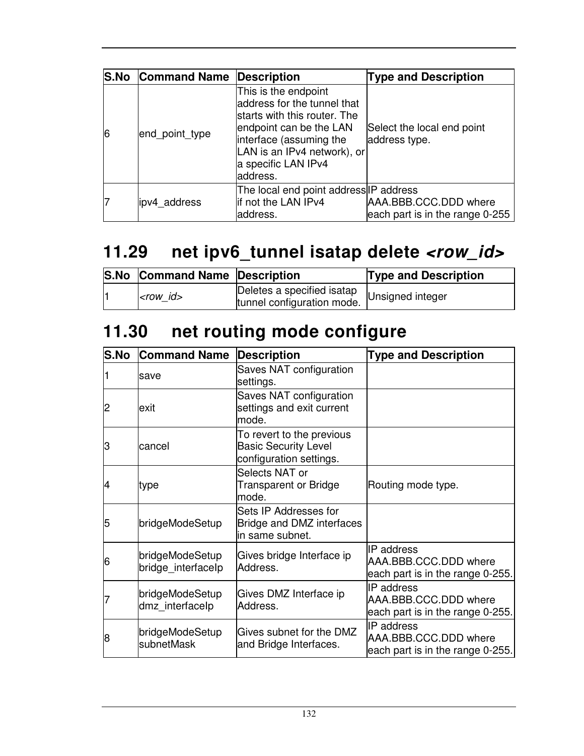|   | <b>S.No Command Name Description</b> |                                                                                                                                                                                                             | <b>Type and Description</b>                              |
|---|--------------------------------------|-------------------------------------------------------------------------------------------------------------------------------------------------------------------------------------------------------------|----------------------------------------------------------|
| 6 | end_point_type                       | This is the endpoint<br>address for the tunnel that<br>starts with this router. The<br>endpoint can be the LAN<br>interface (assuming the<br>LAN is an IPv4 network), or<br>a specific LAN IPv4<br>address. | Select the local end point<br>address type.              |
|   | lipv4 address                        | The local end point address IP address<br>if not the LAN IPv4<br>address.                                                                                                                                   | AAA.BBB.CCC.DDD where<br>each part is in the range 0-255 |

# **11.29 net ipv6\_tunnel isatap delete <row\_id>**

| <b>S.No Command Name Description</b> |                                                          | <b>Type and Description</b> |
|--------------------------------------|----------------------------------------------------------|-----------------------------|
| $<$ row id $>$                       | Deletes a specified isatap<br>tunnel configuration mode. | Unsigned integer            |

# **11.30 net routing mode configure**

| S.No           | <b>Command Name</b>                   | <b>Description</b>                                                                  | <b>Type and Description</b>                                             |
|----------------|---------------------------------------|-------------------------------------------------------------------------------------|-------------------------------------------------------------------------|
|                | save                                  | Saves NAT configuration<br>settings.                                                |                                                                         |
| $\overline{c}$ | exit                                  | Saves NAT configuration<br>settings and exit current<br>mode.                       |                                                                         |
| lЗ             | cancel                                | To revert to the previous<br><b>Basic Security Level</b><br>configuration settings. |                                                                         |
| 14             | type                                  | Selects NAT or<br>Transparent or Bridge<br>mode.                                    | Routing mode type.                                                      |
| 5              | bridgeModeSetup                       | Sets IP Addresses for<br>Bridge and DMZ interfaces<br>in same subnet.               |                                                                         |
| 6              | bridgeModeSetup<br>bridge_interfacelp | Gives bridge Interface ip<br>Address.                                               | IP address<br>AAA.BBB.CCC.DDD where<br>each part is in the range 0-255. |
|                | bridgeModeSetup<br>dmz interfacelp    | Gives DMZ Interface ip<br>Address.                                                  | IP address<br>AAA.BBB.CCC.DDD where<br>each part is in the range 0-255. |
| 8              | bridgeModeSetup<br>subnetMask         | Gives subnet for the DMZ<br>and Bridge Interfaces.                                  | IP address<br>AAA.BBB.CCC.DDD where<br>each part is in the range 0-255. |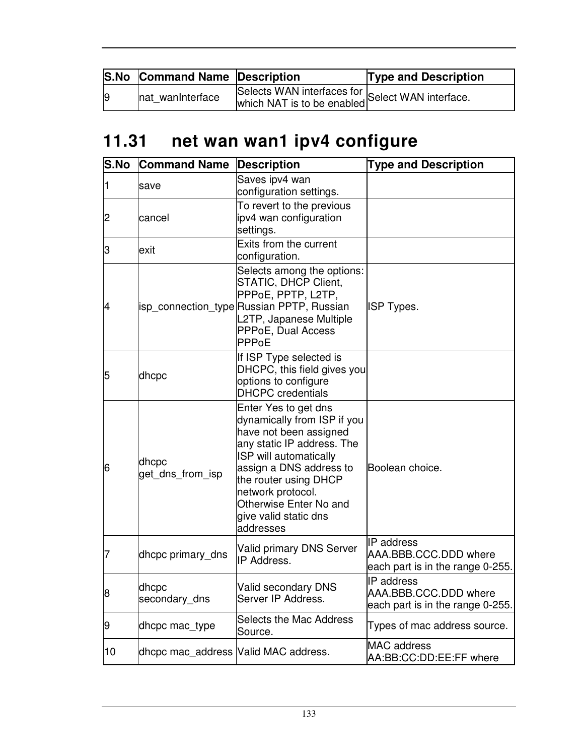|                | <b>S.No Command Name Description</b> |                                                  | <b>Type and Description</b> |
|----------------|--------------------------------------|--------------------------------------------------|-----------------------------|
| $\overline{9}$ | nat wanInterface                     | Selects WAN interfaces for Select WAN interface. |                             |

# **11.31 net wan wan1 ipv4 configure**

| S.No | <b>Command Name</b>                   | <b>Description</b>                                                                                                                                                                                                                                                             | <b>Type and Description</b>                                                    |
|------|---------------------------------------|--------------------------------------------------------------------------------------------------------------------------------------------------------------------------------------------------------------------------------------------------------------------------------|--------------------------------------------------------------------------------|
|      | save                                  | Saves ipv4 wan<br>configuration settings.                                                                                                                                                                                                                                      |                                                                                |
| 2    | lcancel                               | To revert to the previous<br>ipv4 wan configuration<br>settings.                                                                                                                                                                                                               |                                                                                |
| З    | exit                                  | Exits from the current<br>configuration.                                                                                                                                                                                                                                       |                                                                                |
| 4    |                                       | Selects among the options:<br>STATIC, DHCP Client,<br>PPPoE, PPTP, L2TP,<br>isp_connection_type Russian PPTP, Russian<br>L2TP, Japanese Multiple<br>PPPoE, Dual Access<br>PPPoE                                                                                                | ISP Types.                                                                     |
| 5    | dhcpc                                 | If ISP Type selected is<br>DHCPC, this field gives you<br>options to configure<br><b>DHCPC</b> credentials                                                                                                                                                                     |                                                                                |
| 6    | dhcpc<br>get_dns_from_isp             | Enter Yes to get dns<br>dynamically from ISP if you<br>have not been assigned<br>any static IP address. The<br>ISP will automatically<br>assign a DNS address to<br>the router using DHCP<br>network protocol.<br>Otherwise Enter No and<br>give valid static dns<br>addresses | Boolean choice.                                                                |
| 7    | dhcpc primary_dns                     | <b>Valid primary DNS Server</b><br>IP Address.                                                                                                                                                                                                                                 | <b>IP</b> address<br>AAA.BBB.CCC.DDD where<br>each part is in the range 0-255. |
| 8    | dhcpc<br>secondary dns                | Valid secondary DNS<br>Server IP Address.                                                                                                                                                                                                                                      | <b>IP</b> address<br>AAA.BBB.CCC.DDD where<br>each part is in the range 0-255. |
| 9    | dhcpc mac_type                        | <b>Selects the Mac Address</b><br>Source.                                                                                                                                                                                                                                      | Types of mac address source.                                                   |
| 10   | dhcpc mac_address  Valid MAC address. |                                                                                                                                                                                                                                                                                | <b>MAC</b> address<br>AA:BB:CC:DD:EE:FF where                                  |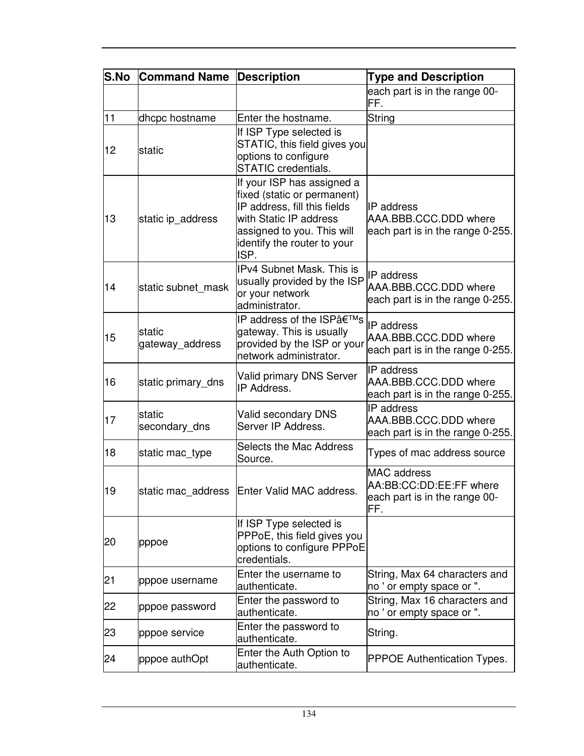| <b>S.No</b> | <b>Command Name</b>        | <b>Description</b>                                                                                                                                                                       | <b>Type and Description</b>                                                           |
|-------------|----------------------------|------------------------------------------------------------------------------------------------------------------------------------------------------------------------------------------|---------------------------------------------------------------------------------------|
|             |                            |                                                                                                                                                                                          | each part is in the range 00-<br>FF.                                                  |
| 11          | dhcpc hostname             | Enter the hostname.                                                                                                                                                                      | String                                                                                |
| 12          | static                     | If ISP Type selected is<br>STATIC, this field gives you<br>options to configure<br><b>STATIC</b> credentials.                                                                            |                                                                                       |
| 13          | static ip_address          | If your ISP has assigned a<br>fixed (static or permanent)<br>IP address, fill this fields<br>with Static IP address<br>assigned to you. This will<br>identify the router to your<br>ISP. | <b>IP</b> address<br>AAA.BBB.CCC.DDD where<br>each part is in the range 0-255.        |
| 14          | static subnet_mask         | IPv4 Subnet Mask. This is<br>usually provided by the ISP<br>or your network<br>administrator.                                                                                            | IP address<br>AAA.BBB.CCC.DDD where<br>each part is in the range 0-255.               |
| 15          | lstatic<br>gateway_address | IP address of the ISP's<br>gateway. This is usually<br>provided by the ISP or your<br>network administrator.                                                                             | <b>IP</b> address<br>AAA, BBB, CCC, DDD where<br>each part is in the range 0-255.     |
| 16          | static primary_dns         | Valid primary DNS Server<br>IP Address.                                                                                                                                                  | <b>IP</b> address<br>AAA.BBB.CCC.DDD where<br>each part is in the range 0-255.        |
| 17          | static<br>secondary_dns    | Valid secondary DNS<br>Server IP Address.                                                                                                                                                | <b>IP</b> address<br>AAA.BBB.CCC.DDD where<br>each part is in the range 0-255.        |
| 18          | static mac_type            | Selects the Mac Address<br>Source.                                                                                                                                                       | Types of mac address source                                                           |
| 19          |                            | static mac address Enter Valid MAC address                                                                                                                                               | <b>MAC</b> address<br>AA:BB:CC:DD:EE:FF where<br>each part is in the range 00-<br>FF. |
| 20          | pppoe                      | If ISP Type selected is<br>PPPoE, this field gives you<br>options to configure PPPoE<br>credentials.                                                                                     |                                                                                       |
| 21          | pppoe username             | Enter the username to<br>authenticate.                                                                                                                                                   | String, Max 64 characters and<br>no ' or empty space or ".                            |
| 22          | pppoe password             | Enter the password to<br>authenticate.                                                                                                                                                   | String, Max 16 characters and<br>no ' or empty space or ".                            |
| 23          | pppoe service              | Enter the password to<br>authenticate.                                                                                                                                                   | String.                                                                               |
| 24          | pppoe authOpt              | Enter the Auth Option to<br>authenticate.                                                                                                                                                | <b>PPPOE Authentication Types.</b>                                                    |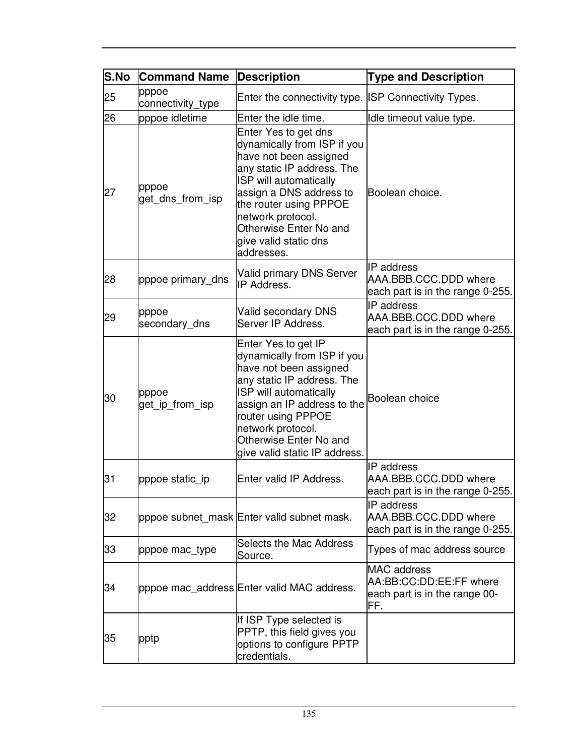| S.No | <b>Command Name</b>        | <b>Description</b>                                                                                                                                                                                                                                                               | <b>Type and Description</b>                                                           |
|------|----------------------------|----------------------------------------------------------------------------------------------------------------------------------------------------------------------------------------------------------------------------------------------------------------------------------|---------------------------------------------------------------------------------------|
| 25   | pppoe<br>connectivity_type | Enter the connectivity type. ISP Connectivity Types.                                                                                                                                                                                                                             |                                                                                       |
| 26   | pppoe idletime             | Enter the idle time.                                                                                                                                                                                                                                                             | Idle timeout value type.                                                              |
| 27   | pppoe<br>get_dns_from_isp  | Enter Yes to get dns<br>dynamically from ISP if you<br>have not been assigned<br>any static IP address. The<br>ISP will automatically<br>assign a DNS address to<br>the router using PPPOE<br>network protocol.<br>Otherwise Enter No and<br>give valid static dns<br>addresses. | Boolean choice.                                                                       |
| 28   | pppoe primary dns          | <b>Valid primary DNS Server</b><br>IP Address.                                                                                                                                                                                                                                   | IP address<br>AAA.BBB.CCC.DDD where<br>each part is in the range 0-255.               |
| 29   | pppoe<br>secondary_dns     | Valid secondary DNS<br>Server IP Address.                                                                                                                                                                                                                                        | IP address<br>AAA.BBB.CCC.DDD where<br>each part is in the range 0-255.               |
| 30   | pppoe<br>get_ip_from_isp   | Enter Yes to get IP<br>dynamically from ISP if you<br>have not been assigned<br>any static IP address. The<br>ISP will automatically<br>assign an IP address to the<br>router using PPPOE<br>network protocol.<br>Otherwise Enter No and<br>give valid static IP address.        | Boolean choice                                                                        |
| 31   | pppoe static_ip            | Enter valid IP Address.                                                                                                                                                                                                                                                          | <b>IP</b> address<br>AAA.BBB.CCC.DDD where<br>each part is in the range 0-255.        |
| 32   |                            | pppoe subnet_mask Enter valid subnet mask.                                                                                                                                                                                                                                       | <b>IP</b> address<br>AAA.BBB.CCC.DDD where<br>each part is in the range 0-255.        |
| 33   | pppoe mac_type             | Selects the Mac Address<br>Source.                                                                                                                                                                                                                                               | Types of mac address source                                                           |
| 34   |                            | pppoe mac_address Enter valid MAC address.                                                                                                                                                                                                                                       | <b>MAC</b> address<br>AA:BB:CC:DD:EE:FF where<br>each part is in the range 00-<br>FF. |
| 35   | pptp                       | If ISP Type selected is<br>PPTP, this field gives you<br>options to configure PPTP<br>credentials.                                                                                                                                                                               |                                                                                       |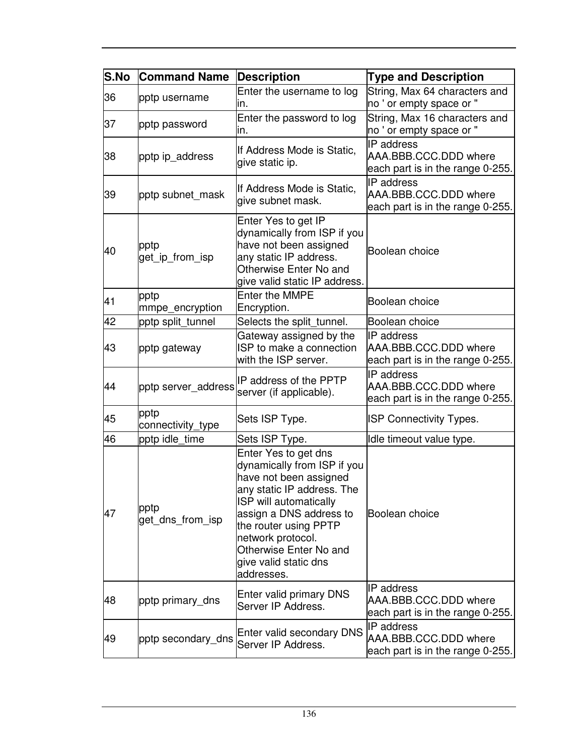| S.No | <b>Command Name</b>       | <b>Description</b>                                                                                                                                                                                                                                                              | <b>Type and Description</b>                                                    |
|------|---------------------------|---------------------------------------------------------------------------------------------------------------------------------------------------------------------------------------------------------------------------------------------------------------------------------|--------------------------------------------------------------------------------|
| 36   | pptp username             | Enter the username to log<br>in.                                                                                                                                                                                                                                                | String, Max 64 characters and<br>no ' or empty space or "                      |
| 37   | pptp password             | Enter the password to log<br>ın.                                                                                                                                                                                                                                                | String, Max 16 characters and<br>no ' or empty space or "                      |
| 38   | pptp ip_address           | If Address Mode is Static,<br>give static ip.                                                                                                                                                                                                                                   | IP address<br>AAA.BBB.CCC.DDD where<br>each part is in the range 0-255.        |
| 39   | pptp subnet_mask          | If Address Mode is Static,<br>give subnet mask.                                                                                                                                                                                                                                 | IP address<br>AAA.BBB.CCC.DDD where<br>each part is in the range 0-255.        |
| 40   | pptp<br>get_ip_from_isp   | Enter Yes to get IP<br>dynamically from ISP if you<br>have not been assigned<br>any static IP address.<br>Otherwise Enter No and<br>give valid static IP address.                                                                                                               | Boolean choice                                                                 |
| 41   | pptp<br>mmpe_encryption   | <b>Enter the MMPE</b><br>Encryption.                                                                                                                                                                                                                                            | Boolean choice                                                                 |
| 42   | pptp split_tunnel         | Selects the split_tunnel.                                                                                                                                                                                                                                                       | Boolean choice                                                                 |
| 43   | pptp gateway              | Gateway assigned by the<br>ISP to make a connection<br>with the ISP server.                                                                                                                                                                                                     | <b>IP</b> address<br>AAA.BBB.CCC.DDD where<br>each part is in the range 0-255. |
| 44   | pptp server_address       | IP address of the PPTP<br>server (if applicable).                                                                                                                                                                                                                               | <b>IP</b> address<br>AAA.BBB.CCC.DDD where<br>each part is in the range 0-255. |
| 45   | pptp<br>connectivity_type | Sets ISP Type.                                                                                                                                                                                                                                                                  | <b>ISP Connectivity Types.</b>                                                 |
| 46   | pptp idle_time            | Sets ISP Type.                                                                                                                                                                                                                                                                  | Idle timeout value type.                                                       |
| 47   | pptp<br>get_dns_from_isp  | Enter Yes to get dns<br>dynamically from ISP if you<br>have not been assigned<br>any static IP address. The<br>ISP will automatically<br>assign a DNS address to<br>the router using PPTP<br>network protocol.<br>Otherwise Enter No and<br>give valid static dns<br>addresses. | Boolean choice                                                                 |
| 48   | pptp primary_dns          | Enter valid primary DNS<br>Server IP Address.                                                                                                                                                                                                                                   | <b>IP</b> address<br>AAA.BBB.CCC.DDD where<br>each part is in the range 0-255. |
| 49   | pptp secondary_dns        | Enter valid secondary DNS<br>Server IP Address.                                                                                                                                                                                                                                 | IP address<br>AAA.BBB.CCC.DDD where<br>each part is in the range 0-255.        |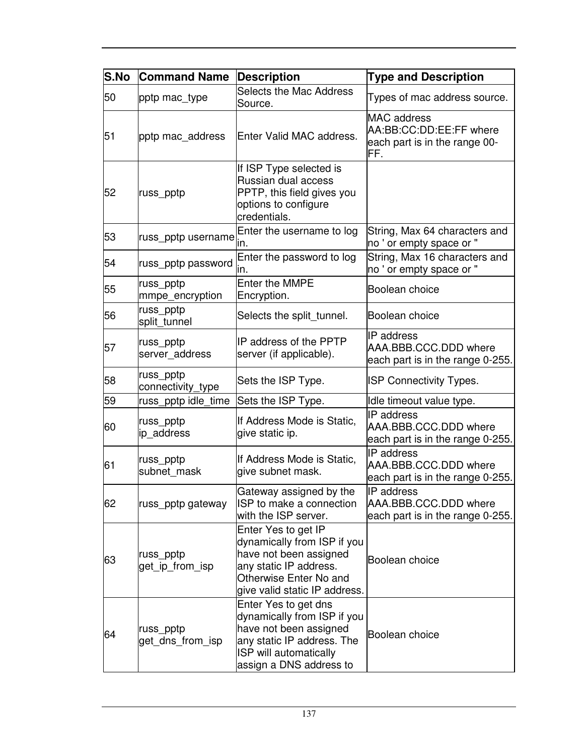| S.No | <b>Command Name</b>            | <b>Description</b>                                                                                                                                                | <b>Type and Description</b>                                                           |
|------|--------------------------------|-------------------------------------------------------------------------------------------------------------------------------------------------------------------|---------------------------------------------------------------------------------------|
| 50   | pptp mac_type                  | <b>Selects the Mac Address</b><br>Source.                                                                                                                         | Types of mac address source.                                                          |
| 51   | pptp mac_address               | Enter Valid MAC address.                                                                                                                                          | <b>MAC</b> address<br>AA:BB:CC:DD:EE:FF where<br>each part is in the range 00-<br>FF. |
| 52   | russ_pptp                      | If ISP Type selected is<br>Russian dual access<br>PPTP, this field gives you<br>options to configure<br>credentials.                                              |                                                                                       |
| 53   | russ_pptp username             | Enter the username to log<br>ın.                                                                                                                                  | String, Max 64 characters and<br>no ' or empty space or "                             |
| 54   | russ_pptp password             | Enter the password to log<br>ın.                                                                                                                                  | String, Max 16 characters and<br>no ' or empty space or "                             |
| 55   | russ_pptp<br>mmpe_encryption   | <b>Enter the MMPE</b><br>Encryption.                                                                                                                              | Boolean choice                                                                        |
| 56   | russ_pptp<br>split_tunnel      | Selects the split_tunnel.                                                                                                                                         | Boolean choice                                                                        |
| 57   | russ_pptp<br>server_address    | IP address of the PPTP<br>server (if applicable).                                                                                                                 | <b>IP</b> address<br>AAA.BBB.CCC.DDD where<br>each part is in the range 0-255.        |
| 58   | russ_pptp<br>connectivity_type | Sets the ISP Type.                                                                                                                                                | <b>ISP Connectivity Types.</b>                                                        |
| 59   | russ_pptp idle_time            | Sets the ISP Type.                                                                                                                                                | Idle timeout value type.                                                              |
| 60   | russ_pptp<br>ip_address        | If Address Mode is Static,<br>give static ip.                                                                                                                     | IP address<br>AAA.BBB.CCC.DDD where<br>each part is in the range 0-255.               |
| 61   | russ_pptp<br>subnet mask       | If Address Mode is Static,<br>give subnet mask.                                                                                                                   | IP address<br>AAA.BBB.CCC.DDD where<br>each part is in the range 0-255.               |
| 62   | russ_pptp gateway              | Gateway assigned by the<br>ISP to make a connection<br>with the ISP server.                                                                                       | <b>IP</b> address<br>AAA.BBB.CCC.DDD where<br>each part is in the range 0-255.        |
| 63   | russ_pptp<br>get_ip_from_isp   | Enter Yes to get IP<br>dynamically from ISP if you<br>have not been assigned<br>any static IP address.<br>Otherwise Enter No and<br>give valid static IP address. | Boolean choice                                                                        |
| 64   | russ_pptp<br>get_dns_from_isp  | Enter Yes to get dns<br>dynamically from ISP if you<br>have not been assigned<br>any static IP address. The<br>ISP will automatically<br>assign a DNS address to  | Boolean choice                                                                        |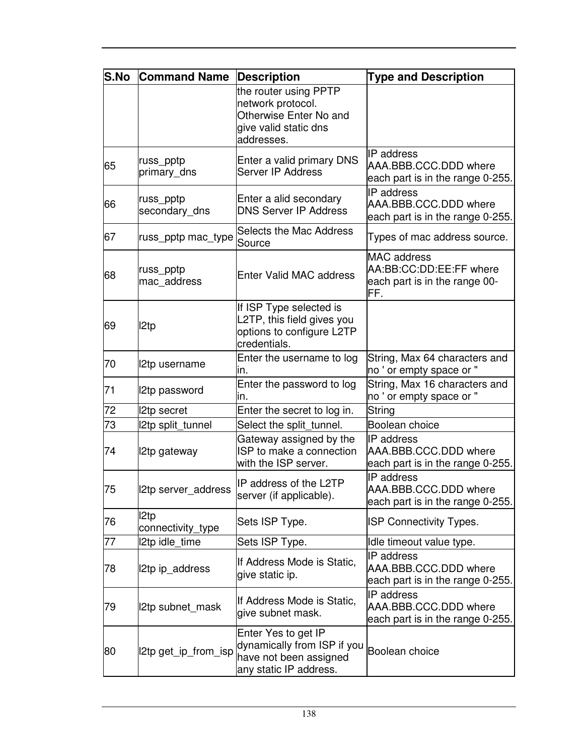| <b>S.No</b> | <b>Command Name</b>        | <b>Description</b>                                                                                          | <b>Type and Description</b>                                                           |
|-------------|----------------------------|-------------------------------------------------------------------------------------------------------------|---------------------------------------------------------------------------------------|
|             |                            | the router using PPTP<br>network protocol.<br>Otherwise Enter No and<br>give valid static dns<br>addresses. |                                                                                       |
| 65          | russ_pptp<br>primary dns   | Enter a valid primary DNS<br>Server IP Address                                                              | <b>IP</b> address<br>AAA.BBB.CCC.DDD where<br>each part is in the range 0-255.        |
| 66          | russ_pptp<br>secondary_dns | Enter a alid secondary<br><b>DNS Server IP Address</b>                                                      | IP address<br>AAA.BBB.CCC.DDD where<br>each part is in the range 0-255.               |
| 67          | russ_pptp mac_type         | <b>Selects the Mac Address</b><br>Source                                                                    | Types of mac address source.                                                          |
| 68          | russ_pptp<br>mac address   | <b>Enter Valid MAC address</b>                                                                              | <b>MAC</b> address<br>AA:BB:CC:DD:EE:FF where<br>each part is in the range 00-<br>FF. |
| 69          | I2tp                       | If ISP Type selected is<br>L2TP, this field gives you<br>options to configure L2TP<br>credentials.          |                                                                                       |
| 70          | 12tp username              | Enter the username to log<br>ın.                                                                            | String, Max 64 characters and<br>no ' or empty space or "                             |
| 71          | 2tp password               | Enter the password to log<br>ın.                                                                            | String, Max 16 characters and<br>no ' or empty space or "                             |
| 72          | <b>2tp secret</b>          | Enter the secret to log in.                                                                                 | String                                                                                |
| 73          | 12tp split_tunnel          | Select the split_tunnel.                                                                                    | Boolean choice                                                                        |
| 74          | 12tp gateway               | Gateway assigned by the<br>ISP to make a connection<br>with the ISP server.                                 | <b>IP</b> address<br>AAA.BBB.CCC.DDD where<br>each part is in the range 0-255.        |
| 75          | 2tp server address         | IP address of the L2TP<br>server (if applicable).                                                           | IP address<br>AAA.BBB.CCC.DDD where<br>each part is in the range 0-255.               |
| 76          | I2tp<br>connectivity_type  | Sets ISP Type.                                                                                              | <b>ISP Connectivity Types.</b>                                                        |
| 77          | 12tp idle time             | Sets ISP Type.                                                                                              | Idle timeout value type.                                                              |
| 78          | 2tp ip_address             | If Address Mode is Static,<br>give static ip.                                                               | <b>IP</b> address<br>AAA.BBB.CCC.DDD where<br>each part is in the range 0-255.        |
| 79          | 2tp subnet_mask            | If Address Mode is Static,<br>give subnet mask.                                                             | IP address<br>AAA.BBB.CCC.DDD where<br>each part is in the range 0-255.               |
| 80          | 2tp get_ip_from_isp        | Enter Yes to get IP<br>dynamically from ISP if you<br>have not been assigned<br>any static IP address.      | Boolean choice                                                                        |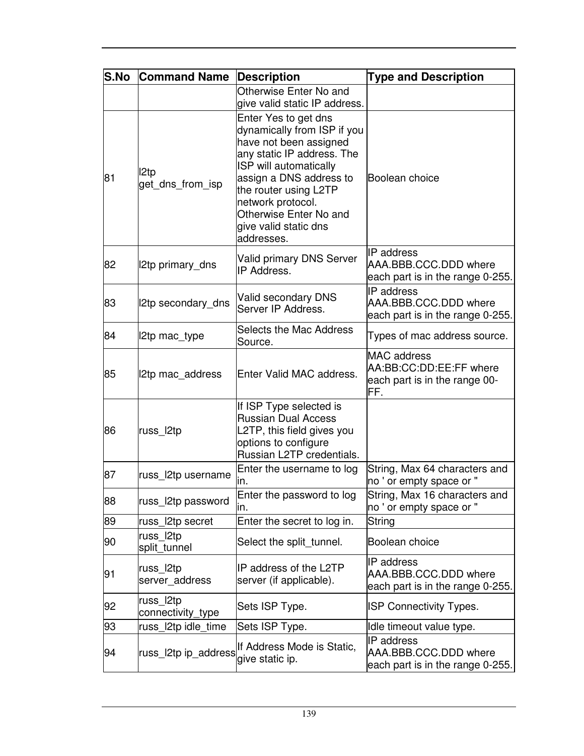| <b>S.No</b> | <b>Command Name</b>            | <b>Description</b>                                                                                                                                                                                                                                                              | <b>Type and Description</b>                                                           |
|-------------|--------------------------------|---------------------------------------------------------------------------------------------------------------------------------------------------------------------------------------------------------------------------------------------------------------------------------|---------------------------------------------------------------------------------------|
|             |                                | Otherwise Enter No and<br>give valid static IP address.                                                                                                                                                                                                                         |                                                                                       |
| 81          | I2tp<br>get_dns_from_isp       | Enter Yes to get dns<br>dynamically from ISP if you<br>have not been assigned<br>any static IP address. The<br>ISP will automatically<br>assign a DNS address to<br>the router using L2TP<br>network protocol.<br>Otherwise Enter No and<br>give valid static dns<br>addresses. | Boolean choice                                                                        |
| 82          | 12tp primary_dns               | Valid primary DNS Server<br>IP Address.                                                                                                                                                                                                                                         | <b>IP</b> address<br>AAA.BBB.CCC.DDD where<br>each part is in the range 0-255.        |
| 83          | 12tp secondary_dns             | <b>Valid secondary DNS</b><br>Server IP Address.                                                                                                                                                                                                                                | IP address<br>AAA.BBB.CCC.DDD where<br>each part is in the range 0-255.               |
| 84          | 12tp mac_type                  | <b>Selects the Mac Address</b><br>Source.                                                                                                                                                                                                                                       | Types of mac address source.                                                          |
| 85          | 2tp mac_address                | Enter Valid MAC address.                                                                                                                                                                                                                                                        | <b>MAC</b> address<br>AA:BB:CC:DD:EE:FF where<br>each part is in the range 00-<br>FF. |
| 86          | russ_l2tp                      | If ISP Type selected is<br><b>Russian Dual Access</b><br>L2TP, this field gives you<br>options to configure<br>Russian L2TP credentials.                                                                                                                                        |                                                                                       |
| 87          | russ_l2tp username             | Enter the username to log<br>In.                                                                                                                                                                                                                                                | String, Max 64 characters and<br>no ' or empty space or "                             |
| 88          | russ_l2tp password             | Enter the password to log<br>ın.                                                                                                                                                                                                                                                | String, Max 16 characters and<br>no ' or empty space or "                             |
| 89          | russ_l2tp secret               | Enter the secret to log in.                                                                                                                                                                                                                                                     | String                                                                                |
| 90          | russ l2tp<br>split_tunnel      | Select the split_tunnel.                                                                                                                                                                                                                                                        | Boolean choice                                                                        |
| 91          | russ_l2tp<br>server_address    | IP address of the L2TP<br>server (if applicable).                                                                                                                                                                                                                               | IP address<br>AAA.BBB.CCC.DDD where<br>each part is in the range 0-255.               |
| 92          | russ l2tp<br>connectivity_type | Sets ISP Type.                                                                                                                                                                                                                                                                  | <b>ISP Connectivity Types.</b>                                                        |
| 93          | russ l2tp idle time            | Sets ISP Type.                                                                                                                                                                                                                                                                  | Idle timeout value type.                                                              |
| 94          | russ l2tp ip_address           | If Address Mode is Static,<br>give static ip.                                                                                                                                                                                                                                   | IP address<br>AAA.BBB.CCC.DDD where<br>each part is in the range 0-255.               |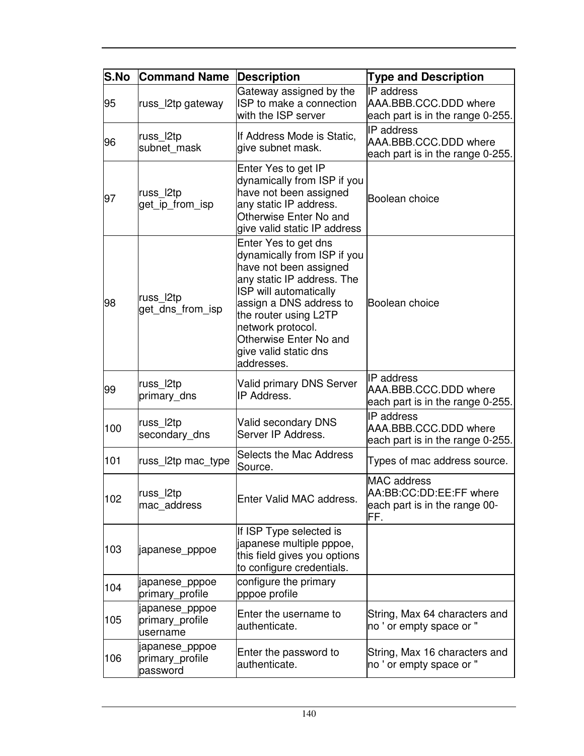| <b>S.No</b> | <b>Command Name</b>                           | <b>Description</b>                                                                                                                                                                                                                                                              | <b>Type and Description</b>                                                    |
|-------------|-----------------------------------------------|---------------------------------------------------------------------------------------------------------------------------------------------------------------------------------------------------------------------------------------------------------------------------------|--------------------------------------------------------------------------------|
| 95          | russ_l2tp gateway                             | Gateway assigned by the<br>ISP to make a connection<br>with the ISP server                                                                                                                                                                                                      | <b>IP</b> address<br>AAA.BBB.CCC.DDD where<br>each part is in the range 0-255. |
| 96          | russ_l2tp<br>subnet_mask                      | If Address Mode is Static,<br>give subnet mask.                                                                                                                                                                                                                                 | IP address<br>AAA.BBB.CCC.DDD where<br>each part is in the range 0-255.        |
| 97          | russ_l2tp<br>get_ip_from_isp                  | Enter Yes to get IP<br>dynamically from ISP if you<br>have not been assigned<br>any static IP address.<br>Otherwise Enter No and<br>give valid static IP address                                                                                                                | Boolean choice                                                                 |
| 98          | russ l2tp<br>get_dns_from_isp                 | Enter Yes to get dns<br>dynamically from ISP if you<br>have not been assigned<br>any static IP address. The<br>ISP will automatically<br>assign a DNS address to<br>the router using L2TP<br>network protocol.<br>Otherwise Enter No and<br>give valid static dns<br>addresses. | Boolean choice                                                                 |
| 99          | russ_l2tp<br>primary_dns                      | <b>Valid primary DNS Server</b><br>IP Address.                                                                                                                                                                                                                                  | <b>IP</b> address<br>AAA.BBB.CCC.DDD where<br>each part is in the range 0-255. |
| 100         | russ_l2tp<br>secondary_dns                    | <b>Valid secondary DNS</b><br>Server IP Address.                                                                                                                                                                                                                                | IP address<br>AAA.BBB.CCC.DDD where<br>each part is in the range 0-255.        |
| 101         | russ_l2tp mac_type                            | <b>Selects the Mac Address</b><br>Source.                                                                                                                                                                                                                                       | Types of mac address source.                                                   |
| 102         | russ_l2tp<br>mac_address                      | Enter Valid MAC address.                                                                                                                                                                                                                                                        | MAC address<br>AA:BB:CC:DD:EE:FF where<br>each part is in the range 00-<br>FF. |
| 103         | japanese_pppoe                                | If ISP Type selected is<br>japanese multiple pppoe,<br>this field gives you options<br>to configure credentials.                                                                                                                                                                |                                                                                |
| 104         | japanese_pppoe<br>primary_profile             | configure the primary<br>pppoe profile                                                                                                                                                                                                                                          |                                                                                |
| 105         | japanese_pppoe<br>primary_profile<br>username | Enter the username to<br>authenticate.                                                                                                                                                                                                                                          | String, Max 64 characters and<br>no ' or empty space or "                      |
| 106         | japanese_pppoe<br>primary_profile<br>password | Enter the password to<br>authenticate.                                                                                                                                                                                                                                          | String, Max 16 characters and<br>no ' or empty space or "                      |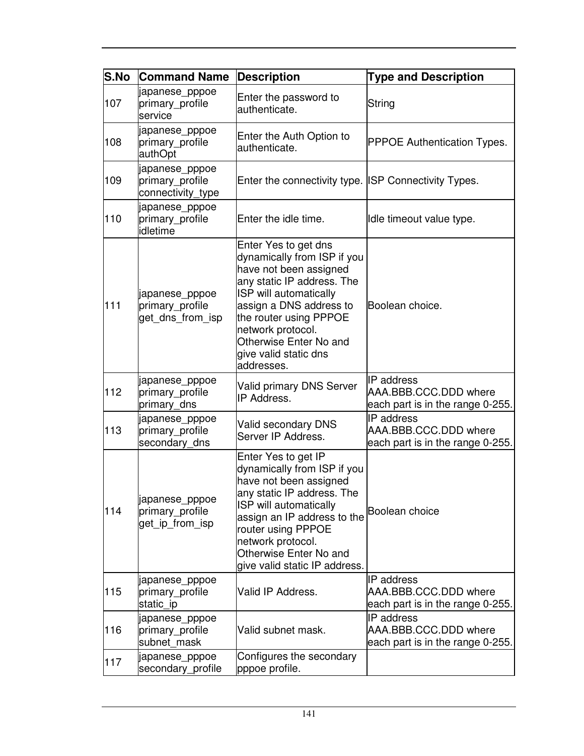| <b>S.No</b> | <b>Command Name</b>                                    | <b>Description</b>                                                                                                                                                                                                                                                                       | <b>Type and Description</b>                                                    |
|-------------|--------------------------------------------------------|------------------------------------------------------------------------------------------------------------------------------------------------------------------------------------------------------------------------------------------------------------------------------------------|--------------------------------------------------------------------------------|
| 107         | japanese_pppoe<br>primary_profile<br>service           | Enter the password to<br>authenticate.                                                                                                                                                                                                                                                   | String                                                                         |
| 108         | japanese_pppoe<br>primary_profile<br>authOpt           | Enter the Auth Option to<br>authenticate.                                                                                                                                                                                                                                                | <b>PPPOE Authentication Types.</b>                                             |
| 109         | japanese_pppoe<br>primary_profile<br>connectivity_type | Enter the connectivity type. ISP Connectivity Types.                                                                                                                                                                                                                                     |                                                                                |
| 110         | japanese_pppoe<br>primary_profile<br>idletime          | Enter the idle time.                                                                                                                                                                                                                                                                     | Idle timeout value type.                                                       |
| 111         | japanese_pppoe<br>primary_profile<br>get_dns_from_isp  | Enter Yes to get dns<br>dynamically from ISP if you<br>have not been assigned<br>any static IP address. The<br>ISP will automatically<br>assign a DNS address to<br>the router using PPPOE<br>network protocol.<br>Otherwise Enter No and<br>give valid static dns<br>addresses.         | Boolean choice.                                                                |
| 112         | japanese_pppoe<br>primary_profile<br>primary_dns       | <b>Valid primary DNS Server</b><br>IP Address.                                                                                                                                                                                                                                           | IP address<br>AAA.BBB.CCC.DDD where<br>each part is in the range 0-255.        |
| 113         | japanese_pppoe<br>primary_profile<br>secondary_dns     | <b>Valid secondary DNS</b><br>Server IP Address.                                                                                                                                                                                                                                         | IP address<br>AAA.BBB.CCC.DDD where<br>each part is in the range 0-255.        |
| 114         | japanese_pppoe<br>primary_profile<br>get ip from isp   | Enter Yes to get IP<br>dynamically from ISP if you<br>have not been assigned<br>any static IP address. The<br>ISP will automatically<br>assign an IP address to the Boolean choice<br>router using PPPOE<br>network protocol.<br>Otherwise Enter No and<br>give valid static IP address. |                                                                                |
| 115         | japanese_pppoe<br>primary profile<br>static_ip         | Valid IP Address.                                                                                                                                                                                                                                                                        | <b>IP</b> address<br>AAA.BBB.CCC.DDD where<br>each part is in the range 0-255. |
| 116         | japanese_pppoe<br>primary_profile<br>subnet mask       | Valid subnet mask.                                                                                                                                                                                                                                                                       | IP address<br>AAA.BBB.CCC.DDD where<br>each part is in the range 0-255.        |
| 117         | japanese_pppoe<br>secondary_profile                    | Configures the secondary<br>pppoe profile.                                                                                                                                                                                                                                               |                                                                                |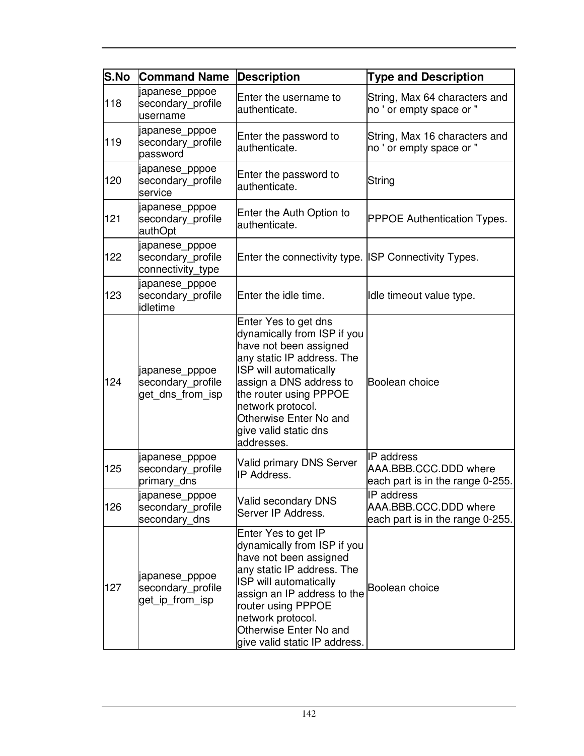| S.No | <b>Command Name</b>                                      | <b>Description</b>                                                                                                                                                                                                                                                               | <b>Type and Description</b>                                             |
|------|----------------------------------------------------------|----------------------------------------------------------------------------------------------------------------------------------------------------------------------------------------------------------------------------------------------------------------------------------|-------------------------------------------------------------------------|
| 118  | japanese_pppoe<br>secondary_profile<br>username          | Enter the username to<br>authenticate.                                                                                                                                                                                                                                           | String, Max 64 characters and<br>no ' or empty space or "               |
| 119  | japanese_pppoe<br>secondary_profile<br>password          | Enter the password to<br>authenticate.                                                                                                                                                                                                                                           | String, Max 16 characters and<br>no ' or empty space or "               |
| 120  | japanese_pppoe<br>secondary_profile<br>service           | Enter the password to<br>authenticate.                                                                                                                                                                                                                                           | String                                                                  |
| 121  | japanese_pppoe<br>secondary_profile<br>authOpt           | Enter the Auth Option to<br>authenticate.                                                                                                                                                                                                                                        | <b>PPPOE Authentication Types.</b>                                      |
| 122  | japanese_pppoe<br>secondary_profile<br>connectivity type | Enter the connectivity type. ISP Connectivity Types.                                                                                                                                                                                                                             |                                                                         |
| 123  | japanese_pppoe<br>secondary_profile<br>idletime          | Enter the idle time.                                                                                                                                                                                                                                                             | Idle timeout value type.                                                |
| 124  | japanese_pppoe<br>secondary_profile<br>get dns from isp  | Enter Yes to get dns<br>dynamically from ISP if you<br>have not been assigned<br>any static IP address. The<br>ISP will automatically<br>assign a DNS address to<br>the router using PPPOE<br>network protocol.<br>Otherwise Enter No and<br>give valid static dns<br>addresses. | Boolean choice                                                          |
| 125  | japanese_pppoe<br>secondary_profile<br>primary_dns       | Valid primary DNS Server<br>IP Address.                                                                                                                                                                                                                                          | IP address<br>AAA.BBB.CCC.DDD where<br>each part is in the range 0-255. |
| 126  | japanese_pppoe<br>secondary profile<br>secondary_dns     | Valid secondary DNS<br>Server IP Address.                                                                                                                                                                                                                                        | IP address<br>AAA.BBB.CCC.DDD where<br>each part is in the range 0-255. |
| 127  | japanese_pppoe<br>secondary_profile<br>get_ip_from_isp   | Enter Yes to get IP<br>dynamically from ISP if you<br>have not been assigned<br>any static IP address. The<br>ISP will automatically<br>assign an IP address to the<br>router using PPPOE<br>network protocol.<br>Otherwise Enter No and<br>give valid static IP address.        | Boolean choice                                                          |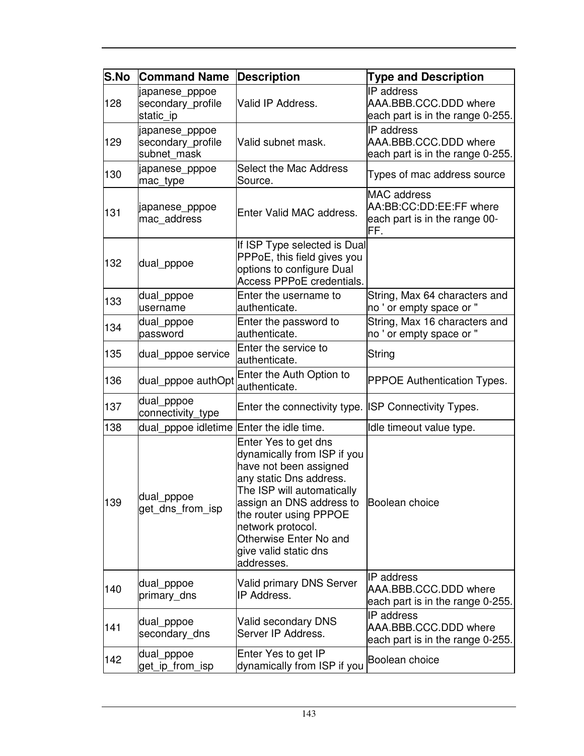| <b>S.No</b> | <b>Command Name</b>                                | <b>Description</b>                                                                                                                                                                                                                                                                 | <b>Type and Description</b>                                                           |
|-------------|----------------------------------------------------|------------------------------------------------------------------------------------------------------------------------------------------------------------------------------------------------------------------------------------------------------------------------------------|---------------------------------------------------------------------------------------|
| 128         | japanese_pppoe<br>secondary_profile<br>static_ip   | Valid IP Address.                                                                                                                                                                                                                                                                  | IP address<br>AAA.BBB.CCC.DDD where<br>each part is in the range 0-255.               |
| 129         | japanese_pppoe<br>secondary_profile<br>subnet mask | Valid subnet mask.                                                                                                                                                                                                                                                                 | <b>IP</b> address<br>AAA.BBB.CCC.DDD where<br>each part is in the range 0-255.        |
| 130         | japanese_pppoe<br>mac_type                         | Select the Mac Address<br>Source.                                                                                                                                                                                                                                                  | Types of mac address source                                                           |
| 131         | japanese_pppoe<br>mac_address                      | Enter Valid MAC address.                                                                                                                                                                                                                                                           | <b>MAC</b> address<br>AA:BB:CC:DD:EE:FF where<br>each part is in the range 00-<br>FF. |
| 132         | dual_pppoe                                         | If ISP Type selected is Dual<br>PPPoE, this field gives you<br>options to configure Dual<br>Access PPPoE credentials.                                                                                                                                                              |                                                                                       |
| 133         | dual pppoe<br>username                             | Enter the username to<br>authenticate.                                                                                                                                                                                                                                             | String, Max 64 characters and<br>no ' or empty space or "                             |
| 134         | dual_pppoe<br>password                             | Enter the password to<br>authenticate.                                                                                                                                                                                                                                             | String, Max 16 characters and<br>no ' or empty space or "                             |
| 135         | dual_pppoe service                                 | Enter the service to<br>authenticate.                                                                                                                                                                                                                                              | String                                                                                |
| 136         | dual_pppoe authOpt                                 | Enter the Auth Option to<br>authenticate.                                                                                                                                                                                                                                          | <b>PPPOE Authentication Types.</b>                                                    |
| 137         | dual_pppoe<br>connectivity_type                    | Enter the connectivity type. ISP Connectivity Types.                                                                                                                                                                                                                               |                                                                                       |
| 138         | dual_pppoe idletime Enter the idle time.           |                                                                                                                                                                                                                                                                                    | Idle timeout value type.                                                              |
| 139         | dual_pppoe<br>get_dns_from_isp                     | Enter Yes to get dns<br>dynamically from ISP if you<br>have not been assigned<br>any static Dns address.<br>The ISP will automatically<br>assign an DNS address to<br>the router using PPPOE<br>network protocol.<br>Otherwise Enter No and<br>give valid static dns<br>addresses. | Boolean choice                                                                        |
| 140         | dual_pppoe<br>primary_dns                          | Valid primary DNS Server<br>IP Address.                                                                                                                                                                                                                                            | IP address<br>AAA.BBB.CCC.DDD where<br>each part is in the range 0-255.               |
| 141         | dual_pppoe<br>secondary_dns                        | Valid secondary DNS<br>Server IP Address.                                                                                                                                                                                                                                          | <b>IP</b> address<br>AAA.BBB.CCC.DDD where<br>each part is in the range 0-255.        |
| 142         | dual_pppoe<br>get_ip_from_isp                      | Enter Yes to get IP<br>dynamically from ISP if you                                                                                                                                                                                                                                 | Boolean choice                                                                        |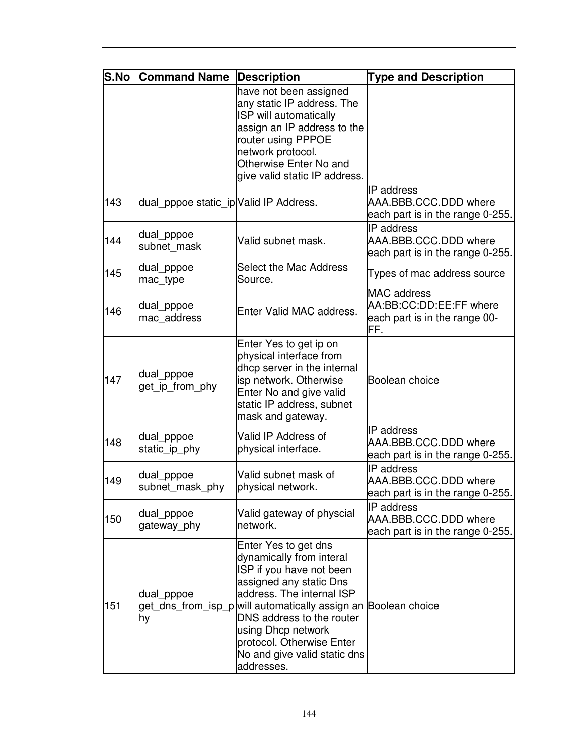| S.No | <b>Command Name</b>                    | <b>Description</b>                                                                                                                                                                                                                                                                                                                   | <b>Type and Description</b>                                                           |
|------|----------------------------------------|--------------------------------------------------------------------------------------------------------------------------------------------------------------------------------------------------------------------------------------------------------------------------------------------------------------------------------------|---------------------------------------------------------------------------------------|
|      |                                        | have not been assigned<br>any static IP address. The<br>ISP will automatically<br>assign an IP address to the<br>router using PPPOE<br>network protocol.<br>Otherwise Enter No and<br>give valid static IP address.                                                                                                                  |                                                                                       |
| 143  | dual_pppoe static_ip Valid IP Address. |                                                                                                                                                                                                                                                                                                                                      | <b>IP</b> address<br>AAA.BBB.CCC.DDD where<br>each part is in the range 0-255.        |
| 144  | dual_pppoe<br>subnet mask              | Valid subnet mask.                                                                                                                                                                                                                                                                                                                   | IP address<br>AAA.BBB.CCC.DDD where<br>each part is in the range 0-255.               |
| 145  | dual_pppoe<br>mac type                 | Select the Mac Address<br>Source.                                                                                                                                                                                                                                                                                                    | Types of mac address source                                                           |
| 146  | dual_pppoe<br>mac address              | Enter Valid MAC address.                                                                                                                                                                                                                                                                                                             | <b>MAC</b> address<br>AA:BB:CC:DD:EE:FF where<br>each part is in the range 00-<br>FF. |
| 147  | dual_pppoe<br>get ip from phy          | Enter Yes to get ip on<br>physical interface from<br>dhcp server in the internal<br>isp network. Otherwise<br>Enter No and give valid<br>static IP address, subnet<br>mask and gateway.                                                                                                                                              | Boolean choice                                                                        |
| 148  | dual_pppoe<br>static ip phy            | Valid IP Address of<br>physical interface.                                                                                                                                                                                                                                                                                           | IP address<br>AAA.BBB.CCC.DDD where<br>each part is in the range 0-255.               |
| 149  | dual pppoe<br>subnet mask phy          | Valid subnet mask of<br>physical network.                                                                                                                                                                                                                                                                                            | IP address<br>AAA.BBB.CCC.DDD where<br>each part is in the range 0-255.               |
| 150  | dual_pppoe<br>gateway phy              | Valid gateway of physcial<br>network.                                                                                                                                                                                                                                                                                                | IP address<br>AAA.BBB.CCC.DDD where<br>each part is in the range 0-255.               |
| 151  | dual_pppoe<br>hy                       | Enter Yes to get dns<br>dynamically from interal<br>ISP if you have not been<br>assigned any static Dns<br>address. The internal ISP<br>get_dns_from_isp_p will automatically assign an Boolean choice<br>DNS address to the router<br>using Dhcp network<br>protocol. Otherwise Enter<br>No and give valid static dns<br>addresses. |                                                                                       |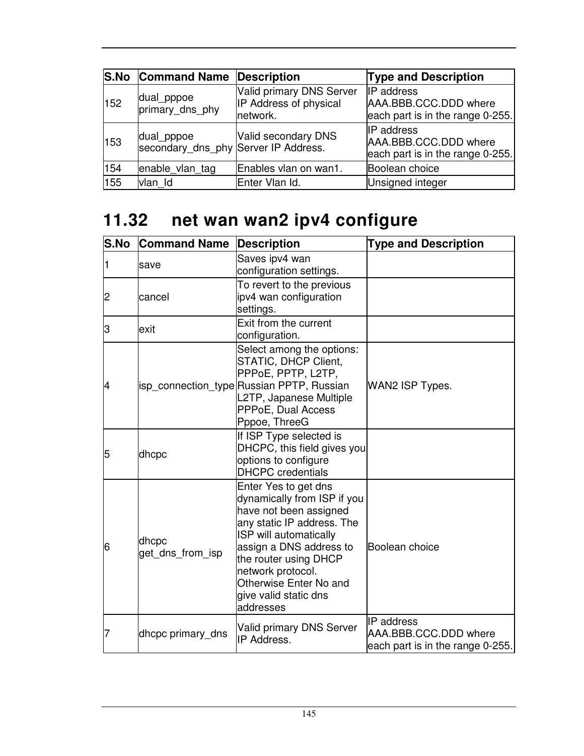|     | <b>S.No Command Name Description</b>               |                                                                | <b>Type and Description</b>                                                    |
|-----|----------------------------------------------------|----------------------------------------------------------------|--------------------------------------------------------------------------------|
| 152 | dual_pppoe<br>primary dns phy                      | Valid primary DNS Server<br>IP Address of physical<br>network. | <b>IP</b> address<br>AAA.BBB.CCC.DDD where<br>each part is in the range 0-255. |
| 153 | dual pppoe<br>secondary_dns_phy Server IP Address. | Valid secondary DNS                                            | <b>IP</b> address<br>AAA.BBB.CCC.DDD where<br>each part is in the range 0-255. |
| 154 | enable vlan tag                                    | Enables vlan on wan1.                                          | Boolean choice                                                                 |
| 155 | vlan Id                                            | Enter Vlan Id.                                                 | Unsigned integer                                                               |

# **11.32 net wan wan2 ipv4 configure**

| <b>S.No</b> | <b>Command Name</b>       | <b>Description</b>                                                                                                                                                                                                                                                             | <b>Type and Description</b>                                                    |
|-------------|---------------------------|--------------------------------------------------------------------------------------------------------------------------------------------------------------------------------------------------------------------------------------------------------------------------------|--------------------------------------------------------------------------------|
|             | lsave                     | Saves ipv4 wan<br>configuration settings.                                                                                                                                                                                                                                      |                                                                                |
| 2           | cancel                    | To revert to the previous<br>ipv4 wan configuration<br>settings.                                                                                                                                                                                                               |                                                                                |
| З           | exit                      | Exit from the current<br>configuration.                                                                                                                                                                                                                                        |                                                                                |
| 4           |                           | Select among the options:<br>STATIC, DHCP Client,<br>PPPoE, PPTP, L2TP,<br>isp_connection_type Russian PPTP, Russian<br>L2TP, Japanese Multiple<br>PPPoE, Dual Access<br>Pppoe, ThreeG                                                                                         | WAN2 ISP Types.                                                                |
| 5           | dhcpc                     | If ISP Type selected is<br>DHCPC, this field gives you<br>options to configure<br><b>DHCPC</b> credentials                                                                                                                                                                     |                                                                                |
| 6           | dhcpc<br>get dns from isp | Enter Yes to get dns<br>dynamically from ISP if you<br>have not been assigned<br>any static IP address. The<br>ISP will automatically<br>assign a DNS address to<br>the router using DHCP<br>network protocol.<br>Otherwise Enter No and<br>give valid static dns<br>addresses | Boolean choice                                                                 |
| 7           | dhcpc primary dns         | <b>Valid primary DNS Server</b><br>IP Address.                                                                                                                                                                                                                                 | <b>IP</b> address<br>AAA.BBB.CCC.DDD where<br>each part is in the range 0-255. |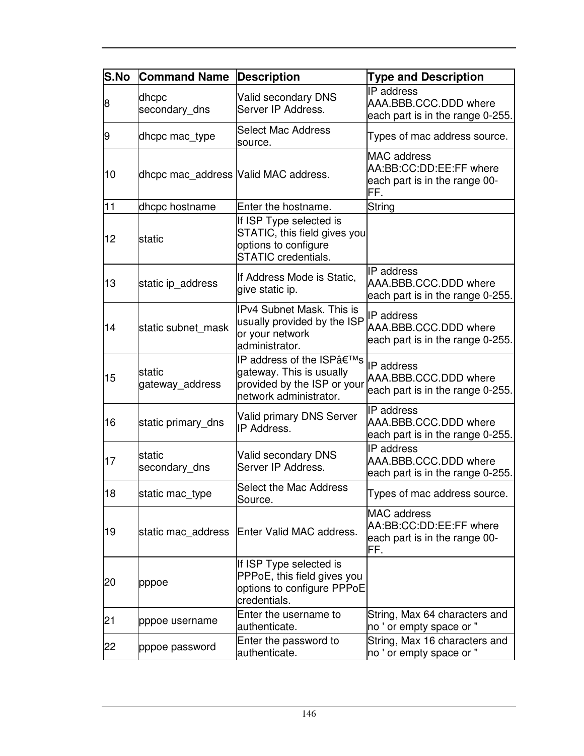| S.No | <b>Command Name</b>                   | <b>Description</b>                                                                                            | <b>Type and Description</b>                                                            |
|------|---------------------------------------|---------------------------------------------------------------------------------------------------------------|----------------------------------------------------------------------------------------|
| 8    | dhcpc<br>secondary_dns                | Valid secondary DNS<br>Server IP Address.                                                                     | IP address<br>AAA.BBB.CCC.DDD where<br>each part is in the range 0-255.                |
| 9    | dhcpc mac_type                        | <b>Select Mac Address</b><br>source.                                                                          | Types of mac address source.                                                           |
| 10   | dhcpc mac_address  Valid MAC address. |                                                                                                               | <b>MAC</b> address<br>AA:BB:CC:DD:EE:FF where<br>each part is in the range 00-<br>FF.  |
| 11   | dhcpc hostname                        | Enter the hostname.                                                                                           | String                                                                                 |
| 12   | <b>Istatic</b>                        | If ISP Type selected is<br>STATIC, this field gives you<br>options to configure<br><b>STATIC</b> credentials. |                                                                                        |
| 13   | static ip_address                     | If Address Mode is Static,<br>give static ip.                                                                 | <b>IP</b> address<br>AAA.BBB.CCC.DDD where<br>each part is in the range 0-255.         |
| 14   | static subnet_mask                    | IPv4 Subnet Mask. This is<br>usually provided by the ISP<br>or your network<br>administrator.                 | <b>IP</b> address<br>AAA.BBB.CCC.DDD where<br>each part is in the range 0-255.         |
| 15   | lstatic<br>gateway_address            | IP address of the ISP's<br>gateway. This is usually<br>provided by the ISP or your<br>network administrator.  | IP address<br>AAA.BBB.CCC.DDD where<br>each part is in the range 0-255.                |
| 16   | static primary_dns                    | <b>Valid primary DNS Server</b><br>IP Address.                                                                | <b>IP</b> address<br>AAA.BBB.CCC.DDD where<br>each part is in the range 0-255.         |
| 17   | static<br>secondary_dns               | Valid secondary DNS<br>Server IP Address.                                                                     | IP address<br>AAA.BBB.CCC.DDD where<br>each part is in the range 0-255.                |
| 18   | static mac_type                       | <b>Select the Mac Address</b><br>Source.                                                                      | Types of mac address source.                                                           |
| 19   | static mac address                    | Enter Valid MAC address.                                                                                      | <b>MAC</b> address<br>AA:BB:CC:DD:EE:FF where<br>each part is in the range 00-<br>lFF. |
| 20   | pppoe                                 | If ISP Type selected is<br>PPPoE, this field gives you<br>options to configure PPPoE<br>credentials.          |                                                                                        |
| 21   | pppoe username                        | Enter the username to<br>authenticate.                                                                        | String, Max 64 characters and<br>no ' or empty space or "                              |
| 22   | pppoe password                        | Enter the password to<br>authenticate.                                                                        | String, Max 16 characters and<br>no ' or empty space or "                              |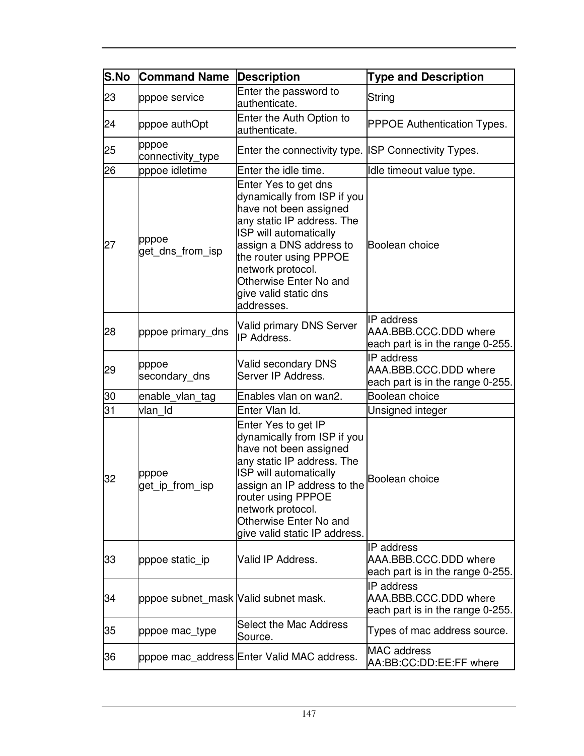| S.No | <b>Command Name</b>                  | <b>Description</b>                                                                                                                                                                                                                                                               | <b>Type and Description</b>                                                    |
|------|--------------------------------------|----------------------------------------------------------------------------------------------------------------------------------------------------------------------------------------------------------------------------------------------------------------------------------|--------------------------------------------------------------------------------|
| 23   | pppoe service                        | Enter the password to<br>authenticate.                                                                                                                                                                                                                                           | String                                                                         |
| 24   | pppoe authOpt                        | Enter the Auth Option to<br>authenticate.                                                                                                                                                                                                                                        | <b>PPPOE Authentication Types.</b>                                             |
| 25   | pppoe<br>connectivity_type           | Enter the connectivity type. ISP Connectivity Types.                                                                                                                                                                                                                             |                                                                                |
| 26   | pppoe idletime                       | Enter the idle time.                                                                                                                                                                                                                                                             | Idle timeout value type.                                                       |
| 27   | pppoe<br>get_dns_from_isp            | Enter Yes to get dns<br>dynamically from ISP if you<br>have not been assigned<br>any static IP address. The<br>ISP will automatically<br>assign a DNS address to<br>the router using PPPOE<br>network protocol.<br>Otherwise Enter No and<br>give valid static dns<br>addresses. | Boolean choice                                                                 |
| 28   | pppoe primary dns                    | Valid primary DNS Server<br>IP Address.                                                                                                                                                                                                                                          | <b>IP</b> address<br>AAA.BBB.CCC.DDD where<br>each part is in the range 0-255. |
| 29   | pppoe<br>secondary_dns               | Valid secondary DNS<br>Server IP Address.                                                                                                                                                                                                                                        | IP address<br>AAA.BBB.CCC.DDD where<br>each part is in the range 0-255.        |
| 30   | enable_vlan_tag                      | Enables vlan on wan2.                                                                                                                                                                                                                                                            | Boolean choice                                                                 |
| 31   | vlan Id                              | Enter Vlan Id.                                                                                                                                                                                                                                                                   | Unsigned integer                                                               |
| 32   | pppoe<br>get_ip_from_isp             | Enter Yes to get IP<br>dynamically from ISP if you<br>have not been assigned<br>any static IP address. The<br>ISP will automatically<br>assign an IP address to the<br>router using PPPOE<br>network protocol.<br>Otherwise Enter No and<br>give valid static IP address.        | Boolean choice                                                                 |
| 33   | pppoe static_ip                      | Valid IP Address.                                                                                                                                                                                                                                                                | <b>IP</b> address<br>AAA.BBB.CCC.DDD where<br>each part is in the range 0-255. |
| 34   | pppoe subnet_mask Valid subnet mask. |                                                                                                                                                                                                                                                                                  | <b>IP</b> address<br>AAA.BBB.CCC.DDD where<br>each part is in the range 0-255. |
| 35   | pppoe mac_type                       | Select the Mac Address<br>Source.                                                                                                                                                                                                                                                | Types of mac address source.                                                   |
| 36   |                                      | pppoe mac_address Enter Valid MAC address.                                                                                                                                                                                                                                       | <b>MAC</b> address<br>AA:BB:CC:DD:EE:FF where                                  |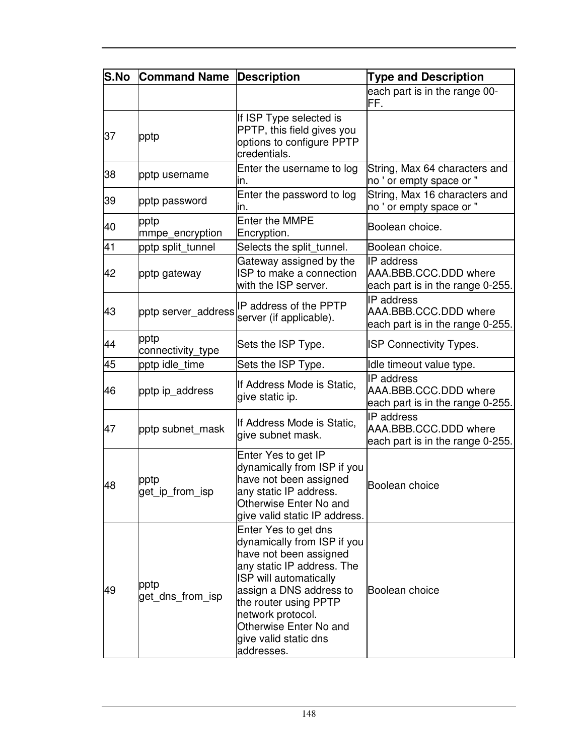| S.No | <b>Command Name</b>       | <b>Description</b>                                                                                                                                                                                                                                                              | <b>Type and Description</b>                                             |
|------|---------------------------|---------------------------------------------------------------------------------------------------------------------------------------------------------------------------------------------------------------------------------------------------------------------------------|-------------------------------------------------------------------------|
|      |                           |                                                                                                                                                                                                                                                                                 | each part is in the range 00-<br>FF.                                    |
| 37   | pptp                      | If ISP Type selected is<br>PPTP, this field gives you<br>options to configure PPTP<br>credentials.                                                                                                                                                                              |                                                                         |
| 38   | pptp username             | Enter the username to log<br>in.                                                                                                                                                                                                                                                | String, Max 64 characters and<br>no ' or empty space or "               |
| 39   | pptp password             | Enter the password to log<br>in.                                                                                                                                                                                                                                                | String, Max 16 characters and<br>no ' or empty space or "               |
| 40   | pptp<br>mmpe_encryption   | <b>Enter the MMPE</b><br>Encryption.                                                                                                                                                                                                                                            | Boolean choice.                                                         |
| 41   | pptp split_tunnel         | Selects the split_tunnel.                                                                                                                                                                                                                                                       | Boolean choice.                                                         |
| 42   | pptp gateway              | Gateway assigned by the<br>ISP to make a connection<br>with the ISP server.                                                                                                                                                                                                     | IP address<br>AAA.BBB.CCC.DDD where<br>each part is in the range 0-255. |
| 43   | pptp server_address       | IP address of the PPTP<br>server (if applicable).                                                                                                                                                                                                                               | IP address<br>AAA.BBB.CCC.DDD where<br>each part is in the range 0-255. |
| 44   | pptp<br>connectivity_type | Sets the ISP Type.                                                                                                                                                                                                                                                              | <b>ISP Connectivity Types.</b>                                          |
| 45   | pptp idle time            | Sets the ISP Type.                                                                                                                                                                                                                                                              | Idle timeout value type.                                                |
| 46   | pptp ip_address           | If Address Mode is Static,<br>give static ip.                                                                                                                                                                                                                                   | IP address<br>AAA.BBB.CCC.DDD where<br>each part is in the range 0-255. |
| 47   | pptp subnet_mask          | If Address Mode is Static,<br>give subnet mask.                                                                                                                                                                                                                                 | IP address<br>AAA.BBB.CCC.DDD where<br>each part is in the range 0-255. |
| 48   | pptp<br>get_ip_from_isp   | Enter Yes to get IP<br>dynamically from ISP if you<br>have not been assigned<br>any static IP address<br>Otherwise Enter No and<br>give valid static IP address.                                                                                                                | Boolean choice                                                          |
| 49   | pptp<br>get dns from isp  | Enter Yes to get dns<br>dynamically from ISP if you<br>have not been assigned<br>any static IP address. The<br>ISP will automatically<br>assign a DNS address to<br>the router using PPTP<br>network protocol.<br>Otherwise Enter No and<br>give valid static dns<br>addresses. | Boolean choice                                                          |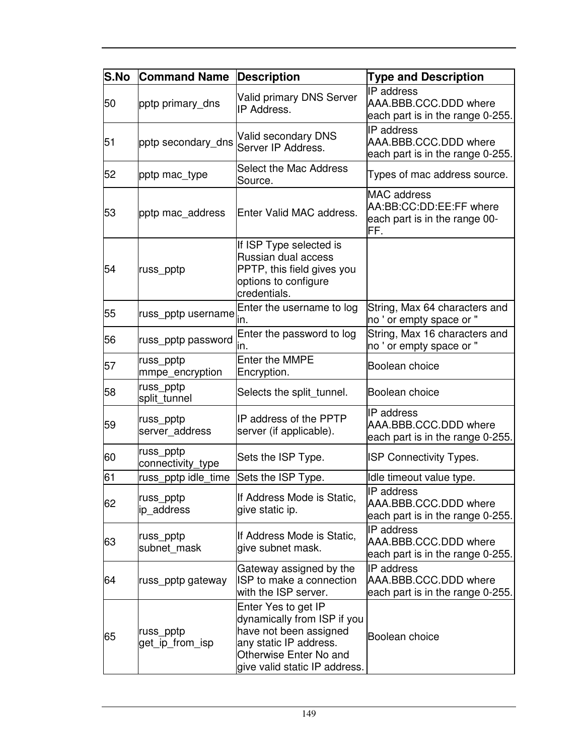| S.No | <b>Command Name</b>            | <b>Description</b>                                                                                                                                                | <b>Type and Description</b>                                                           |
|------|--------------------------------|-------------------------------------------------------------------------------------------------------------------------------------------------------------------|---------------------------------------------------------------------------------------|
| 50   | pptp primary_dns               | <b>Valid primary DNS Server</b><br>IP Address.                                                                                                                    | IP address<br>AAA.BBB.CCC.DDD where<br>each part is in the range 0-255.               |
| 51   | pptp secondary_dns             | Valid secondary DNS<br>Server IP Address.                                                                                                                         | <b>IP</b> address<br>AAA.BBB.CCC.DDD where<br>each part is in the range 0-255.        |
| 52   | pptp mac_type                  | Select the Mac Address<br>Source.                                                                                                                                 | Types of mac address source.                                                          |
| 53   | pptp mac_address               | Enter Valid MAC address.                                                                                                                                          | <b>MAC</b> address<br>AA:BB:CC:DD:EE:FF where<br>each part is in the range 00-<br>FF. |
| 54   | russ_pptp                      | If ISP Type selected is<br>Russian dual access<br>PPTP, this field gives you<br>options to configure<br>credentials.                                              |                                                                                       |
| 55   | russ_pptp username             | Enter the username to log<br>ın.                                                                                                                                  | String, Max 64 characters and<br>no ' or empty space or "                             |
| 56   | russ_pptp password             | Enter the password to log<br>ın.                                                                                                                                  | String, Max 16 characters and<br>no ' or empty space or "                             |
| 57   | russ_pptp<br>mmpe_encryption   | Enter the MMPE<br>Encryption.                                                                                                                                     | Boolean choice                                                                        |
| 58   | russ_pptp<br>split_tunnel      | Selects the split_tunnel.                                                                                                                                         | Boolean choice                                                                        |
| 59   | russ_pptp<br>server_address    | IP address of the PPTP<br>server (if applicable).                                                                                                                 | <b>IP</b> address<br>AAA.BBB.CCC.DDD where<br>each part is in the range 0-255.        |
| 60   | russ_pptp<br>connectivity_type | Sets the ISP Type.                                                                                                                                                | <b>ISP Connectivity Types.</b>                                                        |
| 61   | russ_pptp idle_time            | Sets the ISP Type.                                                                                                                                                | Idle timeout value type.                                                              |
| 62   | russ_pptp<br>ip_address        | If Address Mode is Static,<br>give static ip.                                                                                                                     | IP address<br>AAA.BBB.CCC.DDD where<br>each part is in the range 0-255.               |
| 63   | russ_pptp<br>subnet mask       | If Address Mode is Static,<br>give subnet mask.                                                                                                                   | <b>IP</b> address<br>AAA.BBB.CCC.DDD where<br>each part is in the range 0-255.        |
| 64   | russ_pptp gateway              | Gateway assigned by the<br>ISP to make a connection<br>with the ISP server.                                                                                       | <b>IP</b> address<br>AAA.BBB.CCC.DDD where<br>each part is in the range 0-255.        |
| 65   | russ_pptp<br>get_ip_from_isp   | Enter Yes to get IP<br>dynamically from ISP if you<br>have not been assigned<br>any static IP address.<br>Otherwise Enter No and<br>give valid static IP address. | Boolean choice                                                                        |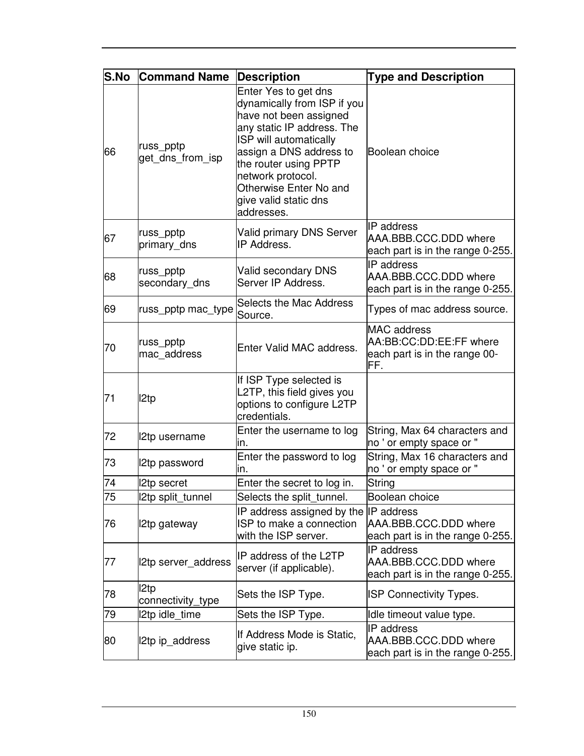| S.No | <b>Command Name</b>           | <b>Description</b>                                                                                                                                                                                                                                                              | <b>Type and Description</b>                                                           |
|------|-------------------------------|---------------------------------------------------------------------------------------------------------------------------------------------------------------------------------------------------------------------------------------------------------------------------------|---------------------------------------------------------------------------------------|
| 66   | russ_pptp<br>get_dns_from_isp | Enter Yes to get dns<br>dynamically from ISP if you<br>have not been assigned<br>any static IP address. The<br>ISP will automatically<br>assign a DNS address to<br>the router using PPTP<br>network protocol.<br>Otherwise Enter No and<br>give valid static dns<br>addresses. | Boolean choice                                                                        |
| 67   | russ_pptp<br>primary_dns      | <b>Valid primary DNS Server</b><br>IP Address.                                                                                                                                                                                                                                  | <b>IP</b> address<br>AAA.BBB.CCC.DDD where<br>each part is in the range 0-255.        |
| 68   | russ_pptp<br>secondary_dns    | Valid secondary DNS<br>Server IP Address.                                                                                                                                                                                                                                       | IP address<br>AAA.BBB.CCC.DDD where<br>each part is in the range 0-255.               |
| 69   | russ_pptp mac_type            | <b>Selects the Mac Address</b><br>Source.                                                                                                                                                                                                                                       | Types of mac address source.                                                          |
| 70   | russ_pptp<br>mac address      | Enter Valid MAC address.                                                                                                                                                                                                                                                        | <b>MAC</b> address<br>AA:BB:CC:DD:EE:FF where<br>each part is in the range 00-<br>FF. |
| 71   | I2tp                          | If ISP Type selected is<br>L2TP, this field gives you<br>options to configure L2TP<br>credentials.                                                                                                                                                                              |                                                                                       |
| 72   | I2tp username                 | Enter the username to log<br>ın.                                                                                                                                                                                                                                                | String, Max 64 characters and<br>no ' or empty space or "                             |
| 73   | 2tp password                  | Enter the password to log<br>in.                                                                                                                                                                                                                                                | String, Max 16 characters and<br>no ' or empty space or "                             |
| 74   | <b>2tp secret</b>             | Enter the secret to log in.                                                                                                                                                                                                                                                     | String                                                                                |
| 75   | 2tp split_tunnel              | Selects the split tunnel.                                                                                                                                                                                                                                                       | Boolean choice                                                                        |
| 76   | 2tp gateway                   | IP address assigned by the IP address<br>ISP to make a connection<br>with the ISP server.                                                                                                                                                                                       | AAA.BBB.CCC.DDD where<br>each part is in the range 0-255.                             |
| 77   | 2tp server_address            | IP address of the L2TP<br>server (if applicable).                                                                                                                                                                                                                               | IP address<br>AAA.BBB.CCC.DDD where<br>each part is in the range 0-255.               |
| 78   | I2tp<br>connectivity_type     | Sets the ISP Type.                                                                                                                                                                                                                                                              | <b>ISP Connectivity Types.</b>                                                        |
| 79   | 12tp idle time                | Sets the ISP Type.                                                                                                                                                                                                                                                              | Idle timeout value type.                                                              |
| 80   | 2tp ip_address                | If Address Mode is Static,<br>give static ip.                                                                                                                                                                                                                                   | IP address<br>AAA.BBB.CCC.DDD where<br>each part is in the range 0-255.               |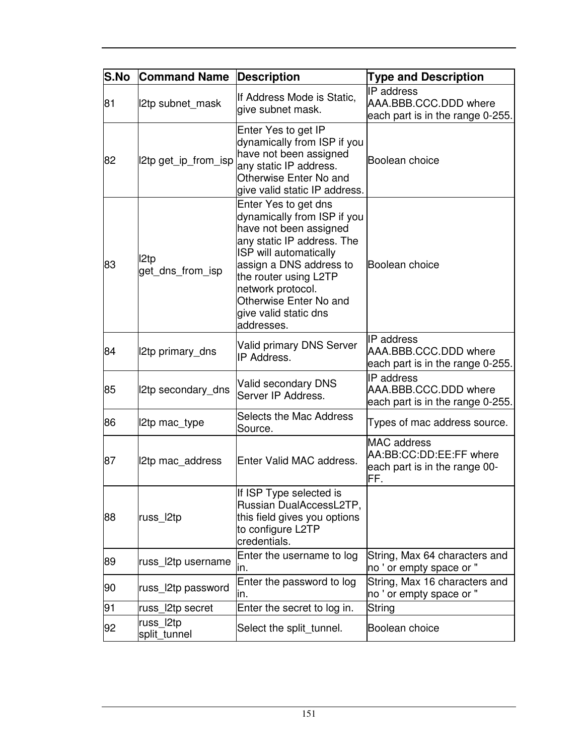| S.No | <b>Command Name</b>       | <b>Description</b>                                                                                                                                                                                                                                                              | <b>Type and Description</b>                                                           |
|------|---------------------------|---------------------------------------------------------------------------------------------------------------------------------------------------------------------------------------------------------------------------------------------------------------------------------|---------------------------------------------------------------------------------------|
| 81   | 2tp subnet_mask           | If Address Mode is Static,<br>give subnet mask.                                                                                                                                                                                                                                 | <b>IP</b> address<br>AAA.BBB.CCC.DDD where<br>each part is in the range 0-255.        |
| 82   | l2tp get_ip_from_isp      | Enter Yes to get IP<br>dynamically from ISP if you<br>have not been assigned<br>any static IP address.<br>Otherwise Enter No and<br>give valid static IP address.                                                                                                               | Boolean choice                                                                        |
| 83   | I2tp<br>get dns from isp  | Enter Yes to get dns<br>dynamically from ISP if you<br>have not been assigned<br>any static IP address. The<br>ISP will automatically<br>assign a DNS address to<br>the router using L2TP<br>network protocol.<br>Otherwise Enter No and<br>give valid static dns<br>addresses. | Boolean choice                                                                        |
| 84   | 2tp primary_dns           | Valid primary DNS Server<br>IP Address.                                                                                                                                                                                                                                         | <b>IP</b> address<br>AAA.BBB.CCC.DDD where<br>each part is in the range 0-255.        |
| 85   | 2tp secondary_dns         | Valid secondary DNS<br>Server IP Address.                                                                                                                                                                                                                                       | IP address<br>AAA.BBB.CCC.DDD where<br>each part is in the range 0-255.               |
| 86   | l2tp mac_type             | Selects the Mac Address<br>Source.                                                                                                                                                                                                                                              | Types of mac address source.                                                          |
| 87   | 2tp mac address           | Enter Valid MAC address.                                                                                                                                                                                                                                                        | <b>MAC</b> address<br>AA:BB:CC:DD:EE:FF where<br>each part is in the range 00-<br>FF. |
| 88   | russ_l2tp                 | If ISP Type selected is<br>Russian DualAccessL2TP,<br>this field gives you options<br>to configure L2TP<br>credentials.                                                                                                                                                         |                                                                                       |
| 89   | russ l2tp username        | Enter the username to log<br>in.                                                                                                                                                                                                                                                | String, Max 64 characters and<br>no ' or empty space or "                             |
| 90   | russ_l2tp password        | Enter the password to log<br>ın.                                                                                                                                                                                                                                                | String, Max 16 characters and<br>no ' or empty space or "                             |
| 91   | russ l2tp secret          | Enter the secret to log in.                                                                                                                                                                                                                                                     | String                                                                                |
| 92   | russ_l2tp<br>split_tunnel | Select the split_tunnel.                                                                                                                                                                                                                                                        | Boolean choice                                                                        |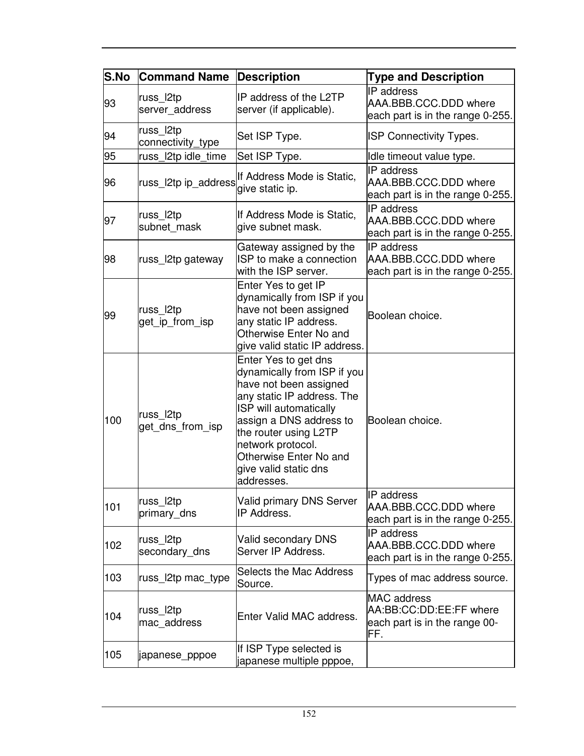| S.No | <b>Command Name</b>            | <b>Description</b>                                                                                                                                                                                                                                                              | <b>Type and Description</b>                                                           |
|------|--------------------------------|---------------------------------------------------------------------------------------------------------------------------------------------------------------------------------------------------------------------------------------------------------------------------------|---------------------------------------------------------------------------------------|
| 93   | russ_l2tp<br>server_address    | IP address of the L2TP<br>server (if applicable).                                                                                                                                                                                                                               | IP address<br>AAA.BBB.CCC.DDD where<br>each part is in the range 0-255.               |
| 94   | russ_l2tp<br>connectivity_type | Set ISP Type.                                                                                                                                                                                                                                                                   | <b>ISP Connectivity Types.</b>                                                        |
| 95   | russ_l2tp idle_time            | Set ISP Type.                                                                                                                                                                                                                                                                   | Idle timeout value type.                                                              |
| 96   | russ_l2tp ip_address           | If Address Mode is Static,<br>give static ip.                                                                                                                                                                                                                                   | <b>IP</b> address<br>AAA.BBB.CCC.DDD where<br>each part is in the range 0-255.        |
| 97   | russ_l2tp<br>subnet mask       | If Address Mode is Static,<br>give subnet mask.                                                                                                                                                                                                                                 | IP address<br>AAA.BBB.CCC.DDD where<br>each part is in the range 0-255.               |
| 98   | russ_l2tp gateway              | Gateway assigned by the<br>ISP to make a connection<br>with the ISP server.                                                                                                                                                                                                     | IP address<br>AAA.BBB.CCC.DDD where<br>each part is in the range 0-255.               |
| 99   | russ_l2tp<br>get ip from isp   | Enter Yes to get IP<br>dynamically from ISP if you<br>have not been assigned<br>any static IP address.<br>Otherwise Enter No and<br>give valid static IP address.                                                                                                               | Boolean choice.                                                                       |
| 100  | russ_l2tp<br>get_dns_from_isp  | Enter Yes to get dns<br>dynamically from ISP if you<br>have not been assigned<br>any static IP address. The<br>ISP will automatically<br>assign a DNS address to<br>the router using L2TP<br>network protocol.<br>Otherwise Enter No and<br>give valid static dns<br>addresses. | Boolean choice.                                                                       |
| 101  | russ l2tp<br>primary_dns       | Valid primary DNS Server<br>IP Address.                                                                                                                                                                                                                                         | IP address<br>AAA.BBB.CCC.DDD where<br>each part is in the range 0-255.               |
| 102  | russ_l2tp<br>secondary_dns     | Valid secondary DNS<br>Server IP Address.                                                                                                                                                                                                                                       | <b>IP</b> address<br>AAA.BBB.CCC.DDD where<br>each part is in the range 0-255.        |
| 103  | russ_l2tp mac_type             | Selects the Mac Address<br>Source.                                                                                                                                                                                                                                              | Types of mac address source.                                                          |
| 104  | russ_l2tp<br>mac_address       | Enter Valid MAC address.                                                                                                                                                                                                                                                        | <b>MAC</b> address<br>AA:BB:CC:DD:EE:FF where<br>each part is in the range 00-<br>FF. |
| 105  | japanese_pppoe                 | If ISP Type selected is<br>japanese multiple pppoe,                                                                                                                                                                                                                             |                                                                                       |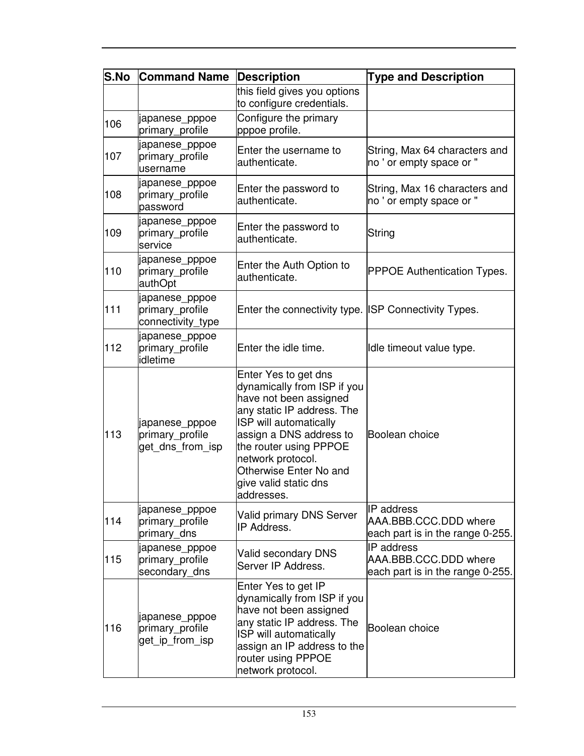| <b>S.No</b> | <b>Command Name</b>                                    | <b>Description</b>                                                                                                                                                                                                                                                               | <b>Type and Description</b>                                                    |
|-------------|--------------------------------------------------------|----------------------------------------------------------------------------------------------------------------------------------------------------------------------------------------------------------------------------------------------------------------------------------|--------------------------------------------------------------------------------|
|             |                                                        | this field gives you options<br>to configure credentials.                                                                                                                                                                                                                        |                                                                                |
| 106         | japanese_pppoe<br>primary_profile                      | Configure the primary<br>pppoe profile.                                                                                                                                                                                                                                          |                                                                                |
| 107         | japanese_pppoe<br>primary_profile<br>username          | Enter the username to<br>authenticate.                                                                                                                                                                                                                                           | String, Max 64 characters and<br>no ' or empty space or "                      |
| 108         | japanese_pppoe<br>primary_profile<br>password          | Enter the password to<br>authenticate.                                                                                                                                                                                                                                           | String, Max 16 characters and<br>no ' or empty space or "                      |
| 109         | japanese_pppoe<br>primary_profile<br>service           | Enter the password to<br>authenticate.                                                                                                                                                                                                                                           | String                                                                         |
| 110         | japanese_pppoe<br>primary_profile<br>authOpt           | Enter the Auth Option to<br>authenticate.                                                                                                                                                                                                                                        | <b>PPPOE Authentication Types.</b>                                             |
| 111         | japanese_pppoe<br>primary_profile<br>connectivity_type | Enter the connectivity type. ISP Connectivity Types.                                                                                                                                                                                                                             |                                                                                |
| 112         | japanese_pppoe<br>primary_profile<br>idletime          | Enter the idle time.                                                                                                                                                                                                                                                             | Idle timeout value type.                                                       |
| 113         | japanese_pppoe<br>primary_profile<br>get dns from isp  | Enter Yes to get dns<br>dynamically from ISP if you<br>have not been assigned<br>any static IP address. The<br>ISP will automatically<br>assign a DNS address to<br>the router using PPPOE<br>network protocol.<br>Otherwise Enter No and<br>give valid static dns<br>addresses. | Boolean choice                                                                 |
| 114         | japanese_pppoe<br>primary_profile<br>primary_dns       | <b>Valid primary DNS Server</b><br>IP Address.                                                                                                                                                                                                                                   | <b>IP</b> address<br>AAA.BBB.CCC.DDD where<br>each part is in the range 0-255. |
| 115         | japanese_pppoe<br>primary_profile<br>secondary_dns     | Valid secondary DNS<br>Server IP Address.                                                                                                                                                                                                                                        | IP address<br>AAA.BBB.CCC.DDD where<br>each part is in the range 0-255.        |
| 116         | japanese_pppoe<br>primary_profile<br>get ip from isp   | Enter Yes to get IP<br>dynamically from ISP if you<br>have not been assigned<br>any static IP address. The<br>ISP will automatically<br>assign an IP address to the<br>router using PPPOE<br>network protocol.                                                                   | Boolean choice                                                                 |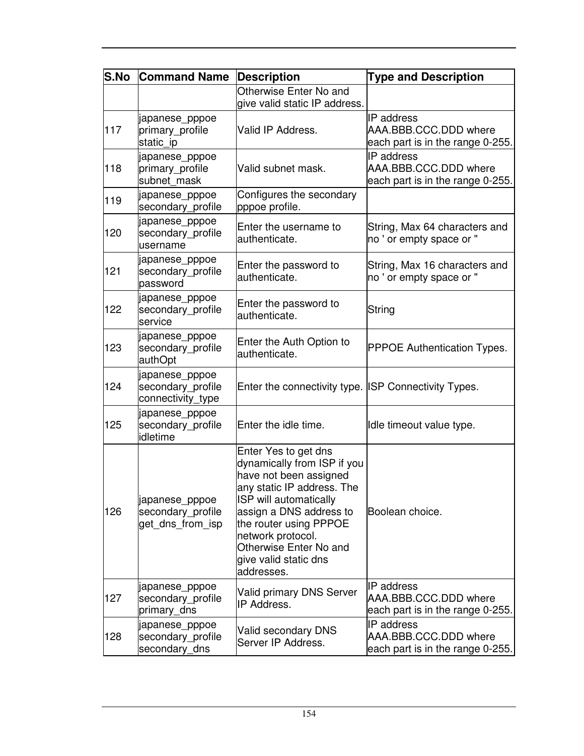| <b>S.No</b> | <b>Command Name</b>                                      | <b>Description</b>                                                                                                                                                                                                                                                               | <b>Type and Description</b>                                                    |
|-------------|----------------------------------------------------------|----------------------------------------------------------------------------------------------------------------------------------------------------------------------------------------------------------------------------------------------------------------------------------|--------------------------------------------------------------------------------|
|             |                                                          | Otherwise Enter No and<br>give valid static IP address.                                                                                                                                                                                                                          |                                                                                |
| 117         | japanese_pppoe<br>primary_profile<br>static ip           | Valid IP Address.                                                                                                                                                                                                                                                                | <b>IP</b> address<br>AAA.BBB.CCC.DDD where<br>each part is in the range 0-255. |
| 118         | japanese_pppoe<br>primary_profile<br>subnet mask         | Valid subnet mask.                                                                                                                                                                                                                                                               | IP address<br>AAA, BBB, CCC, DDD where<br>each part is in the range 0-255.     |
| 119         | japanese_pppoe<br>secondary profile                      | Configures the secondary<br>pppoe profile.                                                                                                                                                                                                                                       |                                                                                |
| 120         | japanese_pppoe<br>secondary_profile<br>username          | Enter the username to<br>authenticate.                                                                                                                                                                                                                                           | String, Max 64 characters and<br>no ' or empty space or "                      |
| 121         | japanese_pppoe<br>secondary_profile<br>password          | Enter the password to<br>authenticate.                                                                                                                                                                                                                                           | String, Max 16 characters and<br>no ' or empty space or "                      |
| 122         | japanese_pppoe<br>secondary profile<br>service           | Enter the password to<br>authenticate.                                                                                                                                                                                                                                           | String                                                                         |
| 123         | japanese_pppoe<br>secondary_profile<br>authOpt           | Enter the Auth Option to<br>authenticate.                                                                                                                                                                                                                                        | <b>PPPOE Authentication Types.</b>                                             |
| 124         | japanese_pppoe<br>secondary_profile<br>connectivity_type | Enter the connectivity type. ISP Connectivity Types.                                                                                                                                                                                                                             |                                                                                |
| 125         | japanese_pppoe<br>secondary_profile<br>idletime          | Enter the idle time.                                                                                                                                                                                                                                                             | Idle timeout value type.                                                       |
| 126         | japanese_pppoe<br>secondary_profile<br>get dns from isp  | Enter Yes to get dns<br>dynamically from ISP if you<br>have not been assigned<br>any static IP address. The<br>ISP will automatically<br>assign a DNS address to<br>the router using PPPOE<br>network protocol.<br>Otherwise Enter No and<br>give valid static dns<br>addresses. | Boolean choice.                                                                |
| 127         | japanese_pppoe<br>secondary_profile<br>primary dns       | <b>Valid primary DNS Server</b><br>IP Address.                                                                                                                                                                                                                                   | <b>IP</b> address<br>AAA.BBB.CCC.DDD where<br>each part is in the range 0-255. |
| 128         | japanese_pppoe<br>secondary_profile<br>secondary_dns     | Valid secondary DNS<br>Server IP Address.                                                                                                                                                                                                                                        | IP address<br>AAA.BBB.CCC.DDD where<br>each part is in the range 0-255.        |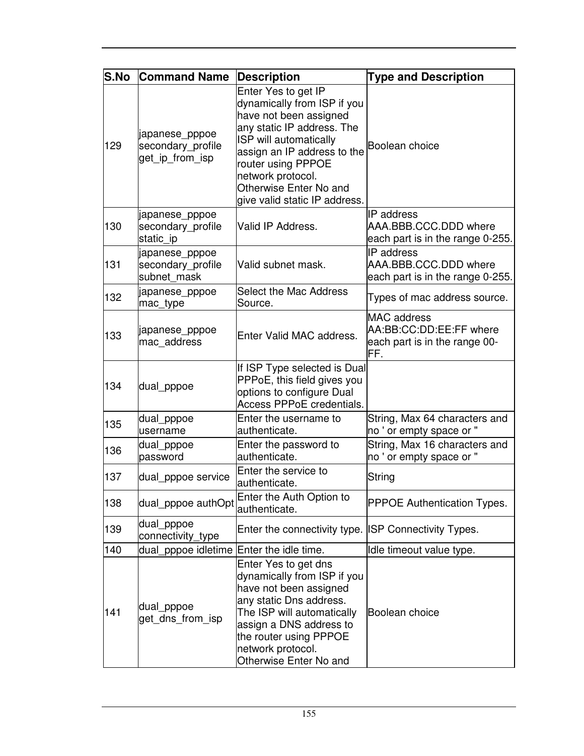| <b>S.No</b> | <b>Command Name</b>                                    | <b>Description</b>                                                                                                                                                                                                                                                        | <b>Type and Description</b>                                                           |
|-------------|--------------------------------------------------------|---------------------------------------------------------------------------------------------------------------------------------------------------------------------------------------------------------------------------------------------------------------------------|---------------------------------------------------------------------------------------|
| 129         | japanese_pppoe<br>secondary_profile<br>get_ip_from_isp | Enter Yes to get IP<br>dynamically from ISP if you<br>have not been assigned<br>any static IP address. The<br>ISP will automatically<br>assign an IP address to the<br>router using PPPOE<br>network protocol.<br>Otherwise Enter No and<br>give valid static IP address. | Boolean choice                                                                        |
| 130         | japanese_pppoe<br>secondary_profile<br>static ip       | Valid IP Address.                                                                                                                                                                                                                                                         | <b>IP</b> address<br>AAA.BBB.CCC.DDD where<br>each part is in the range 0-255.        |
| 131         | japanese_pppoe<br>secondary_profile<br>subnet mask     | Valid subnet mask.                                                                                                                                                                                                                                                        | IP address<br>AAA.BBB.CCC.DDD where<br>each part is in the range 0-255.               |
| 132         | japanese_pppoe<br>mac_type                             | Select the Mac Address<br>Source.                                                                                                                                                                                                                                         | Types of mac address source.                                                          |
| 133         | japanese_pppoe<br>mac address                          | Enter Valid MAC address.                                                                                                                                                                                                                                                  | <b>MAC</b> address<br>AA:BB:CC:DD:EE:FF where<br>each part is in the range 00-<br>FF. |
| 134         | dual_pppoe                                             | If ISP Type selected is Dual<br>PPPoE, this field gives you<br>options to configure Dual<br>Access PPPoE credentials.                                                                                                                                                     |                                                                                       |
| 135         | dual_pppoe<br>username                                 | Enter the username to<br>authenticate.                                                                                                                                                                                                                                    | String, Max 64 characters and<br>no ' or empty space or "                             |
| 136         | dual_pppoe<br>password                                 | Enter the password to<br>authenticate.                                                                                                                                                                                                                                    | String, Max 16 characters and<br>no ' or empty space or "                             |
| 137         | dual_pppoe service                                     | Enter the service to<br>authenticate.                                                                                                                                                                                                                                     | String                                                                                |
| 138         | dual_pppoe authOpt                                     | Enter the Auth Option to<br>authenticate.                                                                                                                                                                                                                                 | <b>PPPOE Authentication Types.</b>                                                    |
| 139         | dual_pppoe<br>connectivity_type                        | Enter the connectivity type. ISP Connectivity Types.                                                                                                                                                                                                                      |                                                                                       |
| 140         | dual_pppoe idletime Enter the idle time.               |                                                                                                                                                                                                                                                                           | Idle timeout value type.                                                              |
| 141         | dual_pppoe<br>get_dns_from_isp                         | Enter Yes to get dns<br>dynamically from ISP if you<br>have not been assigned<br>any static Dns address.<br>The ISP will automatically<br>assign a DNS address to<br>the router using PPPOE<br>network protocol.<br>Otherwise Enter No and                                | Boolean choice                                                                        |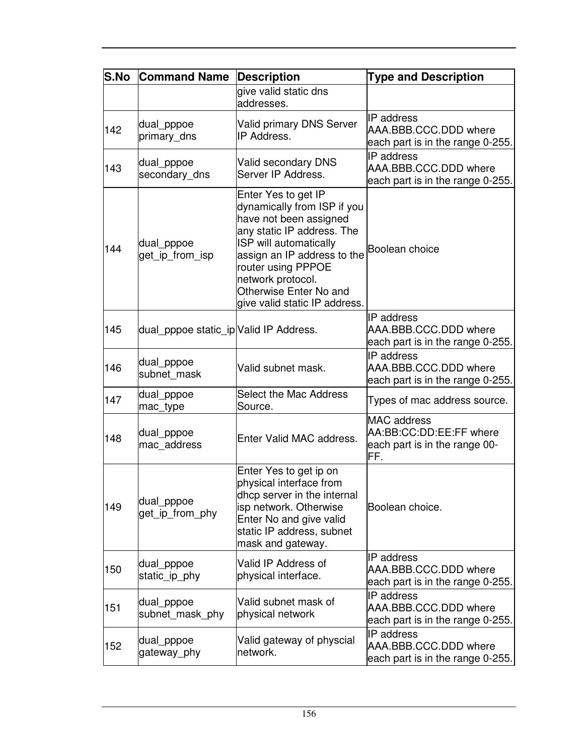| S.No | <b>Command Name</b>                    | <b>Description</b>                                                                                                                                                                                                                                                        | <b>Type and Description</b>                                                           |
|------|----------------------------------------|---------------------------------------------------------------------------------------------------------------------------------------------------------------------------------------------------------------------------------------------------------------------------|---------------------------------------------------------------------------------------|
|      |                                        | give valid static dns<br>addresses.                                                                                                                                                                                                                                       |                                                                                       |
| 142  | dual pppoe<br>primary_dns              | <b>Valid primary DNS Server</b><br>IP Address.                                                                                                                                                                                                                            | <b>IP</b> address<br>AAA.BBB.CCC.DDD where<br>each part is in the range 0-255.        |
| 143  | dual_pppoe<br>secondary_dns            | Valid secondary DNS<br>Server IP Address.                                                                                                                                                                                                                                 | IP address<br>AAA.BBB.CCC.DDD where<br>each part is in the range 0-255.               |
| 144  | dual_pppoe<br>get_ip_from_isp          | Enter Yes to get IP<br>dynamically from ISP if you<br>have not been assigned<br>any static IP address. The<br>ISP will automatically<br>assign an IP address to the<br>router using PPPOE<br>network protocol.<br>Otherwise Enter No and<br>give valid static IP address. | Boolean choice                                                                        |
| 145  | dual_pppoe static_ip Valid IP Address. |                                                                                                                                                                                                                                                                           | <b>IP</b> address<br>AAA.BBB.CCC.DDD where<br>each part is in the range 0-255.        |
| 146  | dual_pppoe<br>subnet mask              | Valid subnet mask.                                                                                                                                                                                                                                                        | IP address<br>AAA.BBB.CCC.DDD where<br>each part is in the range 0-255.               |
| 147  | dual_pppoe<br>mac_type                 | Select the Mac Address<br>Source.                                                                                                                                                                                                                                         | Types of mac address source.                                                          |
| 148  | dual_pppoe<br>mac_address              | Enter Valid MAC address.                                                                                                                                                                                                                                                  | <b>MAC</b> address<br>AA:BB:CC:DD:EE:FF where<br>each part is in the range 00-<br>FF. |
| 149  | dual_pppoe<br>get_ip_from_phy          | Enter Yes to get ip on<br>physical interface from<br>dhcp server in the internal<br>isp network. Otherwise<br>Enter No and give valid<br>static IP address, subnet<br>mask and gateway.                                                                                   | Boolean choice.                                                                       |
| 150  | dual pppoe<br>static_ip_phy            | Valid IP Address of<br>physical interface.                                                                                                                                                                                                                                | IP address<br>AAA.BBB.CCC.DDD where<br>each part is in the range 0-255.               |
| 151  | dual_pppoe<br>subnet mask phy          | Valid subnet mask of<br>physical network                                                                                                                                                                                                                                  | <b>IP</b> address<br>AAA.BBB.CCC.DDD where<br>each part is in the range 0-255.        |
| 152  | dual_pppoe<br>gateway phy              | Valid gateway of physcial<br>network.                                                                                                                                                                                                                                     | IP address<br>AAA.BBB.CCC.DDD where<br>each part is in the range 0-255.               |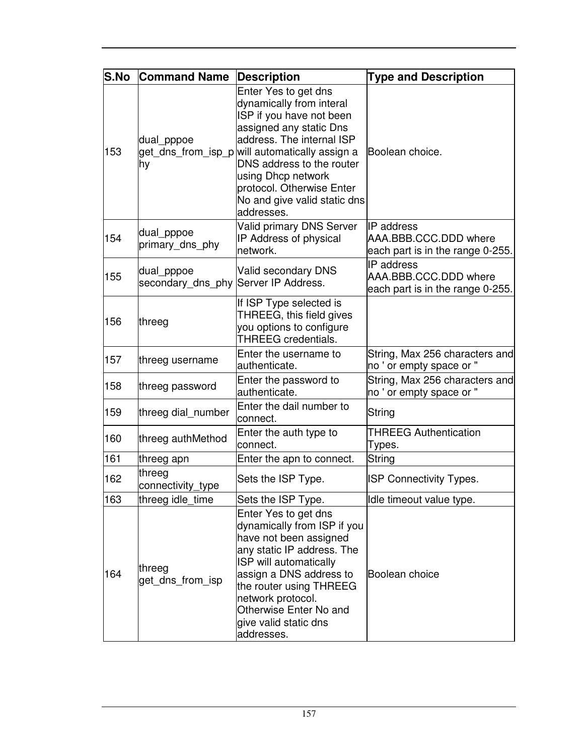| <b>S.No</b> | <b>Command Name</b>                                | <b>Description</b>                                                                                                                                                                                                                                                                                                   | <b>Type and Description</b>                                                |
|-------------|----------------------------------------------------|----------------------------------------------------------------------------------------------------------------------------------------------------------------------------------------------------------------------------------------------------------------------------------------------------------------------|----------------------------------------------------------------------------|
| 153         | dual_pppoe<br>hy                                   | Enter Yes to get dns<br>dynamically from interal<br>ISP if you have not been<br>assigned any static Dns<br>address. The internal ISP<br>get_dns_from_isp_p will automatically assign a<br>DNS address to the router<br>using Dhcp network<br>protocol. Otherwise Enter<br>No and give valid static dns<br>addresses. | Boolean choice.                                                            |
| 154         | dual_pppoe<br>primary_dns_phy                      | <b>Valid primary DNS Server</b><br>IP Address of physical<br>network.                                                                                                                                                                                                                                                | IP address<br>AAA.BBB.CCC.DDD where<br>each part is in the range 0-255.    |
| 155         | dual_pppoe<br>secondary_dns_phy Server IP Address. | Valid secondary DNS                                                                                                                                                                                                                                                                                                  | IP address<br>AAA, BBB, CCC, DDD where<br>each part is in the range 0-255. |
| 156         | threeg                                             | If ISP Type selected is<br>THREEG, this field gives<br>you options to configure<br><b>THREEG</b> credentials.                                                                                                                                                                                                        |                                                                            |
| 157         | threeg username                                    | Enter the username to<br>authenticate.                                                                                                                                                                                                                                                                               | String, Max 256 characters and<br>no ' or empty space or "                 |
| 158         | threeg password                                    | Enter the password to<br>authenticate.                                                                                                                                                                                                                                                                               | String, Max 256 characters and<br>no ' or empty space or "                 |
| 159         | threeg dial_number                                 | Enter the dail number to<br>connect.                                                                                                                                                                                                                                                                                 | String                                                                     |
| 160         | threeg authMethod                                  | Enter the auth type to<br>connect.                                                                                                                                                                                                                                                                                   | <b>THREEG Authentication</b><br>Types.                                     |
| 161         | threeg apn                                         | Enter the apn to connect.                                                                                                                                                                                                                                                                                            | String                                                                     |
| 162         | threeg<br>connectivity_type                        | Sets the ISP Type.                                                                                                                                                                                                                                                                                                   | <b>ISP Connectivity Types.</b>                                             |
| 163         | threeg idle_time                                   | Sets the ISP Type.                                                                                                                                                                                                                                                                                                   | Idle timeout value type.                                                   |
| 164         | threeg<br>get_dns_from_isp                         | Enter Yes to get dns<br>dynamically from ISP if you<br>have not been assigned<br>any static IP address. The<br>ISP will automatically<br>assign a DNS address to<br>the router using THREEG<br>network protocol.<br>Otherwise Enter No and<br>give valid static dns<br>addresses.                                    | Boolean choice                                                             |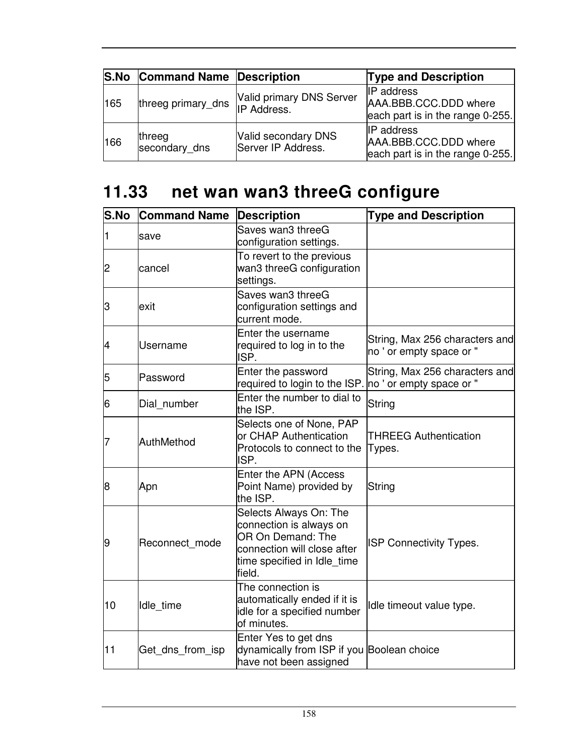|     | S.No Command Name Description |                                           | <b>Type and Description</b>                                                    |
|-----|-------------------------------|-------------------------------------------|--------------------------------------------------------------------------------|
| 165 | threeg primary_dns            | Valid primary DNS Server<br>IP Address.   | <b>IP</b> address<br>AAA.BBB.CCC.DDD where<br>each part is in the range 0-255. |
| 166 | threeg<br>secondary_dns       | Valid secondary DNS<br>Server IP Address. | <b>IP</b> address<br>AAA.BBB.CCC.DDD where<br>each part is in the range 0-255. |

## **11.33 net wan wan3 threeG configure**

| <b>S.No</b> | <b>Command Name</b> | <b>Description</b>                                                                                                                             | <b>Type and Description</b>                                |
|-------------|---------------------|------------------------------------------------------------------------------------------------------------------------------------------------|------------------------------------------------------------|
| 1           | save                | Saves wan3 threeG<br>configuration settings.                                                                                                   |                                                            |
| 2           | cancel              | To revert to the previous<br>wan3 threeG configuration<br>settings.                                                                            |                                                            |
| З           | exit                | Saves wan3 threeG<br>configuration settings and<br>current mode.                                                                               |                                                            |
| 4           | <b>Username</b>     | Enter the username<br>required to log in to the<br>ISP.                                                                                        | String, Max 256 characters and<br>no ' or empty space or " |
| 5           | Password            | Enter the password<br>required to login to the ISP. no ' or empty space or "                                                                   | String, Max 256 characters and                             |
| 6           | Dial number         | Enter the number to dial to<br>the ISP.                                                                                                        | String                                                     |
| 7           | AuthMethod          | Selects one of None, PAP<br>or CHAP Authentication<br>Protocols to connect to the<br>ISP.                                                      | <b>THREEG Authentication</b><br>Types.                     |
| 8           | Apn                 | Enter the APN (Access<br>Point Name) provided by<br>the ISP.                                                                                   | String                                                     |
| 9           | Reconnect mode      | Selects Always On: The<br>connection is always on<br>OR On Demand: The<br>connection will close after<br>time specified in Idle_time<br>field. | <b>ISP Connectivity Types.</b>                             |
| 10          | Idle time           | The connection is<br>automatically ended if it is<br>idle for a specified number<br>of minutes.                                                | Idle timeout value type.                                   |
| 11          | Get_dns_from_isp    | Enter Yes to get dns<br>dynamically from ISP if you Boolean choice<br>have not been assigned                                                   |                                                            |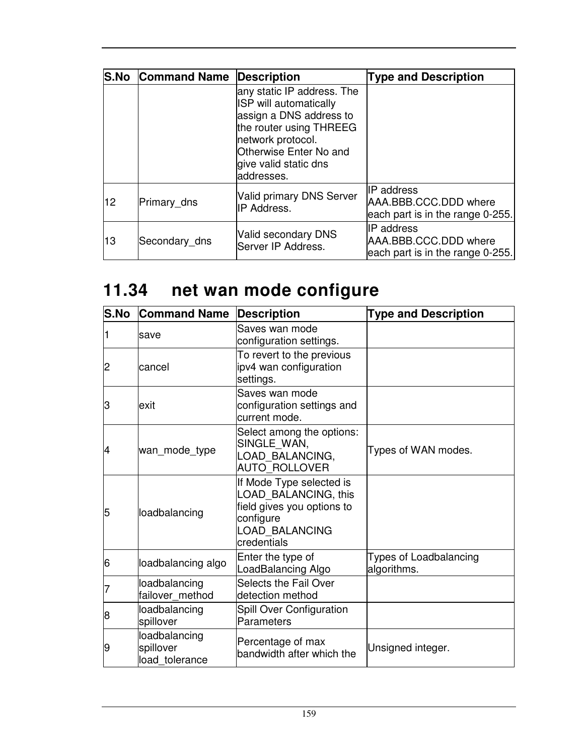|    | <b>S.No Command Name Description</b> |                                                                                                                                                                                                  | <b>Type and Description</b>                                                    |
|----|--------------------------------------|--------------------------------------------------------------------------------------------------------------------------------------------------------------------------------------------------|--------------------------------------------------------------------------------|
|    |                                      | any static IP address. The<br>ISP will automatically<br>assign a DNS address to<br>the router using THREEG<br>network protocol.<br>Otherwise Enter No and<br>give valid static dns<br>addresses. |                                                                                |
| 12 | Primary dns                          | <b>Valid primary DNS Server</b><br><b>IP Address.</b>                                                                                                                                            | <b>IP</b> address<br>AAA.BBB.CCC.DDD where<br>each part is in the range 0-255. |
| 13 | Secondary_dns                        | Valid secondary DNS<br>Server IP Address.                                                                                                                                                        | IP address<br>AAA.BBB.CCC.DDD where<br>each part is in the range 0-255.        |

# **11.34 net wan mode configure**

| S.No | <b>Command Name</b>                          | <b>Description</b>                                                                                                           | <b>Type and Description</b>                  |
|------|----------------------------------------------|------------------------------------------------------------------------------------------------------------------------------|----------------------------------------------|
|      | save                                         | Saves wan mode<br>configuration settings.                                                                                    |                                              |
| 2    | cancel                                       | To revert to the previous<br>ipv4 wan configuration<br>settings.                                                             |                                              |
| З    | exit                                         | Saves wan mode<br>configuration settings and<br>current mode.                                                                |                                              |
| 4    | wan_mode_type                                | Select among the options:<br>SINGLE WAN,<br>LOAD_BALANCING,<br><b>AUTO ROLLOVER</b>                                          | Types of WAN modes.                          |
| 5    | loadbalancing                                | If Mode Type selected is<br>LOAD BALANCING, this<br>field gives you options to<br>configure<br>LOAD BALANCING<br>credentials |                                              |
| 6    | loadbalancing algo                           | Enter the type of<br>LoadBalancing Algo                                                                                      | <b>Types of Loadbalancing</b><br>algorithms. |
|      | loadbalancing<br>failover_method             | <b>Selects the Fail Over</b><br>detection method                                                                             |                                              |
| 8    | loadbalancing<br>spillover                   | <b>Spill Over Configuration</b><br>Parameters                                                                                |                                              |
| 9    | loadbalancing<br>spillover<br>load_tolerance | Percentage of max<br>bandwidth after which the                                                                               | Unsigned integer.                            |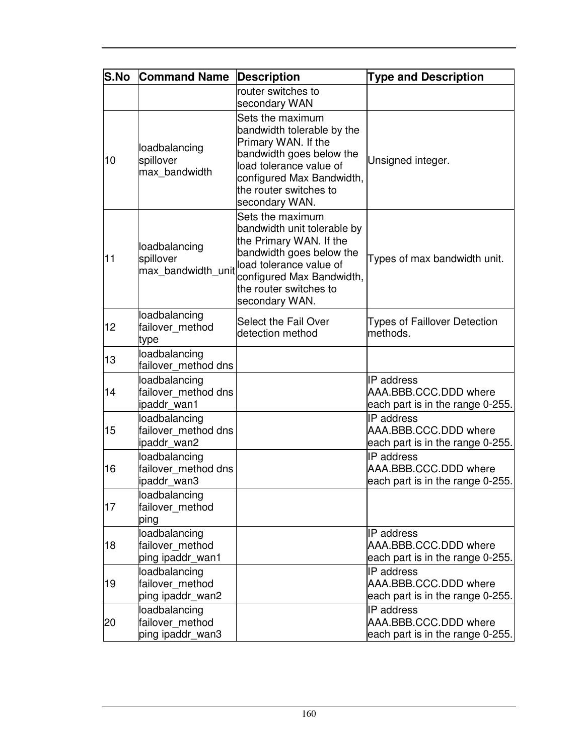| <b>S.No</b> | <b>Command Name</b>                                  | Description                                                                                                                                                                                                | <b>Type and Description</b>                                                    |
|-------------|------------------------------------------------------|------------------------------------------------------------------------------------------------------------------------------------------------------------------------------------------------------------|--------------------------------------------------------------------------------|
|             |                                                      | router switches to<br>secondary WAN                                                                                                                                                                        |                                                                                |
| 10          | loadbalancing<br>spillover<br>max_bandwidth          | Sets the maximum<br>bandwidth tolerable by the<br>Primary WAN. If the<br>bandwidth goes below the<br>load tolerance value of<br>configured Max Bandwidth,<br>the router switches to<br>secondary WAN.      | Unsigned integer.                                                              |
| 11          | loadbalancing<br>spillover<br>max bandwidth_unit     | Sets the maximum<br>bandwidth unit tolerable by<br>the Primary WAN. If the<br>bandwidth goes below the<br>load tolerance value of<br>configured Max Bandwidth,<br>the router switches to<br>secondary WAN. | Types of max bandwidth unit.                                                   |
| 12          | loadbalancing<br>failover method<br>type             | Select the Fail Over<br>detection method                                                                                                                                                                   | <b>Types of Faillover Detection</b><br>methods.                                |
| 13          | loadbalancing<br>failover method dns                 |                                                                                                                                                                                                            |                                                                                |
| 14          | loadbalancing<br>failover method dns<br>ipaddr_wan1  |                                                                                                                                                                                                            | <b>IP</b> address<br>AAA.BBB.CCC.DDD where<br>each part is in the range 0-255. |
| 15          | loadbalancing<br>failover method dns<br>ipaddr_wan2  |                                                                                                                                                                                                            | IP address<br>AAA.BBB.CCC.DDD where<br>each part is in the range 0-255.        |
| 16          | loadbalancing<br>failover method dns<br>ipaddr_wan3  |                                                                                                                                                                                                            | IP address<br>AAA.BBB.CCC.DDD where<br>each part is in the range 0-255.        |
| 17          | loadbalancing<br>failover method<br>ping             |                                                                                                                                                                                                            |                                                                                |
| 18          | loadbalancing<br>failover method<br>ping ipaddr_wan1 |                                                                                                                                                                                                            | <b>IP</b> address<br>AAA.BBB.CCC.DDD where<br>each part is in the range 0-255. |
| 19          | loadbalancing<br>failover_method<br>ping ipaddr_wan2 |                                                                                                                                                                                                            | IP address<br>AAA.BBB.CCC.DDD where<br>each part is in the range 0-255.        |
| 20          | loadbalancing<br>failover method<br>ping ipaddr_wan3 |                                                                                                                                                                                                            | IP address<br>AAA.BBB.CCC.DDD where<br>each part is in the range 0-255.        |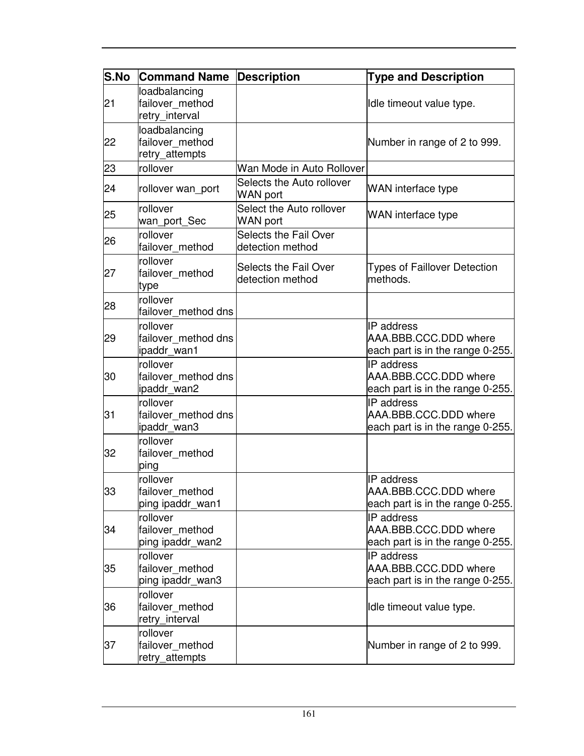| <b>S.No</b> | <b>Command Name</b>                                | <b>Description</b>                           | <b>Type and Description</b>                                                    |
|-------------|----------------------------------------------------|----------------------------------------------|--------------------------------------------------------------------------------|
| 21          | loadbalancing<br>failover method<br>retry_interval |                                              | Idle timeout value type.                                                       |
| 22          | loadbalancing<br>failover method<br>retry_attempts |                                              | Number in range of 2 to 999.                                                   |
| 23          | rollover                                           | Wan Mode in Auto Rollover                    |                                                                                |
| 24          | rollover wan_port                                  | Selects the Auto rollover<br><b>WAN port</b> | WAN interface type                                                             |
| 25          | rollover<br>wan_port_Sec                           | Select the Auto rollover<br><b>WAN</b> port  | WAN interface type                                                             |
| 26          | rollover<br>failover method                        | Selects the Fail Over<br>detection method    |                                                                                |
| 27          | rollover<br>failover_method<br>type                | Selects the Fail Over<br>detection method    | <b>Types of Faillover Detection</b><br>methods.                                |
| 28          | rollover<br>failover method dns                    |                                              |                                                                                |
| 29          | rollover<br>failover method dns<br>ipaddr_wan1     |                                              | IP address<br>AAA.BBB.CCC.DDD where<br>each part is in the range 0-255.        |
| 30          | rollover<br>failover method dns<br>ipaddr wan2     |                                              | IP address<br>AAA.BBB.CCC.DDD where<br>each part is in the range 0-255.        |
| 31          | rollover<br>failover_method dns<br>ipaddr_wan3     |                                              | IP address<br>AAA.BBB.CCC.DDD where<br>each part is in the range 0-255.        |
| 32          | rollover<br>failover_method<br>ping                |                                              |                                                                                |
| 33          | rollover<br>failover method<br>ping ipaddr_wan1    |                                              | <b>IP</b> address<br>AAA.BBB.CCC.DDD where<br>each part is in the range 0-255. |
| 34          | rollover<br>failover_method<br>ping ipaddr_wan2    |                                              | <b>IP</b> address<br>AAA.BBB.CCC.DDD where<br>each part is in the range 0-255. |
| 35          | rollover<br>failover_method<br>ping ipaddr_wan3    |                                              | <b>IP</b> address<br>AAA.BBB.CCC.DDD where<br>each part is in the range 0-255. |
| 36          | rollover<br>failover method<br>retry_interval      |                                              | Idle timeout value type.                                                       |
| 37          | rollover<br>failover_method<br>retry_attempts      |                                              | Number in range of 2 to 999.                                                   |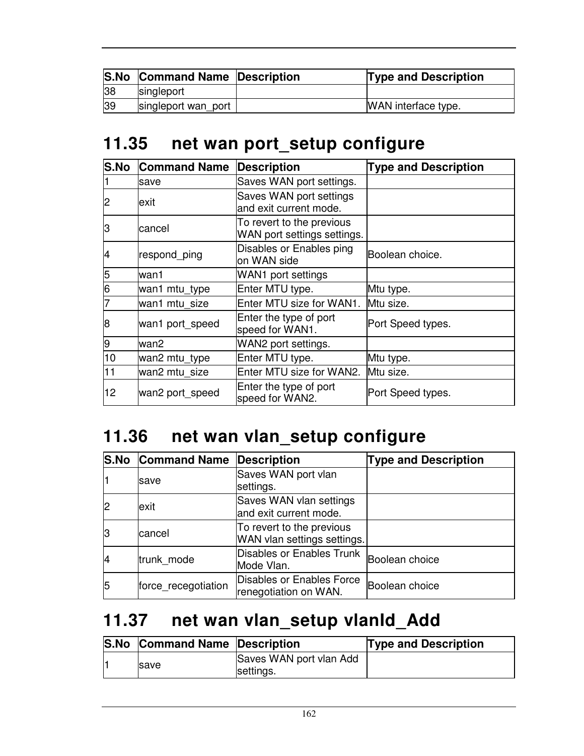|    | <b>S.No Command Name Description</b> | <b>Type and Description</b> |
|----|--------------------------------------|-----------------------------|
| 38 | singleport                           |                             |
| 39 | singleport wan port                  | WAN interface type.         |

### **11.35 net wan port\_setup configure**

| <b>S.No</b> | <b>Command Name</b> | <b>Description</b>                                       | <b>Type and Description</b> |
|-------------|---------------------|----------------------------------------------------------|-----------------------------|
|             | save                | Saves WAN port settings.                                 |                             |
| 2           | exit                | Saves WAN port settings<br>and exit current mode.        |                             |
| IЗ          | cancel              | To revert to the previous<br>WAN port settings settings. |                             |
| 14          | respond_ping        | Disables or Enables ping<br>on WAN side                  | Boolean choice.             |
| 5           | wan1                | WAN1 port settings                                       |                             |
| 6           | wan1 mtu_type       | Enter MTU type.                                          | Mtu type.                   |
|             | wan1 mtu size       | Enter MTU size for WAN1.                                 | Mtu size.                   |
| 8           | wan1 port_speed     | Enter the type of port<br>speed for WAN1.                | Port Speed types.           |
| 9           | wan2                | WAN2 port settings.                                      |                             |
| 10          | wan2 mtu_type       | Enter MTU type.                                          | Mtu type.                   |
| 11          | wan2 mtu size       | Enter MTU size for WAN2.                                 | Mtu size.                   |
| 12          | wan2 port_speed     | Enter the type of port<br>speed for WAN2.                | Port Speed types.           |

## **11.36 net wan vlan\_setup configure**

|    | <b>S.No Command Name</b> | Description                                              | <b>Type and Description</b> |
|----|--------------------------|----------------------------------------------------------|-----------------------------|
|    | save                     | Saves WAN port vlan<br>settings.                         |                             |
|    | exit                     | Saves WAN vlan settings<br>and exit current mode.        |                             |
| lЗ | cancel                   | To revert to the previous<br>WAN vlan settings settings. |                             |
| 14 | trunk_mode               | Disables or Enables Trunk<br>Mode Vlan.                  | Boolean choice              |
| 5  | force recegotiation      | Disables or Enables Force<br>renegotiation on WAN.       | Boolean choice              |

### **11.37 net wan vlan\_setup vlanId\_Add**

| <b>S.No Command Name Description</b> |                                      | <b>Type and Description</b> |
|--------------------------------------|--------------------------------------|-----------------------------|
| <b>Save</b>                          | Saves WAN port vlan Add<br>settings. |                             |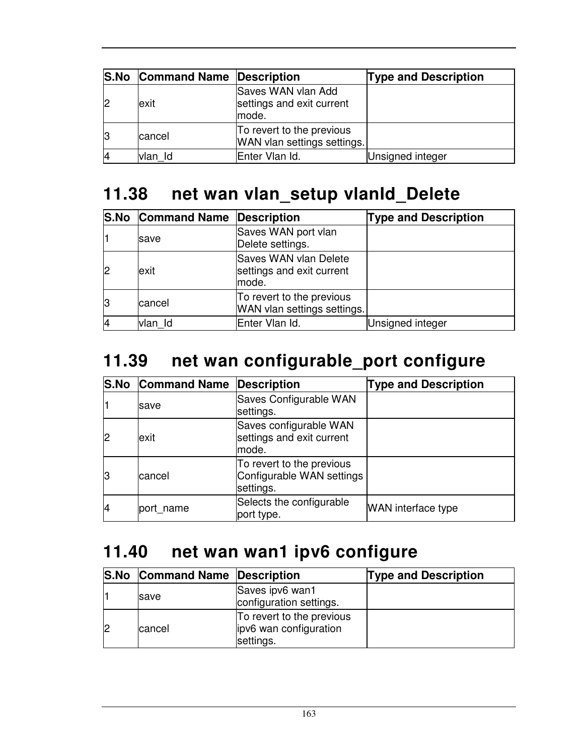| <b>S.No Command Name Description</b> |                                                          | <b>Type and Description</b> |
|--------------------------------------|----------------------------------------------------------|-----------------------------|
| exit                                 | Saves WAN vlan Add<br>settings and exit current<br>mode. |                             |
| cancel                               | To revert to the previous<br>WAN vlan settings settings. |                             |
| vlan Id                              | Enter Vlan Id.                                           | Unsigned integer            |

### **11.38 net wan vlan\_setup vlanId\_Delete**

|              | <b>S.No Command Name Description</b> |                                                                    | <b>Type and Description</b> |
|--------------|--------------------------------------|--------------------------------------------------------------------|-----------------------------|
|              | save                                 | Saves WAN port vlan<br>Delete settings.                            |                             |
| $\mathsf{P}$ | exit                                 | <b>Saves WAN vlan Delete</b><br>settings and exit current<br>mode. |                             |
| IЗ           | cancel                               | To revert to the previous<br>WAN vlan settings settings.           |                             |
|              | vlan Id                              | Enter Vlan Id.                                                     | Unsigned integer            |

## **11.39 net wan configurable\_port configure**

|                | <b>S.No Command Name Description</b> |                                                                     | <b>Type and Description</b> |
|----------------|--------------------------------------|---------------------------------------------------------------------|-----------------------------|
|                | save                                 | Saves Configurable WAN<br>settings.                                 |                             |
| $\overline{2}$ | exit                                 | Saves configurable WAN<br>settings and exit current<br>mode.        |                             |
| lЗ             | lcancel                              | To revert to the previous<br>Configurable WAN settings<br>settings. |                             |
| $\overline{4}$ | port name                            | Selects the configurable<br>port type.                              | <b>WAN</b> interface type   |

### **11.40 net wan wan1 ipv6 configure**

| <b>S.No Command Name Description</b> |                                                                  | <b>Type and Description</b> |
|--------------------------------------|------------------------------------------------------------------|-----------------------------|
| <b>Save</b>                          | Saves ipv6 wan1<br>configuration settings.                       |                             |
| cancel                               | To revert to the previous<br>ipv6 wan configuration<br>settings. |                             |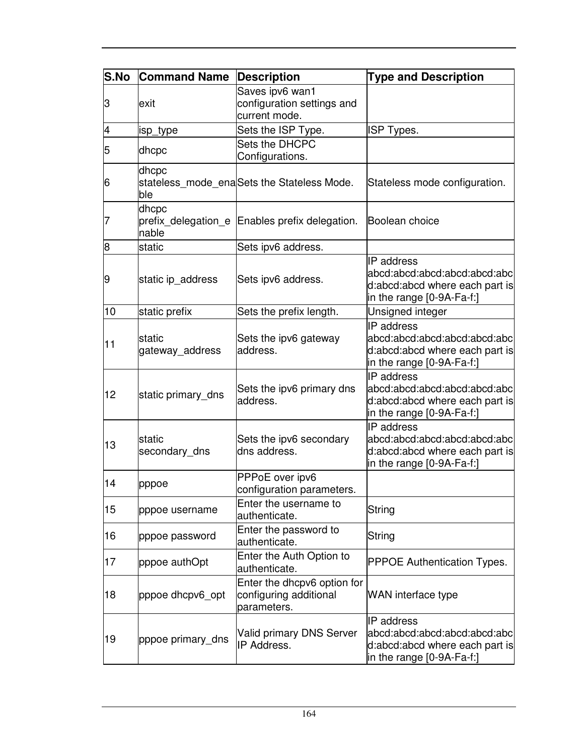| <b>S.No</b> | <b>Command Name</b>                   | Description                                                          | <b>Type and Description</b>                                                                                        |
|-------------|---------------------------------------|----------------------------------------------------------------------|--------------------------------------------------------------------------------------------------------------------|
| З           | exit                                  | Saves ipv6 wan1<br>configuration settings and<br>current mode.       |                                                                                                                    |
| 4           | isp_type                              | Sets the ISP Type.                                                   | <b>ISP Types.</b>                                                                                                  |
| 5           | dhcpc                                 | Sets the DHCPC<br>Configurations.                                    |                                                                                                                    |
| 6           | dhcpc<br>ble                          | stateless_mode_enaSets the Stateless Mode.                           | Stateless mode configuration.                                                                                      |
| 7           | dhcpc<br>prefix delegation e<br>nable | Enables prefix delegation.                                           | Boolean choice                                                                                                     |
| 8           | static                                | Sets ipv6 address.                                                   |                                                                                                                    |
| 9           | static ip address                     | Sets ipv6 address.                                                   | <b>IP</b> address<br>abcd:abcd:abcd:abcd:abcd:abc<br>d:abcd:abcd where each part is<br>in the range [0-9A-Fa-f:]   |
| 10          | static prefix                         | Sets the prefix length.                                              | Unsigned integer                                                                                                   |
| 11          | static<br>gateway_address             | Sets the ipv6 gateway<br>address.                                    | <b>IP</b> address<br>abcd:abcd:abcd:abcd:abcd:abc<br>d:abcd:abcd where each part is<br>in the range $[0-9A-Fa-f.]$ |
| 12          | static primary_dns                    | Sets the ipv6 primary dns<br>address.                                | <b>IP</b> address<br>abcd:abcd:abcd:abcd:abcd:abc<br>d:abcd:abcd where each part is<br>in the range [0-9A-Fa-f:]   |
| 13          | lstatic<br>secondary dns              | Sets the ipv6 secondary<br>dns address.                              | <b>IP</b> address<br>abcd:abcd:abcd:abcd:abcd:abc<br>d:abcd:abcd where each part is<br>in the range $[0-9A-Fa-f!]$ |
| 14          | pppoe                                 | PPPoE over ipv6<br>configuration parameters.                         |                                                                                                                    |
| 15          | pppoe username                        | Enter the username to<br>authenticate.                               | String                                                                                                             |
| 16          | pppoe password                        | Enter the password to<br>authenticate.                               | String                                                                                                             |
| 17          | pppoe authOpt                         | Enter the Auth Option to<br>authenticate.                            | <b>PPPOE Authentication Types.</b>                                                                                 |
| 18          | pppoe dhcpv6_opt                      | Enter the dhcpv6 option for<br>configuring additional<br>parameters. | <b>WAN</b> interface type                                                                                          |
| 19          | pppoe primary_dns                     | Valid primary DNS Server<br>IP Address.                              | IP address<br>abcd:abcd:abcd:abcd:abcd:abc<br>d:abcd:abcd where each part is<br>in the range $[0-9A-Fa-f.]$        |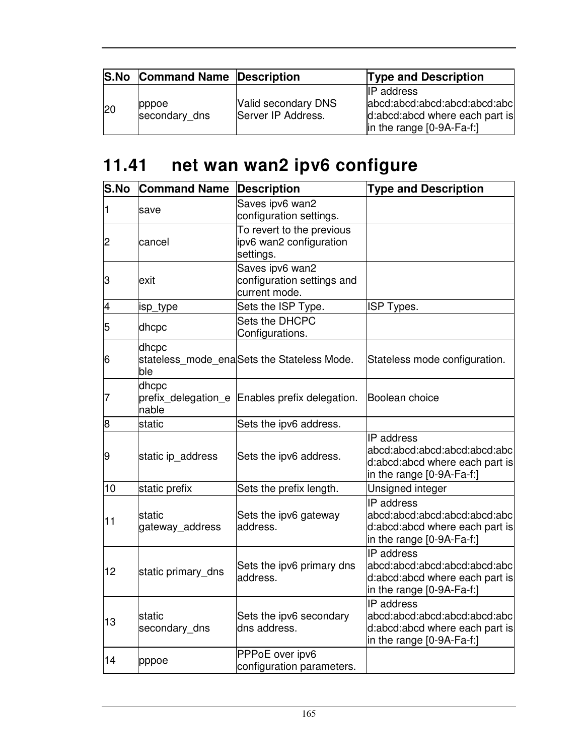|     | <b>S.No Command Name Description</b> |                                           | <b>Type and Description</b>                                                                                           |
|-----|--------------------------------------|-------------------------------------------|-----------------------------------------------------------------------------------------------------------------------|
| 120 | pppoe<br>secondary_dns               | Valid secondary DNS<br>Server IP Address. | <b>IP</b> address<br>abcd:abcd:abcd:abcd:abcd:abcl<br>d:abcd:abcd where each part is<br>$\ln$ the range $[0-9A-Fa-f]$ |

# **11.41 net wan wan2 ipv6 configure**

| S.No | <b>Command Name</b>                   | <b>Description</b>                                                | <b>Type and Description</b>                                                                                      |
|------|---------------------------------------|-------------------------------------------------------------------|------------------------------------------------------------------------------------------------------------------|
| 11   | save                                  | Saves ipv6 wan2<br>configuration settings.                        |                                                                                                                  |
| 2    | cancel                                | To revert to the previous<br>ipv6 wan2 configuration<br>settings. |                                                                                                                  |
| З    | exit                                  | Saves ipv6 wan2<br>configuration settings and<br>current mode.    |                                                                                                                  |
| 4    | isp_type                              | Sets the ISP Type.                                                | <b>ISP Types.</b>                                                                                                |
| 5    | dhcpc                                 | Sets the DHCPC<br>Configurations.                                 |                                                                                                                  |
| 6    | dhcpc<br>ble                          | stateless_mode_enaSets the Stateless Mode.                        | Stateless mode configuration.                                                                                    |
| 17   | dhcpc<br>prefix delegation e<br>nable | Enables prefix delegation.                                        | Boolean choice                                                                                                   |
| 8    | static                                | Sets the ipv6 address.                                            |                                                                                                                  |
| 9    | static ip_address                     | Sets the ipv6 address.                                            | IP address<br>abcd:abcd:abcd:abcd:abcd:abc<br>d:abcd:abcd where each part is<br>in the range [0-9A-Fa-f:]        |
| 10   | static prefix                         | Sets the prefix length.                                           | Unsigned integer                                                                                                 |
| 11   | static<br>gateway_address             | Sets the ipv6 gateway<br>address.                                 | <b>IP</b> address<br>abcd:abcd:abcd:abcd:abcd:abc<br>d:abcd:abcd where each part is<br>in the range [0-9A-Fa-f:] |
| 12   | static primary dns                    | Sets the ipv6 primary dns<br>address.                             | <b>IP</b> address<br>abcd:abcd:abcd:abcd:abcd:abc<br>d:abcd:abcd where each part is<br>in the range [0-9A-Fa-f:] |
| 13   | static<br>secondary_dns               | Sets the ipv6 secondary<br>dns address.                           | IP address<br>abcd:abcd:abcd:abcd:abcd:abc<br>d:abcd:abcd where each part is<br>in the range [0-9A-Fa-f:]        |
| 14   | pppoe                                 | PPPoE over ipv6<br>configuration parameters.                      |                                                                                                                  |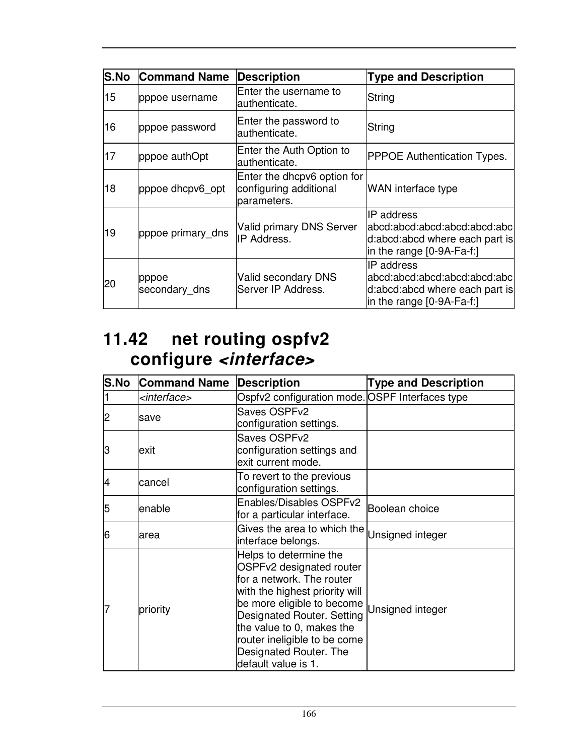| <b>S.No</b> | <b>Command Name</b>    | Description                                                          | <b>Type and Description</b>                                                                                          |
|-------------|------------------------|----------------------------------------------------------------------|----------------------------------------------------------------------------------------------------------------------|
| 15          | pppoe username         | Enter the username to<br>authenticate.                               | String                                                                                                               |
| 16          | pppoe password         | Enter the password to<br>authenticate.                               | String                                                                                                               |
| 17          | pppoe authOpt          | Enter the Auth Option to<br>authenticate.                            | <b>PPPOE Authentication Types.</b>                                                                                   |
| 18          | pppoe dhcpv6_opt       | Enter the dhcpv6 option for<br>configuring additional<br>parameters. | <b>WAN</b> interface type                                                                                            |
| 19          | pppoe primary dns      | Valid primary DNS Server<br><b>IP Address.</b>                       | <b>IP</b> address<br>labcd:abcd:abcd:abcd:abcd:abcl<br>d:abcd:abcd where each part is<br>in the range $[0-9A-Fa-f!]$ |
| 20          | pppoe<br>secondary dns | Valid secondary DNS<br>Server IP Address.                            | <b>IP</b> address<br>labcd:abcd:abcd:abcd:abcd:abcl<br>d:abcd:abcd where each part is<br>in the range $[0-9A-Fa-f!]$ |

### **11.42 net routing ospfv2 configure <interface>**

| S.No | <b>Command Name</b>     | <b>Description</b>                                                                                                                                                                                                                                                                          | <b>Type and Description</b> |
|------|-------------------------|---------------------------------------------------------------------------------------------------------------------------------------------------------------------------------------------------------------------------------------------------------------------------------------------|-----------------------------|
|      | <interface></interface> | Ospfv2 configuration mode. OSPF Interfaces type                                                                                                                                                                                                                                             |                             |
| 2    | save                    | Saves OSPFv2<br>configuration settings.                                                                                                                                                                                                                                                     |                             |
| З    | exit                    | Saves OSPFv2<br>configuration settings and<br>exit current mode.                                                                                                                                                                                                                            |                             |
| 14   | cancel                  | To revert to the previous<br>configuration settings.                                                                                                                                                                                                                                        |                             |
| 5    | lenable                 | Enables/Disables OSPFv2<br>for a particular interface.                                                                                                                                                                                                                                      | Boolean choice              |
| 6    | larea                   | Gives the area to which the Unsigned integer<br>interface belongs.                                                                                                                                                                                                                          |                             |
|      | priority                | Helps to determine the<br>OSPFv2 designated router<br>for a network. The router<br>with the highest priority will<br>be more eligible to become<br>Designated Router. Setting<br>the value to 0, makes the<br>router ineligible to be come<br>Designated Router. The<br>default value is 1. | Unsigned integer            |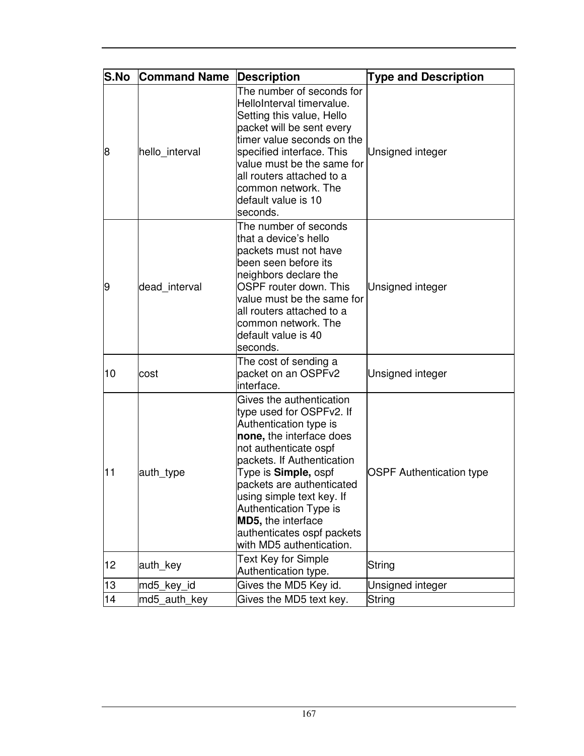| <b>S.No</b> | <b>Command Name</b> | <b>Description</b>                                                                                                                                                                                                                                                                                                                                                           | <b>Type and Description</b>     |
|-------------|---------------------|------------------------------------------------------------------------------------------------------------------------------------------------------------------------------------------------------------------------------------------------------------------------------------------------------------------------------------------------------------------------------|---------------------------------|
| 8           | hello interval      | The number of seconds for<br>HelloInterval timervalue.<br>Setting this value, Hello<br>packet will be sent every<br>timer value seconds on the<br>specified interface. This<br>value must be the same for<br>all routers attached to a<br>common network. The<br>default value is 10<br>seconds.                                                                             | Unsigned integer                |
| 9           | dead interval       | The number of seconds<br>that a device's hello<br>packets must not have<br>been seen before its<br>neighbors declare the<br>OSPF router down. This<br>value must be the same for<br>all routers attached to a<br>common network. The<br>default value is 40<br>seconds.                                                                                                      | Unsigned integer                |
| 10          | cost                | The cost of sending a<br>packet on an OSPFv2<br>interface.                                                                                                                                                                                                                                                                                                                   | Unsigned integer                |
| 11          | auth_type           | Gives the authentication<br>type used for OSPFv2. If<br>Authentication type is<br>none, the interface does<br>not authenticate ospf<br>packets. If Authentication<br>Type is <b>Simple</b> , ospf<br>packets are authenticated<br>using simple text key. If<br><b>Authentication Type is</b><br>MD5, the interface<br>authenticates ospf packets<br>with MD5 authentication. | <b>OSPF Authentication type</b> |
| 12          | auth_key            | <b>Text Key for Simple</b><br>Authentication type.                                                                                                                                                                                                                                                                                                                           | String                          |
| 13          | md5_key_id          | Gives the MD5 Key id.                                                                                                                                                                                                                                                                                                                                                        | Unsigned integer                |
| 14          | md5_auth_key        | Gives the MD5 text key.                                                                                                                                                                                                                                                                                                                                                      | String                          |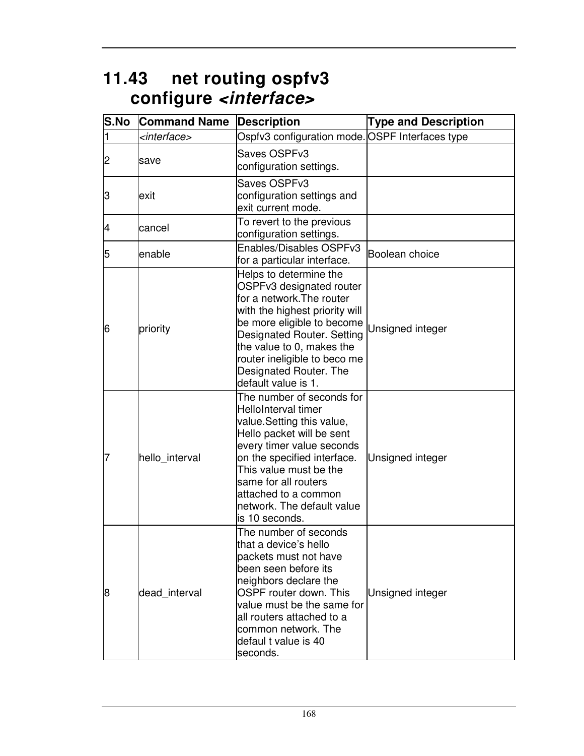## **11.43 net routing ospfv3 configure <interface>**

| <b>S.No</b> | <b>Command Name</b>     | <b>Description</b>                                                                                                                                                                                                                                                                               | <b>Type and Description</b> |
|-------------|-------------------------|--------------------------------------------------------------------------------------------------------------------------------------------------------------------------------------------------------------------------------------------------------------------------------------------------|-----------------------------|
| 1           | <interface></interface> | Ospfv3 configuration mode. OSPF Interfaces type                                                                                                                                                                                                                                                  |                             |
| 2           | save                    | Saves OSPFv3<br>configuration settings.                                                                                                                                                                                                                                                          |                             |
| З           | exit                    | Saves OSPFv3<br>configuration settings and<br>exit current mode.                                                                                                                                                                                                                                 |                             |
| 4           | cancel                  | To revert to the previous<br>configuration settings.                                                                                                                                                                                                                                             |                             |
| 5           | enable                  | Enables/Disables OSPFv3<br>for a particular interface.                                                                                                                                                                                                                                           | Boolean choice              |
| 6           | priority                | Helps to determine the<br>OSPFv3 designated router<br>for a network. The router<br>with the highest priority will<br>be more eligible to become<br>Designated Router. Setting<br>the value to 0, makes the<br>router ineligible to beco me<br>Designated Router. The<br>default value is 1.      | Unsigned integer            |
| 7           | hello_interval          | The number of seconds for<br>HelloInterval timer<br>value.Setting this value,<br>Hello packet will be sent<br>every timer value seconds<br>on the specified interface.<br>This value must be the<br>same for all routers<br>attached to a common<br>network. The default value<br>is 10 seconds. | Unsigned integer            |
| 8           | dead interval           | The number of seconds<br>that a device's hello<br>packets must not have<br>been seen before its<br>neighbors declare the<br>OSPF router down. This<br>value must be the same for<br>all routers attached to a<br>common network. The<br>defaul t value is 40<br>seconds.                         | Unsigned integer            |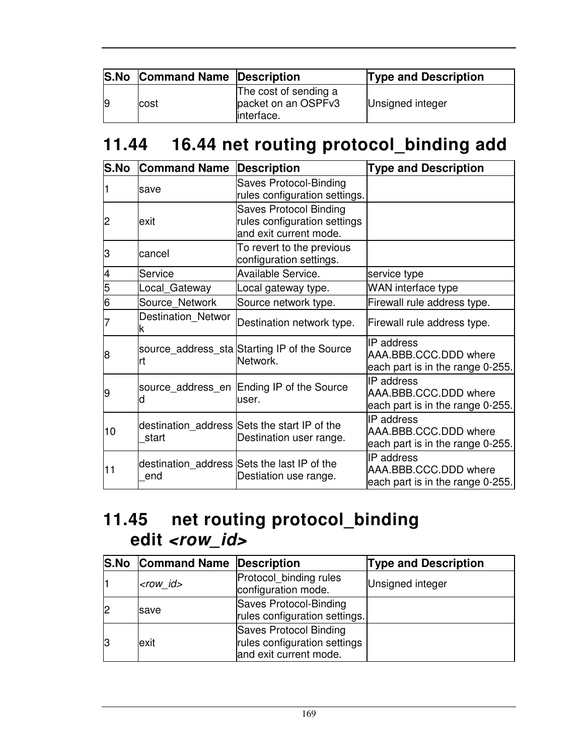|   | <b>S.No Command Name Description</b> |                                                             | <b>Type and Description</b> |
|---|--------------------------------------|-------------------------------------------------------------|-----------------------------|
| 9 | Icost                                | The cost of sending a<br>packet on an OSPFv3<br>linterface. | Unsigned integer            |

## **11.44 16.44 net routing protocol\_binding add**

| <b>S.No</b> | <b>Command Name</b>            | <b>Description</b>                                                                      | <b>Type and Description</b>                                                    |
|-------------|--------------------------------|-----------------------------------------------------------------------------------------|--------------------------------------------------------------------------------|
|             | save                           | Saves Protocol-Binding<br>rules configuration settings.                                 |                                                                                |
| 2           | lexit                          | <b>Saves Protocol Binding</b><br>rules configuration settings<br>and exit current mode. |                                                                                |
| З           | cancel                         | To revert to the previous<br>configuration settings.                                    |                                                                                |
| 4           | Service                        | <b>Available Service.</b>                                                               | service type                                                                   |
| 5           | Local_Gateway                  | Local gateway type.                                                                     | WAN interface type                                                             |
| 6           | Source_Network                 | Source network type.                                                                    | Firewall rule address type.                                                    |
|             | <b>Destination Networ</b><br>ĸ | Destination network type.                                                               | Firewall rule address type.                                                    |
| 8           | Irt                            | source_address_sta Starting IP of the Source<br>Network.                                | <b>IP</b> address<br>AAA.BBB.CCC.DDD where<br>each part is in the range 0-255. |
| 19          | d                              | source_address_en Ending IP of the Source<br>user.                                      | IP address<br>AAA.BBB.CCC.DDD where<br>each part is in the range 0-255.        |
| 10          | start                          | destination_address Sets the start IP of the<br>Destination user range.                 | IP address<br>AAA.BBB.CCC.DDD where<br>each part is in the range 0-255.        |
| 11          | end                            | destination_address Sets the last IP of the<br>Destiation use range.                    | IP address<br>AAA.BBB.CCC.DDD where<br>each part is in the range 0-255.        |

## **11.45 net routing protocol\_binding**  edit <row\_id>

|    | <b>S.No Command Name Description</b> |                                                                                  | <b>Type and Description</b> |
|----|--------------------------------------|----------------------------------------------------------------------------------|-----------------------------|
|    | $<$ row_id $>$                       | Protocol binding rules<br>configuration mode.                                    | Unsigned integer            |
| 12 | save                                 | Saves Protocol-Binding<br>rules configuration settings.                          |                             |
| IЗ | exit                                 | Saves Protocol Binding<br>rules configuration settings<br>and exit current mode. |                             |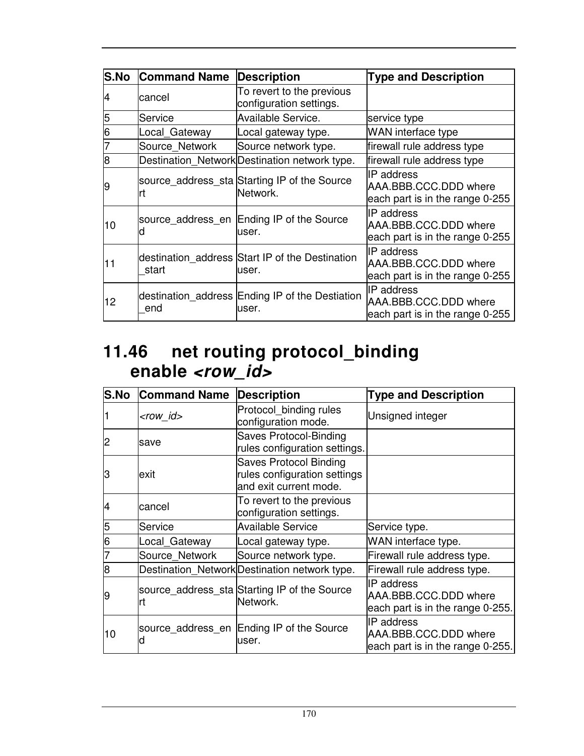| S.No | <b>Command Name</b> | <b>Description</b>                                       | <b>Type and Description</b>                                                   |
|------|---------------------|----------------------------------------------------------|-------------------------------------------------------------------------------|
| 4    | cancel              | To revert to the previous<br>configuration settings.     |                                                                               |
| 5    | Service             | <b>Available Service.</b>                                | service type                                                                  |
| 6    | Local_Gateway       | Local gateway type.                                      | WAN interface type                                                            |
|      | Source Network      | Source network type.                                     | firewall rule address type                                                    |
| 8    |                     | Destination Network Destination network type.            | firewall rule address type                                                    |
| 19   |                     | source_address_sta Starting IP of the Source<br>Network. | IIP address<br>AAA.BBB.CCC.DDD where<br>each part is in the range 0-255       |
| 10   |                     | source address en Ending IP of the Source<br>user.       | <b>IP</b> address<br>AAA.BBB.CCC.DDD where<br>each part is in the range 0-255 |
| 11   | start               | destination_address Start IP of the Destination<br>user. | <b>IP</b> address<br>AAA.BBB.CCC.DDD where<br>each part is in the range 0-255 |
| 12   | end                 | destination_address Ending IP of the Destiation<br>user. | IP address<br>AAA.BBB.CCC.DDD where<br>each part is in the range 0-255        |

### **11.46 net routing protocol\_binding enable <row\_id>**

| <b>S.No</b> | <b>Command Name</b> | <b>Description</b>                                                                      | <b>Type and Description</b>                                                    |
|-------------|---------------------|-----------------------------------------------------------------------------------------|--------------------------------------------------------------------------------|
|             | <row_id></row_id>   | Protocol binding rules<br>configuration mode.                                           | Unsigned integer                                                               |
| 2           | save                | <b>Saves Protocol-Binding</b><br>rules configuration settings.                          |                                                                                |
| З           | exit                | <b>Saves Protocol Binding</b><br>rules configuration settings<br>and exit current mode. |                                                                                |
| 4           | cancel              | To revert to the previous<br>configuration settings.                                    |                                                                                |
| 5           | Service             | <b>Available Service</b>                                                                | Service type.                                                                  |
| 6           | Local_Gateway       | Local gateway type.                                                                     | WAN interface type.                                                            |
|             | Source Network      | Source network type.                                                                    | Firewall rule address type.                                                    |
| 8           |                     | Destination Network Destination network type.                                           | Firewall rule address type.                                                    |
| 9           | Irt                 | source_address_sta Starting IP of the Source<br>Network.                                | <b>IP</b> address<br>AAA.BBB.CCC.DDD where<br>each part is in the range 0-255. |
| 10          |                     | source_address_en Ending IP of the Source<br>user.                                      | <b>IP</b> address<br>AAA.BBB.CCC.DDD where<br>each part is in the range 0-255. |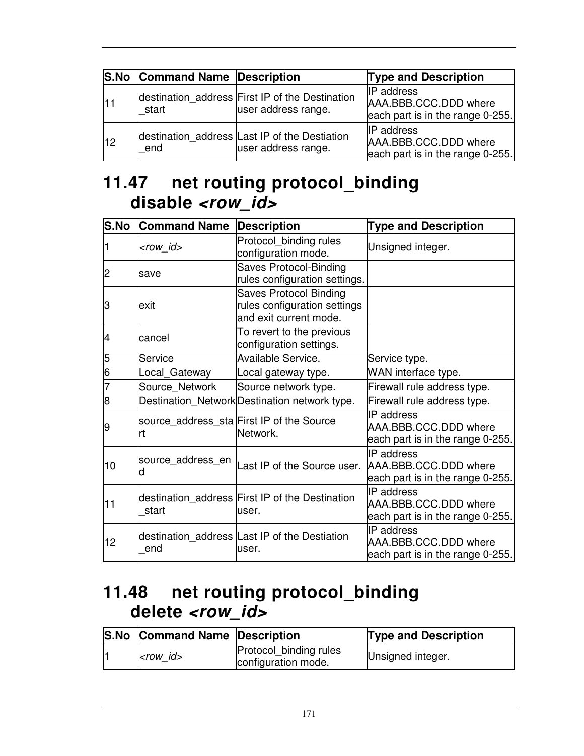|      | <b>S.No Command Name Description</b> |                                                                        | <b>Type and Description</b>                                                    |
|------|--------------------------------------|------------------------------------------------------------------------|--------------------------------------------------------------------------------|
| l1 1 | start                                | destination_address First IP of the Destination<br>user address range. | <b>IP</b> address<br>AAA.BBB.CCC.DDD where<br>each part is in the range 0-255. |
| 12   | end                                  | destination address Last IP of the Destiation<br>user address range.   | <b>IP</b> address<br>AAA.BBB.CCC.DDD where<br>each part is in the range 0-255. |

### **11.47 net routing protocol\_binding disable <row\_id>**

| S.No | <b>Command Name</b> | <b>Description</b>                                                                      | <b>Type and Description</b>                                                    |
|------|---------------------|-----------------------------------------------------------------------------------------|--------------------------------------------------------------------------------|
|      | <row_id></row_id>   | Protocol binding rules<br>configuration mode.                                           | Unsigned integer.                                                              |
| 2    | save                | <b>Saves Protocol-Binding</b><br>rules configuration settings.                          |                                                                                |
| З    | lexit               | <b>Saves Protocol Binding</b><br>rules configuration settings<br>and exit current mode. |                                                                                |
| 4    | cancel              | To revert to the previous<br>configuration settings.                                    |                                                                                |
| 5    | <b>Service</b>      | Available Service.                                                                      | Service type.                                                                  |
| 6    | Local_Gateway       | Local gateway type.                                                                     | WAN interface type.                                                            |
|      | Source Network      | Source network type.                                                                    | Firewall rule address type.                                                    |
| 8    |                     | Destination Network Destination network type.                                           | Firewall rule address type.                                                    |
| 9    | Irt                 | source_address_sta First IP of the Source<br>Network.                                   | IP address<br>AAA.BBB.CCC.DDD where<br>each part is in the range 0-255.        |
| 10   | source_address_en   | Last IP of the Source user.                                                             | <b>IP</b> address<br>AAA.BBB.CCC.DDD where<br>each part is in the range 0-255. |
| 11   | start               | destination address First IP of the Destination<br>user.                                | <b>IP</b> address<br>AAA.BBB.CCC.DDD where<br>each part is in the range 0-255. |
| 12   | end                 | destination address Last IP of the Destiation<br>user.                                  | IP address<br>AAA.BBB.CCC.DDD where<br>each part is in the range 0-255.        |

### **11.48 net routing protocol\_binding delete <row\_id>**

| <b>S.No Command Name Description</b> |                                               | <b>Type and Description</b> |
|--------------------------------------|-----------------------------------------------|-----------------------------|
| $ <$ row id $>$                      | Protocol binding rules<br>configuration mode. | Unsigned integer.           |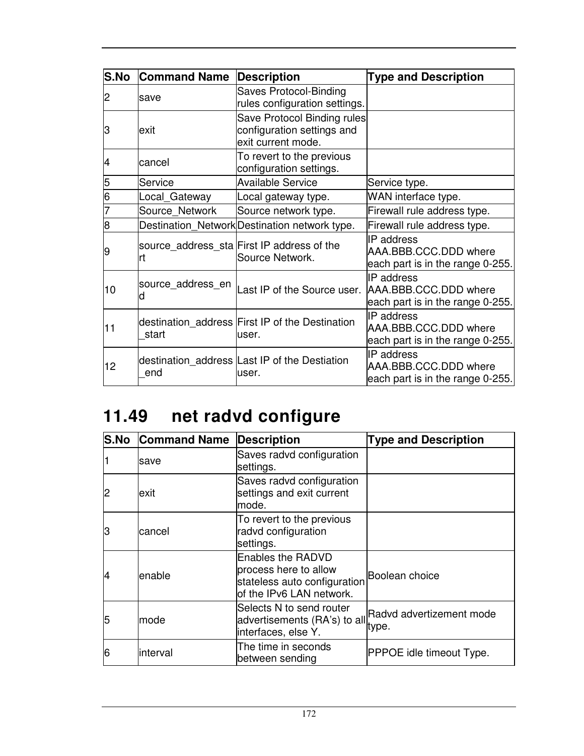| S.No | <b>Command Name</b> | <b>Description</b>                                                              | <b>Type and Description</b>                                                    |
|------|---------------------|---------------------------------------------------------------------------------|--------------------------------------------------------------------------------|
| 2    | save                | Saves Protocol-Binding<br>rules configuration settings.                         |                                                                                |
| З    | lexit               | Save Protocol Binding rules<br>configuration settings and<br>exit current mode. |                                                                                |
| 4    | cancel              | To revert to the previous<br>configuration settings.                            |                                                                                |
| 5    | Service             | <b>Available Service</b>                                                        | Service type.                                                                  |
| 6    | Local_Gateway       | Local gateway type.                                                             | WAN interface type.                                                            |
|      | Source_Network      | Source network type.                                                            | Firewall rule address type.                                                    |
| 8    |                     | Destination_Network Destination network type.                                   | Firewall rule address type.                                                    |
| 9    | Irt                 | source_address_sta First IP address of the<br>Source Network.                   | IP address<br>AAA.BBB.CCC.DDD where<br>each part is in the range 0-255.        |
| 10   | source_address_en   | Last IP of the Source user.                                                     | <b>IP</b> address<br>AAA.BBB.CCC.DDD where<br>each part is in the range 0-255. |
| 11   | start               | destination_address First IP of the Destination<br>user.                        | IP address<br>AAA.BBB.CCC.DDD where<br>each part is in the range 0-255.        |
| 12   | end                 | destination address Last IP of the Destiation<br>user.                          | IP address<br>AAA.BBB.CCC.DDD where<br>each part is in the range 0-255.        |

# **11.49 net radvd configure**

| <b>S.No</b> | <b>Command Name</b> | <b>Description</b>                                                                                                    | <b>Type and Description</b>                                    |
|-------------|---------------------|-----------------------------------------------------------------------------------------------------------------------|----------------------------------------------------------------|
|             | save                | Saves radvd configuration<br>settings.                                                                                |                                                                |
| 2           | lexit               | Saves radvd configuration<br>settings and exit current<br>mode.                                                       |                                                                |
| lЗ          | cancel              | To revert to the previous<br>radvd configuration<br>settings.                                                         |                                                                |
| 14          | lenable             | Enables the RADVD<br>process here to allow<br>stateless auto configuration Boolean choice<br>of the IPv6 LAN network. |                                                                |
| 5           | mode                | Selects N to send router<br>interfaces, else Y.                                                                       | advertisements (RA's) to all Radvd advertizement mode<br>type. |
| 6           | interval            | The time in seconds<br>between sending                                                                                | <b>PPPOE idle timeout Type.</b>                                |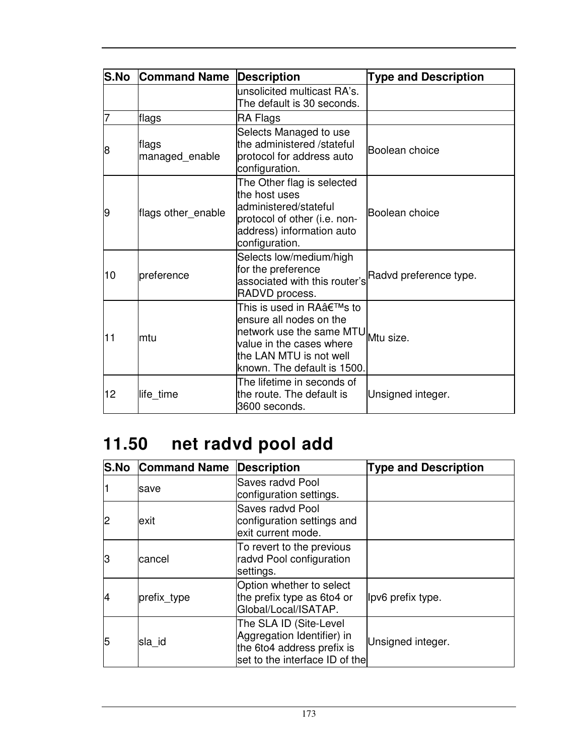| <b>S.No</b> | <b>Command Name</b>     | <b>Description</b>                                                                                                                                                             | <b>Type and Description</b> |
|-------------|-------------------------|--------------------------------------------------------------------------------------------------------------------------------------------------------------------------------|-----------------------------|
|             |                         | unsolicited multicast RA's.<br>The default is 30 seconds.                                                                                                                      |                             |
| 7           | flags                   | RA Flags                                                                                                                                                                       |                             |
| 8           | flags<br>managed_enable | Selects Managed to use<br>the administered /stateful<br>protocol for address auto<br>configuration.                                                                            | Boolean choice              |
| 9           | flags other_enable      | The Other flag is selected<br>the host uses<br>administered/stateful<br>protocol of other (i.e. non-<br>address) information auto<br>configuration.                            | Boolean choice              |
| 10          | preference              | Selects low/medium/high<br>for the preference<br>associated with this router's<br>RADVD process.                                                                               | Radvd preference type.      |
| 11          | lmtu                    | This is used in RA's to<br>ensure all nodes on the<br>network use the same MTU Mtu size.<br>value in the cases where<br>the LAN MTU is not well<br>known. The default is 1500. |                             |
| 12          | life_time               | The lifetime in seconds of<br>the route. The default is<br>3600 seconds.                                                                                                       | Unsigned integer.           |

# **11.50 net radvd pool add**

|    | <b>S.No Command Name</b> | <b>Description</b>                                                                                                   | <b>Type and Description</b> |
|----|--------------------------|----------------------------------------------------------------------------------------------------------------------|-----------------------------|
|    | save                     | Saves radvd Pool<br>configuration settings.                                                                          |                             |
| 2  | lexit                    | <b>Saves radvd Pool</b><br>configuration settings and<br>exit current mode.                                          |                             |
| lЗ | cancel                   | To revert to the previous<br>radvd Pool configuration<br>settings.                                                   |                             |
| 14 | prefix_type              | Option whether to select<br>the prefix type as 6to4 or<br>Global/Local/ISATAP.                                       | lpv6 prefix type.           |
| 5  | sla id                   | The SLA ID (Site-Level<br>Aggregation Identifier) in<br>the 6to4 address prefix is<br>set to the interface ID of the | Unsigned integer.           |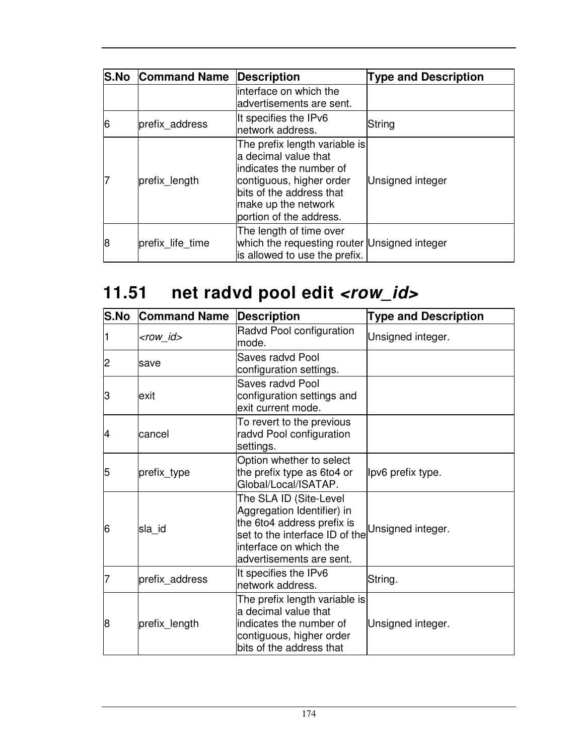|   | <b>S.No Command Name</b> | <b>Description</b>                                                                                                                                                                          | <b>Type and Description</b> |
|---|--------------------------|---------------------------------------------------------------------------------------------------------------------------------------------------------------------------------------------|-----------------------------|
|   |                          | linterface on which the<br>advertisements are sent.                                                                                                                                         |                             |
| 6 | prefix address           | It specifies the IPv6<br>network address.                                                                                                                                                   | String                      |
|   | prefix length            | The prefix length variable is<br>a decimal value that<br>lindicates the number of<br>contiguous, higher order<br>bits of the address that<br>make up the network<br>portion of the address. | Unsigned integer            |
| 8 | prefix life time         | The length of time over<br>which the requesting router Unsigned integer<br>is allowed to use the prefix.                                                                                    |                             |

# 11.51 net radvd pool edit <row\_id>

| S.No | <b>Command Name</b> | <b>Description</b>                                                                                                                                                         | <b>Type and Description</b> |
|------|---------------------|----------------------------------------------------------------------------------------------------------------------------------------------------------------------------|-----------------------------|
|      | <row_id></row_id>   | Radvd Pool configuration<br>mode.                                                                                                                                          | Unsigned integer.           |
| 2    | save                | Saves radvd Pool<br>configuration settings.                                                                                                                                |                             |
| З    | lexit               | Saves radvd Pool<br>configuration settings and<br>exit current mode.                                                                                                       |                             |
| 4    | cancel              | To revert to the previous<br>radvd Pool configuration<br>settings.                                                                                                         |                             |
| 5    | prefix_type         | Option whether to select<br>the prefix type as 6to4 or<br>Global/Local/ISATAP.                                                                                             | lpv6 prefix type.           |
| 6    | sla id              | The SLA ID (Site-Level<br>Aggregation Identifier) in<br>the 6to4 address prefix is<br>set to the interface ID of the<br>interface on which the<br>advertisements are sent. | Unsigned integer.           |
|      | prefix address      | It specifies the IPv6<br>network address.                                                                                                                                  | String.                     |
| 8    | prefix_length       | The prefix length variable is<br>a decimal value that<br>indicates the number of<br>contiguous, higher order<br>bits of the address that                                   | Unsigned integer.           |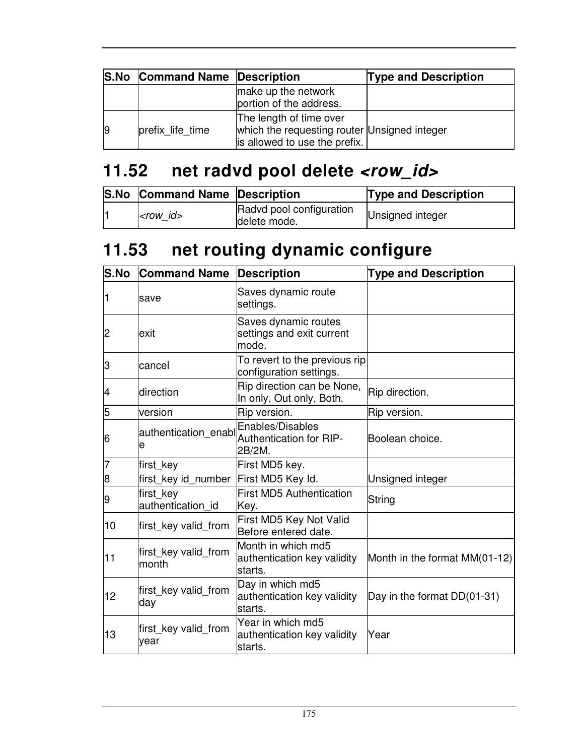|    | <b>S.No Command Name Description</b> |                                                                                                          | <b>Type and Description</b> |
|----|--------------------------------------|----------------------------------------------------------------------------------------------------------|-----------------------------|
|    |                                      | make up the network<br>portion of the address.                                                           |                             |
| 19 | prefix life time                     | The length of time over<br>which the requesting router Unsigned integer<br>is allowed to use the prefix. |                             |

## **11.52 net radvd pool delete <row\_id>**

| <b>S.No Command Name Description</b> |                                          | <b>Type and Description</b> |
|--------------------------------------|------------------------------------------|-----------------------------|
| <row id=""></row>                    | Radvd pool configuration<br>delete mode. | Unsigned integer            |

## **11.53 net routing dynamic configure**

| S.No | <b>Command Name</b>            | <b>Description</b>                                           | <b>Type and Description</b>     |
|------|--------------------------------|--------------------------------------------------------------|---------------------------------|
| 1    | save                           | Saves dynamic route<br>settings.                             |                                 |
| 2    | exit                           | Saves dynamic routes<br>settings and exit current<br>mode.   |                                 |
| З    | cancel                         | To revert to the previous rip<br>configuration settings.     |                                 |
| 4    | direction                      | Rip direction can be None,<br>In only, Out only, Both.       | Rip direction.                  |
| 5    | version                        | Rip version.                                                 | Rip version.                    |
| 6    | authentication_enabl<br>e      | Enables/Disables<br>Authentication for RIP-<br>2B/2M.        | Boolean choice.                 |
| 17   | first key                      | First MD5 key.                                               |                                 |
| 8    | first key id number            | First MD5 Key Id.                                            | Unsigned integer                |
| 9    | first_key<br>authentication id | <b>First MD5 Authentication</b><br>Key.                      | String                          |
| 10   | first_key valid_from           | First MD5 Key Not Valid<br>Before entered date.              |                                 |
| 11   | first key valid from<br>month  | Month in which md5<br>authentication key validity<br>starts. | Month in the format $MM(01-12)$ |
| 12   | first key valid from<br>day    | Day in which md5<br>authentication key validity<br>starts.   | Day in the format DD(01-31)     |
| 13   | first_key valid_from<br>year   | Year in which md5<br>authentication key validity<br>starts.  | Year                            |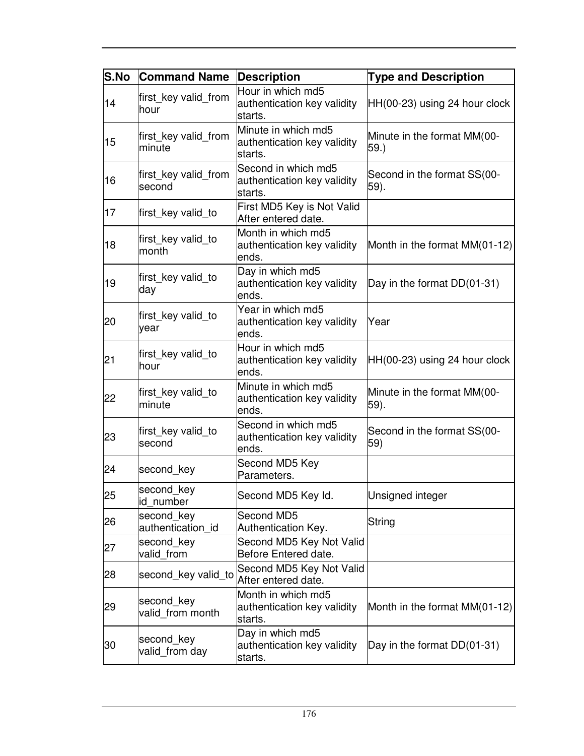| S.No | <b>Command Name</b>             | <b>Description</b>                                            | <b>Type and Description</b>         |
|------|---------------------------------|---------------------------------------------------------------|-------------------------------------|
| 14   | first_key valid_from<br>hour    | Hour in which md5<br>authentication key validity<br>starts.   | $HH(00-23)$ using 24 hour clock     |
| 15   | first_key valid_from<br>minute  | Minute in which md5<br>authentication key validity<br>starts. | Minute in the format MM(00-<br>59.) |
| 16   | first_key valid_from<br>second  | Second in which md5<br>authentication key validity<br>starts. | Second in the format SS(00-<br>59). |
| 17   | first_key valid_to              | First MD5 Key is Not Valid<br>After entered date.             |                                     |
| 18   | first_key valid_to<br>month     | Month in which md5<br>authentication key validity<br>ends.    | Month in the format MM(01-12)       |
| 19   | first_key valid_to<br>day       | Day in which md5<br>authentication key validity<br>ends.      | Day in the format DD(01-31)         |
| 20   | first key valid to<br>year      | Year in which md5<br>authentication key validity<br>ends.     | Year                                |
| 21   | first_key valid_to<br>hour      | Hour in which md5<br>authentication key validity<br>ends.     | $HH(00-23)$ using 24 hour clock     |
| 22   | first_key valid_to<br>minute    | Minute in which md5<br>authentication key validity<br>ends.   | Minute in the format MM(00-<br>59). |
| 23   | first_key valid_to<br>second    | Second in which md5<br>authentication key validity<br>ends.   | Second in the format SS(00-<br>59)  |
| 24   | second key                      | Second MD5 Key<br>Parameters.                                 |                                     |
| 25   | second key<br>id number         | Second MD5 Key Id.                                            | Unsigned integer                    |
| 26   | second key<br>authentication_id | Second MD5<br>Authentication Key.                             | String                              |
| 27   | second key<br>valid from        | Second MD5 Key Not Valid<br>Before Entered date.              |                                     |
| 28   | second key valid to             | Second MD5 Key Not Valid<br>After entered date.               |                                     |
| 29   | second key<br>valid_from month  | Month in which md5<br>authentication key validity<br>starts.  | Month in the format MM(01-12)       |
| 30   | second key<br>valid_from day    | Day in which md5<br>authentication key validity<br>starts.    | Day in the format DD(01-31)         |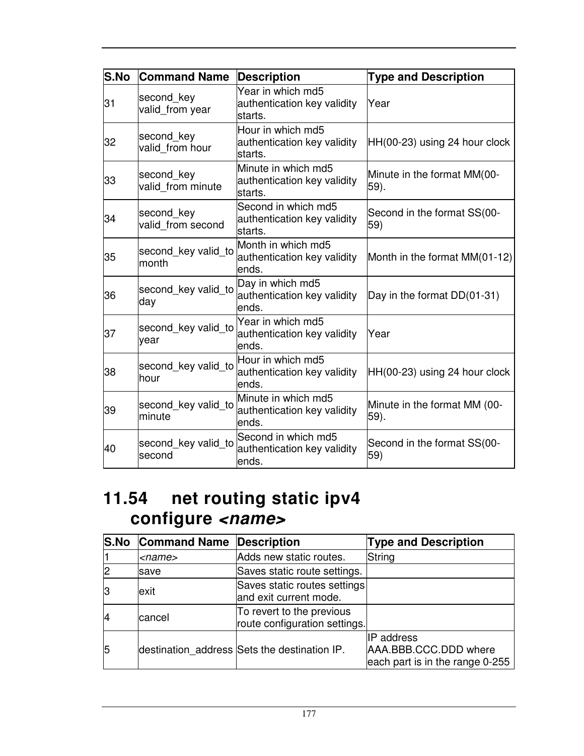| <b>S.No</b> | <b>Command Name</b>             | <b>Description</b>                                            | <b>Type and Description</b>          |
|-------------|---------------------------------|---------------------------------------------------------------|--------------------------------------|
| 31          | second key<br>valid_from year   | Year in which md5<br>authentication key validity<br>starts.   | Year                                 |
| 32          | second key<br>valid from hour   | Hour in which md5<br>authentication key validity<br>starts.   | $HH(00-23)$ using 24 hour clock      |
| 33          | second key<br>valid from minute | Minute in which md5<br>authentication key validity<br>starts. | Minute in the format MM(00-<br>59).  |
| 34          | second key<br>valid from second | Second in which md5<br>authentication key validity<br>starts. | Second in the format SS(00-<br>59)   |
| 35          | second key valid to<br>month    | Month in which md5<br>authentication key validity<br>ends.    | Month in the format MM(01-12)        |
| 36          | second key valid to<br>day      | Day in which md5<br>authentication key validity<br>ends.      | Day in the format DD(01-31)          |
| 37          | second key valid to<br>year     | Year in which md5<br>authentication key validity<br>ends.     | Year                                 |
| 38          | second key valid to<br>lhour    | Hour in which md5<br>authentication key validity<br>ends.     | HH(00-23) using 24 hour clock        |
| 39          | second key valid to<br>minute   | Minute in which md5<br>authentication key validity<br>ends.   | Minute in the format MM (00-<br>59). |
| 40          | second key valid to<br>second   | Second in which md5<br>authentication key validity<br>ends.   | Second in the format SS(00-<br>59)   |

#### **11.54 net routing static ipv4 configure <name>**

|    | <b>S.No Command Name Description</b> |                                                            | <b>Type and Description</b>                                                   |
|----|--------------------------------------|------------------------------------------------------------|-------------------------------------------------------------------------------|
|    | <name></name>                        | Adds new static routes.                                    | String                                                                        |
|    | save                                 | Saves static route settings.                               |                                                                               |
|    | exit                                 | Saves static routes settings<br>and exit current mode.     |                                                                               |
| 14 | cancel                               | To revert to the previous<br>route configuration settings. |                                                                               |
| 5  |                                      | destination address Sets the destination IP.               | <b>IP</b> address<br>AAA.BBB.CCC.DDD where<br>each part is in the range 0-255 |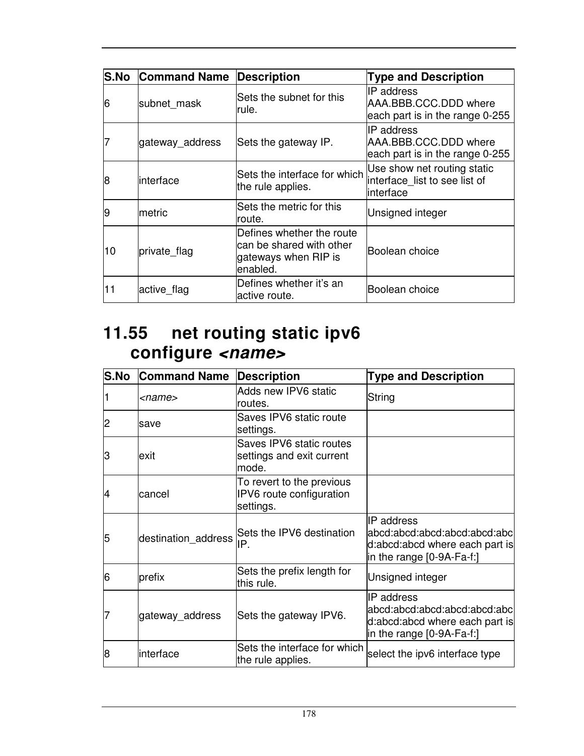| <b>S.No</b> | <b>Command Name</b> | <b>Description</b>                                                                        | <b>Type and Description</b>                                               |
|-------------|---------------------|-------------------------------------------------------------------------------------------|---------------------------------------------------------------------------|
| 6           | subnet mask         | Sets the subnet for this<br>rule.                                                         | IIP address<br>AAA.BBB.CCC.DDD where<br>each part is in the range 0-255   |
|             | gateway address     | Sets the gateway IP.                                                                      | IP address<br>AAA.BBB.CCC.DDD where<br>each part is in the range 0-255    |
| 8           | linterface          | Sets the interface for which<br>the rule applies.                                         | Use show net routing static<br>interface_list to see list of<br>interface |
| 19          | lmetric             | Sets the metric for this<br>route.                                                        | Unsigned integer                                                          |
| 10          | private flag        | Defines whether the route<br>can be shared with other<br>gateways when RIP is<br>enabled. | Boolean choice                                                            |
| 11          | active_flag         | Defines whether it's an<br>active route.                                                  | Boolean choice                                                            |

### **11.55 net routing static ipv6 configure <name>**

| S.No | <b>Command Name</b> | <b>Description</b>                                                 | <b>Type and Description</b>                                                                                        |
|------|---------------------|--------------------------------------------------------------------|--------------------------------------------------------------------------------------------------------------------|
|      | <name></name>       | Adds new IPV6 static<br>routes.                                    | String                                                                                                             |
| 2    | save                | Saves IPV6 static route<br>settings.                               |                                                                                                                    |
| З    | lexit               | Saves IPV6 static routes<br>settings and exit current<br>mode.     |                                                                                                                    |
| 14   | cancel              | To revert to the previous<br>IPV6 route configuration<br>settings. |                                                                                                                    |
| 5    | destination_address | Sets the IPV6 destination<br>IP.                                   | IP address<br> abcd:abcd:abcd:abcd:abcd:abc <br>d:abcd:abcd where each part is<br>in the range [0-9A-Fa-f:]        |
| 6    | prefix              | Sets the prefix length for<br>this rule.                           | Unsigned integer                                                                                                   |
| 7    | gateway_address     | Sets the gateway IPV6.                                             | <b>IP</b> address<br>abcd:abcd:abcd:abcd:abcd:abc<br>d:abcd:abcd where each part is<br>in the range $[0-9A-Fa-f!]$ |
| 8    | linterface          | Sets the interface for which<br>the rule applies.                  | select the ipv6 interface type                                                                                     |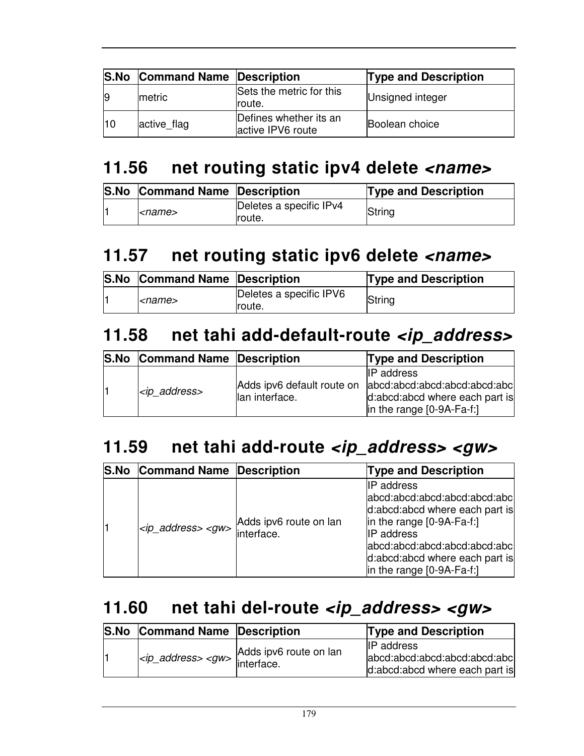|                | <b>S.No Command Name Description</b> |                                             | <b>Type and Description</b> |
|----------------|--------------------------------------|---------------------------------------------|-----------------------------|
| $\overline{9}$ | metric                               | Sets the metric for this<br>Iroute.         | Unsigned integer            |
| $ 10\rangle$   | active flag                          | Defines whether its an<br>active IPV6 route | Boolean choice              |

## **11.56 net routing static ipv4 delete <name>**

| <b>S.No Command Name Description</b> |                                   | <b>Type and Description</b> |
|--------------------------------------|-----------------------------------|-----------------------------|
| <name></name>                        | Deletes a specific IPv4<br>route. | String                      |

### **11.57 net routing static ipv6 delete <name>**

| <b>S.No Command Name Description</b> |                                   | <b>Type and Description</b> |
|--------------------------------------|-----------------------------------|-----------------------------|
| <i><name></name></i>                 | Deletes a specific IPV6<br>route. | String                      |

### **11.58 net tahi add-default-route <ip\_address>**

| <b>S.No Command Name Description</b> |                | <b>Type and Description</b>                                                                                                                                         |
|--------------------------------------|----------------|---------------------------------------------------------------------------------------------------------------------------------------------------------------------|
| <ip_address></ip_address>            | lan interface. | <b>IIP</b> address<br>Adds ipv6 default route on abcd:abcd:abcd:abcd:abcd:abcl<br>d:abcd:abcd where each part is<br>$\vert$ in the range $\vert$ 0-9A-Fa-f: $\vert$ |

### **11.59 net tahi add-route <ip\_address> <gw>**

| S.No Command Name Description |                                      | <b>Type and Description</b>                                                                                                                                                                                                                   |
|-------------------------------|--------------------------------------|-----------------------------------------------------------------------------------------------------------------------------------------------------------------------------------------------------------------------------------------------|
| $<$ ip address> $<$ gw>       | Adds ipv6 route on lan<br>interface. | <b>IP</b> address<br>abcd:abcd:abcd:abcd:abcd:abcl<br>d:abcd:abcd where each part is<br>$\ln$ the range $[0-9A-Fa-f!]$<br><b>IP</b> address<br>abcd:abcd:abcd:abcd:abcd:abcl<br>d:abcd:abcd where each part is<br>in the range $[0-9A-Fa-f!]$ |

### **11.60 net tahi del-route <ip\_address> <gw>**

| <b>S.No</b> | <b>Command Name Description</b>                                 |                        | <b>Type and Description</b>                                                          |
|-------------|-----------------------------------------------------------------|------------------------|--------------------------------------------------------------------------------------|
|             | $ ip$ <sub>d</sub> address> <gw> <math> </math> interface.</gw> | Adds ipv6 route on lan | <b>IP</b> address<br>abcd:abcd:abcd:abcd:abcd:abcl<br>d:abcd:abcd where each part is |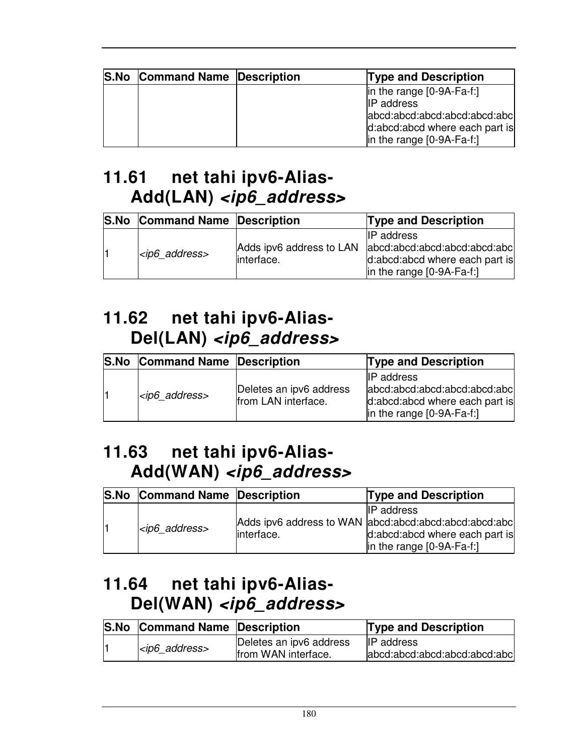| <b>S.No Command Name Description</b> | <b>Type and Description</b>                                                                                                                                                                |
|--------------------------------------|--------------------------------------------------------------------------------------------------------------------------------------------------------------------------------------------|
|                                      | $\vert$ in the range $\vert$ 0-9A-Fa-f: $\vert$<br><b>IP</b> address<br>abcd:abcd:abcd:abcd:abcd:abcl<br>d:abcd:abcd where each part is<br>$\vert$ in the range $\vert$ 0-9A-Fa-f: $\vert$ |

## **11.61 net tahi ipv6-Alias-Add(LAN) <ip6\_address>**

| <b>S.No Command Name Description</b> |            | <b>Type and Description</b>                                                                                                                          |
|--------------------------------------|------------|------------------------------------------------------------------------------------------------------------------------------------------------------|
| $<$ ip6_address>                     | interface. | <b>IP</b> address<br>Adds ipv6 address to LAN abcd:abcd:abcd:abcd:abcd:abcl<br>d:abcd:abcd where each part is<br>$\vert$ in the range $[0-9A-Fa-f!]$ |

### **11.62 net tahi ipv6-Alias-Del(LAN) <ip6\_address>**

| <b>S.No</b> | <b>Command Name Description</b> |                                                | <b>Type and Description</b>                                                                                                              |
|-------------|---------------------------------|------------------------------------------------|------------------------------------------------------------------------------------------------------------------------------------------|
|             | $ ip6$ address>                 | Deletes an ipv6 address<br>from LAN interface. | <b>IIP</b> address<br>abcd:abcd:abcd:abcd:abcd:abcl<br>d:abcd:abcd where each part is<br>$\vert$ in the range $\vert$ 0-9A-Fa-f: $\vert$ |

### **11.63 net tahi ipv6-Alias-Add(WAN) <ip6\_address>**

| S.No Command Name Description |            | <b>Type and Description</b>                                                                                                                        |
|-------------------------------|------------|----------------------------------------------------------------------------------------------------------------------------------------------------|
| $<$ ip6 address>              | interface. | <b>IIP</b> address<br>Adds ipv6 address to WAN abcd:abcd:abcd:abcd:abcd:abcd:abcl<br>d:abcd:abcd where each part is<br>in the range $[0-9A-Fa-f!]$ |

## **11.64 net tahi ipv6-Alias-Del(WAN) <ip6\_address>**

| <b>S.No Command Name Description</b> |                                                 | <b>Type and Description</b>                         |
|--------------------------------------|-------------------------------------------------|-----------------------------------------------------|
| $<$ ip6_address>                     | Deletes an ipv6 address<br>Ifrom WAN interface. | <b>IIP</b> address<br>abcd:abcd:abcd:abcd:abcd:abcl |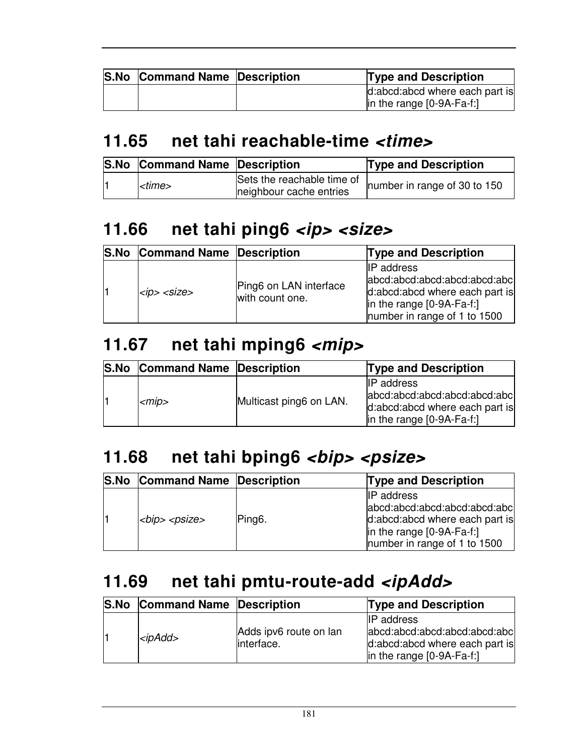| <b>S.No Command Name Description</b> | <b>Type and Description</b>                                                       |
|--------------------------------------|-----------------------------------------------------------------------------------|
|                                      | d:abcd:abcd where each part is<br>$\vert$ in the range $\vert$ 0-9A-Fa-f: $\vert$ |

#### **11.65 net tahi reachable-time <time>**

| <b>S.No Command Name Description</b> |                                                       | <b>Type and Description</b>  |
|--------------------------------------|-------------------------------------------------------|------------------------------|
| ktime>                               | Sets the reachable time of<br>neighbour cache entries | number in range of 30 to 150 |

# 11.66 net tahi ping6 <ip> <size>

| S.No Command Name Description |                                           | <b>Type and Description</b>                                                                                                                                             |
|-------------------------------|-------------------------------------------|-------------------------------------------------------------------------------------------------------------------------------------------------------------------------|
| $ $ <ip> <size></size></ip>   | Ping6 on LAN interface<br>with count one. | <b>IP</b> address<br>abcd:abcd:abcd:abcd:abcd:abcl<br>d:abcd:abcd where each part is<br>$\vert$ in the range $\vert$ 0-9A-Fa-f: $\vert$<br>number in range of 1 to 1500 |

## **11.67 net tahi mping6 <mip>**

| <b>S.No Command Name Description</b> |                         | <b>Type and Description</b>                                                                                            |
|--------------------------------------|-------------------------|------------------------------------------------------------------------------------------------------------------------|
| $<$ mip $>$                          | Multicast ping6 on LAN. | <b>IIP</b> address<br>abcd:abcd:abcd:abcd:abcd:abcl<br>d:abcd:abcd where each part is<br>$\ln$ the range $[0-9A-Fa-f]$ |

# 11.68 net tahi bping6 <br/>bip> <psize>

| <b>S.No Command Name Description</b> |                     | <b>Type and Description</b>                                                                                                                        |
|--------------------------------------|---------------------|----------------------------------------------------------------------------------------------------------------------------------------------------|
| <blp> <psize></psize></blp>          | Ping <sub>6</sub> . | <b>IP</b> address<br>abcd:abcd:abcd:abcd:abcd:abcl<br>d:abcd:abcd where each part is<br> in the range [0-9A-Fa-f:]<br>number in range of 1 to 1500 |

## **11.69 net tahi pmtu-route-add <ipAdd>**

| <b>S.No Command Name Description</b> |                                      | <b>Type and Description</b>                                                                                         |
|--------------------------------------|--------------------------------------|---------------------------------------------------------------------------------------------------------------------|
| $<$ ip $Add$                         | Adds ipv6 route on lan<br>interface. | <b>IIP</b> address<br>abcd:abcd:abcd:abcd:abcd:abcl<br>d:abcd:abcd where each part is<br>in the range $[0-9A-Fa-f]$ |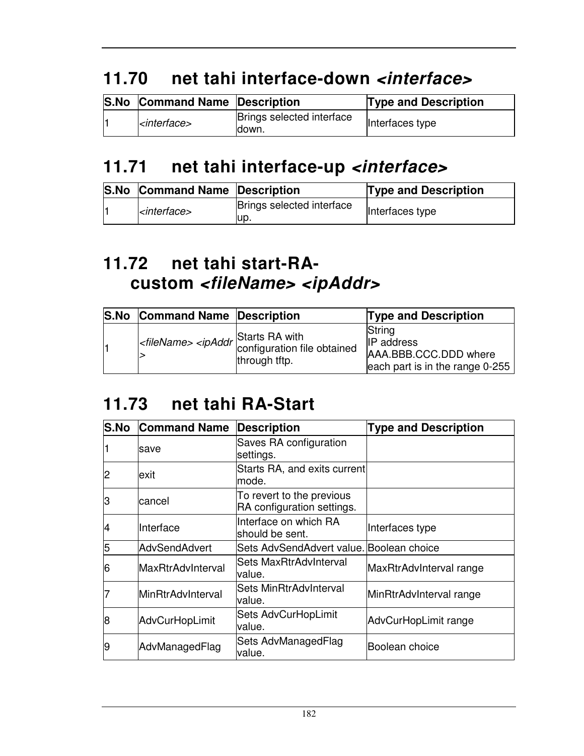## **11.70 net tahi interface-down <interface>**

| <b>S.No Command Name Description</b> |                                     | <b>Type and Description</b> |
|--------------------------------------|-------------------------------------|-----------------------------|
| $ $ <i><interface></interface></i>   | Brings selected interface<br>ldown. | Interfaces type             |

### **11.71 net tahi interface-up <interface>**

| <b>S.No Command Name Description</b> |                                   | <b>Type and Description</b> |
|--------------------------------------|-----------------------------------|-----------------------------|
| l <interface></interface>            | Brings selected interface<br>lup. | Interfaces type             |

### **11.72 net tahi start-RAcustom <fileName> <ipAddr>**

| <b>S.No</b> | <b>Command Name Description</b> |                                                                                                               | <b>Type and Description</b>                                                               |
|-------------|---------------------------------|---------------------------------------------------------------------------------------------------------------|-------------------------------------------------------------------------------------------|
|             |                                 | $\left $ < <i>fileName&gt;</i> < <i>ipAddr</i> Starts RA with<br>configuration file obtained<br>through tftp. | String<br><b>IP</b> address<br>AAA.BBB.CCC.DDD where<br>each part is in the range $0-255$ |

#### **11.73 net tahi RA-Start**

| <b>S.No</b>    | <b>Command Name</b>      | <b>Description</b>                                      | <b>Type and Description</b> |
|----------------|--------------------------|---------------------------------------------------------|-----------------------------|
|                | save                     | Saves RA configuration<br>settings.                     |                             |
| $\overline{c}$ | exit                     | Starts RA, and exits current<br>mode.                   |                             |
| lЗ             | cancel                   | To revert to the previous<br>RA configuration settings. |                             |
| 4              | Interface                | Interface on which RA<br>should be sent.                | Interfaces type             |
| 5              | <b>AdvSendAdvert</b>     | Sets AdvSendAdvert value. Boolean choice                |                             |
| 6              | <b>MaxRtrAdvInterval</b> | Sets MaxRtrAdvInterval<br>value.                        | MaxRtrAdvInterval range     |
| 7              | <b>MinRtrAdvInterval</b> | Sets MinRtrAdvInterval<br>value.                        | MinRtrAdvInterval range     |
| 8              | <b>AdvCurHopLimit</b>    | Sets AdvCurHopLimit<br>value.                           | AdvCurHopLimit range        |
| 19             | AdvManagedFlag           | Sets AdvManagedFlag<br>value.                           | Boolean choice              |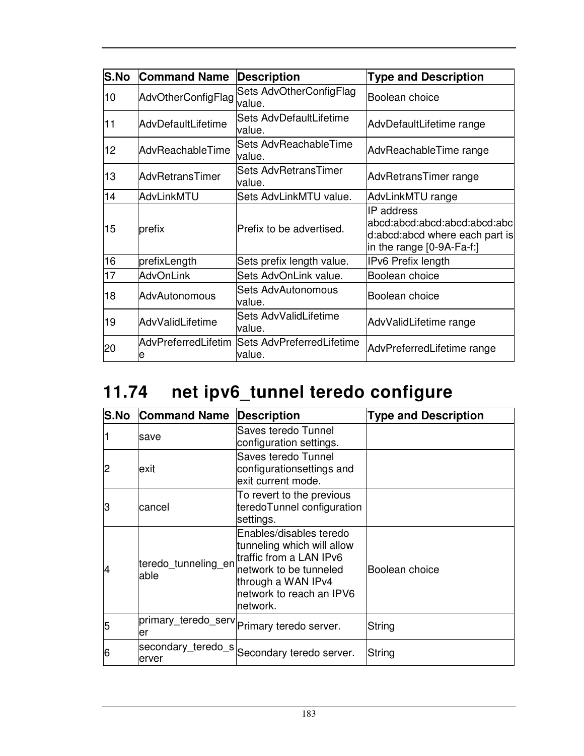| <b>S.No</b> | <b>Command Name</b>      | <b>Description</b>                  | <b>Type and Description</b>                                                                                |
|-------------|--------------------------|-------------------------------------|------------------------------------------------------------------------------------------------------------|
| 10          | AdvOtherConfigFlag       | Sets AdvOtherConfigFlag<br>value.   | Boolean choice                                                                                             |
| 11          | AdvDefaultLifetime       | Sets AdvDefaultLifetime<br>value.   | AdvDefaultLifetime range                                                                                   |
| 12.         | AdvReachableTime         | Sets AdvReachableTime<br>value.     | AdvReachableTime range                                                                                     |
| 13          | AdvRetransTimer          | Sets AdvRetransTimer<br>value.      | AdvRetransTimer range                                                                                      |
| 14          | AdvLinkMTU               | Sets AdvLinkMTU value.              | AdvLinkMTU range                                                                                           |
| 15          | prefix                   | Prefix to be advertised.            | IP address<br>abcd:abcd:abcd:abcd:abcd:abcl<br>d:abcd:abcd where each part is<br>in the range [0-9A-Fa-f:] |
| 16          | prefixLength             | Sets prefix length value.           | <b>IPv6 Prefix length</b>                                                                                  |
| 17          | <b>AdvOnLink</b>         | Sets AdvOnLink value.               | Boolean choice                                                                                             |
| 18          | AdvAutonomous            | Sets AdvAutonomous<br>value.        | Boolean choice                                                                                             |
| 19          | AdvValidLifetime         | Sets AdvValidLifetime<br>value.     | AdvValidLifetime range                                                                                     |
| 20          | AdvPreferredLifetim<br>е | Sets AdvPreferredLifetime<br>value. | AdvPreferredLifetime range                                                                                 |

# **11.74 net ipv6\_tunnel teredo configure**

| <b>S.No</b> | <b>Command Name</b>         | <b>Description</b>                                                                                                                                                        | <b>Type and Description</b> |
|-------------|-----------------------------|---------------------------------------------------------------------------------------------------------------------------------------------------------------------------|-----------------------------|
|             | save                        | Saves teredo Tunnel<br>configuration settings.                                                                                                                            |                             |
| 2           | lexit                       | Saves teredo Tunnel<br>configurationsettings and<br>exit current mode.                                                                                                    |                             |
| lЗ          | cancel                      | To revert to the previous<br>teredoTunnel configuration<br>settings.                                                                                                      |                             |
| 14          | teredo_tunneling_en<br>able | Enables/disables teredo<br>tunneling which will allow<br>traffic from a LAN IPv6<br>network to be tunneled<br>through a WAN IPv4<br>network to reach an IPV6<br>lnetwork. | Boolean choice              |
| 5           | primary_teredo_serv<br>ler  | Primary teredo server.                                                                                                                                                    | String                      |
| 6           | secondary_teredo_s<br>erver | Secondary teredo server.                                                                                                                                                  | String                      |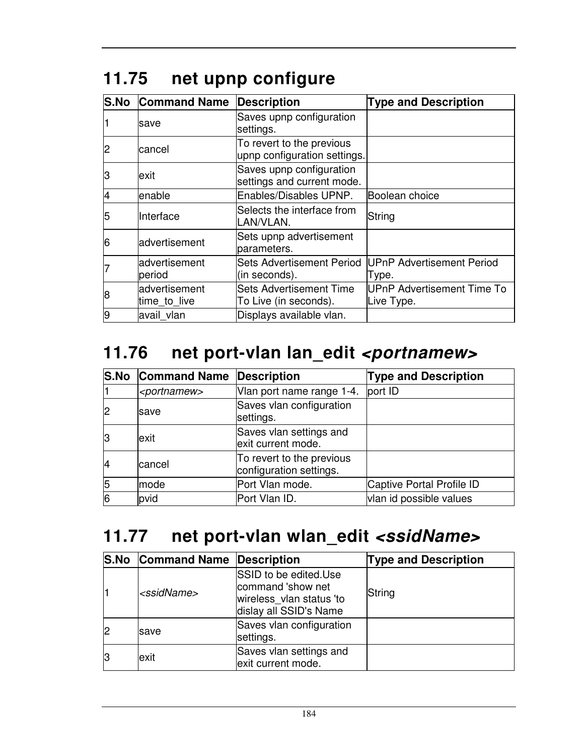| <b>S.No</b> | <b>Command Name</b>            | <b>Description</b>                                        | <b>Type and Description</b>                     |
|-------------|--------------------------------|-----------------------------------------------------------|-------------------------------------------------|
|             | save                           | Saves upnp configuration<br>settings.                     |                                                 |
| 2           | cancel                         | To revert to the previous<br>upnp configuration settings. |                                                 |
| З           | exit                           | Saves upnp configuration<br>settings and current mode.    |                                                 |
| 4           | enable                         | Enables/Disables UPNP.                                    | Boolean choice                                  |
| 5           | Interface                      | Selects the interface from<br>LAN/VLAN.                   | String                                          |
| 6           | advertisement                  | Sets upnp advertisement<br>parameters.                    |                                                 |
|             | advertisement<br>period        | <b>Sets Advertisement Period</b><br>(in seconds).         | UPnP Advertisement Period<br>Type.              |
| 8           | ladvertisement<br>time_to_live | <b>Sets Advertisement Time</b><br>To Live (in seconds).   | <b>UPnP Advertisement Time To</b><br>Live Type. |
| 9           | avail vlan                     | Displays available vlan.                                  |                                                 |

# **11.75 net upnp configure**

### 11.76 net port-vlan lan\_edit <portnamew>

|    | <b>S.No Command Name Description</b> |                                                      | <b>Type and Description</b> |
|----|--------------------------------------|------------------------------------------------------|-----------------------------|
|    | <portnamew></portnamew>              | Vlan port name range 1-4.                            | port ID                     |
| 2  | save                                 | Saves vlan configuration<br>settings.                |                             |
| 13 | exit                                 | Saves vlan settings and<br>exit current mode.        |                             |
| 14 | cancel                               | To revert to the previous<br>configuration settings. |                             |
| 5  | mode                                 | Port Vlan mode.                                      | Captive Portal Profile ID   |
| 6  | pvid                                 | Port Vlan ID.                                        | vlan id possible values     |

# **11.77 net port-vlan wlan\_edit <ssidName>**

|    | <b>S.No Command Name Description</b> |                                                                                                  | <b>Type and Description</b> |
|----|--------------------------------------|--------------------------------------------------------------------------------------------------|-----------------------------|
|    | <ssidname></ssidname>                | SSID to be edited.Use<br>command 'show net<br>wireless_vlan status 'to<br>dislay all SSID's Name | String                      |
| 12 | save                                 | Saves vlan configuration<br>settings.                                                            |                             |
| 13 | exit                                 | Saves vlan settings and<br>exit current mode.                                                    |                             |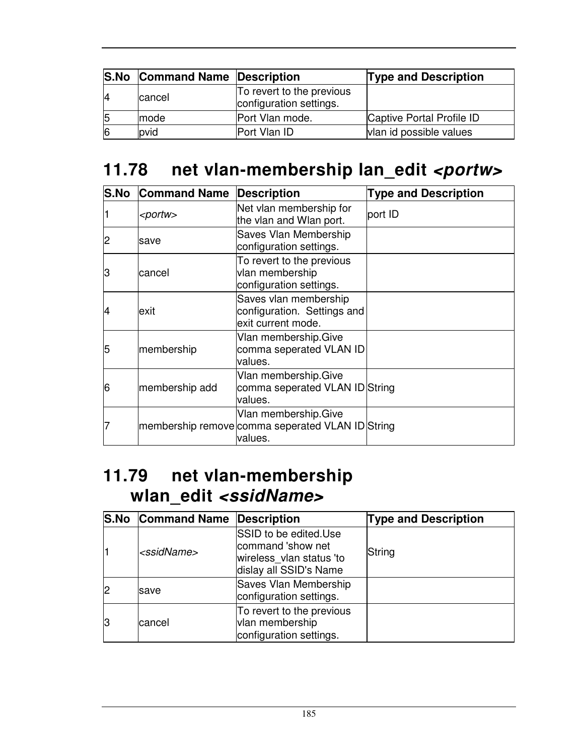|              | <b>S.No Command Name Description</b> |                                                      | <b>Type and Description</b> |
|--------------|--------------------------------------|------------------------------------------------------|-----------------------------|
| 14           | cancel                               | To revert to the previous<br>configuration settings. |                             |
| 15           | Imode                                | Port Vlan mode.                                      | Captive Portal Profile ID   |
| <sup>6</sup> | pvid                                 | Port Vlan ID                                         | vlan id possible values     |

## 11.78 net vlan-membership lan\_edit <portw>

|    | <b>S.No Command Name</b> | <b>Description</b>                                                                   | <b>Type and Description</b> |
|----|--------------------------|--------------------------------------------------------------------------------------|-----------------------------|
|    | <portw></portw>          | Net vlan membership for<br>the vlan and Wlan port.                                   | port ID                     |
| 2  | save                     | Saves Vlan Membership<br>configuration settings.                                     |                             |
| З  | lcancel                  | To revert to the previous<br>vlan membership<br>configuration settings.              |                             |
| 14 | exit                     | Saves vlan membership<br>configuration. Settings and<br>exit current mode.           |                             |
| 5  | membership               | Vlan membership.Give<br>comma seperated VLAN ID<br>values.                           |                             |
| 6  | membership add           | Vlan membership.Give<br>comma seperated VLAN ID String<br>lvalues.                   |                             |
|    |                          | Vlan membership. Give<br>membership remove comma seperated VLAN ID String<br>values. |                             |

#### **11.79 net vlan-membership wlan\_edit <ssidName>**

|    | <b>S.No Command Name Description</b> |                                                                                                  | <b>Type and Description</b> |
|----|--------------------------------------|--------------------------------------------------------------------------------------------------|-----------------------------|
|    | <ssidname></ssidname>                | SSID to be edited.Use<br>command 'show net<br>wireless vlan status 'to<br>dislay all SSID's Name | String                      |
|    | save                                 | Saves Vlan Membership<br>configuration settings.                                                 |                             |
| 13 | cancel                               | To revert to the previous<br>vlan membership<br>configuration settings.                          |                             |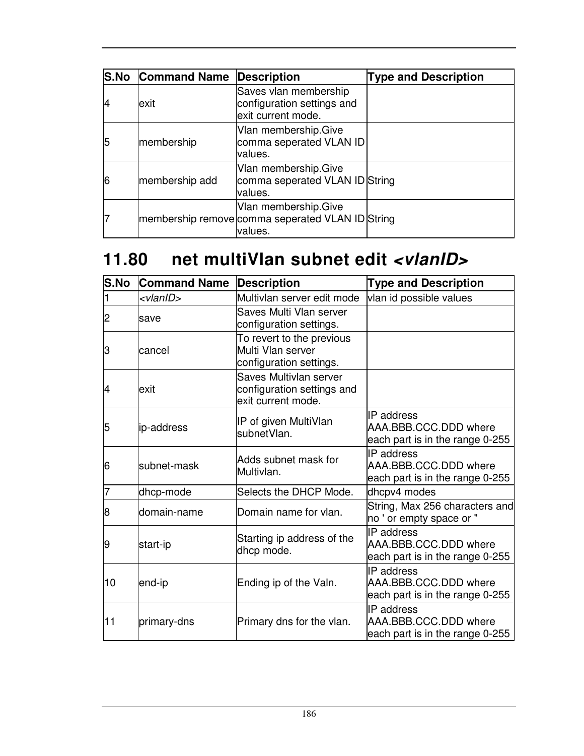|    | <b>S.No Command Name</b> | Description                                                                          | <b>Type and Description</b> |
|----|--------------------------|--------------------------------------------------------------------------------------|-----------------------------|
| 14 | exit                     | Saves vlan membership<br>configuration settings and<br>exit current mode.            |                             |
| 5  | membership               | Vlan membership. Give<br>comma seperated VLAN ID<br>values.                          |                             |
| 6  | membership add           | Vlan membership.Give<br>comma seperated VLAN ID String<br>values.                    |                             |
|    |                          | Vlan membership. Give<br>membership remove comma seperated VLAN ID String<br>values. |                             |

### **11.80 net multiVlan subnet edit <vlanID>**

| S.No | <b>Command Name</b> | <b>Description</b>                                                         | <b>Type and Description</b>                                                   |
|------|---------------------|----------------------------------------------------------------------------|-------------------------------------------------------------------------------|
|      | <vlanid></vlanid>   | Multivlan server edit mode                                                 | vlan id possible values                                                       |
| 2    | save                | Saves Multi Vlan server<br>configuration settings.                         |                                                                               |
| З    | cancel              | To revert to the previous<br>Multi Vlan server<br>configuration settings.  |                                                                               |
| 4    | lexit               | Saves Multivlan server<br>configuration settings and<br>exit current mode. |                                                                               |
| 5    | ip-address          | IP of given MultiVlan<br>subnetVlan.                                       | <b>IP</b> address<br>AAA.BBB.CCC.DDD where<br>each part is in the range 0-255 |
| 6    | subnet-mask         | Adds subnet mask for<br>Multivlan.                                         | IP address<br>AAA.BBB.CCC.DDD where<br>each part is in the range 0-255        |
| 7    | dhcp-mode           | Selects the DHCP Mode.                                                     | dhcpv4 modes                                                                  |
| 8    | domain-name         | Domain name for vlan.                                                      | String, Max 256 characters and<br>no ' or empty space or "                    |
| 9    | start-ip            | Starting ip address of the<br>dhcp mode.                                   | IP address<br>AAA.BBB.CCC.DDD where<br>each part is in the range 0-255        |
| 10   | end-ip              | Ending ip of the Valn.                                                     | IP address<br>AAA.BBB.CCC.DDD where<br>each part is in the range 0-255        |
| 11   | primary-dns         | Primary dns for the vlan.                                                  | IP address<br>AAA.BBB.CCC.DDD where<br>each part is in the range 0-255        |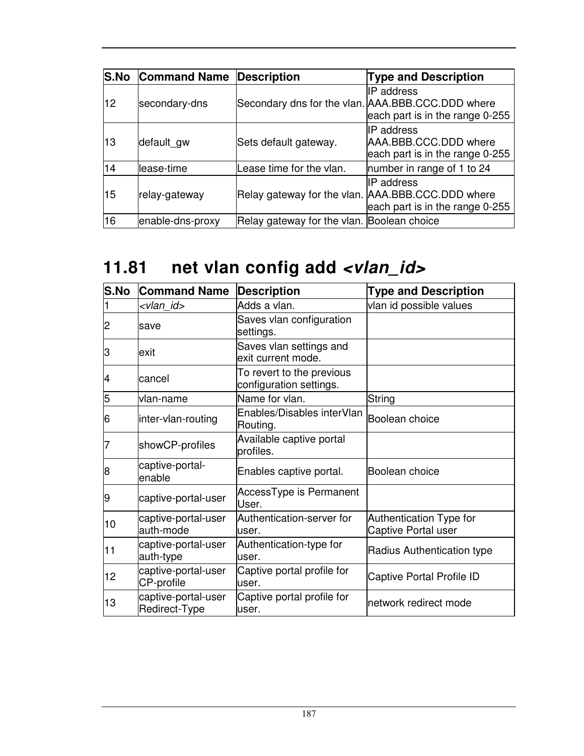| S.No | <b>Command Name Description</b> |                                            | <b>Type and Description</b>                                                                               |
|------|---------------------------------|--------------------------------------------|-----------------------------------------------------------------------------------------------------------|
| 12.  | secondary-dns                   |                                            | IP address<br>Secondary dns for the vlan. AAA.BBB.CCC.DDD where<br>each part is in the range 0-255        |
| 13   | default gw                      | Sets default gateway.                      | IP address<br>AAA.BBB.CCC.DDD where<br>each part is in the range 0-255                                    |
| 14   | lease-time                      | Lease time for the vlan.                   | number in range of 1 to 24                                                                                |
| 15   | relay-gateway                   |                                            | <b>IP</b> address<br>Relay gateway for the vlan. AAA.BBB.CCC.DDD where<br>each part is in the range 0-255 |
| 16   | enable-dns-proxy                | Relay gateway for the vlan. Boolean choice |                                                                                                           |

# 11.81 net vlan config add <vlan\_id>

| S.No | <b>Command Name</b>                  | <b>Description</b>                                   | <b>Type and Description</b>                    |
|------|--------------------------------------|------------------------------------------------------|------------------------------------------------|
|      | <vlan id=""></vlan>                  | Adds a vlan.                                         | vlan id possible values                        |
| 2    | save                                 | Saves vlan configuration<br>settings.                |                                                |
| З    | lexit                                | Saves vlan settings and<br>exit current mode.        |                                                |
| 4    | cancel                               | To revert to the previous<br>configuration settings. |                                                |
| 5    | vlan-name                            | Name for vlan.                                       | String                                         |
| 6    | inter-vlan-routing                   | Enables/Disables interVlan<br>Routing.               | Boolean choice                                 |
|      | showCP-profiles                      | Available captive portal<br>profiles.                |                                                |
| 8    | captive-portal-<br>enable            | Enables captive portal.                              | Boolean choice                                 |
| 19   | captive-portal-user                  | AccessType is Permanent<br>User.                     |                                                |
| 10   | captive-portal-user<br>auth-mode     | Authentication-server for<br>user.                   | Authentication Type for<br>Captive Portal user |
| 11   | captive-portal-user<br>auth-type     | Authentication-type for<br>user.                     | Radius Authentication type                     |
| 12   | captive-portal-user<br>CP-profile    | Captive portal profile for<br>user.                  | <b>Captive Portal Profile ID</b>               |
| 13   | captive-portal-user<br>Redirect-Type | Captive portal profile for<br>user.                  | network redirect mode                          |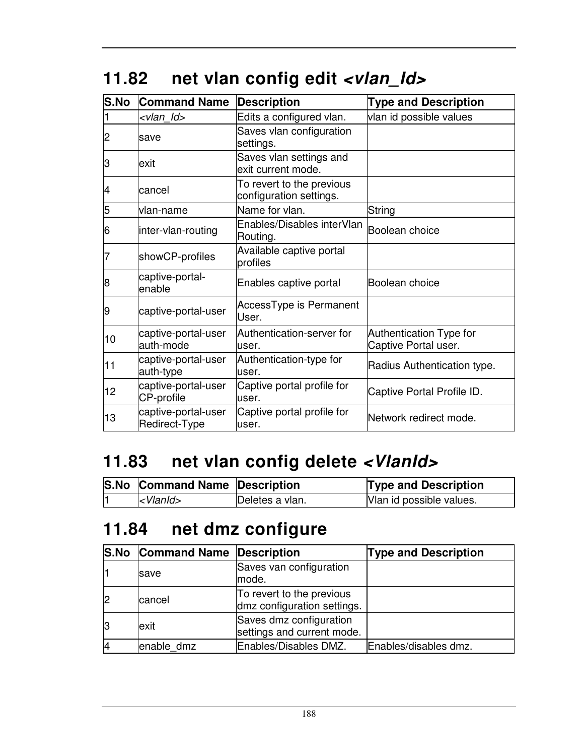|  |  | 11.82 net vlan config edit <vlan_ld></vlan_ld> |  |  |
|--|--|------------------------------------------------|--|--|
|--|--|------------------------------------------------|--|--|

| <b>S.No</b> | <b>Command Name</b>                  | <b>Description</b>                                   | <b>Type and Description</b>                     |
|-------------|--------------------------------------|------------------------------------------------------|-------------------------------------------------|
|             | <vlan ld=""></vlan>                  | Edits a configured vlan.                             | vlan id possible values                         |
| 2           | save                                 | Saves vlan configuration<br>settings.                |                                                 |
| З           | exit                                 | Saves vlan settings and<br>exit current mode.        |                                                 |
| 4           | cancel                               | To revert to the previous<br>configuration settings. |                                                 |
| 5           | lvlan-name                           | Name for vlan.                                       | String                                          |
| 6           | inter-vlan-routing                   | Enables/Disables interVlan<br>Routing.               | Boolean choice                                  |
|             | showCP-profiles                      | Available captive portal<br>profiles                 |                                                 |
| 8           | captive-portal-<br>enable            | Enables captive portal                               | Boolean choice                                  |
| 9           | captive-portal-user                  | AccessType is Permanent<br>User.                     |                                                 |
| 10          | captive-portal-user<br>auth-mode     | Authentication-server for<br>user.                   | Authentication Type for<br>Captive Portal user. |
| 11          | captive-portal-user<br>auth-type     | Authentication-type for<br>user.                     | Radius Authentication type.                     |
| 12          | captive-portal-user<br>CP-profile    | Captive portal profile for<br>user.                  | Captive Portal Profile ID.                      |
| 13          | captive-portal-user<br>Redirect-Type | Captive portal profile for<br>user.                  | Network redirect mode.                          |

# **11.83 net vlan config delete <VlanId>**

|    | S.No Command Name Description |                 | <b>Type and Description</b> |
|----|-------------------------------|-----------------|-----------------------------|
| I1 | $ $ < V $ $ and $\ge$         | Deletes a vlan. | Vlan id possible values.    |

# **11.84 net dmz configure**

|    | <b>S.No Command Name Description</b> |                                                          | <b>Type and Description</b> |
|----|--------------------------------------|----------------------------------------------------------|-----------------------------|
|    | save                                 | Saves van configuration<br>mode.                         |                             |
| l2 | cancel                               | To revert to the previous<br>dmz configuration settings. |                             |
| 13 | lexit                                | Saves dmz configuration<br>settings and current mode.    |                             |
| 14 | enable dmz                           | Enables/Disables DMZ.                                    | Enables/disables dmz.       |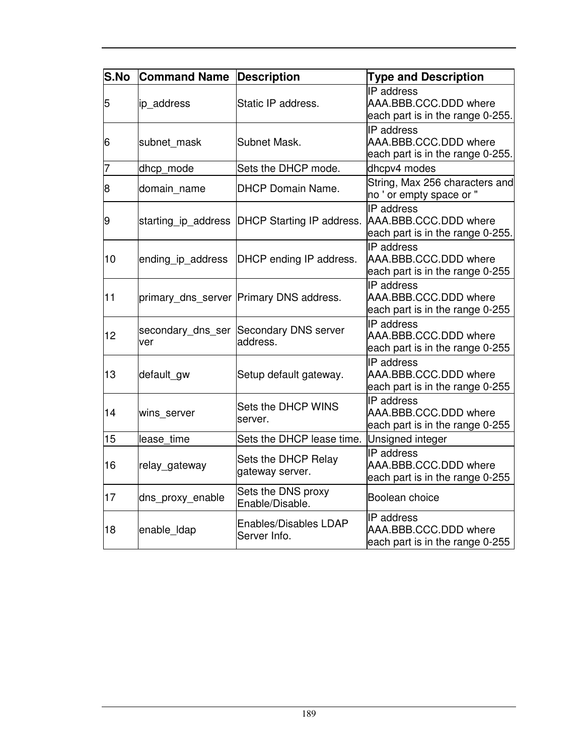| S.No | <b>Command Name</b> | <b>Description</b>                                 | <b>Type and Description</b>                                                    |
|------|---------------------|----------------------------------------------------|--------------------------------------------------------------------------------|
| 5    | ip_address          | Static IP address.                                 | IP address<br>AAA.BBB.CCC.DDD where<br>each part is in the range 0-255.        |
| 6    | subnet mask         | Subnet Mask.                                       | IP address<br>AAA.BBB.CCC.DDD where<br>each part is in the range 0-255.        |
| 7    | dhcp_mode           | Sets the DHCP mode.                                | dhcpv4 modes                                                                   |
| 8    | domain name         | <b>DHCP Domain Name.</b>                           | String, Max 256 characters and<br>no ' or empty space or "                     |
| 9    | starting_ip_address | DHCP Starting IP address.                          | <b>IP</b> address<br>AAA.BBB.CCC.DDD where<br>each part is in the range 0-255. |
| 10   | ending ip address   | DHCP ending IP address.                            | IP address<br>AAA.BBB.CCC.DDD where<br>each part is in the range 0-255         |
| 11   |                     | primary dns server Primary DNS address.            | IP address<br>AAA.BBB.CCC.DDD where<br>each part is in the range 0-255         |
| 12   | ver                 | secondary_dns_ser Secondary DNS server<br>address. | IP address<br>AAA.BBB.CCC.DDD where<br>each part is in the range 0-255         |
| 13   | default_gw          | Setup default gateway.                             | IP address<br>AAA.BBB.CCC.DDD where<br>each part is in the range 0-255         |
| 14   | wins server         | Sets the DHCP WINS<br>server.                      | IP address<br>AAA.BBB.CCC.DDD where<br>each part is in the range 0-255         |
| 15   | lease time          | Sets the DHCP lease time.                          | Unsigned integer                                                               |
| 16   | relay_gateway       | Sets the DHCP Relay<br>gateway server.             | IP address<br>AAA.BBB.CCC.DDD where<br>each part is in the range 0-255         |
| 17   | dns_proxy_enable    | Sets the DNS proxy<br>Enable/Disable.              | Boolean choice                                                                 |
| 18   | enable_Idap         | <b>Enables/Disables LDAP</b><br>Server Info.       | IP address<br>AAA.BBB.CCC.DDD where<br>each part is in the range 0-255         |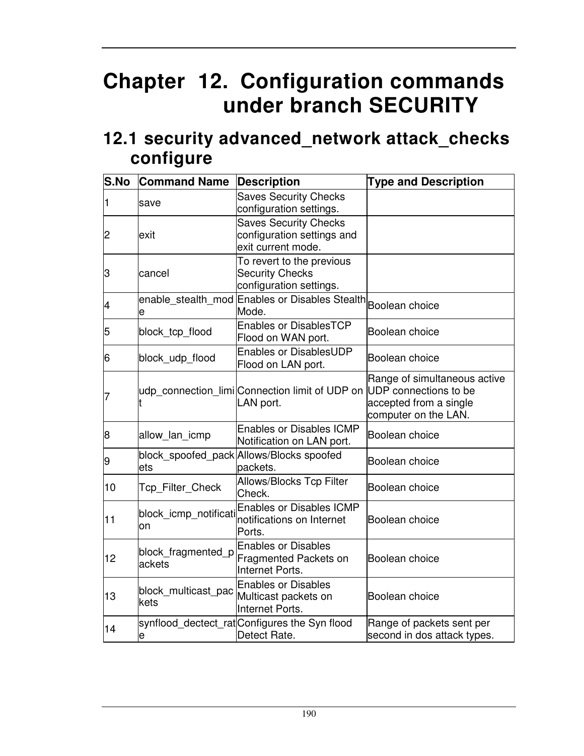# **Chapter 12. Configuration commands under branch SECURITY**

#### **12.1 security advanced\_network attack\_checks configure**

| S.No | <b>Command Name</b>          | <b>Description</b>                                                                | <b>Type and Description</b>                                                    |
|------|------------------------------|-----------------------------------------------------------------------------------|--------------------------------------------------------------------------------|
| 1    | save                         | <b>Saves Security Checks</b><br>configuration settings.                           |                                                                                |
| 2    | exit                         | <b>Saves Security Checks</b><br>configuration settings and<br>exit current mode.  |                                                                                |
| З    | cancel                       | To revert to the previous<br><b>Security Checks</b><br>configuration settings.    |                                                                                |
| 4    | e                            | enable_stealth_mod Enables or Disables Stealth Boolean choice<br>Mode.            |                                                                                |
| 5    | block_tcp_flood              | <b>Enables or DisablesTCP</b><br>Flood on WAN port.                               | Boolean choice                                                                 |
| 6    | block_udp_flood              | <b>Enables or DisablesUDP</b><br>Flood on LAN port.                               | Boolean choice                                                                 |
| 7    |                              | udp_connection_limi Connection limit of UDP on UDP connections to be<br>LAN port. | Range of simultaneous active<br>accepted from a single<br>computer on the LAN. |
| 8    | allow lan icmp               | <b>Enables or Disables ICMP</b><br>Notification on LAN port.                      | Boolean choice                                                                 |
| 9    | ets                          | block_spoofed_pack Allows/Blocks spoofed<br>packets.                              | Boolean choice                                                                 |
| 10   | Tcp_Filter_Check             | <b>Allows/Blocks Tcp Filter</b><br>Check.                                         | Boolean choice                                                                 |
| 11   | block_icmp_notificati<br>on  | <b>Enables or Disables ICMP</b><br>notifications on Internet<br>Ports.            | Boolean choice                                                                 |
| 12   | block_fragmented_p<br>ackets | <b>Enables or Disables</b><br>Fragmented Packets on<br>Internet Ports.            | Boolean choice                                                                 |
| 13   | block multicast pac<br>kets  | <b>Enables or Disables</b><br>Multicast packets on<br>Internet Ports.             | Boolean choice                                                                 |
| 14   | e                            | synflood_dectect_rat Configures the Syn flood<br>Detect Rate.                     | Range of packets sent per<br>second in dos attack types.                       |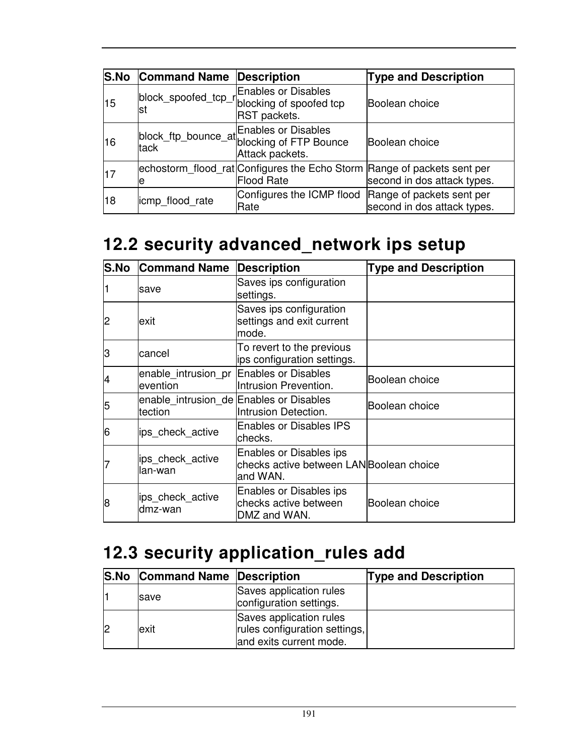| <b>S.No</b> | <b>Command Name Description</b> |                                                                                                        | <b>Type and Description</b> |
|-------------|---------------------------------|--------------------------------------------------------------------------------------------------------|-----------------------------|
| 15          | lst                             | <b>Enables or Disables</b><br><b>RST</b> packets.                                                      | Boolean choice              |
| 16          | tack                            | block_ftp_bounce_at Enables or Disables<br>tack_tp_bounce_at blocking of FTP Bounce<br>Attack packets. | Boolean choice              |
| 17          | е                               | echostorm_flood_rat Configures the Echo Storm Range of packets sent per<br><b>Flood Rate</b>           | second in dos attack types. |
| 18          | icmp flood rate                 | Configures the ICMP flood Range of packets sent per<br>Rate                                            | second in dos attack types. |

## **12.2 security advanced\_network ips setup**

| <b>S.No</b> | <b>Command Name</b>                                | <b>Description</b>                                                             | <b>Type and Description</b> |
|-------------|----------------------------------------------------|--------------------------------------------------------------------------------|-----------------------------|
|             | save                                               | Saves ips configuration<br>settings.                                           |                             |
| 2           | exit                                               | Saves ips configuration<br>settings and exit current<br>mode.                  |                             |
| З           | cancel                                             | To revert to the previous<br>ips configuration settings.                       |                             |
| 4           | enable intrusion pr<br>levention                   | <b>Enables or Disables</b><br>Intrusion Prevention.                            | Boolean choice              |
| 5           | enable_intrusion_de Enables or Disables<br>tection | Intrusion Detection.                                                           | Boolean choice              |
| 6           | ips_check_active                                   | <b>Enables or Disables IPS</b><br>checks.                                      |                             |
|             | ips_check_active<br>llan-wan                       | Enables or Disables ips<br>checks active between LANBoolean choice<br>and WAN. |                             |
| 8           | ips_check_active<br>dmz-wan                        | Enables or Disables ips<br>checks active between<br>DMZ and WAN.               | Boolean choice              |

# **12.3 security application\_rules add**

| <b>S.No Command Name Description</b> |                                                                                     | <b>Type and Description</b> |
|--------------------------------------|-------------------------------------------------------------------------------------|-----------------------------|
| <b>Save</b>                          | Saves application rules<br>configuration settings.                                  |                             |
| lexit                                | Saves application rules<br>rules configuration settings,<br>and exits current mode. |                             |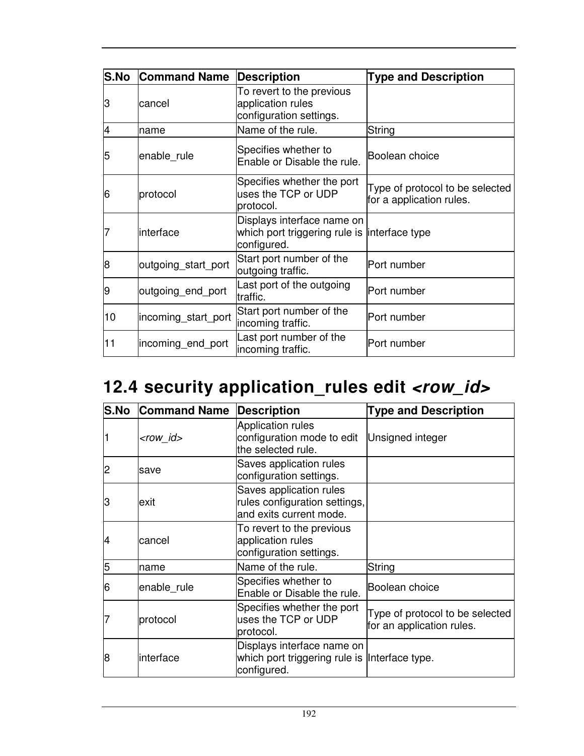| <b>S.No</b> | <b>Command Name</b> | Description                                                                               | <b>Type and Description</b>                                 |
|-------------|---------------------|-------------------------------------------------------------------------------------------|-------------------------------------------------------------|
| З           | lcancel             | To revert to the previous<br>application rules<br>configuration settings.                 |                                                             |
| 4           | name                | Name of the rule.                                                                         | String                                                      |
| 5           | enable rule         | Specifies whether to<br>Enable or Disable the rule.                                       | Boolean choice                                              |
| 16          | protocol            | Specifies whether the port<br>uses the TCP or UDP<br>protocol.                            | Type of protocol to be selected<br>for a application rules. |
|             | interface           | Displays interface name on<br>which port triggering rule is interface type<br>configured. |                                                             |
| 8           | outgoing start port | Start port number of the<br>outgoing traffic.                                             | Port number                                                 |
| 19          | outgoing_end_port   | Last port of the outgoing<br>traffic.                                                     | Port number                                                 |
| 10          | incoming_start_port | Start port number of the<br>incoming traffic.                                             | Port number                                                 |
| 11          | incoming end port   | Last port number of the<br>incoming traffic.                                              | Port number                                                 |

# 12.4 security application\_rules edit <row\_id>

| <b>S.No</b> | <b>Command Name</b> | <b>Description</b>                                                                          | <b>Type and Description</b>                                  |
|-------------|---------------------|---------------------------------------------------------------------------------------------|--------------------------------------------------------------|
|             | <row_id></row_id>   | <b>Application rules</b><br>configuration mode to edit<br>the selected rule.                | Unsigned integer                                             |
| 2           | save                | Saves application rules<br>configuration settings.                                          |                                                              |
| З           | lexit               | Saves application rules<br>rules configuration settings,<br>and exits current mode.         |                                                              |
| 4           | cancel              | To revert to the previous<br>application rules<br>configuration settings.                   |                                                              |
| 5           | name                | Name of the rule.                                                                           | String                                                       |
| 6           | enable rule         | Specifies whether to<br>Enable or Disable the rule.                                         | Boolean choice                                               |
|             | protocol            | Specifies whether the port<br>uses the TCP or UDP<br>protocol.                              | Type of protocol to be selected<br>for an application rules. |
| 8           | interface           | Displays interface name on<br>which port triggering rule is linterface type.<br>configured. |                                                              |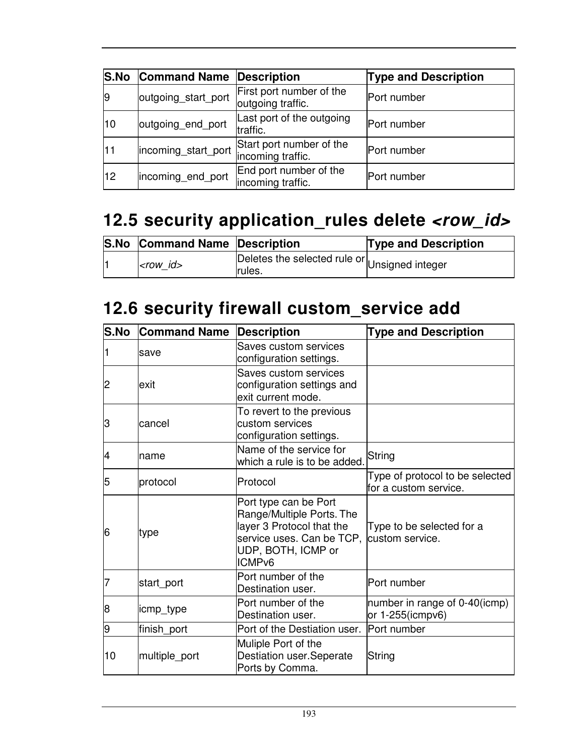| <b>S.No</b>    | <b>Command Name Description</b> |                                               | <b>Type and Description</b> |
|----------------|---------------------------------|-----------------------------------------------|-----------------------------|
| $\overline{9}$ | outgoing start port             | First port number of the<br>outgoing traffic. | Port number                 |
| 10             | outgoing end port               | Last port of the outgoing<br>traffic.         | Port number                 |
| 11             | incoming start port             | Start port number of the<br>incoming traffic. | Port number                 |
| 12             | incoming_end_port               | End port number of the<br>incoming traffic.   | Port number                 |

# **12.5 security application\_rules delete <row\_id>**

| <b>S.No Command Name Description</b> |                                                         | <b>Type and Description</b> |
|--------------------------------------|---------------------------------------------------------|-----------------------------|
| $ <$ row id $>$                      | Deletes the selected rule or Unsigned integer<br>rules. |                             |

## **12.6 security firewall custom\_service add**

| <b>S.No</b> | <b>Command Name</b> | <b>Description</b>                                                                                                                                                       | <b>Type and Description</b>                              |
|-------------|---------------------|--------------------------------------------------------------------------------------------------------------------------------------------------------------------------|----------------------------------------------------------|
| 1           | save                | <b>Saves custom services</b><br>configuration settings.                                                                                                                  |                                                          |
| 2           | lexit               | Saves custom services<br>configuration settings and<br>exit current mode.                                                                                                |                                                          |
| З           | cancel              | To revert to the previous<br>custom services<br>configuration settings.                                                                                                  |                                                          |
| 4           | name                | Name of the service for<br>which a rule is to be added.                                                                                                                  | String                                                   |
| 5           | protocol            | Protocol                                                                                                                                                                 | Type of protocol to be selected<br>for a custom service. |
| 6           | type                | Port type can be Port<br>Range/Multiple Ports. The<br>layer 3 Protocol that the<br>service uses. Can be TCP, custom service.<br>UDP, BOTH, ICMP or<br>ICMP <sub>v6</sub> | Type to be selected for a                                |
| 7           | start_port          | Port number of the<br>Destination user.                                                                                                                                  | Port number                                              |
| 8           | icmp_type           | Port number of the<br>Destination user.                                                                                                                                  | number in range of 0-40(icmp)<br>or $1-255$ (icmpv6)     |
| 9           | finish_port         | Port of the Destiation user.                                                                                                                                             | Port number                                              |
| 10          | multiple_port       | Muliple Port of the<br>Destiation user.Seperate<br>Ports by Comma.                                                                                                       | String                                                   |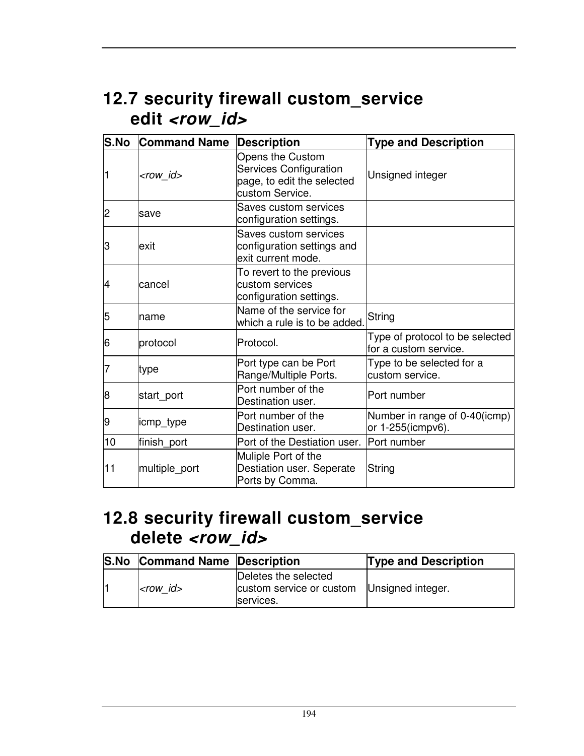## **12.7 security firewall custom\_service edit <row\_id>**

| S.No | <b>Command Name</b> | <b>Description</b>                                                                                 | <b>Type and Description</b>                               |
|------|---------------------|----------------------------------------------------------------------------------------------------|-----------------------------------------------------------|
|      | <row_id></row_id>   | Opens the Custom<br><b>Services Configuration</b><br>page, to edit the selected<br>custom Service. | Unsigned integer                                          |
| 2    | save                | Saves custom services<br>configuration settings.                                                   |                                                           |
| З    | exit                | Saves custom services<br>configuration settings and<br>exit current mode.                          |                                                           |
| 4    | lcancel             | To revert to the previous<br>custom services<br>configuration settings.                            |                                                           |
| 5    | name                | Name of the service for<br>which a rule is to be added.                                            | String                                                    |
| 6    | protocol            | Protocol.                                                                                          | Type of protocol to be selected<br>lfor a custom service. |
|      | type                | Port type can be Port<br>Range/Multiple Ports.                                                     | Type to be selected for a<br>custom service.              |
| 8    | start_port          | Port number of the<br>Destination user.                                                            | Port number                                               |
| 9    | icmp_type           | Port number of the<br>Destination user.                                                            | Number in range of 0-40(icmp)<br>or 1-255(icmpv6).        |
| 10   | finish_port         | Port of the Destiation user.                                                                       | Port number                                               |
| 11   | multiple_port       | Muliple Port of the<br>Destiation user. Seperate<br>Ports by Comma.                                | String                                                    |

#### **12.8 security firewall custom\_service delete <row\_id>**

| <b>S.No Command Name Description</b> |                                                                                 | <b>Type and Description</b> |
|--------------------------------------|---------------------------------------------------------------------------------|-----------------------------|
| $<$ row id $>$                       | Deletes the selected<br>custom service or custom Unsigned integer.<br>services. |                             |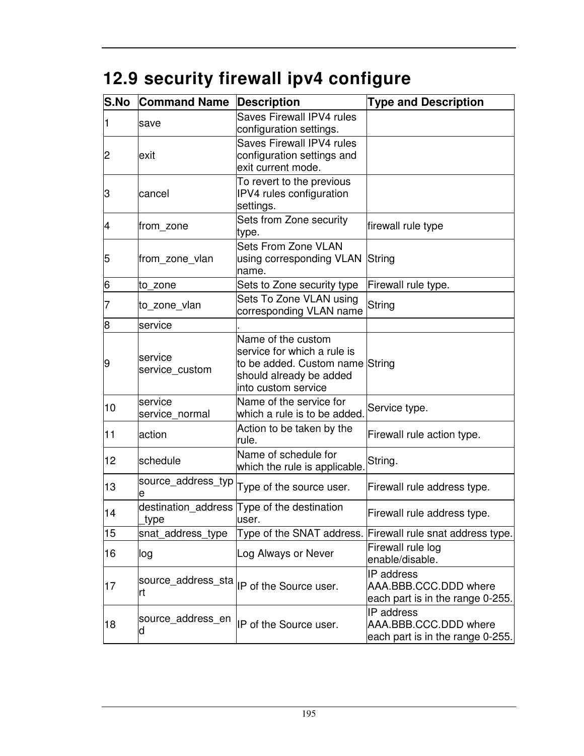# **12.9 security firewall ipv4 configure**

| <b>S.No</b>    | <b>Command Name</b>       | <b>Description</b>                                                                                                                     | <b>Type and Description</b>                                                    |
|----------------|---------------------------|----------------------------------------------------------------------------------------------------------------------------------------|--------------------------------------------------------------------------------|
| 1              | save                      | Saves Firewall IPV4 rules<br>configuration settings.                                                                                   |                                                                                |
| $\overline{2}$ | lexit                     | <b>Saves Firewall IPV4 rules</b><br>configuration settings and<br>exit current mode.                                                   |                                                                                |
| З              | cancel                    | To revert to the previous<br>IPV4 rules configuration<br>settings.                                                                     |                                                                                |
| 4              | from zone                 | Sets from Zone security<br>type.                                                                                                       | firewall rule type                                                             |
| 5              | from_zone_vlan            | <b>Sets From Zone VLAN</b><br>using corresponding VLAN<br>name.                                                                        | String                                                                         |
| 6              | to zone                   | Sets to Zone security type                                                                                                             | Firewall rule type.                                                            |
| 7              | to_zone_vlan              | Sets To Zone VLAN using<br>corresponding VLAN name                                                                                     | String                                                                         |
| 8              | service                   |                                                                                                                                        |                                                                                |
| 9              | service<br>service_custom | Name of the custom<br>service for which a rule is<br>to be added. Custom name String<br>should already be added<br>into custom service |                                                                                |
| 10             | service<br>service normal | Name of the service for<br>which a rule is to be added.                                                                                | Service type.                                                                  |
| 11             | action                    | Action to be taken by the<br>rule.                                                                                                     | Firewall rule action type.                                                     |
| 12             | schedule                  | Name of schedule for<br>which the rule is applicable.                                                                                  | String.                                                                        |
| 13             | source_address_typ<br>e   | Type of the source user.                                                                                                               | Firewall rule address type.                                                    |
| 14             | type                      | destination_address Type of the destination<br>user.                                                                                   | Firewall rule address type.                                                    |
| 15             | snat_address_type         |                                                                                                                                        | Type of the SNAT address. Firewall rule snat address type.                     |
| 16             | log                       | Log Always or Never                                                                                                                    | Firewall rule log<br>enable/disable.                                           |
| 17             | rt                        |                                                                                                                                        | <b>IP</b> address<br>AAA.BBB.CCC.DDD where<br>each part is in the range 0-255. |
| 18             | source_address_en<br>d    | IP of the Source user.                                                                                                                 | <b>IP</b> address<br>AAA.BBB.CCC.DDD where<br>each part is in the range 0-255. |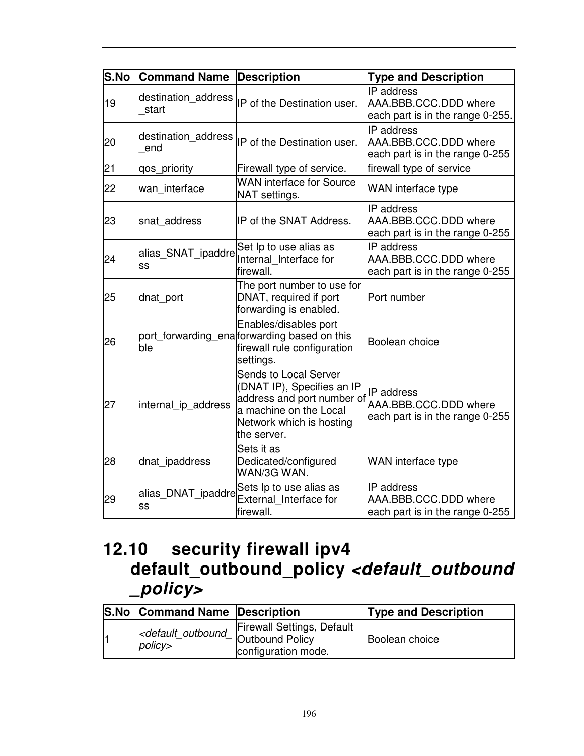| S.No | <b>Command Name</b>          | <b>Description</b>                                                                                                                                     | <b>Type and Description</b>                                                    |
|------|------------------------------|--------------------------------------------------------------------------------------------------------------------------------------------------------|--------------------------------------------------------------------------------|
| 19   | destination address<br>start | IP of the Destination user.                                                                                                                            | <b>IP</b> address<br>AAA.BBB.CCC.DDD where<br>each part is in the range 0-255. |
| 20   | destination address<br>end   | IP of the Destination user.                                                                                                                            | <b>IP</b> address<br>AAA.BBB.CCC.DDD where<br>each part is in the range 0-255  |
| 21   | qos_priority                 | Firewall type of service.                                                                                                                              | firewall type of service                                                       |
| 22   | wan_interface                | <b>WAN interface for Source</b><br>NAT settings.                                                                                                       | WAN interface type                                                             |
| 23   | snat address                 | IP of the SNAT Address.                                                                                                                                | IP address<br>AAA.BBB.CCC.DDD where<br>each part is in the range 0-255         |
| 24   | alias_SNAT_ipaddre<br>lss    | Set Ip to use alias as<br>Internal Interface for<br>firewall.                                                                                          | IP address<br>AAA.BBB.CCC.DDD where<br>each part is in the range 0-255         |
| 25   | dnat_port                    | The port number to use for<br>DNAT, required if port<br>forwarding is enabled.                                                                         | Port number                                                                    |
| 26   | ble                          | Enables/disables port<br>port_forwarding_ena forwarding based on this<br>firewall rule configuration<br>settings.                                      | Boolean choice                                                                 |
| 27   | internal ip address          | Sends to Local Server<br>(DNAT IP), Specifies an IP<br>address and port number of<br>a machine on the Local<br>Network which is hosting<br>the server. | IP address<br>AAA.BBB.CCC.DDD where<br>each part is in the range 0-255         |
| 28   | dnat_ipaddress               | Sets it as<br>Dedicated/configured<br>WAN/3G WAN.                                                                                                      | WAN interface type                                                             |
| 29   | alias_DNAT_ipaddre<br>lss    | Sets Ip to use alias as<br>External_Interface for<br>firewall.                                                                                         | IP address<br>AAA.BBB.CCC.DDD where<br>each part is in the range 0-255         |

## **12.10 security firewall ipv4 default\_outbound\_policy <default\_outbound \_policy>**

| <b>S.No Command Name Description</b>                    |                                                                        | <b>Type and Description</b> |
|---------------------------------------------------------|------------------------------------------------------------------------|-----------------------------|
| <default_outbound_<br>policy&gt;</default_outbound_<br> | Firewall Settings, Default<br>4 Outbound Policy<br>configuration mode. | Boolean choice              |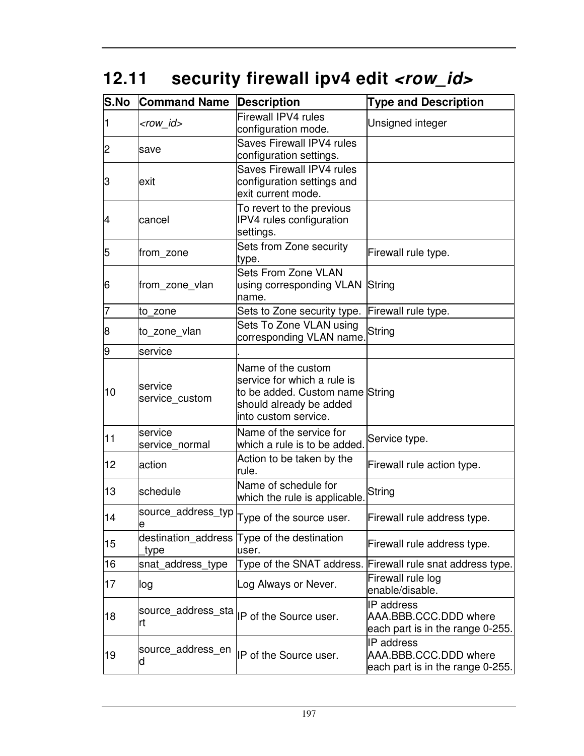# 12.11 security firewall ipv4 edit <row\_id>

| <b>S.No</b>    | <b>Command Name</b>       | <b>Description</b>                                                                                                                      | <b>Type and Description</b>                                             |
|----------------|---------------------------|-----------------------------------------------------------------------------------------------------------------------------------------|-------------------------------------------------------------------------|
| 1              | <row_id></row_id>         | Firewall IPV4 rules<br>configuration mode.                                                                                              | Unsigned integer                                                        |
| $\overline{c}$ | save                      | Saves Firewall IPV4 rules<br>configuration settings.                                                                                    |                                                                         |
| З              | exit                      | <b>Saves Firewall IPV4 rules</b><br>configuration settings and<br>exit current mode.                                                    |                                                                         |
| 4              | cancel                    | To revert to the previous<br>IPV4 rules configuration<br>settings.                                                                      |                                                                         |
| 5              | from_zone                 | Sets from Zone security<br>type.                                                                                                        | Firewall rule type.                                                     |
| 6              | from zone vlan            | <b>Sets From Zone VLAN</b><br>using corresponding VLAN String<br>name.                                                                  |                                                                         |
| 17             | to zone                   | Sets to Zone security type.                                                                                                             | Firewall rule type.                                                     |
| 8              | to_zone_vlan              | Sets To Zone VLAN using<br>corresponding VLAN name.                                                                                     | String                                                                  |
| 9              | service                   |                                                                                                                                         |                                                                         |
| 10             | service<br>service_custom | Name of the custom<br>service for which a rule is<br>to be added. Custom name String<br>should already be added<br>into custom service. |                                                                         |
| 11             | service<br>service normal | Name of the service for<br>which a rule is to be added.                                                                                 | Service type.                                                           |
| 12             | action                    | Action to be taken by the<br>rule.                                                                                                      | Firewall rule action type.                                              |
| 13             | schedule                  | Name of schedule for<br>which the rule is applicable.                                                                                   | String                                                                  |
| 14             | source_address_typ<br>е   | Type of the source user.                                                                                                                | Firewall rule address type.                                             |
| 15             | type                      | destination_address Type of the destination<br>user.                                                                                    | Firewall rule address type.                                             |
| 16             | snat_address_type         | Type of the SNAT address.                                                                                                               | Firewall rule snat address type.                                        |
| 17             | log                       | Log Always or Never.                                                                                                                    | Firewall rule log<br>enable/disable.                                    |
| 18             | source_address_sta<br>rt  | IP of the Source user.                                                                                                                  | IP address<br>AAA.BBB.CCC.DDD where<br>each part is in the range 0-255. |
| 19             | source_address_en<br>d    | IP of the Source user.                                                                                                                  | IP address<br>AAA.BBB.CCC.DDD where<br>each part is in the range 0-255. |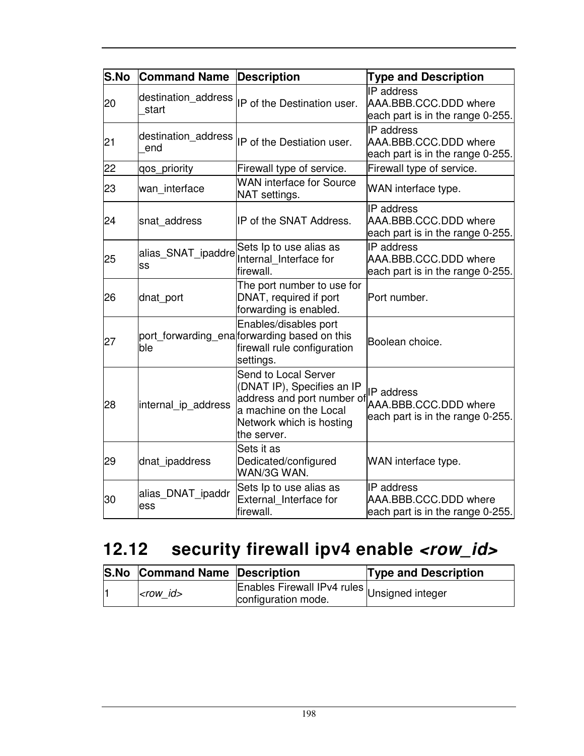| S.No | <b>Command Name</b>          | <b>Description</b>                                                                                                                                    | <b>Type and Description</b>                                                    |
|------|------------------------------|-------------------------------------------------------------------------------------------------------------------------------------------------------|--------------------------------------------------------------------------------|
| 20   | destination address<br>start | IP of the Destination user.                                                                                                                           | <b>IP</b> address<br>AAA.BBB.CCC.DDD where<br>each part is in the range 0-255. |
| 21   | destination_address<br>end   | IP of the Destiation user.                                                                                                                            | <b>IP</b> address<br>AAA.BBB.CCC.DDD where<br>each part is in the range 0-255. |
| 22   | qos_priority                 | Firewall type of service.                                                                                                                             | Firewall type of service.                                                      |
| 23   | wan interface                | <b>WAN interface for Source</b><br>NAT settings.                                                                                                      | WAN interface type.                                                            |
| 24   | snat_address                 | IP of the SNAT Address.                                                                                                                               | IP address<br>AAA.BBB.CCC.DDD where<br>each part is in the range 0-255.        |
| 25   | alias_SNAT_ipaddre<br>SS     | Sets Ip to use alias as<br>Internal Interface for<br>firewall.                                                                                        | IP address<br>AAA.BBB.CCC.DDD where<br>each part is in the range 0-255.        |
| 26   | dnat_port                    | The port number to use for<br>DNAT, required if port<br>forwarding is enabled.                                                                        | Port number.                                                                   |
| 27   | ble                          | Enables/disables port<br>port forwarding ena forwarding based on this<br>firewall rule configuration<br>settings.                                     | Boolean choice.                                                                |
| 28   | internal ip address          | Send to Local Server<br>(DNAT IP), Specifies an IP<br>address and port number of<br>a machine on the Local<br>Network which is hosting<br>the server. | IP address<br>AAA.BBB.CCC.DDD where<br>each part is in the range 0-255.        |
| 29   | dnat_ipaddress               | Sets it as<br>Dedicated/configured<br>WAN/3G WAN.                                                                                                     | WAN interface type.                                                            |
| 30   | alias_DNAT_ipaddr<br>ess     | Sets Ip to use alias as<br>External Interface for<br>firewall.                                                                                        | <b>IP</b> address<br>AAA.BBB.CCC.DDD where<br>each part is in the range 0-255. |

# 12.12 security firewall ipv4 enable <row\_id>

| <b>S.No Command Name Description</b> |                                                                     | <b>Type and Description</b> |
|--------------------------------------|---------------------------------------------------------------------|-----------------------------|
| $<$ row id $>$                       | Enables Firewall IPv4 rules Unsigned integer<br>configuration mode. |                             |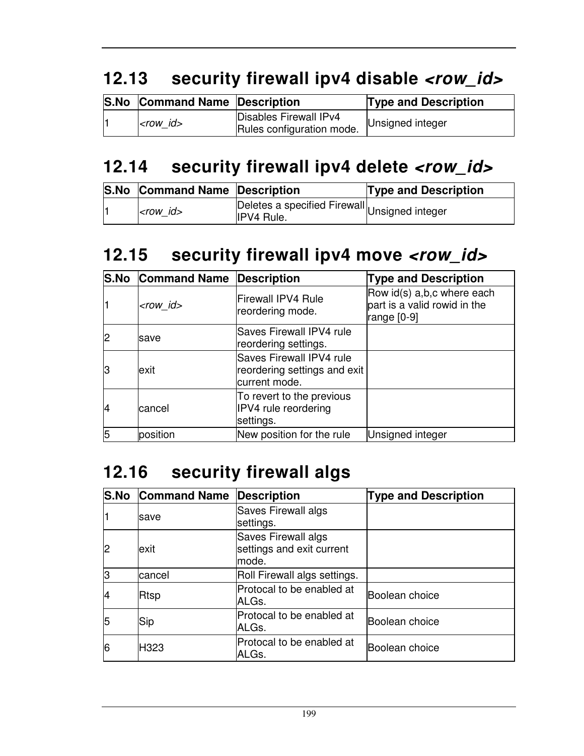# **12.13 security firewall ipv4 disable <row\_id>**

| <b>S.No Command Name Description</b> |                                                     | <b>Type and Description</b> |
|--------------------------------------|-----------------------------------------------------|-----------------------------|
| $<$ row id $>$                       | Disables Firewall IPv4<br>Rules configuration mode. | Unsigned integer            |

### **12.14 security firewall ipv4 delete <row\_id>**

| <b>S.No Command Name Description</b> |                                                                    | <b>Type and Description</b> |
|--------------------------------------|--------------------------------------------------------------------|-----------------------------|
| $<$ row id $>$                       | Deletes a specified Firewall Unsigned integer<br><b>IPV4 Rule.</b> |                             |

#### **12.15 security firewall ipv4 move <row\_id>**

|    | <b>S.No Command Name Description</b> |                                                                           | <b>Type and Description</b>                                                 |
|----|--------------------------------------|---------------------------------------------------------------------------|-----------------------------------------------------------------------------|
|    | $<$ row id $>$                       | Firewall IPV4 Rule<br>reordering mode.                                    | Row id(s) a,b,c where each<br>part is a valid rowid in the<br>range $[0-9]$ |
|    | save                                 | <b>Saves Firewall IPV4 rule</b><br>reordering settings.                   |                                                                             |
| lЗ | exit                                 | Saves Firewall IPV4 rule<br>reordering settings and exit<br>current mode. |                                                                             |
| 14 | cancel                               | To revert to the previous<br>IPV4 rule reordering<br>settings.            |                                                                             |
| 5  | position                             | New position for the rule                                                 | Unsigned integer                                                            |

### **12.16 security firewall algs**

|    | <b>S.No Command Name</b> | Description                                                | <b>Type and Description</b> |
|----|--------------------------|------------------------------------------------------------|-----------------------------|
|    | save                     | Saves Firewall algs<br>settings.                           |                             |
| 12 | exit                     | Saves Firewall algs<br>settings and exit current<br>lmode. |                             |
| l3 | cancel                   | Roll Firewall algs settings.                               |                             |
|    | Rtsp                     | Protocal to be enabled at<br>ALGs.                         | Boolean choice              |
| 5  | Sip                      | Protocal to be enabled at<br>ALGs.                         | lBoolean choice             |
| 6  | H323                     | Protocal to be enabled at<br>ALGs.                         | Boolean choice              |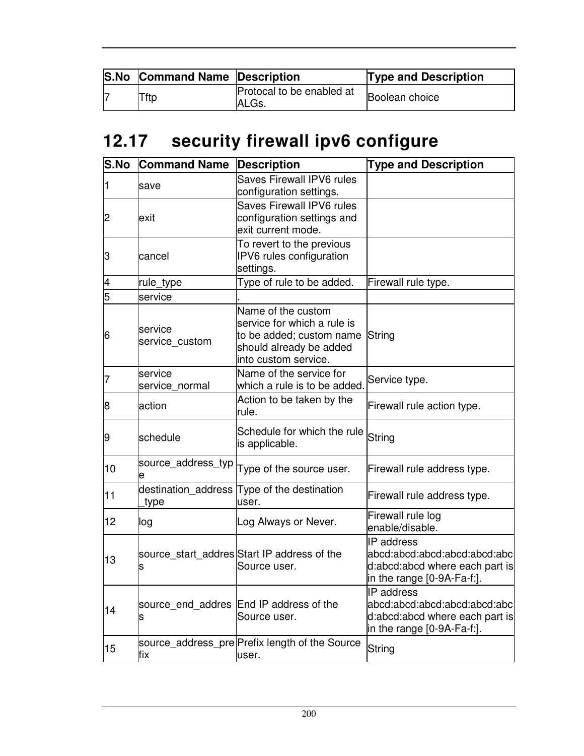| <b>S.No Command Name Description</b> |                                     | <b>Type and Description</b> |
|--------------------------------------|-------------------------------------|-----------------------------|
| Tftp                                 | Protocal to be enabled at<br>IALGs. | Boolean choice              |

# **12.17 security firewall ipv6 configure**

| S.No | <b>Command Name</b>       | <b>Description</b>                                                                                                               | <b>Type and Description</b>                                                                                               |
|------|---------------------------|----------------------------------------------------------------------------------------------------------------------------------|---------------------------------------------------------------------------------------------------------------------------|
| 1    | save                      | Saves Firewall IPV6 rules<br>configuration settings.                                                                             |                                                                                                                           |
| 2    | exit                      | Saves Firewall IPV6 rules<br>configuration settings and<br>exit current mode.                                                    |                                                                                                                           |
| З    | cancel                    | To revert to the previous<br>IPV6 rules configuration<br>settings.                                                               |                                                                                                                           |
| 4    | rule_type                 | Type of rule to be added.                                                                                                        | Firewall rule type.                                                                                                       |
| 5    | service                   |                                                                                                                                  |                                                                                                                           |
| 6    | service<br>service custom | Name of the custom<br>service for which a rule is<br>to be added; custom name<br>should already be added<br>into custom service. | String                                                                                                                    |
| 7    | service<br>service normal | Name of the service for<br>which a rule is to be added.                                                                          | Service type.                                                                                                             |
| 8    | action                    | Action to be taken by the<br>rule.                                                                                               | Firewall rule action type.                                                                                                |
| 9    | schedule                  | Schedule for which the rule<br>is applicable.                                                                                    | String                                                                                                                    |
| 10   | source_address_typ<br>е   | Type of the source user.                                                                                                         | Firewall rule address type.                                                                                               |
| 11   | type                      | destination_address Type of the destination<br>user.                                                                             | Firewall rule address type.                                                                                               |
| 12   | log                       | Log Always or Never.                                                                                                             | Firewall rule log<br>enable/disable.                                                                                      |
| 13   | s                         | source_start_addres Start IP address of the<br>Source user.                                                                      | <b>IP</b> address<br>abcd:abcd:abcd:abcd:abcd:abc<br>d:abcd:abcd where each part is<br>$\ln$ the range $[0-9A-Fa-f.]$ .   |
| 14   | s                         | source_end_addres End IP address of the<br>Source user.                                                                          | IP address<br>abcd:abcd:abcd:abcd:abcd:abc<br>d:abcd:abcd where each part is<br>$\vert$ in the range $\vert$ 0-9A-Fa-f:]. |
| 15   | fix                       | source_address_pre Prefix length of the Source<br>user.                                                                          | String                                                                                                                    |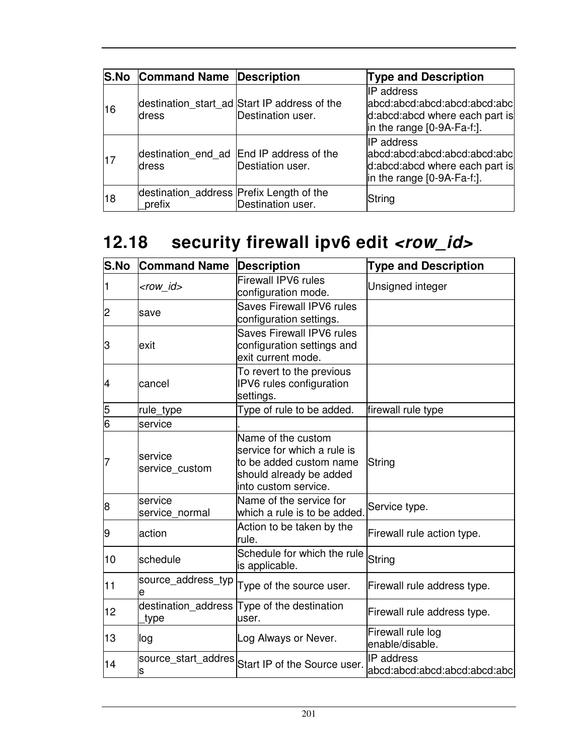|    | <b>S.No Command Name Description</b>               |                                                                   | <b>Type and Description</b>                                                                                          |
|----|----------------------------------------------------|-------------------------------------------------------------------|----------------------------------------------------------------------------------------------------------------------|
| 16 | ldress                                             | destination_start_ad Start IP address of the<br>Destination user. | <b>IP</b> address<br>abcd:abcd:abcd:abcd:abcd:abcl<br>d:abcd:abcd where each part is<br>in the range $[0-9A-Fa-f.].$ |
| 17 | ldress                                             | destination_end_ad End IP address of the<br>Destiation user.      | IP address<br>abcd:abcd:abcd:abcd:abcd:abc<br>d:abcd:abcd where each part is<br>$\ln$ the range $[0-9A-Fa-f.].$      |
| 18 | destination_address Prefix Length of the<br>prefix | Destination user.                                                 | String                                                                                                               |

# 12.18 security firewall ipv6 edit <row\_id>

| <b>S.No</b> | <b>Command Name</b>         | <b>Description</b>                                                                                                              | <b>Type and Description</b>                       |
|-------------|-----------------------------|---------------------------------------------------------------------------------------------------------------------------------|---------------------------------------------------|
|             | <row_id></row_id>           | <b>Firewall IPV6 rules</b><br>configuration mode.                                                                               | Unsigned integer                                  |
| 2           | save                        | Saves Firewall IPV6 rules<br>configuration settings.                                                                            |                                                   |
| З           | exit                        | <b>Saves Firewall IPV6 rules</b><br>configuration settings and<br>exit current mode.                                            |                                                   |
| 4           | cancel                      | To revert to the previous<br>IPV6 rules configuration<br>settings.                                                              |                                                   |
| 5           | rule_type                   | Type of rule to be added.                                                                                                       | firewall rule type                                |
| 6           | service                     |                                                                                                                                 |                                                   |
| 7           | service<br>service custom   | Name of the custom<br>service for which a rule is<br>to be added custom name<br>should already be added<br>into custom service. | String                                            |
| 8           | service<br>service normal   | Name of the service for<br>which a rule is to be added.                                                                         | Service type.                                     |
| 9           | laction                     | Action to be taken by the<br>rule.                                                                                              | Firewall rule action type.                        |
| 10          | schedule                    | Schedule for which the rule<br>is applicable.                                                                                   | String                                            |
| 11          | source_address_typ<br>e     | Type of the source user.                                                                                                        | Firewall rule address type.                       |
| 12          | destination address<br>type | Type of the destination<br>user.                                                                                                | Firewall rule address type.                       |
| 13          | log                         | Log Always or Never.                                                                                                            | Firewall rule log<br>enable/disable.              |
| 14          | source_start_addres<br>S    | Start IP of the Source user.                                                                                                    | <b>IP</b> address<br>abcd:abcd:abcd:abcd:abcd:abc |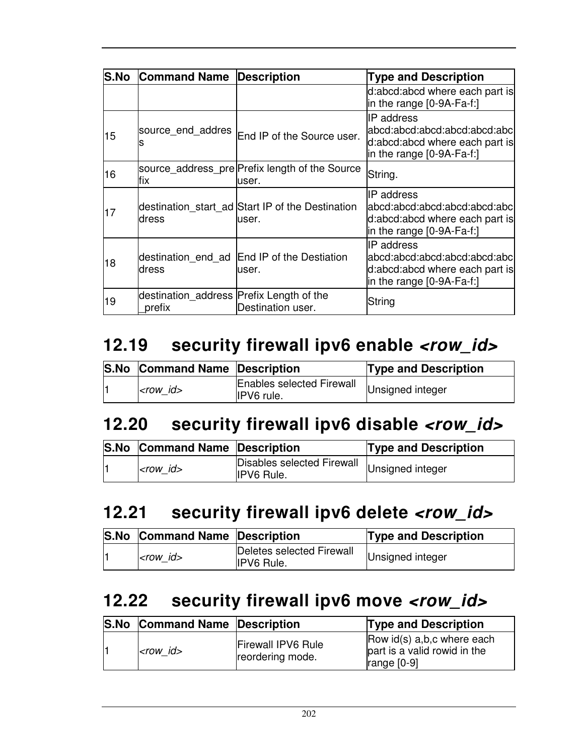| <b>S.No</b> | <b>Command Name Description</b>                    |                                                            | <b>Type and Description</b>                                                                                    |
|-------------|----------------------------------------------------|------------------------------------------------------------|----------------------------------------------------------------------------------------------------------------|
|             |                                                    |                                                            | d:abcd:abcd where each part is<br>in the range $[0-9A-Fa-f!]$                                                  |
| 15          | source end addres                                  | End IP of the Source user.                                 | IP address<br>abcd:abcd:abcd:abcd:abcd:abc<br>d:abcd:abcd where each part is<br>in the range $[0-9A-Fa-f!]$    |
| 16          | fix                                                | source_address_pre Prefix length of the Source<br>user.    | String.                                                                                                        |
| 17          | dress                                              | destination_start_ad Start IP of the Destination<br>luser. | IIP address<br>abcd:abcd:abcd:abcd:abcd:abcl<br>d:abcd:abcd where each part is<br>in the range [0-9A-Fa-f:]    |
| 18          | ldress                                             | destination_end_ad End IP of the Destiation<br>user.       | IIP address<br> abcd:abcd:abcd:abcd:abcd:abc <br>d:abcd:abcd where each part is<br>in the range $[0-9A-Fa-f!]$ |
| 19          | destination address Prefix Length of the<br>prefix | Destination user.                                          | String                                                                                                         |

## **12.19 security firewall ipv6 enable <row\_id>**

| <b>S.No Command Name Description</b> |                                         | <b>Type and Description</b> |
|--------------------------------------|-----------------------------------------|-----------------------------|
| $ <$ row id $>$                      | Enables selected Firewall<br>IPV6 rule. | Unsigned integer            |

#### **12.20 security firewall ipv6 disable <row\_id>**

| <b>S.No Command Name Description</b> |                                                                  | <b>Type and Description</b> |
|--------------------------------------|------------------------------------------------------------------|-----------------------------|
| $<$ row_id $>$                       | Disables selected Firewall Unsigned integer<br><b>IPV6 Rule.</b> |                             |

#### **12.21 security firewall ipv6 delete <row\_id>**

| <b>S.No Command Name Description</b> |                                                | <b>Type and Description</b> |
|--------------------------------------|------------------------------------------------|-----------------------------|
| <row id=""></row>                    | Deletes selected Firewall<br><b>IPV6 Rule.</b> | Unsigned integer            |

#### **12.22 security firewall ipv6 move <row\_id>**

| <b>S.No</b> | <b>Command Name Description</b> |                                               | <b>Type and Description</b>                                                 |
|-------------|---------------------------------|-----------------------------------------------|-----------------------------------------------------------------------------|
|             | $<$ row id $>$                  | <b>Firewall IPV6 Rule</b><br>reordering mode. | Row id(s) a,b,c where each<br>part is a valid rowid in the<br>range $[0-9]$ |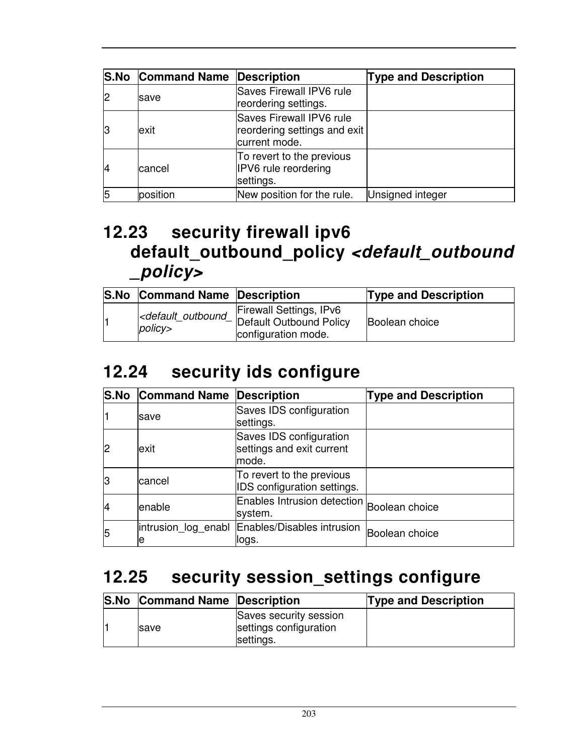|                | <b>S.No Command Name Description</b> |                                                                           | <b>Type and Description</b> |
|----------------|--------------------------------------|---------------------------------------------------------------------------|-----------------------------|
| $\overline{2}$ | <b>save</b>                          | Saves Firewall IPV6 rule<br>reordering settings.                          |                             |
| 13             | exit                                 | Saves Firewall IPV6 rule<br>reordering settings and exit<br>current mode. |                             |
| 14             | cancel                               | To revert to the previous<br>IPV6 rule reordering<br>settings.            |                             |
| 5              | position                             | New position for the rule.                                                | Unsigned integer            |

### **12.23 security firewall ipv6 default\_outbound\_policy <default\_outbound \_policy>**

| <b>S.No Command Name Description</b> |                                                                                                                           | <b>Type and Description</b> |
|--------------------------------------|---------------------------------------------------------------------------------------------------------------------------|-----------------------------|
| policy>                              | Firewall Settings, IPv6<br><default_outbound_ default="" outbound="" policy<br="">configuration mode.</default_outbound_> | Boolean choice              |

### **12.24 security ids configure**

|    | <b>S.No Command Name Description</b> |                                                               | <b>Type and Description</b> |
|----|--------------------------------------|---------------------------------------------------------------|-----------------------------|
|    | lsave                                | Saves IDS configuration<br>settings.                          |                             |
| l2 | exit                                 | Saves IDS configuration<br>settings and exit current<br>mode. |                             |
| IЗ | lcancel                              | To revert to the previous<br>IDS configuration settings.      |                             |
|    | lenable                              | Enables Intrusion detection Boolean choice<br>system.         |                             |
| 5  | intrusion log enabl<br>е             | Enables/Disables intrusion<br>logs.                           | Boolean choice              |

## **12.25 security session\_settings configure**

| <b>S.No Command Name Description</b> |                                                               | <b>Type and Description</b> |
|--------------------------------------|---------------------------------------------------------------|-----------------------------|
| <b>Save</b>                          | Saves security session<br>settings configuration<br>settings. |                             |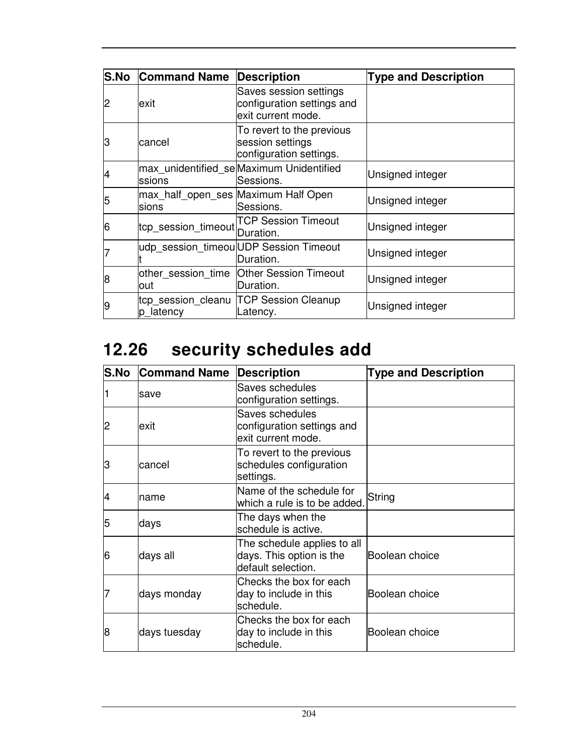| S.No | <b>Command Name</b>                           | Description                                                                | <b>Type and Description</b> |
|------|-----------------------------------------------|----------------------------------------------------------------------------|-----------------------------|
| 2    | exit                                          | Saves session settings<br>configuration settings and<br>exit current mode. |                             |
| З    | cancel                                        | To revert to the previous<br>session settings<br>configuration settings.   |                             |
|      | ssions                                        | max_unidentified_seMaximum Unidentified<br>Sessions.                       | Unsigned integer            |
| 5    | max_half_open_ses Maximum Half Open<br>lsions | Sessions.                                                                  | Unsigned integer            |
| 16   | tcp_session_timeout   United                  | <b>TCP Session Timeout</b>                                                 | Unsigned integer            |
|      |                                               | udp_session_timeou UDP Session Timeout<br>Duration.                        | Unsigned integer            |
| 18   | other_session_time<br>lout                    | <b>Other Session Timeout</b><br>Duration.                                  | Unsigned integer            |
| 9    | tcp_session_cleanu<br>p latency               | <b>TCP Session Cleanup</b><br>Latency.                                     | Unsigned integer            |

# **12.26 security schedules add**

| S.No | <b>Command Name</b> | <b>Description</b>                                                            | <b>Type and Description</b> |
|------|---------------------|-------------------------------------------------------------------------------|-----------------------------|
|      | save                | Saves schedules<br>configuration settings.                                    |                             |
| 2    | exit                | Saves schedules<br>configuration settings and<br>exit current mode.           |                             |
| З    | cancel              | To revert to the previous<br>schedules configuration<br>settings.             |                             |
| 14   | name                | Name of the schedule for<br>which a rule is to be added.                      | String                      |
| 5    | days                | The days when the<br>schedule is active.                                      |                             |
| 6    | days all            | The schedule applies to all<br>days. This option is the<br>default selection. | Boolean choice              |
| 7    | days monday         | Checks the box for each<br>day to include in this<br>schedule.                | Boolean choice              |
| 8    | days tuesday        | Checks the box for each<br>day to include in this<br>schedule.                | lBoolean choice             |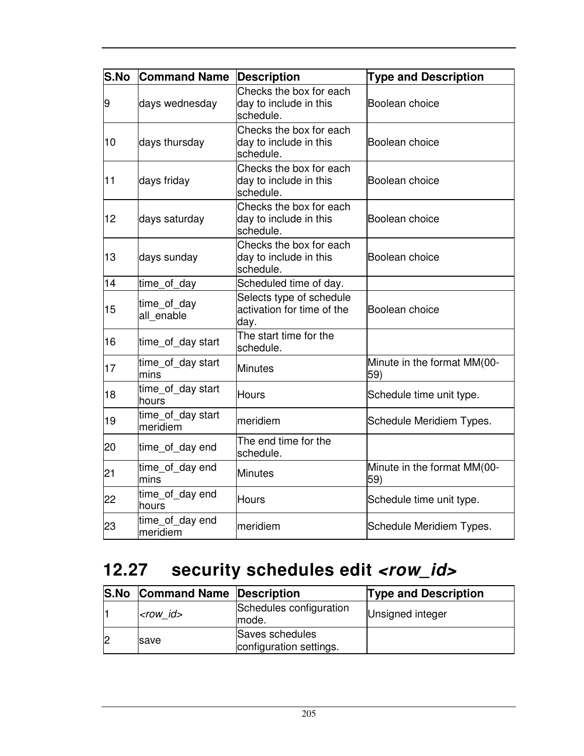| S.No | <b>Command Name</b>           | <b>Description</b>                                             | <b>Type and Description</b>        |
|------|-------------------------------|----------------------------------------------------------------|------------------------------------|
| 9    | days wednesday                | Checks the box for each<br>day to include in this<br>schedule. | Boolean choice                     |
| 10   | days thursday                 | Checks the box for each<br>day to include in this<br>schedule. | Boolean choice                     |
| 11   | days friday                   | Checks the box for each<br>day to include in this<br>schedule. | Boolean choice                     |
| 12   | days saturday                 | Checks the box for each<br>day to include in this<br>schedule. | Boolean choice                     |
| 13   | days sunday                   | Checks the box for each<br>day to include in this<br>schedule. | Boolean choice                     |
| 14   | time_of_day                   | Scheduled time of day.                                         |                                    |
| 15   | time_of_day<br>all enable     | Selects type of schedule<br>activation for time of the<br>day. | Boolean choice                     |
| 16   | time_of_day start             | The start time for the<br>schedule.                            |                                    |
| 17   | time_of_day start<br>mins     | <b>Minutes</b>                                                 | Minute in the format MM(00-<br>59) |
| 18   | time_of_day start<br>hours    | <b>Hours</b>                                                   | Schedule time unit type.           |
| 19   | time_of_day start<br>meridiem | meridiem                                                       | Schedule Meridiem Types.           |
| 20   | time_of_day end               | The end time for the<br>schedule.                              |                                    |
| 21   | time_of_day end<br>mins       | <b>Minutes</b>                                                 | Minute in the format MM(00-<br>59) |
| 22   | time_of_day end<br>hours      | <b>Hours</b>                                                   | Schedule time unit type.           |
| 23   | time_of_day end<br>meridiem   | meridiem                                                       | Schedule Meridiem Types.           |

# 12.27 security schedules edit <row\_id>

|    | <b>S.No Command Name Description</b> |                                            | <b>Type and Description</b> |
|----|--------------------------------------|--------------------------------------------|-----------------------------|
|    | $<$ row id $>$                       | Schedules configuration<br>lmode.          | Unsigned integer            |
| 12 | <b>save</b>                          | Saves schedules<br>configuration settings. |                             |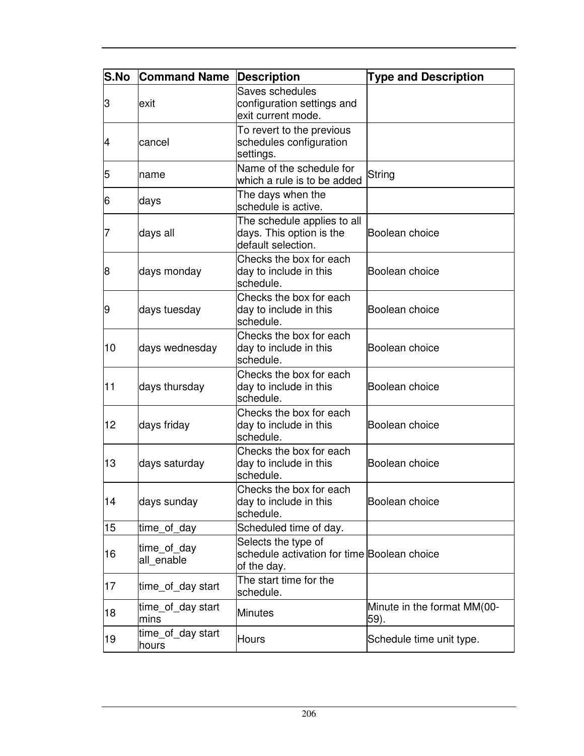| S.No | <b>Command Name</b>        | <b>Description</b>                                                                | <b>Type and Description</b>         |
|------|----------------------------|-----------------------------------------------------------------------------------|-------------------------------------|
| З    | exit                       | Saves schedules<br>configuration settings and<br>exit current mode.               |                                     |
| 4    | cancel                     | To revert to the previous<br>schedules configuration<br>settings.                 |                                     |
| 5    | name                       | Name of the schedule for<br>which a rule is to be added                           | String                              |
| 6    | days                       | The days when the<br>schedule is active.                                          |                                     |
|      | days all                   | The schedule applies to all<br>days. This option is the<br>default selection.     | Boolean choice                      |
| 8    | days monday                | Checks the box for each<br>day to include in this<br>schedule.                    | Boolean choice                      |
| 9    | days tuesday               | Checks the box for each<br>day to include in this<br>schedule.                    | Boolean choice                      |
| 10   | days wednesday             | Checks the box for each<br>day to include in this<br>schedule.                    | Boolean choice                      |
| 11   | days thursday              | Checks the box for each<br>day to include in this<br>schedule.                    | Boolean choice                      |
| 12   | days friday                | Checks the box for each<br>day to include in this<br>schedule.                    | Boolean choice                      |
| 13   | days saturday              | Checks the box for each<br>day to include in this<br>schedule.                    | Boolean choice                      |
| 14   | days sunday                | Checks the box for each<br>day to include in this<br>schedule.                    | Boolean choice                      |
| 15   | time_of_day                | Scheduled time of day.                                                            |                                     |
| 16   | time_of_day<br>all_enable  | Selects the type of<br>schedule activation for time Boolean choice<br>of the day. |                                     |
| 17   | time_of_day start          | The start time for the<br>schedule.                                               |                                     |
| 18   | time_of_day start<br>mins  | Minutes                                                                           | Minute in the format MM(00-<br>59). |
| 19   | time_of_day start<br>hours | <b>Hours</b>                                                                      | Schedule time unit type.            |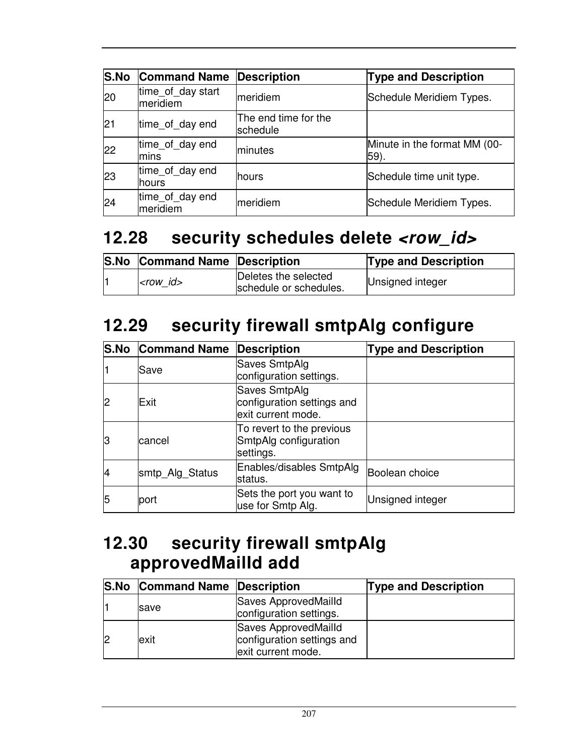| <b>S.No</b> | <b>Command Name</b>           | <b>Description</b>               | <b>Type and Description</b>          |
|-------------|-------------------------------|----------------------------------|--------------------------------------|
| 20          | time of day start<br>meridiem | meridiem                         | Schedule Meridiem Types.             |
| 21          | time_of_day end               | The end time for the<br>schedule |                                      |
| 22          | time_of_day end<br>lmins      | minutes                          | Minute in the format MM (00-<br>59). |
| 23          | time_of_day end<br>lhours     | <b>hours</b>                     | Schedule time unit type.             |
| 24          | time_of_day end<br>meridiem   | meridiem                         | Schedule Meridiem Types.             |

# **12.28 security schedules delete <row\_id>**

|    | <b>S.No Command Name Description</b> |                                                | <b>Type and Description</b> |
|----|--------------------------------------|------------------------------------------------|-----------------------------|
| I1 | $<$ row id $>$                       | Deletes the selected<br>schedule or schedules. | Unsigned integer            |

## **12.29 security firewall smtpAlg configure**

|    | <b>S.No Command Name</b> | Description                                                       | <b>Type and Description</b> |
|----|--------------------------|-------------------------------------------------------------------|-----------------------------|
|    | Save                     | Saves SmtpAlg<br>configuration settings.                          |                             |
| 2  | Exit                     | Saves SmtpAlg<br>configuration settings and<br>exit current mode. |                             |
| 13 | cancel                   | To revert to the previous<br>SmtpAlg configuration<br>settings.   |                             |
| 4  | smtp_Alg_Status          | Enables/disables SmtpAlg<br>status.                               | Boolean choice              |
| 5  | port                     | Sets the port you want to<br>use for Smtp Alg.                    | Unsigned integer            |

### **12.30 security firewall smtpAlg approvedMailId add**

| <b>S.No Command Name Description</b> |                                                                          | <b>Type and Description</b> |
|--------------------------------------|--------------------------------------------------------------------------|-----------------------------|
| <b>Save</b>                          | Saves ApprovedMailld<br>configuration settings.                          |                             |
| lexit                                | Saves ApprovedMailld<br>configuration settings and<br>exit current mode. |                             |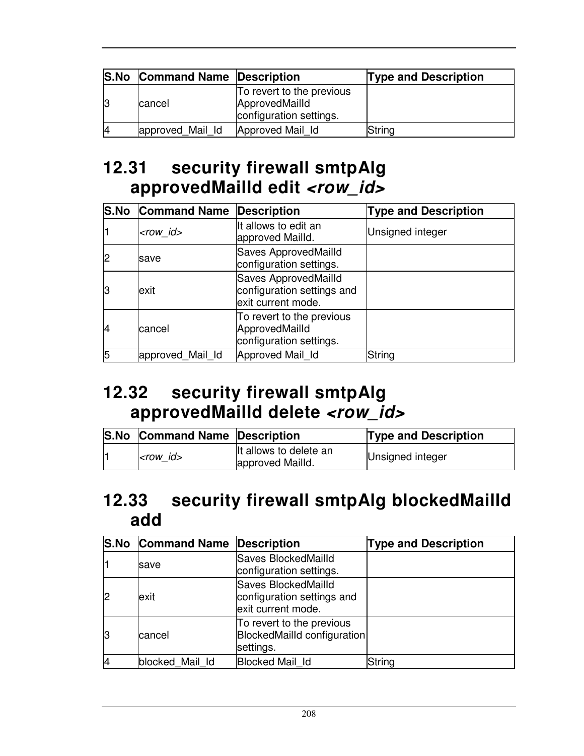| <b>S.No Command Name Description</b> |                                                                        | <b>Type and Description</b> |
|--------------------------------------|------------------------------------------------------------------------|-----------------------------|
| cancel                               | To revert to the previous<br>ApprovedMailld<br>configuration settings. |                             |
| approved Mail Id                     | Approved Mail Id                                                       | String                      |

# **12.31 security firewall smtpAlg approvedMailId edit <row\_id>**

|    | <b>S.No Command Name Description</b> |                                                                                 | <b>Type and Description</b> |
|----|--------------------------------------|---------------------------------------------------------------------------------|-----------------------------|
|    | $<$ row id $>$                       | It allows to edit an<br>approved Mailld.                                        | Unsigned integer            |
|    | <b>save</b>                          | Saves ApprovedMailld<br>configuration settings.                                 |                             |
| lЗ | exit                                 | <b>Saves ApprovedMailld</b><br>configuration settings and<br>exit current mode. |                             |
| 14 | cancel                               | To revert to the previous<br>ApprovedMailld<br>configuration settings.          |                             |
| 5  | approved Mail Id                     | Approved Mail Id                                                                | String                      |

### **12.32 security firewall smtpAlg approvedMailId delete <row\_id>**

| <b>S.No Command Name Description</b> |                                             | <b>Type and Description</b> |
|--------------------------------------|---------------------------------------------|-----------------------------|
| $<$ row id $>$                       | It allows to delete an<br>lapproved Mailld. | Unsigned integer            |

#### **12.33 security firewall smtpAlg blockedMailId add**

|    | <b>S.No Command Name Description</b> |                                                                              | <b>Type and Description</b> |
|----|--------------------------------------|------------------------------------------------------------------------------|-----------------------------|
|    | save                                 | Saves BlockedMailld<br>configuration settings.                               |                             |
| l2 | exit                                 | Saves BlockedMailld<br>configuration settings and<br>exit current mode.      |                             |
| lЗ | lcancel                              | To revert to the previous<br><b>BlockedMailld configuration</b><br>settings. |                             |
|    | blocked Mail Id                      | <b>Blocked Mail Id</b>                                                       | String                      |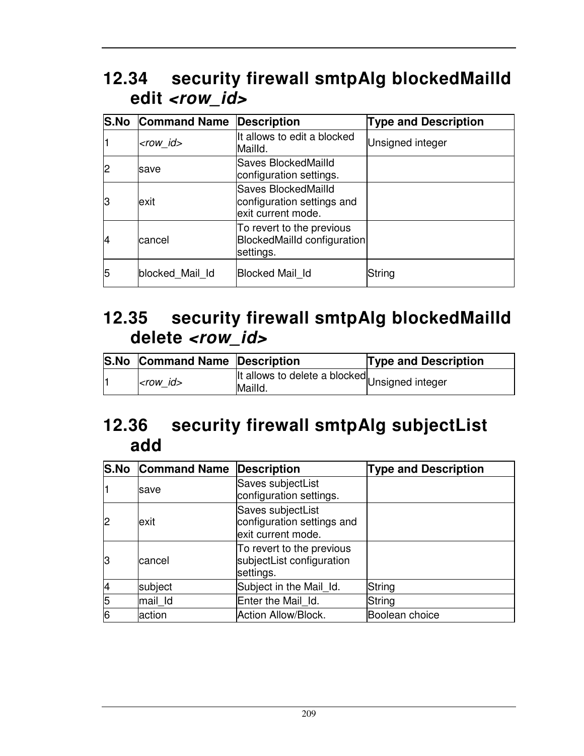## **12.34 security firewall smtpAlg blockedMailId**  edit <row\_id>

|    | <b>S.No Command Name</b> | <b>Description</b>                                                      | <b>Type and Description</b> |
|----|--------------------------|-------------------------------------------------------------------------|-----------------------------|
|    | <row_id></row_id>        | It allows to edit a blocked<br>Mailld.                                  | Unsigned integer            |
| 2  | save                     | Saves BlockedMailld<br>configuration settings.                          |                             |
| 13 | lexit                    | Saves BlockedMailld<br>configuration settings and<br>exit current mode. |                             |
| 14 | cancel                   | To revert to the previous<br>BlockedMailld configuration<br>settings.   |                             |
| 5  | blocked Mail Id          | <b>Blocked Mail Id</b>                                                  | String                      |

#### **12.35 security firewall smtpAlg blockedMailId delete <row\_id>**

| <b>S.No Command Name Description</b> |                                                            | <b>Type and Description</b> |
|--------------------------------------|------------------------------------------------------------|-----------------------------|
| $ <$ row id $>$                      | Ilt allows to delete a blocked Unsigned integer<br>Mailld. |                             |

## **12.36 security firewall smtpAlg subjectList add**

|    | <b>S.No Command Name Description</b> |                                                                       | <b>Type and Description</b> |
|----|--------------------------------------|-----------------------------------------------------------------------|-----------------------------|
|    | save                                 | Saves subjectList<br>configuration settings.                          |                             |
| 12 | exit                                 | Saves subjectList<br>configuration settings and<br>exit current mode. |                             |
| lЗ | cancel                               | To revert to the previous<br>subjectList configuration<br>settings.   |                             |
|    | subject                              | Subject in the Mail_Id.                                               | <b>String</b>               |
| 5  | mail Id                              | Enter the Mail Id.                                                    | <b>String</b>               |
| 6  | action                               | Action Allow/Block.                                                   | Boolean choice              |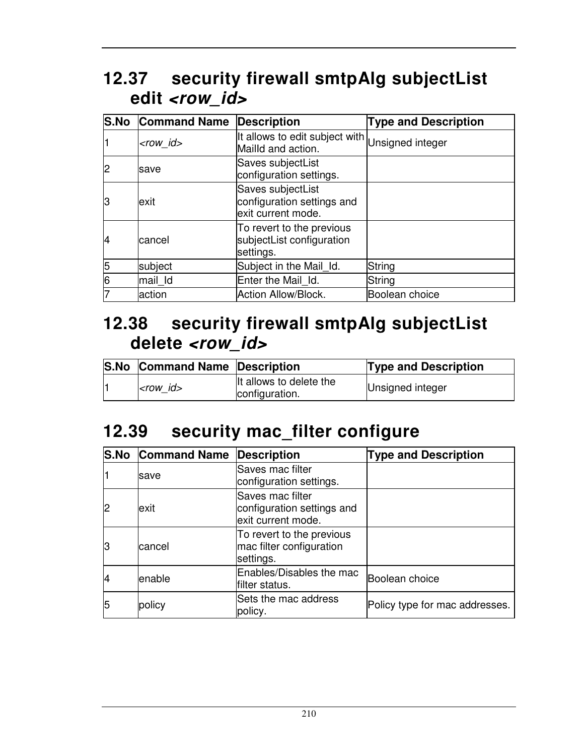## **12.37 security firewall smtpAlg subjectList**  edit <row\_id>

|                | <b>S.No Command Name</b> | <b>Description</b>                                                    | <b>Type and Description</b> |
|----------------|--------------------------|-----------------------------------------------------------------------|-----------------------------|
|                | $<$ row id $>$           | It allows to edit subject with Unsigned integer<br>Mailld and action. |                             |
|                | save                     | Saves subjectList<br>configuration settings.                          |                             |
| lЗ             | exit                     | Saves subjectList<br>configuration settings and<br>exit current mode. |                             |
| 14             | cancel                   | To revert to the previous<br>subjectList configuration<br>settings.   |                             |
| $\overline{5}$ | subject                  | Subject in the Mail Id.                                               | <b>String</b>               |
| 6              | mail Id                  | Enter the Mail Id.                                                    | String                      |
|                | action                   | Action Allow/Block.                                                   | Boolean choice              |

#### **12.38 security firewall smtpAlg subjectList delete <row\_id>**

| <b>S.No Command Name Description</b> |                                           | <b>Type and Description</b> |
|--------------------------------------|-------------------------------------------|-----------------------------|
| $<$ row id $>$                       | It allows to delete the<br>configuration. | Unsigned integer            |

## **12.39 security mac\_filter configure**

|    | <b>S.No Command Name</b> | Description                                                          | <b>Type and Description</b>    |
|----|--------------------------|----------------------------------------------------------------------|--------------------------------|
|    | lsave                    | Saves mac filter<br>configuration settings.                          |                                |
| 2  | exit                     | Saves mac filter<br>configuration settings and<br>exit current mode. |                                |
| 13 | cancel                   | To revert to the previous<br>mac filter configuration<br>settings.   |                                |
| 14 | lenable                  | Enables/Disables the mac<br>filter status.                           | Boolean choice                 |
| 5  | policy                   | Sets the mac address<br>policy.                                      | Policy type for mac addresses. |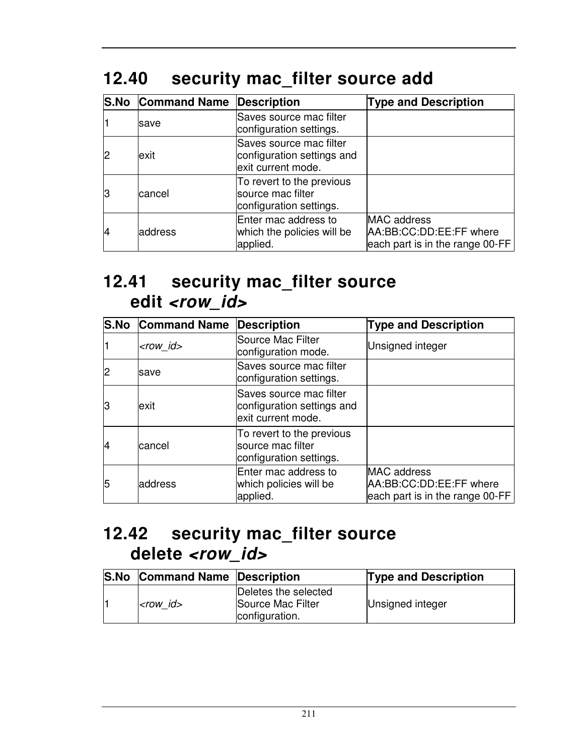# **12.40 security mac\_filter source add**

|    | <b>S.No Command Name Description</b> |                                                                             | <b>Type and Description</b>                                               |
|----|--------------------------------------|-----------------------------------------------------------------------------|---------------------------------------------------------------------------|
|    | lsave                                | Saves source mac filter<br>configuration settings.                          |                                                                           |
|    | exit                                 | Saves source mac filter<br>configuration settings and<br>exit current mode. |                                                                           |
|    | lcancel                              | To revert to the previous<br>source mac filter<br>configuration settings.   |                                                                           |
| 14 | address                              | Enter mac address to<br>which the policies will be<br>applied.              | MAC address<br>AA:BB:CC:DD:EE:FF where<br>each part is in the range 00-FF |

#### **12.41 security mac\_filter source edit <row\_id>**

|    | <b>S.No Command Name</b> | <b>Description</b>                                                          | <b>Type and Description</b>                                                      |
|----|--------------------------|-----------------------------------------------------------------------------|----------------------------------------------------------------------------------|
|    | $<$ row id $>$           | <b>Source Mac Filter</b><br>configuration mode.                             | Unsigned integer                                                                 |
| 2  | save                     | Saves source mac filter<br>configuration settings.                          |                                                                                  |
| 13 | exit                     | Saves source mac filter<br>configuration settings and<br>exit current mode. |                                                                                  |
| 14 | cancel                   | To revert to the previous<br>Isource mac filter<br>configuration settings.  |                                                                                  |
| 5  | address                  | Enter mac address to<br>which policies will be<br>applied.                  | <b>MAC</b> address<br>AA:BB:CC:DD:EE:FF where<br>each part is in the range 00-FF |

#### **12.42 security mac\_filter source delete <row\_id>**

| <b>S.No Command Name Description</b> |                                                             | <b>Type and Description</b> |
|--------------------------------------|-------------------------------------------------------------|-----------------------------|
| $ $ <i><row id=""></row></i>         | Deletes the selected<br>Source Mac Filter<br>configuration. | Unsigned integer            |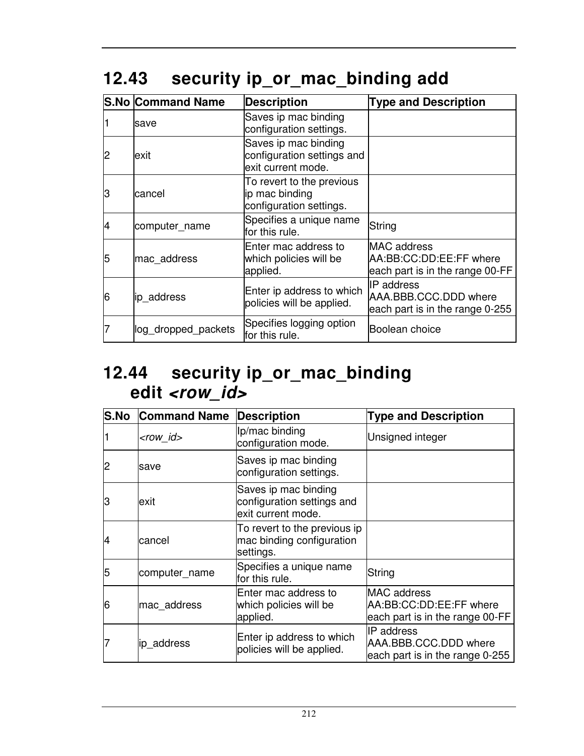# **12.43 security ip\_or\_mac\_binding add**

|    | <b>S.No Command Name</b> | <b>Description</b>                                                       | <b>Type and Description</b>                                                      |
|----|--------------------------|--------------------------------------------------------------------------|----------------------------------------------------------------------------------|
|    | save                     | Saves ip mac binding<br>configuration settings.                          |                                                                                  |
| 2  | lexit                    | Saves ip mac binding<br>configuration settings and<br>exit current mode. |                                                                                  |
| IЗ | cancel                   | To revert to the previous<br>ip mac binding<br>configuration settings.   |                                                                                  |
|    | computer_name            | Specifies a unique name<br>for this rule.                                | String                                                                           |
| 5  | mac_address              | Enter mac address to<br>which policies will be<br>applied.               | <b>MAC</b> address<br>AA:BB:CC:DD:EE:FF where<br>each part is in the range 00-FF |
| 6  | ip address               | Enter ip address to which<br>policies will be applied.                   | <b>IP</b> address<br>AAA.BBB.CCC.DDD where<br>each part is in the range 0-255    |
|    | log dropped packets      | Specifies logging option<br>for this rule.                               | Boolean choice                                                                   |

#### **12.44 security ip\_or\_mac\_binding edit <row\_id>**

| <b>S.No</b> | <b>Command Name</b> | <b>Description</b>                                                       | <b>Type and Description</b>                                                      |
|-------------|---------------------|--------------------------------------------------------------------------|----------------------------------------------------------------------------------|
|             | <row_id></row_id>   | Ip/mac binding<br>configuration mode.                                    | Unsigned integer                                                                 |
|             | save                | Saves ip mac binding<br>configuration settings.                          |                                                                                  |
| 3           | lexit               | Saves ip mac binding<br>configuration settings and<br>exit current mode. |                                                                                  |
|             | cancel              | To revert to the previous ip<br>mac binding configuration<br>settings.   |                                                                                  |
| 5           | computer_name       | Specifies a unique name<br>for this rule.                                | String                                                                           |
| 6           | mac_address         | Enter mac address to<br>which policies will be<br>applied.               | <b>MAC</b> address<br>AA:BB:CC:DD:EE:FF where<br>each part is in the range 00-FF |
|             | ip_address          | Enter ip address to which<br>policies will be applied.                   | <b>IP</b> address<br>AAA.BBB.CCC.DDD where<br>each part is in the range 0-255    |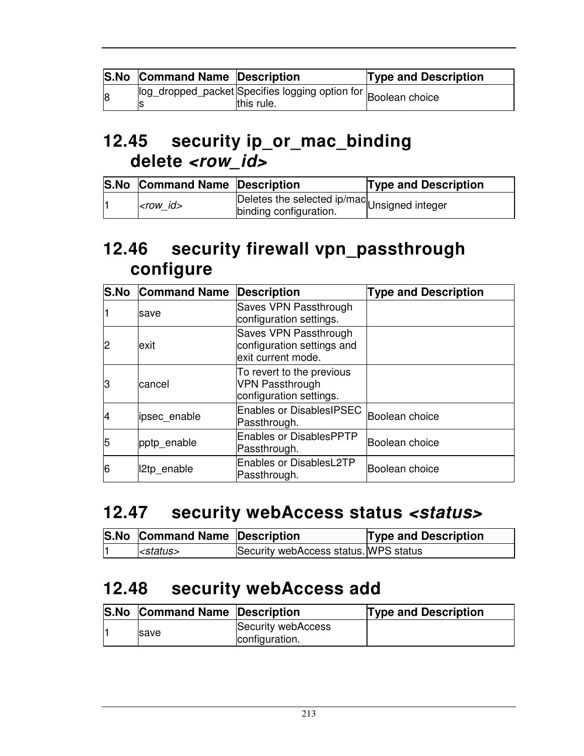|                | <b>S.No Command Name Description</b> |                                                                              | <b>Type and Description</b> |
|----------------|--------------------------------------|------------------------------------------------------------------------------|-----------------------------|
| $\overline{8}$ |                                      | log_dropped_packet Specifies logging option for Boolean choice<br>this rule. |                             |

### **12.45 security ip\_or\_mac\_binding delete <row\_id>**

| <b>S.No Command Name Description</b> |                                                                        | <b>Type and Description</b> |
|--------------------------------------|------------------------------------------------------------------------|-----------------------------|
| krow id>                             | Deletes the selected ip/mac Unsigned integer<br>binding configuration. |                             |

### **12.46 security firewall vpn\_passthrough configure**

| <b>S.No</b> | <b>Command Name</b> | <b>Description</b>                                                             | <b>Type and Description</b> |
|-------------|---------------------|--------------------------------------------------------------------------------|-----------------------------|
|             | save                | Saves VPN Passthrough<br>configuration settings.                               |                             |
| 12          | exit                | Saves VPN Passthrough<br>configuration settings and<br>exit current mode.      |                             |
| lЗ          | cancel              | To revert to the previous<br><b>VPN Passthrough</b><br>configuration settings. |                             |
| 14          | lipsec_enable       | <b>Enables or DisablesIPSEC</b><br>Passthrough.                                | Boolean choice              |
| 5           | pptp_enable         | <b>Enables or DisablesPPTP</b><br>Passthrough.                                 | Boolean choice              |
| 6           | I2tp_enable         | <b>Enables or DisablesL2TP</b><br>Passthrough.                                 | Boolean choice              |

#### 12.47 security webAccess status <status>

| S.No Command Name Description |                                       | <b>Type and Description</b> |
|-------------------------------|---------------------------------------|-----------------------------|
| $\leq$ status>                | Security webAccess status. WPS status |                             |

#### **12.48 security webAccess add**

| <b>S.No Command Name Description</b> |                                      | <b>Type and Description</b> |
|--------------------------------------|--------------------------------------|-----------------------------|
| <b>Save</b>                          | Security webAccess<br>configuration. |                             |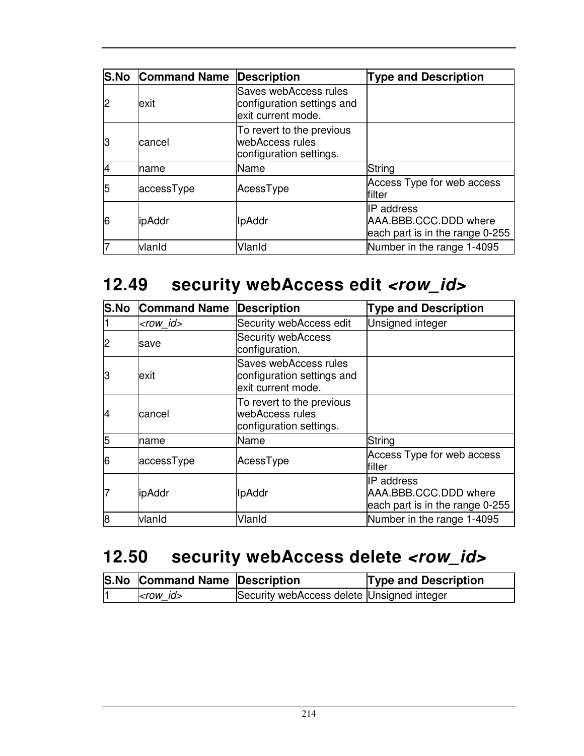|    | <b>S.No Command Name</b> | <b>Description</b>                                                        | <b>Type and Description</b>                                             |
|----|--------------------------|---------------------------------------------------------------------------|-------------------------------------------------------------------------|
| 12 | exit                     | Saves webAccess rules<br>configuration settings and<br>exit current mode. |                                                                         |
| lЗ | cancel                   | To revert to the previous<br>webAccess rules<br>configuration settings.   |                                                                         |
|    | Iname                    | Name                                                                      | String                                                                  |
| 5  | accessType               | AcessType                                                                 | Access Type for web access<br>filter                                    |
| 6  | <b>lipAddr</b>           | <b>IpAddr</b>                                                             | IIP address<br>AAA.BBB.CCC.DDD where<br>each part is in the range 0-255 |
|    | vlanid                   | Vlanid                                                                    | Number in the range 1-4095                                              |

### 12.49 security webAccess edit <row\_id>

| <b>S.No</b> | <b>Command Name</b> | <b>Description</b>                                                        | <b>Type and Description</b>                                            |
|-------------|---------------------|---------------------------------------------------------------------------|------------------------------------------------------------------------|
|             | <row_id></row_id>   | Security webAccess edit                                                   | <b>Unsigned integer</b>                                                |
|             | save                | <b>Security webAccess</b><br>configuration.                               |                                                                        |
| З           | lexit               | Saves webAccess rules<br>configuration settings and<br>exit current mode. |                                                                        |
| 4           | lcancel             | To revert to the previous<br>webAccess rules<br>configuration settings.   |                                                                        |
| 5           | Iname               | Name                                                                      | String                                                                 |
| 16          | accessType          | AcessType                                                                 | Access Type for web access<br>filter                                   |
|             | <b>lipAddr</b>      | <b>IpAddr</b>                                                             | IP address<br>AAA.BBB.CCC.DDD where<br>each part is in the range 0-255 |
| 8           | vlanid              | VlanId                                                                    | Number in the range 1-4095                                             |

# 12.50 security webAccess delete <row\_id>

| <b>S.No Command Name Description</b> |                                            | <b>Type and Description</b> |
|--------------------------------------|--------------------------------------------|-----------------------------|
| $<$ row id $>$                       | Security webAccess delete Unsigned integer |                             |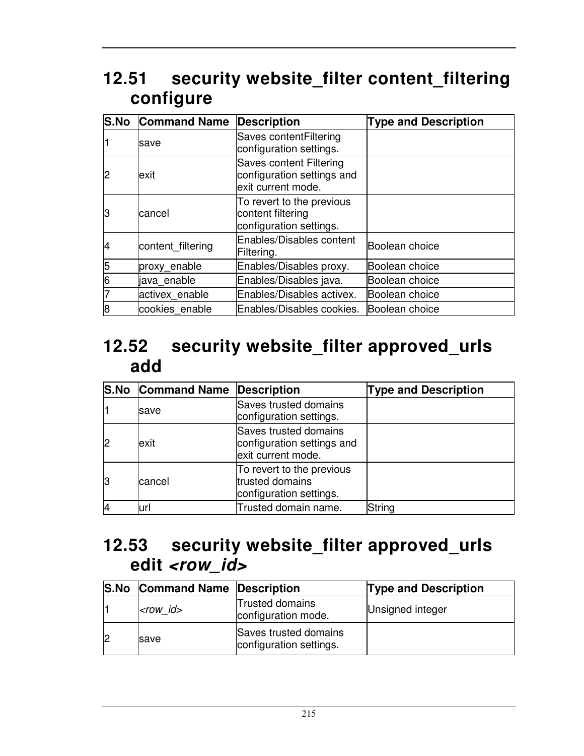## **12.51 security website\_filter content\_filtering configure**

| <b>S.No</b> | <b>Command Name</b> | <b>Description</b>                                                                 | <b>Type and Description</b> |
|-------------|---------------------|------------------------------------------------------------------------------------|-----------------------------|
|             | save                | Saves contentFiltering<br>configuration settings.                                  |                             |
| 2           | exit                | <b>Saves content Filtering</b><br>configuration settings and<br>exit current mode. |                             |
| lЗ          | lcancel             | To revert to the previous<br>content filtering<br>configuration settings.          |                             |
|             | content filtering   | Enables/Disables content<br>Filtering.                                             | Boolean choice              |
| 5           | proxy_enable        | Enables/Disables proxy.                                                            | Boolean choice              |
| 6           | java enable         | Enables/Disables java.                                                             | Boolean choice              |
|             | activex enable      | Enables/Disables activex.                                                          | Boolean choice              |
| 8           | cookies enable      | Enables/Disables cookies.                                                          | Boolean choice              |

#### **12.52 security website\_filter approved\_urls add**

|    | <b>S.No Command Name Description</b> |                                                                           | <b>Type and Description</b> |
|----|--------------------------------------|---------------------------------------------------------------------------|-----------------------------|
|    | save                                 | Saves trusted domains<br>configuration settings.                          |                             |
| l2 | exit                                 | Saves trusted domains<br>configuration settings and<br>exit current mode. |                             |
| 13 | cancel                               | To revert to the previous<br>trusted domains<br>configuration settings.   |                             |
|    | url                                  | Trusted domain name.                                                      | String                      |

#### **12.53 security website\_filter approved\_urls**  edit <row\_id>

| <b>S.No Command Name Description</b> |                                                  | <b>Type and Description</b> |
|--------------------------------------|--------------------------------------------------|-----------------------------|
| $<$ row id $>$                       | <b>Trusted domains</b><br>configuration mode.    | Unsigned integer            |
| <b>Save</b>                          | Saves trusted domains<br>configuration settings. |                             |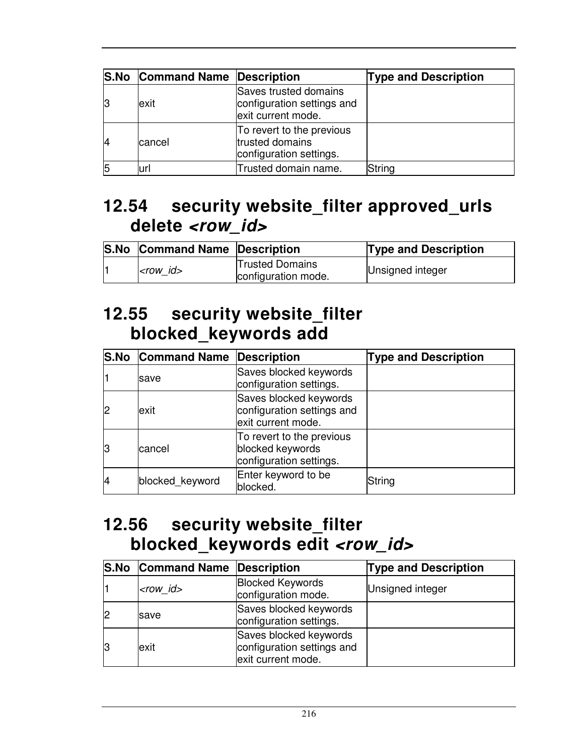|    | <b>S.No Command Name Description</b> |                                                                           | <b>Type and Description</b> |
|----|--------------------------------------|---------------------------------------------------------------------------|-----------------------------|
| 13 | exit                                 | Saves trusted domains<br>configuration settings and<br>exit current mode. |                             |
| 14 | cancel                               | To revert to the previous<br>trusted domains<br>configuration settings.   |                             |
| 15 | ırl                                  | Trusted domain name.                                                      | String                      |

### **12.54 security website\_filter approved\_urls delete <row\_id>**

| <b>S.No Command Name Description</b> |                                               | <b>Type and Description</b> |
|--------------------------------------|-----------------------------------------------|-----------------------------|
| $<$ row id $>$                       | <b>Trusted Domains</b><br>configuration mode. | Unsigned integer            |

#### **12.55 security website\_filter blocked\_keywords add**

|    | <b>S.No Command Name Description</b> |                                                                            | <b>Type and Description</b> |
|----|--------------------------------------|----------------------------------------------------------------------------|-----------------------------|
|    | save                                 | Saves blocked keywords<br>configuration settings.                          |                             |
| 12 | lexit                                | Saves blocked keywords<br>configuration settings and<br>exit current mode. |                             |
| 13 | cancel                               | To revert to the previous<br>blocked keywords<br>configuration settings.   |                             |
| 14 | blocked_keyword                      | Enter keyword to be<br>blocked.                                            | String                      |

#### **12.56 security website\_filter blocked\_keywords edit <row\_id>**

| <b>S.No Command Name Description</b> |                                                                            | <b>Type and Description</b> |
|--------------------------------------|----------------------------------------------------------------------------|-----------------------------|
| $<$ row_id $>$                       | <b>Blocked Keywords</b><br>configuration mode.                             | Unsigned integer            |
| save                                 | Saves blocked keywords<br>configuration settings.                          |                             |
| exit                                 | Saves blocked keywords<br>configuration settings and<br>exit current mode. |                             |